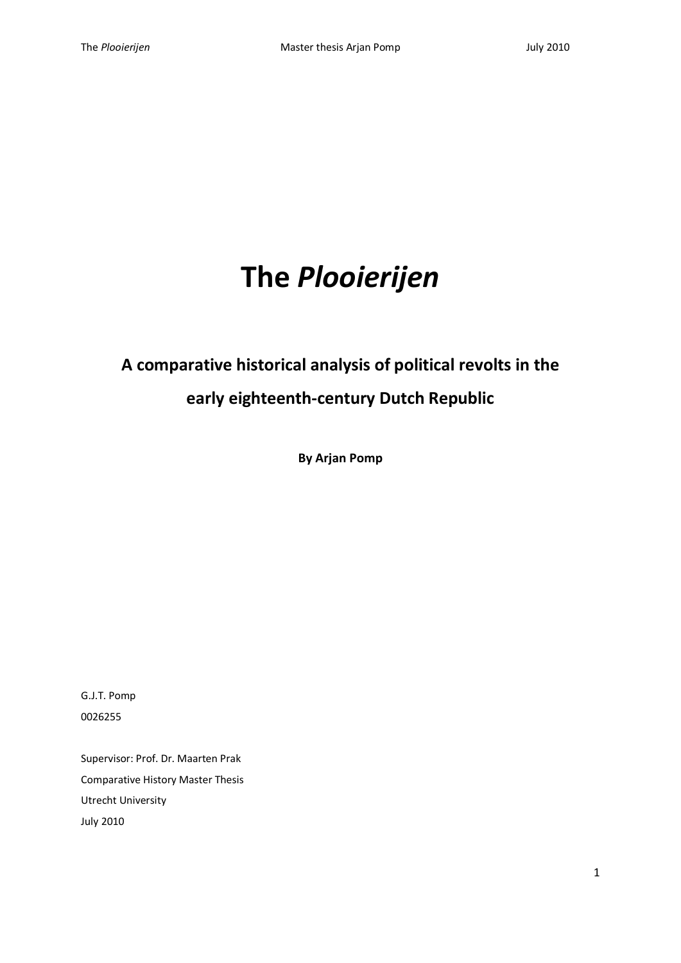# **The** *Plooierijen*

# **A comparative historical analysis of political revolts in the**

# **early eighteenth-century Dutch Republic**

**By Arjan Pomp**

G.J.T. Pomp 0026255

Supervisor: Prof. Dr. Maarten Prak Comparative History Master Thesis Utrecht University July 2010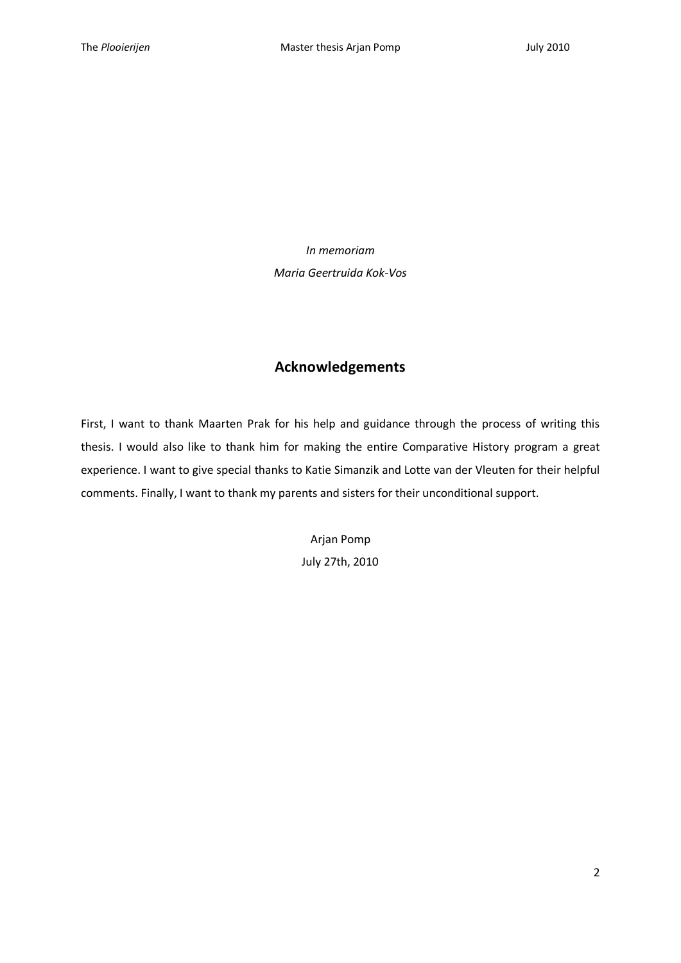*In memoriam*

*Maria Geertruida Kok-Vos*

# **Acknowledgements**

First, I want to thank Maarten Prak for his help and guidance through the process of writing this thesis. I would also like to thank him for making the entire Comparative History program a great experience. I want to give special thanks to Katie Simanzik and Lotte van der Vleuten for their helpful comments. Finally, I want to thank my parents and sisters for their unconditional support.

> Arjan Pomp July 27th, 2010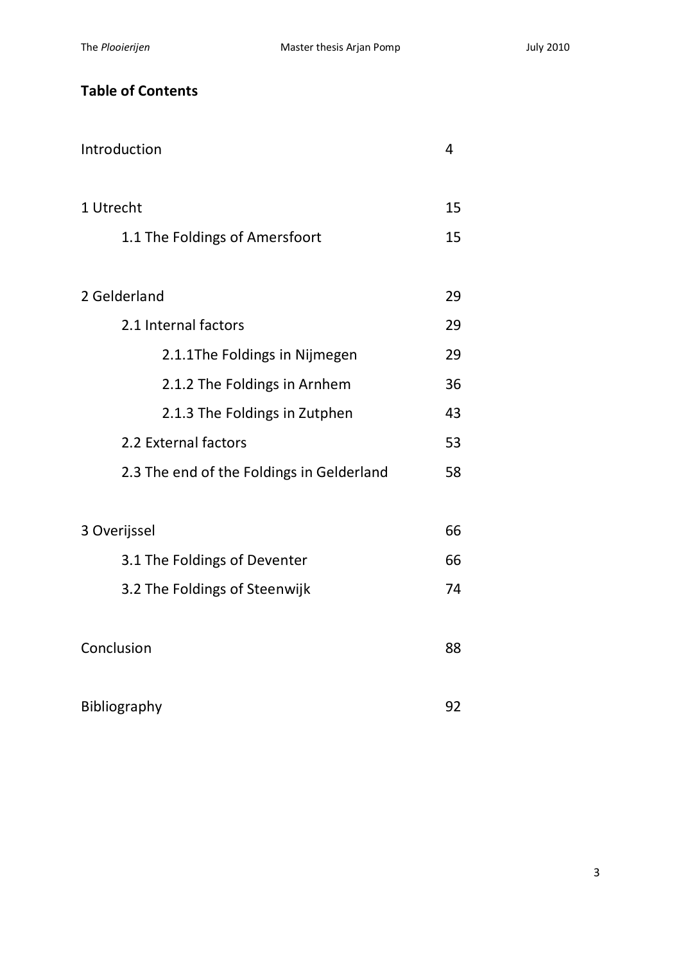# **Table of Contents**

| Introduction                              | 4  |  |  |  |  |
|-------------------------------------------|----|--|--|--|--|
| 1 Utrecht                                 |    |  |  |  |  |
| 1.1 The Foldings of Amersfoort            | 15 |  |  |  |  |
| 2 Gelderland                              | 29 |  |  |  |  |
| 2.1 Internal factors                      |    |  |  |  |  |
| 2.1.1The Foldings in Nijmegen             | 29 |  |  |  |  |
| 2.1.2 The Foldings in Arnhem              | 36 |  |  |  |  |
| 2.1.3 The Foldings in Zutphen             | 43 |  |  |  |  |
| 2.2 External factors                      | 53 |  |  |  |  |
| 2.3 The end of the Foldings in Gelderland | 58 |  |  |  |  |
| 3 Overijssel                              |    |  |  |  |  |
| 3.1 The Foldings of Deventer              | 66 |  |  |  |  |
| 3.2 The Foldings of Steenwijk             | 74 |  |  |  |  |
| Conclusion                                | 88 |  |  |  |  |
| Bibliography                              | 92 |  |  |  |  |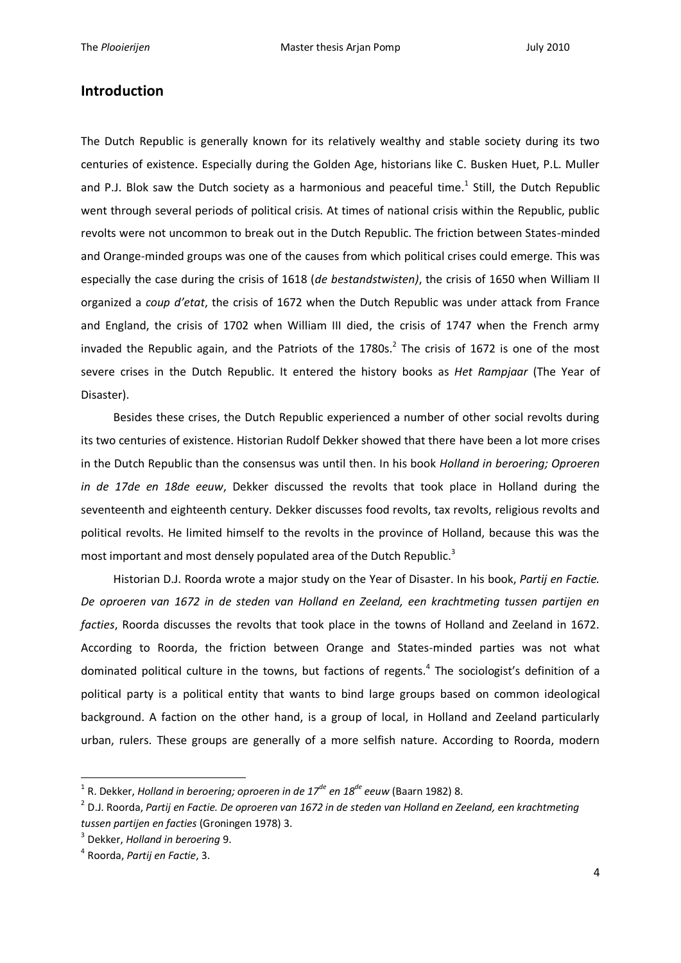## **Introduction**

The Dutch Republic is generally known for its relatively wealthy and stable society during its two centuries of existence. Especially during the Golden Age, historians like C. Busken Huet, P.L. Muller and P.J. Blok saw the Dutch society as a harmonious and peaceful time.<sup>1</sup> Still, the Dutch Republic went through several periods of political crisis. At times of national crisis within the Republic, public revolts were not uncommon to break out in the Dutch Republic. The friction between States-minded and Orange-minded groups was one of the causes from which political crises could emerge. This was especially the case during the crisis of 1618 (*de bestandstwisten)*, the crisis of 1650 when William II organized a *coup d'etat*, the crisis of 1672 when the Dutch Republic was under attack from France and England, the crisis of 1702 when William III died, the crisis of 1747 when the French army invaded the Republic again, and the Patriots of the 1780s.<sup>2</sup> The crisis of 1672 is one of the most severe crises in the Dutch Republic. It entered the history books as *Het Rampjaar* (The Year of Disaster).

Besides these crises, the Dutch Republic experienced a number of other social revolts during its two centuries of existence. Historian Rudolf Dekker showed that there have been a lot more crises in the Dutch Republic than the consensus was until then. In his book *Holland in beroering; Oproeren in de 17de en 18de eeuw*, Dekker discussed the revolts that took place in Holland during the seventeenth and eighteenth century. Dekker discusses food revolts, tax revolts, religious revolts and political revolts. He limited himself to the revolts in the province of Holland, because this was the most important and most densely populated area of the Dutch Republic.<sup>3</sup>

Historian D.J. Roorda wrote a major study on the Year of Disaster. In his book, *Partij en Factie. De oproeren van 1672 in de steden van Holland en Zeeland, een krachtmeting tussen partijen en facties*, Roorda discusses the revolts that took place in the towns of Holland and Zeeland in 1672. According to Roorda, the friction between Orange and States-minded parties was not what dominated political culture in the towns, but factions of regents.<sup>4</sup> The sociologist's definition of a political party is a political entity that wants to bind large groups based on common ideological background. A faction on the other hand, is a group of local, in Holland and Zeeland particularly urban, rulers. These groups are generally of a more selfish nature. According to Roorda, modern

<sup>1</sup> R. Dekker, *Holland in beroering; oproeren in de 17de en 18de eeuw* (Baarn 1982) 8.

<sup>2</sup> D.J. Roorda, *Partij en Factie. De oproeren van 1672 in de steden van Holland en Zeeland, een krachtmeting tussen partijen en facties* (Groningen 1978) 3.

<sup>3</sup> Dekker, *Holland in beroering* 9.

<sup>4</sup> Roorda, *Partij en Factie*, 3.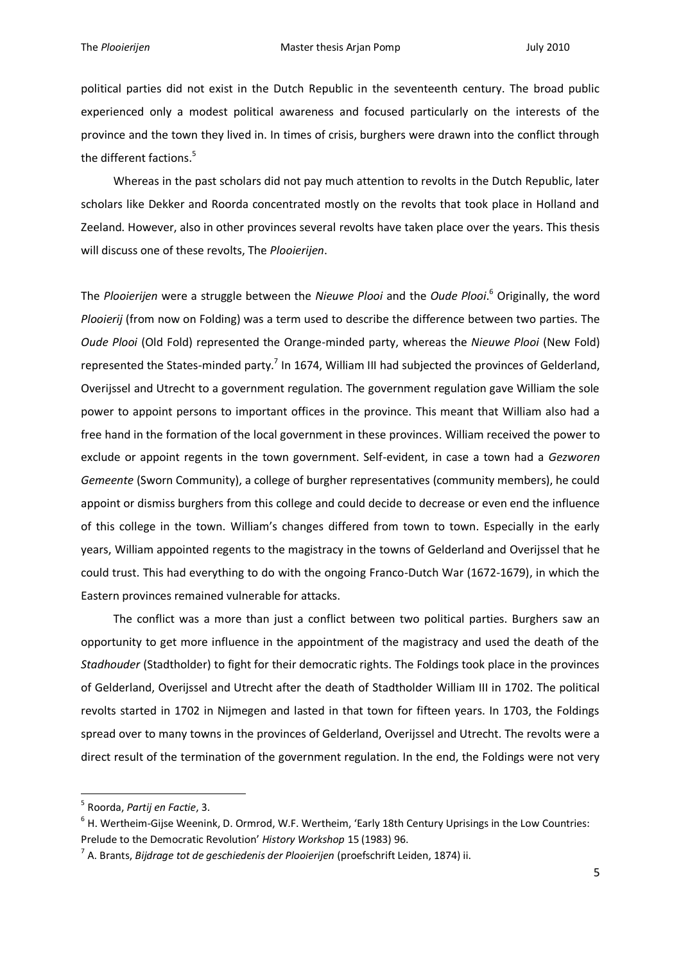political parties did not exist in the Dutch Republic in the seventeenth century. The broad public experienced only a modest political awareness and focused particularly on the interests of the province and the town they lived in. In times of crisis, burghers were drawn into the conflict through the different factions.<sup>5</sup>

Whereas in the past scholars did not pay much attention to revolts in the Dutch Republic, later scholars like Dekker and Roorda concentrated mostly on the revolts that took place in Holland and Zeeland. However, also in other provinces several revolts have taken place over the years. This thesis will discuss one of these revolts, The *Plooierijen*.

The *Plooierijen* were a struggle between the *Nieuwe Plooi* and the *Oude Plooi*. <sup>6</sup> Originally, the word *Plooierij* (from now on Folding) was a term used to describe the difference between two parties. The *Oude Plooi* (Old Fold) represented the Orange-minded party, whereas the *Nieuwe Plooi* (New Fold) represented the States-minded party.<sup>7</sup> In 1674, William III had subjected the provinces of Gelderland, Overijssel and Utrecht to a government regulation. The government regulation gave William the sole power to appoint persons to important offices in the province. This meant that William also had a free hand in the formation of the local government in these provinces. William received the power to exclude or appoint regents in the town government. Self-evident, in case a town had a *Gezworen Gemeente* (Sworn Community), a college of burgher representatives (community members), he could appoint or dismiss burghers from this college and could decide to decrease or even end the influence of this college in the town. William's changes differed from town to town. Especially in the early years, William appointed regents to the magistracy in the towns of Gelderland and Overijssel that he could trust. This had everything to do with the ongoing Franco-Dutch War (1672-1679), in which the Eastern provinces remained vulnerable for attacks.

The conflict was a more than just a conflict between two political parties. Burghers saw an opportunity to get more influence in the appointment of the magistracy and used the death of the *Stadhouder* (Stadtholder) to fight for their democratic rights. The Foldings took place in the provinces of Gelderland, Overijssel and Utrecht after the death of Stadtholder William III in 1702. The political revolts started in 1702 in Nijmegen and lasted in that town for fifteen years. In 1703, the Foldings spread over to many towns in the provinces of Gelderland, Overijssel and Utrecht. The revolts were a direct result of the termination of the government regulation. In the end, the Foldings were not very

<sup>5</sup> Roorda, *Partij en Factie*, 3.

<sup>6</sup> H. Wertheim-Gijse Weenink, D. Ormrod, W.F. Wertheim, 'Early 18th Century Uprisings in the Low Countries: Prelude to the Democratic Revolution' *History Workshop* 15 (1983) 96.

<sup>7</sup> A. Brants, *Bijdrage tot de geschiedenis der Plooierijen* (proefschrift Leiden, 1874) ii.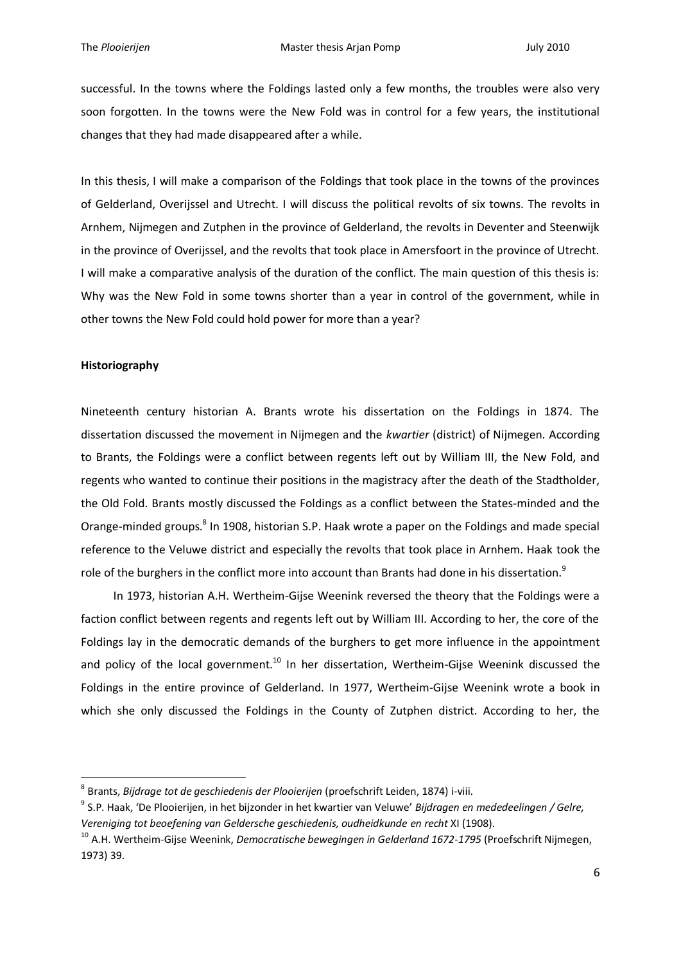successful. In the towns where the Foldings lasted only a few months, the troubles were also very soon forgotten. In the towns were the New Fold was in control for a few years, the institutional changes that they had made disappeared after a while.

In this thesis, I will make a comparison of the Foldings that took place in the towns of the provinces of Gelderland, Overijssel and Utrecht. I will discuss the political revolts of six towns. The revolts in Arnhem, Nijmegen and Zutphen in the province of Gelderland, the revolts in Deventer and Steenwijk in the province of Overijssel, and the revolts that took place in Amersfoort in the province of Utrecht. I will make a comparative analysis of the duration of the conflict. The main question of this thesis is: Why was the New Fold in some towns shorter than a year in control of the government, while in other towns the New Fold could hold power for more than a year?

#### **Historiography**

1

Nineteenth century historian A. Brants wrote his dissertation on the Foldings in 1874. The dissertation discussed the movement in Nijmegen and the *kwartier* (district) of Nijmegen. According to Brants, the Foldings were a conflict between regents left out by William III, the New Fold, and regents who wanted to continue their positions in the magistracy after the death of the Stadtholder, the Old Fold. Brants mostly discussed the Foldings as a conflict between the States-minded and the Orange-minded groups.<sup>8</sup> In 1908, historian S.P. Haak wrote a paper on the Foldings and made special reference to the Veluwe district and especially the revolts that took place in Arnhem. Haak took the role of the burghers in the conflict more into account than Brants had done in his dissertation.<sup>9</sup>

In 1973, historian A.H. Wertheim-Gijse Weenink reversed the theory that the Foldings were a faction conflict between regents and regents left out by William III. According to her, the core of the Foldings lay in the democratic demands of the burghers to get more influence in the appointment and policy of the local government.<sup>10</sup> In her dissertation, Wertheim-Gijse Weenink discussed the Foldings in the entire province of Gelderland. In 1977, Wertheim-Gijse Weenink wrote a book in which she only discussed the Foldings in the County of Zutphen district. According to her, the

<sup>8</sup> Brants, *Bijdrage tot de geschiedenis der Plooierijen* (proefschrift Leiden, 1874) i-viii.

<sup>9</sup> S.P. Haak, 'De Plooierijen, in het bijzonder in het kwartier van Veluwe' *Bijdragen en mededeelingen / Gelre, Vereniging tot beoefening van Geldersche geschiedenis, oudheidkunde en recht* XI (1908).

<sup>10</sup> A.H. Wertheim-Gijse Weenink, *Democratische bewegingen in Gelderland 1672-1795* (Proefschrift Nijmegen, 1973) 39.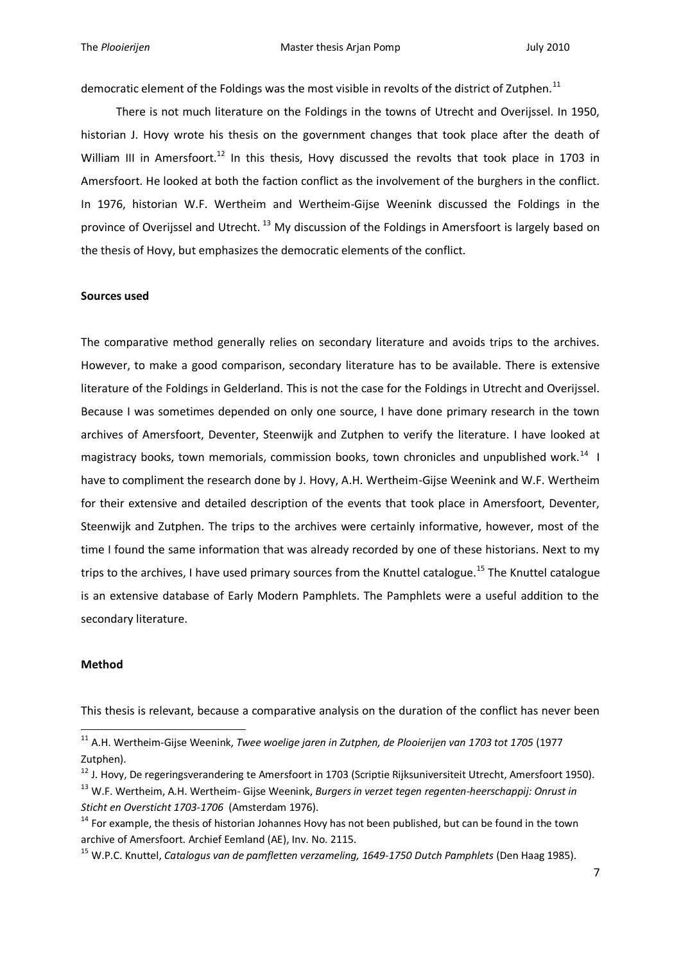democratic element of the Foldings was the most visible in revolts of the district of Zutphen.<sup>11</sup>

There is not much literature on the Foldings in the towns of Utrecht and Overijssel. In 1950, historian J. Hovy wrote his thesis on the government changes that took place after the death of William III in Amersfoort.<sup>12</sup> In this thesis, Hovy discussed the revolts that took place in 1703 in Amersfoort. He looked at both the faction conflict as the involvement of the burghers in the conflict. In 1976, historian W.F. Wertheim and Wertheim-Gijse Weenink discussed the Foldings in the province of Overijssel and Utrecht.<sup>13</sup> My discussion of the Foldings in Amersfoort is largely based on the thesis of Hovy, but emphasizes the democratic elements of the conflict.

#### **Sources used**

The comparative method generally relies on secondary literature and avoids trips to the archives. However, to make a good comparison, secondary literature has to be available. There is extensive literature of the Foldings in Gelderland. This is not the case for the Foldings in Utrecht and Overijssel. Because I was sometimes depended on only one source, I have done primary research in the town archives of Amersfoort, Deventer, Steenwijk and Zutphen to verify the literature. I have looked at magistracy books, town memorials, commission books, town chronicles and unpublished work.<sup>14</sup> I have to compliment the research done by J. Hovy, A.H. Wertheim-Gijse Weenink and W.F. Wertheim for their extensive and detailed description of the events that took place in Amersfoort, Deventer, Steenwijk and Zutphen. The trips to the archives were certainly informative, however, most of the time I found the same information that was already recorded by one of these historians. Next to my trips to the archives, I have used primary sources from the Knuttel catalogue.<sup>15</sup> The Knuttel catalogue is an extensive database of Early Modern Pamphlets. The Pamphlets were a useful addition to the secondary literature.

#### **Method**

1

This thesis is relevant, because a comparative analysis on the duration of the conflict has never been

<sup>11</sup> A.H. Wertheim-Gijse Weenink, *Twee woelige jaren in Zutphen, de Plooierijen van 1703 tot 1705* (1977 Zutphen).

 $12$  J. Hovy, De regeringsverandering te Amersfoort in 1703 (Scriptie Rijksuniversiteit Utrecht, Amersfoort 1950).

<sup>13</sup> W.F. Wertheim, A.H. Wertheim- Gijse Weenink, *Burgers in verzet tegen regenten-heerschappij: Onrust in Sticht en Oversticht 1703-1706* (Amsterdam 1976).

<sup>&</sup>lt;sup>14</sup> For example, the thesis of historian Johannes Hovy has not been published, but can be found in the town archive of Amersfoort. Archief Eemland (AE), Inv. No. 2115.

<sup>15</sup> W.P.C. Knuttel, *Catalogus van de pamfletten verzameling, 1649-1750 Dutch Pamphlets* (Den Haag 1985).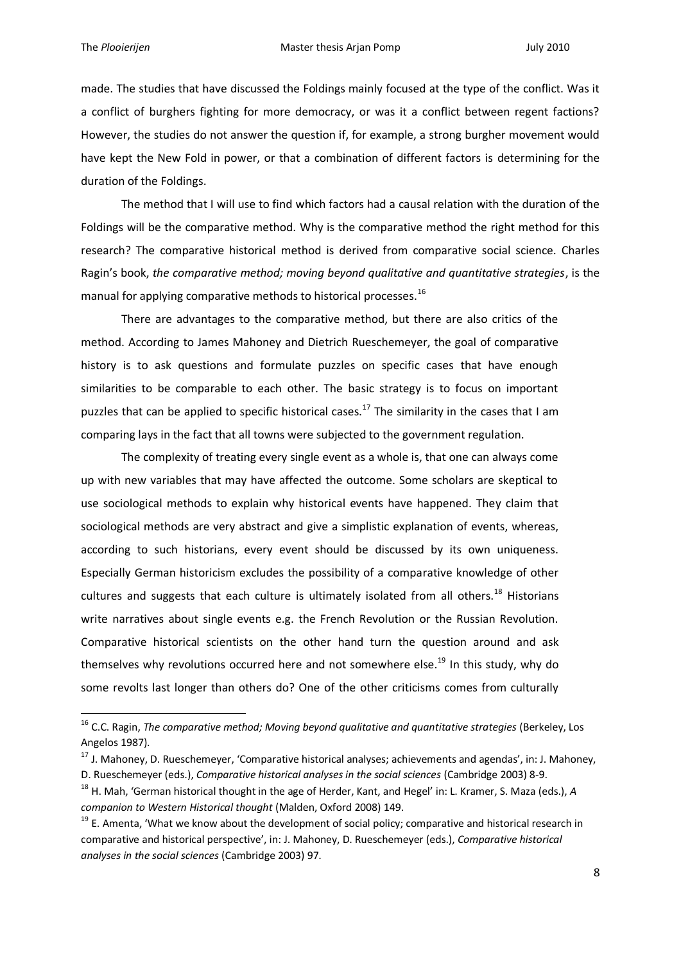1

made. The studies that have discussed the Foldings mainly focused at the type of the conflict. Was it a conflict of burghers fighting for more democracy, or was it a conflict between regent factions? However, the studies do not answer the question if, for example, a strong burgher movement would have kept the New Fold in power, or that a combination of different factors is determining for the duration of the Foldings.

The method that I will use to find which factors had a causal relation with the duration of the Foldings will be the comparative method. Why is the comparative method the right method for this research? The comparative historical method is derived from comparative social science. Charles Ragin's book, *the comparative method; moving beyond qualitative and quantitative strategies*, is the manual for applying comparative methods to historical processes.<sup>16</sup>

There are advantages to the comparative method, but there are also critics of the method. According to James Mahoney and Dietrich Rueschemeyer, the goal of comparative history is to ask questions and formulate puzzles on specific cases that have enough similarities to be comparable to each other. The basic strategy is to focus on important puzzles that can be applied to specific historical cases.<sup>17</sup> The similarity in the cases that I am comparing lays in the fact that all towns were subjected to the government regulation.

The complexity of treating every single event as a whole is, that one can always come up with new variables that may have affected the outcome. Some scholars are skeptical to use sociological methods to explain why historical events have happened. They claim that sociological methods are very abstract and give a simplistic explanation of events, whereas, according to such historians, every event should be discussed by its own uniqueness. Especially German historicism excludes the possibility of a comparative knowledge of other cultures and suggests that each culture is ultimately isolated from all others.<sup>18</sup> Historians write narratives about single events e.g. the French Revolution or the Russian Revolution. Comparative historical scientists on the other hand turn the question around and ask themselves why revolutions occurred here and not somewhere else.<sup>19</sup> In this study, why do some revolts last longer than others do? One of the other criticisms comes from culturally

<sup>16</sup> C.C. Ragin, *The comparative method; Moving beyond qualitative and quantitative strategies* (Berkeley, Los Angelos 1987).

<sup>&</sup>lt;sup>17</sup> J. Mahoney, D. Rueschemeyer, 'Comparative historical analyses; achievements and agendas', in: J. Mahoney, D. Rueschemeyer (eds.), *Comparative historical analyses in the social sciences* (Cambridge 2003) 8-9.

<sup>18</sup> H. Mah, 'German historical thought in the age of Herder, Kant, and Hegel' in: L. Kramer, S. Maza (eds.), *A companion to Western Historical thought* (Malden, Oxford 2008) 149.

 $19$  E. Amenta, 'What we know about the development of social policy; comparative and historical research in comparative and historical perspective', in: J. Mahoney, D. Rueschemeyer (eds.), *Comparative historical analyses in the social sciences* (Cambridge 2003) 97.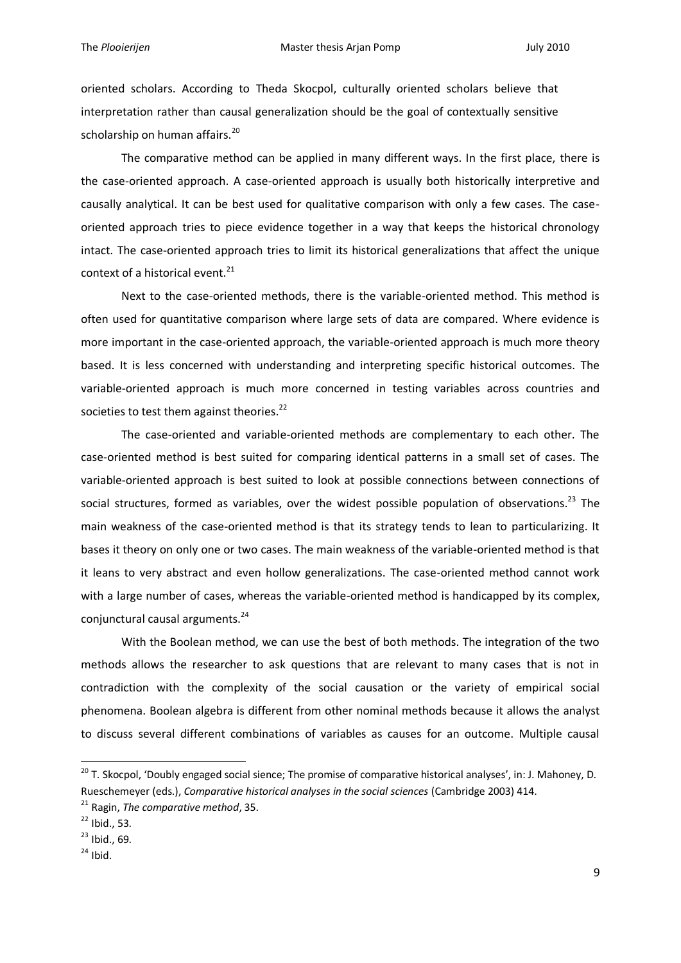oriented scholars. According to Theda Skocpol, culturally oriented scholars believe that interpretation rather than causal generalization should be the goal of contextually sensitive scholarship on human affairs.<sup>20</sup>

The comparative method can be applied in many different ways. In the first place, there is the case-oriented approach. A case-oriented approach is usually both historically interpretive and causally analytical. It can be best used for qualitative comparison with only a few cases. The caseoriented approach tries to piece evidence together in a way that keeps the historical chronology intact. The case-oriented approach tries to limit its historical generalizations that affect the unique context of a historical event.<sup>21</sup>

Next to the case-oriented methods, there is the variable-oriented method. This method is often used for quantitative comparison where large sets of data are compared. Where evidence is more important in the case-oriented approach, the variable-oriented approach is much more theory based. It is less concerned with understanding and interpreting specific historical outcomes. The variable-oriented approach is much more concerned in testing variables across countries and societies to test them against theories.<sup>22</sup>

The case-oriented and variable-oriented methods are complementary to each other. The case-oriented method is best suited for comparing identical patterns in a small set of cases. The variable-oriented approach is best suited to look at possible connections between connections of social structures, formed as variables, over the widest possible population of observations.<sup>23</sup> The main weakness of the case-oriented method is that its strategy tends to lean to particularizing. It bases it theory on only one or two cases. The main weakness of the variable-oriented method is that it leans to very abstract and even hollow generalizations. The case-oriented method cannot work with a large number of cases, whereas the variable-oriented method is handicapped by its complex, conjunctural causal arguments.<sup>24</sup>

With the Boolean method, we can use the best of both methods. The integration of the two methods allows the researcher to ask questions that are relevant to many cases that is not in contradiction with the complexity of the social causation or the variety of empirical social phenomena. Boolean algebra is different from other nominal methods because it allows the analyst to discuss several different combinations of variables as causes for an outcome. Multiple causal

<sup>&</sup>lt;sup>20</sup> T. Skocpol, 'Doubly engaged social sience; The promise of comparative historical analyses', in: J. Mahoney, D. Rueschemeyer (eds.), *Comparative historical analyses in the social sciences* (Cambridge 2003) 414.

<sup>21</sup> Ragin, *The comparative method*, 35.

 $22$  Ibid., 53.

 $23$  Ibid., 69.

 $24$  Ibid.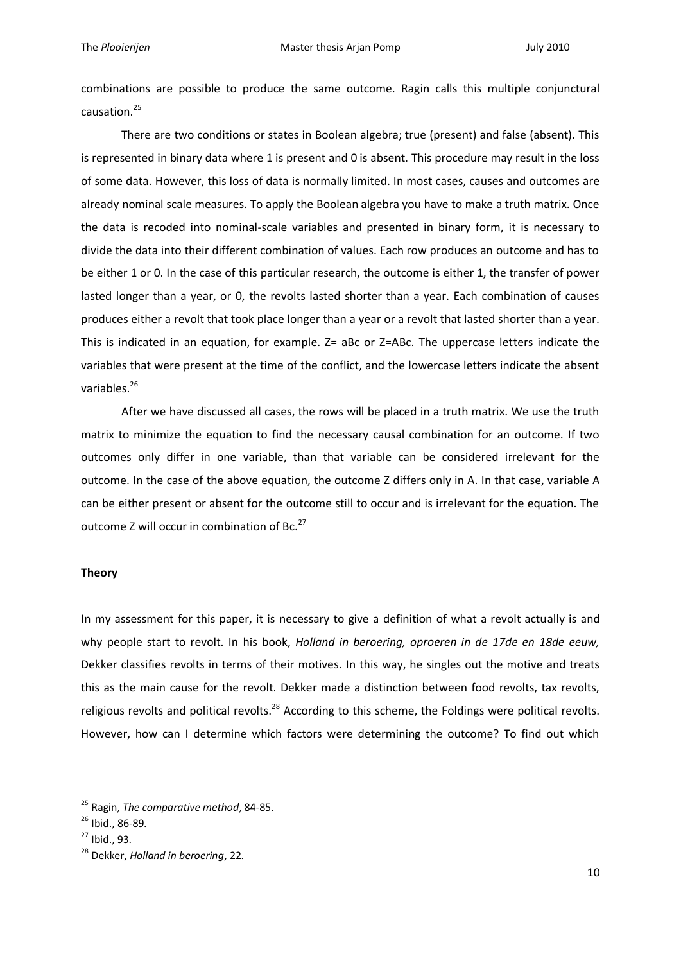combinations are possible to produce the same outcome. Ragin calls this multiple conjunctural causation.<sup>25</sup>

There are two conditions or states in Boolean algebra; true (present) and false (absent). This is represented in binary data where 1 is present and 0 is absent. This procedure may result in the loss of some data. However, this loss of data is normally limited. In most cases, causes and outcomes are already nominal scale measures. To apply the Boolean algebra you have to make a truth matrix. Once the data is recoded into nominal-scale variables and presented in binary form, it is necessary to divide the data into their different combination of values. Each row produces an outcome and has to be either 1 or 0. In the case of this particular research, the outcome is either 1, the transfer of power lasted longer than a year, or 0, the revolts lasted shorter than a year. Each combination of causes produces either a revolt that took place longer than a year or a revolt that lasted shorter than a year. This is indicated in an equation, for example. Z= aBc or Z=ABc. The uppercase letters indicate the variables that were present at the time of the conflict, and the lowercase letters indicate the absent variables.<sup>26</sup>

After we have discussed all cases, the rows will be placed in a truth matrix. We use the truth matrix to minimize the equation to find the necessary causal combination for an outcome. If two outcomes only differ in one variable, than that variable can be considered irrelevant for the outcome. In the case of the above equation, the outcome Z differs only in A. In that case, variable A can be either present or absent for the outcome still to occur and is irrelevant for the equation. The outcome Z will occur in combination of Bc.<sup>27</sup>

#### **Theory**

In my assessment for this paper, it is necessary to give a definition of what a revolt actually is and why people start to revolt. In his book, *Holland in beroering, oproeren in de 17de en 18de eeuw,*  Dekker classifies revolts in terms of their motives. In this way, he singles out the motive and treats this as the main cause for the revolt. Dekker made a distinction between food revolts, tax revolts, religious revolts and political revolts.<sup>28</sup> According to this scheme, the Foldings were political revolts. However, how can I determine which factors were determining the outcome? To find out which

<sup>25</sup> Ragin, *The comparative method*, 84-85.

<sup>26</sup> Ibid., 86-89.

<sup>27</sup> Ibid., 93.

<sup>28</sup> Dekker, *Holland in beroering*, 22.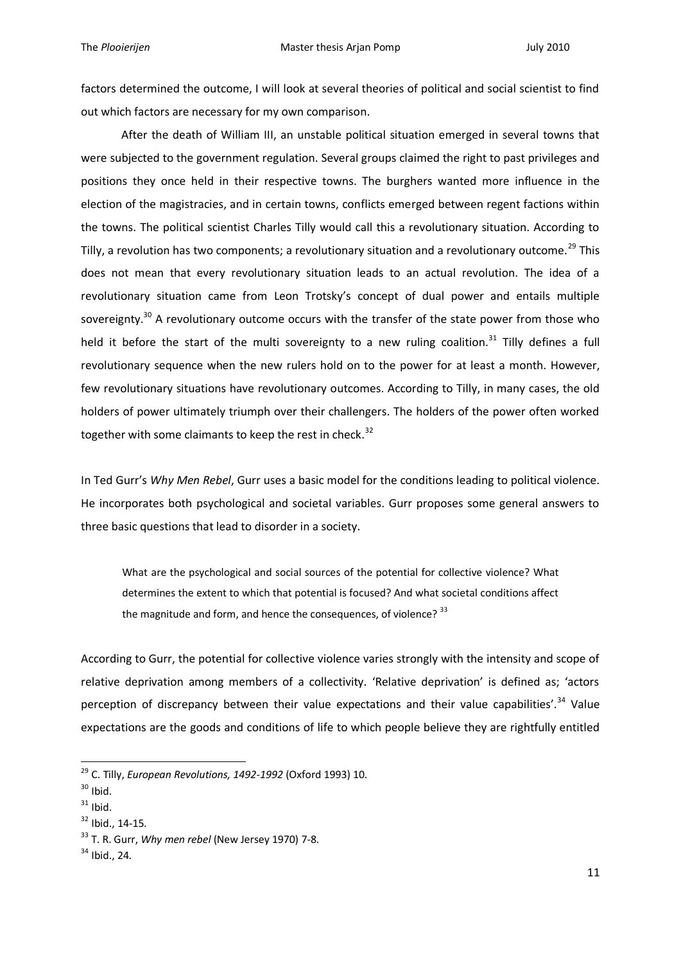factors determined the outcome, I will look at several theories of political and social scientist to find out which factors are necessary for my own comparison.

After the death of William III, an unstable political situation emerged in several towns that were subjected to the government regulation. Several groups claimed the right to past privileges and positions they once held in their respective towns. The burghers wanted more influence in the election of the magistracies, and in certain towns, conflicts emerged between regent factions within the towns. The political scientist Charles Tilly would call this a revolutionary situation. According to Tilly, a revolution has two components; a revolutionary situation and a revolutionary outcome.<sup>29</sup> This does not mean that every revolutionary situation leads to an actual revolution. The idea of a revolutionary situation came from Leon Trotsky's concept of dual power and entails multiple sovereignty.<sup>30</sup> A revolutionary outcome occurs with the transfer of the state power from those who held it before the start of the multi sovereignty to a new ruling coalition.<sup>31</sup> Tilly defines a full revolutionary sequence when the new rulers hold on to the power for at least a month. However, few revolutionary situations have revolutionary outcomes. According to Tilly, in many cases, the old holders of power ultimately triumph over their challengers. The holders of the power often worked together with some claimants to keep the rest in check. $32$ 

In Ted Gurr's *Why Men Rebel*, Gurr uses a basic model for the conditions leading to political violence. He incorporates both psychological and societal variables. Gurr proposes some general answers to three basic questions that lead to disorder in a society.

What are the psychological and social sources of the potential for collective violence? What determines the extent to which that potential is focused? And what societal conditions affect the magnitude and form, and hence the consequences, of violence?  $^{33}$ 

According to Gurr, the potential for collective violence varies strongly with the intensity and scope of relative deprivation among members of a collectivity. 'Relative deprivation' is defined as; 'actors perception of discrepancy between their value expectations and their value capabilities'.<sup>34</sup> Value expectations are the goods and conditions of life to which people believe they are rightfully entitled

<sup>29</sup> C. Tilly, *European Revolutions, 1492-1992* (Oxford 1993) 10.

 $30$  Ibid.

 $31$  Ibid.

<sup>32</sup> Ibid., 14-15.

<sup>33</sup> T. R. Gurr, *Why men rebel* (New Jersey 1970) 7-8.

 $34$  Ibid., 24.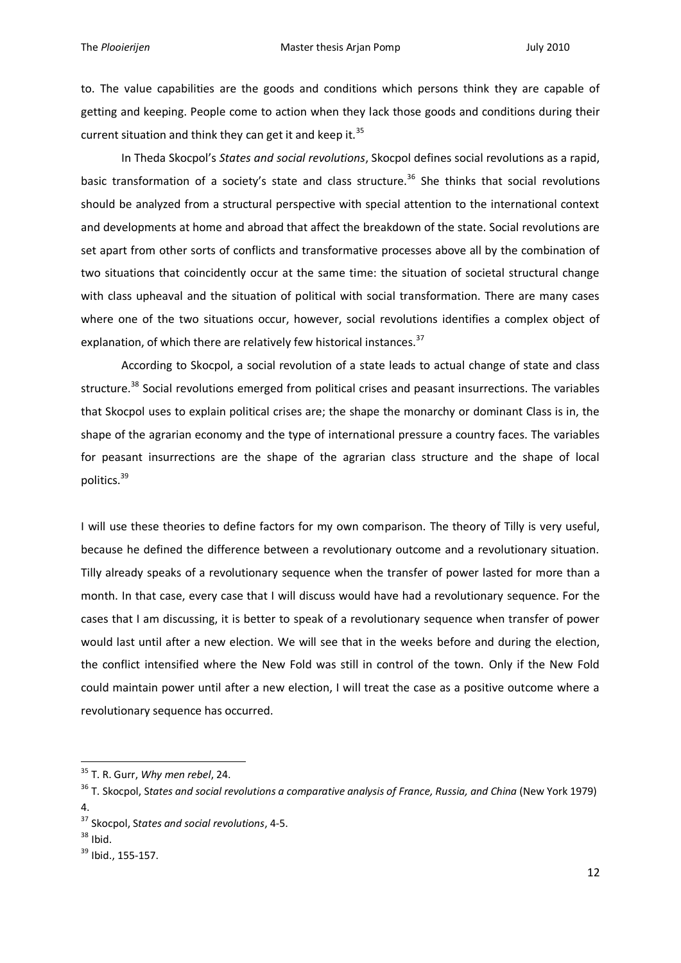to. The value capabilities are the goods and conditions which persons think they are capable of getting and keeping. People come to action when they lack those goods and conditions during their current situation and think they can get it and keep it. $35$ 

In Theda Skocpol's *States and social revolutions*, Skocpol defines social revolutions as a rapid, basic transformation of a society's state and class structure.<sup>36</sup> She thinks that social revolutions should be analyzed from a structural perspective with special attention to the international context and developments at home and abroad that affect the breakdown of the state. Social revolutions are set apart from other sorts of conflicts and transformative processes above all by the combination of two situations that coincidently occur at the same time: the situation of societal structural change with class upheaval and the situation of political with social transformation. There are many cases where one of the two situations occur, however, social revolutions identifies a complex object of explanation, of which there are relatively few historical instances. $37$ 

According to Skocpol, a social revolution of a state leads to actual change of state and class structure.<sup>38</sup> Social revolutions emerged from political crises and peasant insurrections. The variables that Skocpol uses to explain political crises are; the shape the monarchy or dominant Class is in, the shape of the agrarian economy and the type of international pressure a country faces. The variables for peasant insurrections are the shape of the agrarian class structure and the shape of local politics.<sup>39</sup>

I will use these theories to define factors for my own comparison. The theory of Tilly is very useful, because he defined the difference between a revolutionary outcome and a revolutionary situation. Tilly already speaks of a revolutionary sequence when the transfer of power lasted for more than a month. In that case, every case that I will discuss would have had a revolutionary sequence. For the cases that I am discussing, it is better to speak of a revolutionary sequence when transfer of power would last until after a new election. We will see that in the weeks before and during the election, the conflict intensified where the New Fold was still in control of the town. Only if the New Fold could maintain power until after a new election, I will treat the case as a positive outcome where a revolutionary sequence has occurred.

<sup>35</sup> T. R. Gurr, *Why men rebel*, 24.

<sup>36</sup> T. Skocpol, S*tates and social revolutions a comparative analysis of France, Russia, and China* (New York 1979) 4.

<sup>37</sup> Skocpol, S*tates and social revolutions*, 4-5.

 $38$  Ibid.

<sup>39</sup> Ibid., 155-157.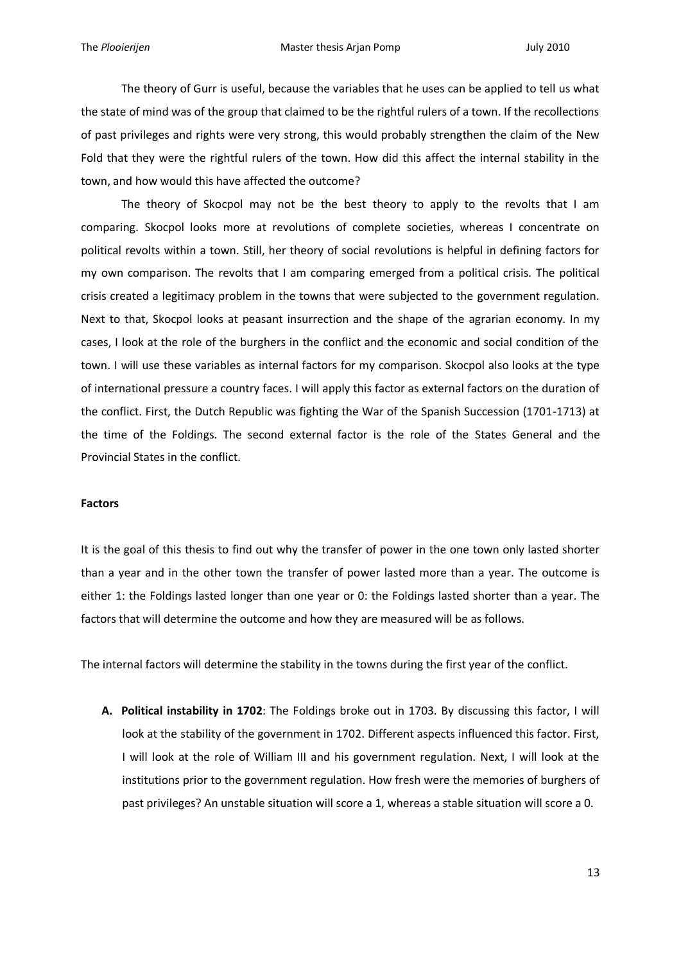The theory of Gurr is useful, because the variables that he uses can be applied to tell us what the state of mind was of the group that claimed to be the rightful rulers of a town. If the recollections of past privileges and rights were very strong, this would probably strengthen the claim of the New Fold that they were the rightful rulers of the town. How did this affect the internal stability in the town, and how would this have affected the outcome?

The theory of Skocpol may not be the best theory to apply to the revolts that I am comparing. Skocpol looks more at revolutions of complete societies, whereas I concentrate on political revolts within a town. Still, her theory of social revolutions is helpful in defining factors for my own comparison. The revolts that I am comparing emerged from a political crisis. The political crisis created a legitimacy problem in the towns that were subjected to the government regulation. Next to that, Skocpol looks at peasant insurrection and the shape of the agrarian economy. In my cases, I look at the role of the burghers in the conflict and the economic and social condition of the town. I will use these variables as internal factors for my comparison. Skocpol also looks at the type of international pressure a country faces. I will apply this factor as external factors on the duration of the conflict. First, the Dutch Republic was fighting the War of the Spanish Succession (1701-1713) at the time of the Foldings. The second external factor is the role of the States General and the Provincial States in the conflict.

#### **Factors**

It is the goal of this thesis to find out why the transfer of power in the one town only lasted shorter than a year and in the other town the transfer of power lasted more than a year. The outcome is either 1: the Foldings lasted longer than one year or 0: the Foldings lasted shorter than a year. The factors that will determine the outcome and how they are measured will be as follows.

The internal factors will determine the stability in the towns during the first year of the conflict.

**A. Political instability in 1702**: The Foldings broke out in 1703. By discussing this factor, I will look at the stability of the government in 1702. Different aspects influenced this factor. First, I will look at the role of William III and his government regulation. Next, I will look at the institutions prior to the government regulation. How fresh were the memories of burghers of past privileges? An unstable situation will score a 1, whereas a stable situation will score a 0.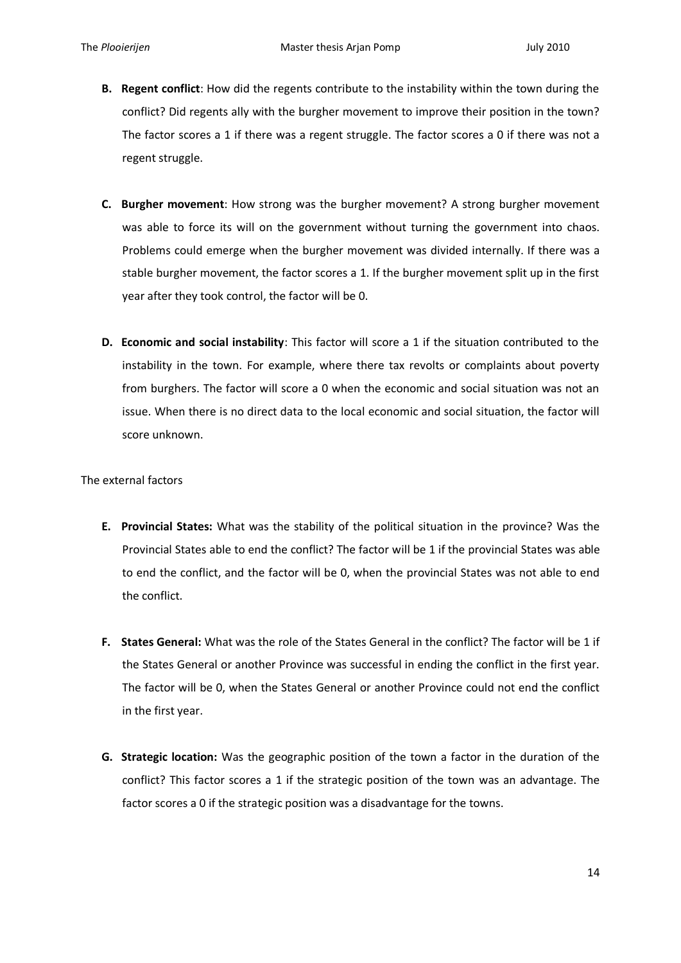- **B. Regent conflict**: How did the regents contribute to the instability within the town during the conflict? Did regents ally with the burgher movement to improve their position in the town? The factor scores a 1 if there was a regent struggle. The factor scores a 0 if there was not a regent struggle.
- **C. Burgher movement**: How strong was the burgher movement? A strong burgher movement was able to force its will on the government without turning the government into chaos. Problems could emerge when the burgher movement was divided internally. If there was a stable burgher movement, the factor scores a 1. If the burgher movement split up in the first year after they took control, the factor will be 0.
- **D. Economic and social instability**: This factor will score a 1 if the situation contributed to the instability in the town. For example, where there tax revolts or complaints about poverty from burghers. The factor will score a 0 when the economic and social situation was not an issue. When there is no direct data to the local economic and social situation, the factor will score unknown.

The external factors

- **E. Provincial States:** What was the stability of the political situation in the province? Was the Provincial States able to end the conflict? The factor will be 1 if the provincial States was able to end the conflict, and the factor will be 0, when the provincial States was not able to end the conflict.
- **F. States General:** What was the role of the States General in the conflict? The factor will be 1 if the States General or another Province was successful in ending the conflict in the first year. The factor will be 0, when the States General or another Province could not end the conflict in the first year.
- **G. Strategic location:** Was the geographic position of the town a factor in the duration of the conflict? This factor scores a 1 if the strategic position of the town was an advantage. The factor scores a 0 if the strategic position was a disadvantage for the towns.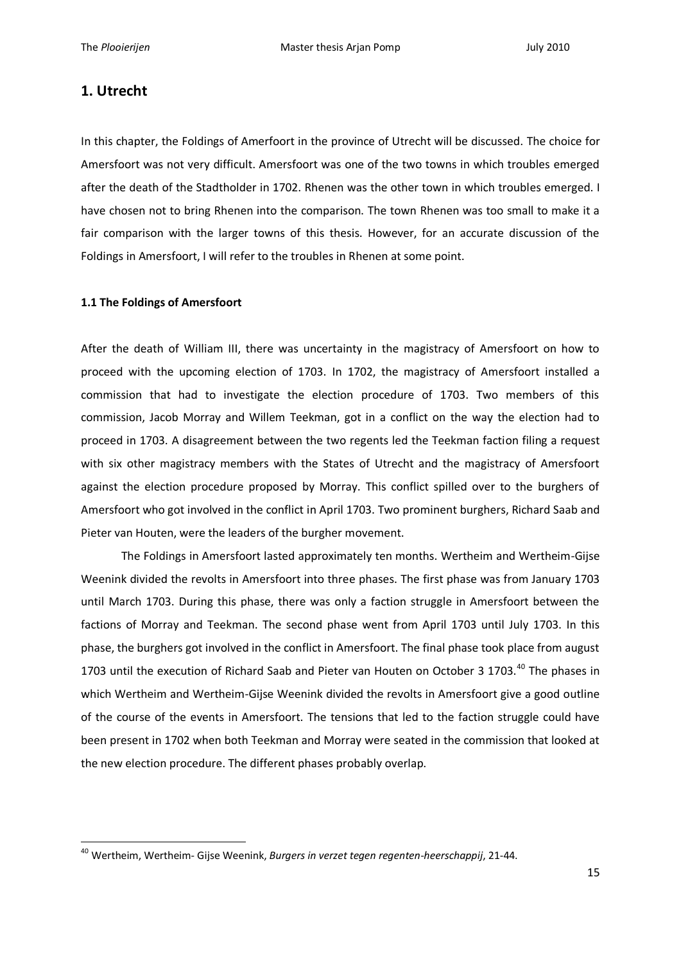## **1. Utrecht**

1

In this chapter, the Foldings of Amerfoort in the province of Utrecht will be discussed. The choice for Amersfoort was not very difficult. Amersfoort was one of the two towns in which troubles emerged after the death of the Stadtholder in 1702. Rhenen was the other town in which troubles emerged. I have chosen not to bring Rhenen into the comparison. The town Rhenen was too small to make it a fair comparison with the larger towns of this thesis. However, for an accurate discussion of the Foldings in Amersfoort, I will refer to the troubles in Rhenen at some point.

#### **1.1 The Foldings of Amersfoort**

After the death of William III, there was uncertainty in the magistracy of Amersfoort on how to proceed with the upcoming election of 1703. In 1702, the magistracy of Amersfoort installed a commission that had to investigate the election procedure of 1703. Two members of this commission, Jacob Morray and Willem Teekman, got in a conflict on the way the election had to proceed in 1703. A disagreement between the two regents led the Teekman faction filing a request with six other magistracy members with the States of Utrecht and the magistracy of Amersfoort against the election procedure proposed by Morray. This conflict spilled over to the burghers of Amersfoort who got involved in the conflict in April 1703. Two prominent burghers, Richard Saab and Pieter van Houten, were the leaders of the burgher movement.

The Foldings in Amersfoort lasted approximately ten months. Wertheim and Wertheim-Gijse Weenink divided the revolts in Amersfoort into three phases. The first phase was from January 1703 until March 1703. During this phase, there was only a faction struggle in Amersfoort between the factions of Morray and Teekman. The second phase went from April 1703 until July 1703. In this phase, the burghers got involved in the conflict in Amersfoort. The final phase took place from august 1703 until the execution of Richard Saab and Pieter van Houten on October 3 1703.<sup>40</sup> The phases in which Wertheim and Wertheim-Gijse Weenink divided the revolts in Amersfoort give a good outline of the course of the events in Amersfoort. The tensions that led to the faction struggle could have been present in 1702 when both Teekman and Morray were seated in the commission that looked at the new election procedure. The different phases probably overlap.

<sup>40</sup> Wertheim, Wertheim- Gijse Weenink, *Burgers in verzet tegen regenten-heerschappij*, 21-44.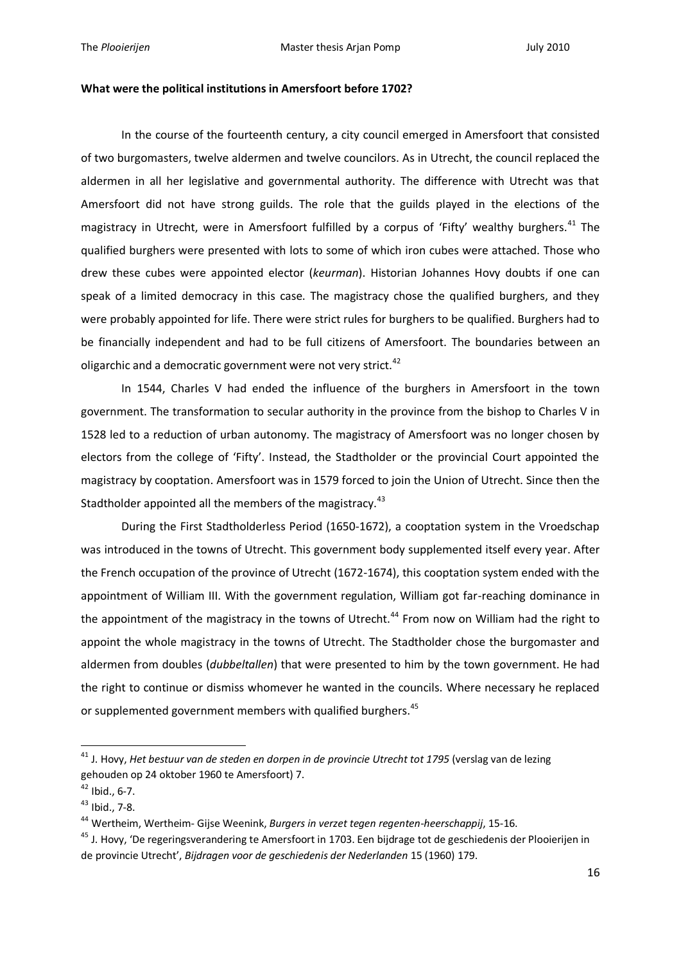#### **What were the political institutions in Amersfoort before 1702?**

In the course of the fourteenth century, a city council emerged in Amersfoort that consisted of two burgomasters, twelve aldermen and twelve councilors. As in Utrecht, the council replaced the aldermen in all her legislative and governmental authority. The difference with Utrecht was that Amersfoort did not have strong guilds. The role that the guilds played in the elections of the magistracy in Utrecht, were in Amersfoort fulfilled by a corpus of 'Fifty' wealthy burghers.<sup>41</sup> The qualified burghers were presented with lots to some of which iron cubes were attached. Those who drew these cubes were appointed elector (*keurman*). Historian Johannes Hovy doubts if one can speak of a limited democracy in this case. The magistracy chose the qualified burghers, and they were probably appointed for life. There were strict rules for burghers to be qualified. Burghers had to be financially independent and had to be full citizens of Amersfoort. The boundaries between an oligarchic and a democratic government were not very strict.<sup>42</sup>

In 1544, Charles V had ended the influence of the burghers in Amersfoort in the town government. The transformation to secular authority in the province from the bishop to Charles V in 1528 led to a reduction of urban autonomy. The magistracy of Amersfoort was no longer chosen by electors from the college of 'Fifty'. Instead, the Stadtholder or the provincial Court appointed the magistracy by cooptation. Amersfoort was in 1579 forced to join the Union of Utrecht. Since then the Stadtholder appointed all the members of the magistracy.<sup>43</sup>

During the First Stadtholderless Period (1650-1672), a cooptation system in the Vroedschap was introduced in the towns of Utrecht. This government body supplemented itself every year. After the French occupation of the province of Utrecht (1672-1674), this cooptation system ended with the appointment of William III. With the government regulation, William got far-reaching dominance in the appointment of the magistracy in the towns of Utrecht.<sup>44</sup> From now on William had the right to appoint the whole magistracy in the towns of Utrecht. The Stadtholder chose the burgomaster and aldermen from doubles (*dubbeltallen*) that were presented to him by the town government. He had the right to continue or dismiss whomever he wanted in the councils. Where necessary he replaced or supplemented government members with qualified burghers.<sup>45</sup>

<sup>41</sup> J. Hovy, *Het bestuur van de steden en dorpen in de provincie Utrecht tot 1795* (verslag van de lezing gehouden op 24 oktober 1960 te Amersfoort) 7.

 $42$  Ibid., 6-7.

<sup>43</sup> Ibid., 7-8.

<sup>44</sup> Wertheim, Wertheim- Gijse Weenink, *Burgers in verzet tegen regenten-heerschappij*, 15-16.

<sup>&</sup>lt;sup>45</sup> J. Hovy, 'De regeringsverandering te Amersfoort in 1703. Een bijdrage tot de geschiedenis der Plooierijen in de provincie Utrecht', *Bijdragen voor de geschiedenis der Nederlanden* 15 (1960) 179.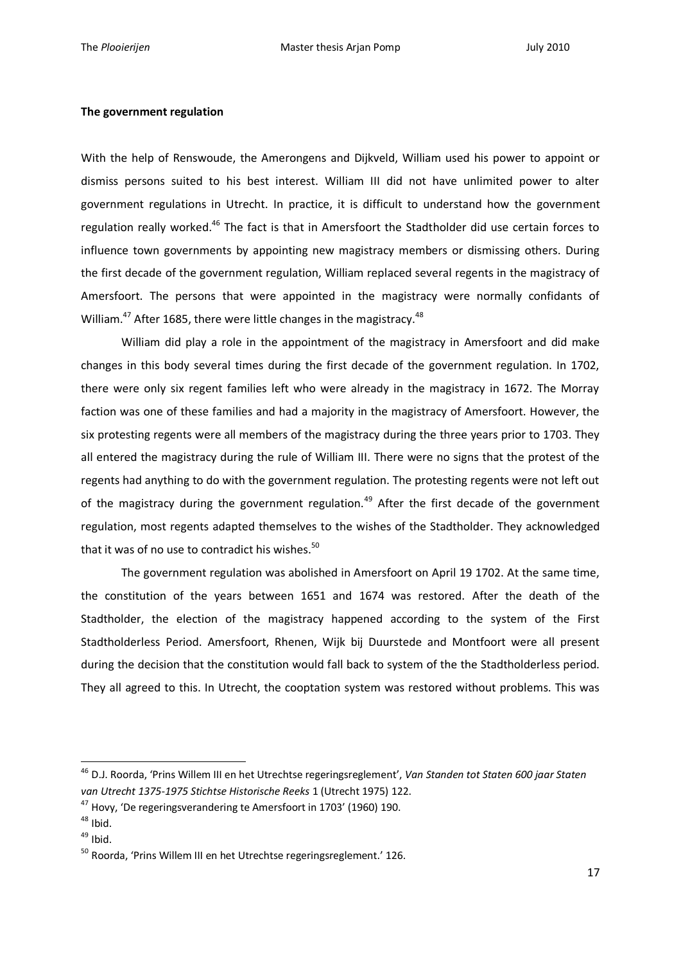#### **The government regulation**

With the help of Renswoude, the Amerongens and Dijkveld, William used his power to appoint or dismiss persons suited to his best interest. William III did not have unlimited power to alter government regulations in Utrecht. In practice, it is difficult to understand how the government regulation really worked.<sup>46</sup> The fact is that in Amersfoort the Stadtholder did use certain forces to influence town governments by appointing new magistracy members or dismissing others. During the first decade of the government regulation, William replaced several regents in the magistracy of Amersfoort. The persons that were appointed in the magistracy were normally confidants of William. $47$  After 1685, there were little changes in the magistracy. $48$ 

William did play a role in the appointment of the magistracy in Amersfoort and did make changes in this body several times during the first decade of the government regulation. In 1702, there were only six regent families left who were already in the magistracy in 1672. The Morray faction was one of these families and had a majority in the magistracy of Amersfoort. However, the six protesting regents were all members of the magistracy during the three years prior to 1703. They all entered the magistracy during the rule of William III. There were no signs that the protest of the regents had anything to do with the government regulation. The protesting regents were not left out of the magistracy during the government regulation.<sup>49</sup> After the first decade of the government regulation, most regents adapted themselves to the wishes of the Stadtholder. They acknowledged that it was of no use to contradict his wishes.<sup>50</sup>

The government regulation was abolished in Amersfoort on April 19 1702. At the same time, the constitution of the years between 1651 and 1674 was restored. After the death of the Stadtholder, the election of the magistracy happened according to the system of the First Stadtholderless Period. Amersfoort, Rhenen, Wijk bij Duurstede and Montfoort were all present during the decision that the constitution would fall back to system of the the Stadtholderless period. They all agreed to this. In Utrecht, the cooptation system was restored without problems. This was

<sup>46</sup> D.J. Roorda, 'Prins Willem III en het Utrechtse regeringsreglement', *Van Standen tot Staten 600 jaar Staten van Utrecht 1375-1975 Stichtse Historische Reeks* 1 (Utrecht 1975) 122.

<sup>&</sup>lt;sup>47</sup> Hovy, 'De regeringsverandering te Amersfoort in 1703' (1960) 190.

 $48$  Ibid.

 $49$  Ibid.

<sup>50</sup> Roorda, 'Prins Willem III en het Utrechtse regeringsreglement.' 126.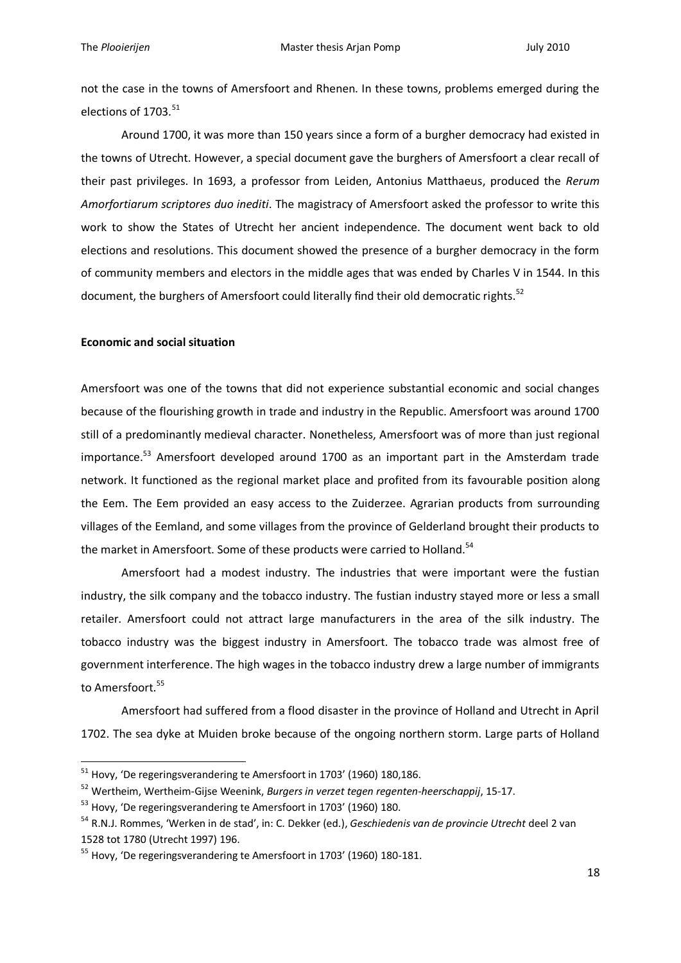not the case in the towns of Amersfoort and Rhenen. In these towns, problems emerged during the elections of 1703.<sup>51</sup>

Around 1700, it was more than 150 years since a form of a burgher democracy had existed in the towns of Utrecht. However, a special document gave the burghers of Amersfoort a clear recall of their past privileges. In 1693, a professor from Leiden, Antonius Matthaeus, produced the *Rerum Amorfortiarum scriptores duo inediti*. The magistracy of Amersfoort asked the professor to write this work to show the States of Utrecht her ancient independence. The document went back to old elections and resolutions. This document showed the presence of a burgher democracy in the form of community members and electors in the middle ages that was ended by Charles V in 1544. In this document, the burghers of Amersfoort could literally find their old democratic rights.<sup>52</sup>

#### **Economic and social situation**

1

Amersfoort was one of the towns that did not experience substantial economic and social changes because of the flourishing growth in trade and industry in the Republic. Amersfoort was around 1700 still of a predominantly medieval character. Nonetheless, Amersfoort was of more than just regional importance.<sup>53</sup> Amersfoort developed around 1700 as an important part in the Amsterdam trade network. It functioned as the regional market place and profited from its favourable position along the Eem. The Eem provided an easy access to the Zuiderzee. Agrarian products from surrounding villages of the Eemland, and some villages from the province of Gelderland brought their products to the market in Amersfoort. Some of these products were carried to Holland.<sup>54</sup>

Amersfoort had a modest industry. The industries that were important were the fustian industry, the silk company and the tobacco industry. The fustian industry stayed more or less a small retailer. Amersfoort could not attract large manufacturers in the area of the silk industry. The tobacco industry was the biggest industry in Amersfoort. The tobacco trade was almost free of government interference. The high wages in the tobacco industry drew a large number of immigrants to Amersfoort.<sup>55</sup>

Amersfoort had suffered from a flood disaster in the province of Holland and Utrecht in April 1702. The sea dyke at Muiden broke because of the ongoing northern storm. Large parts of Holland

 $^{51}$  Hovy, 'De regeringsverandering te Amersfoort in 1703' (1960) 180,186.

<sup>52</sup> Wertheim, Wertheim-Gijse Weenink, *Burgers in verzet tegen regenten-heerschappij*, 15-17.

<sup>&</sup>lt;sup>53</sup> Hovy, 'De regeringsverandering te Amersfoort in 1703' (1960) 180.

<sup>54</sup> R.N.J. Rommes, 'Werken in de stad', in: C. Dekker (ed.), *Geschiedenis van de provincie Utrecht* deel 2 van 1528 tot 1780 (Utrecht 1997) 196.

<sup>&</sup>lt;sup>55</sup> Hovy, 'De regeringsverandering te Amersfoort in 1703' (1960) 180-181.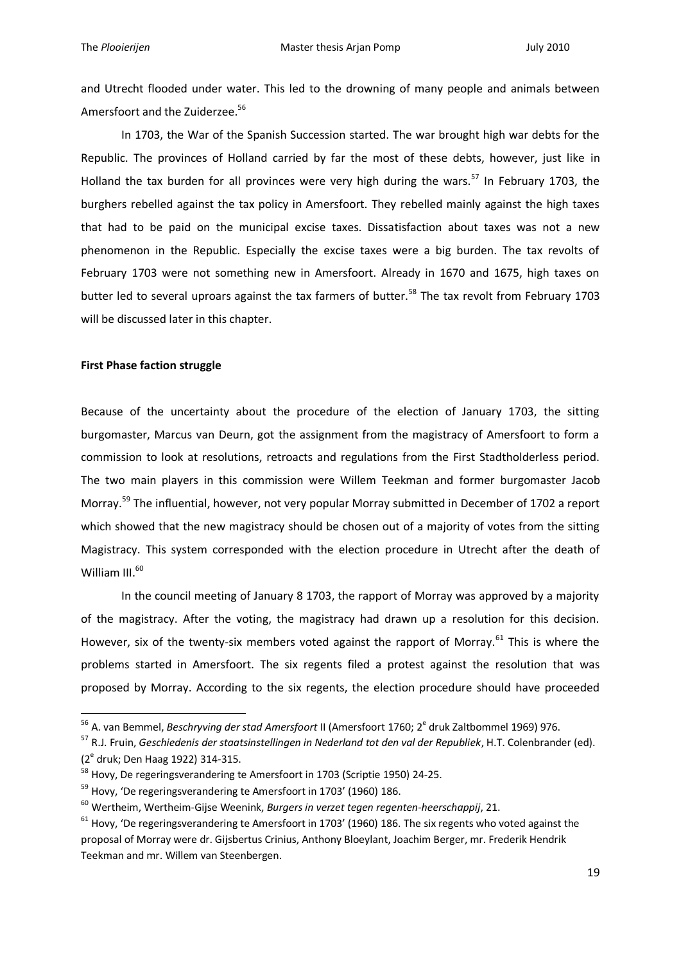and Utrecht flooded under water. This led to the drowning of many people and animals between Amersfoort and the Zuiderzee.<sup>56</sup>

In 1703, the War of the Spanish Succession started. The war brought high war debts for the Republic. The provinces of Holland carried by far the most of these debts, however, just like in Holland the tax burden for all provinces were very high during the wars.<sup>57</sup> In February 1703, the burghers rebelled against the tax policy in Amersfoort. They rebelled mainly against the high taxes that had to be paid on the municipal excise taxes. Dissatisfaction about taxes was not a new phenomenon in the Republic. Especially the excise taxes were a big burden. The tax revolts of February 1703 were not something new in Amersfoort. Already in 1670 and 1675, high taxes on butter led to several uproars against the tax farmers of butter.<sup>58</sup> The tax revolt from February 1703 will be discussed later in this chapter.

#### **First Phase faction struggle**

1

Because of the uncertainty about the procedure of the election of January 1703, the sitting burgomaster, Marcus van Deurn, got the assignment from the magistracy of Amersfoort to form a commission to look at resolutions, retroacts and regulations from the First Stadtholderless period. The two main players in this commission were Willem Teekman and former burgomaster Jacob Morray.<sup>59</sup> The influential, however, not very popular Morray submitted in December of 1702 a report which showed that the new magistracy should be chosen out of a majority of votes from the sitting Magistracy. This system corresponded with the election procedure in Utrecht after the death of William III.<sup>60</sup>

In the council meeting of January 8 1703, the rapport of Morray was approved by a majority of the magistracy. After the voting, the magistracy had drawn up a resolution for this decision. However, six of the twenty-six members voted against the rapport of Morrav.<sup>61</sup> This is where the problems started in Amersfoort. The six regents filed a protest against the resolution that was proposed by Morray. According to the six regents, the election procedure should have proceeded

<sup>&</sup>lt;sup>56</sup> A. van Bemmel, *Beschryving der stad Amersfoort* II (Amersfoort 1760; 2<sup>e</sup> druk Zaltbommel 1969) 976.

<sup>57</sup> R.J. Fruin, *Geschiedenis der staatsinstellingen in Nederland tot den val der Republiek*, H.T. Colenbrander (ed). (2<sup>e</sup> druk; Den Haag 1922) 314-315.

<sup>&</sup>lt;sup>58</sup> Hovy, De regeringsverandering te Amersfoort in 1703 (Scriptie 1950) 24-25.

<sup>&</sup>lt;sup>59</sup> Hovy, 'De regeringsverandering te Amersfoort in 1703' (1960) 186.

<sup>60</sup> Wertheim, Wertheim-Gijse Weenink, *Burgers in verzet tegen regenten-heerschappij*, 21.

 $61$  Hovy, 'De regeringsverandering te Amersfoort in 1703' (1960) 186. The six regents who voted against the proposal of Morray were dr. Gijsbertus Crinius, Anthony Bloeylant, Joachim Berger, mr. Frederik Hendrik Teekman and mr. Willem van Steenbergen.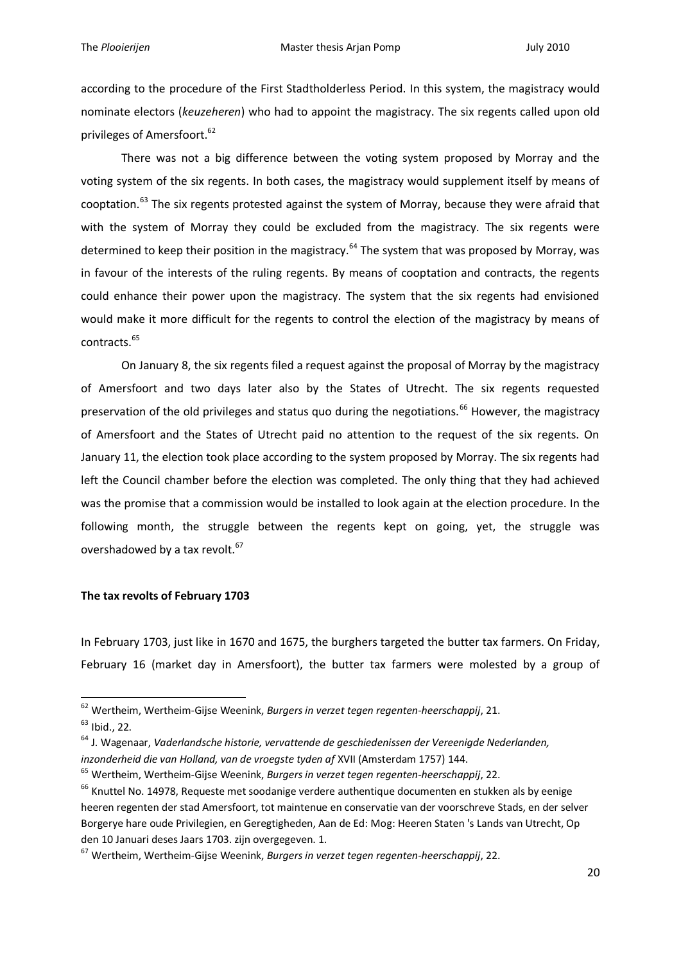according to the procedure of the First Stadtholderless Period. In this system, the magistracy would nominate electors (*keuzeheren*) who had to appoint the magistracy. The six regents called upon old privileges of Amersfoort.<sup>62</sup>

There was not a big difference between the voting system proposed by Morray and the voting system of the six regents. In both cases, the magistracy would supplement itself by means of cooptation.<sup>63</sup> The six regents protested against the system of Morray, because they were afraid that with the system of Morray they could be excluded from the magistracy. The six regents were determined to keep their position in the magistracy.<sup>64</sup> The system that was proposed by Morray, was in favour of the interests of the ruling regents. By means of cooptation and contracts, the regents could enhance their power upon the magistracy. The system that the six regents had envisioned would make it more difficult for the regents to control the election of the magistracy by means of contracts.<sup>65</sup>

On January 8, the six regents filed a request against the proposal of Morray by the magistracy of Amersfoort and two days later also by the States of Utrecht. The six regents requested preservation of the old privileges and status quo during the negotiations.<sup>66</sup> However, the magistracy of Amersfoort and the States of Utrecht paid no attention to the request of the six regents. On January 11, the election took place according to the system proposed by Morray. The six regents had left the Council chamber before the election was completed. The only thing that they had achieved was the promise that a commission would be installed to look again at the election procedure. In the following month, the struggle between the regents kept on going, yet, the struggle was overshadowed by a tax revolt.<sup>67</sup>

#### **The tax revolts of February 1703**

In February 1703, just like in 1670 and 1675, the burghers targeted the butter tax farmers. On Friday, February 16 (market day in Amersfoort), the butter tax farmers were molested by a group of

<sup>62</sup> Wertheim, Wertheim-Gijse Weenink, *Burgers in verzet tegen regenten-heerschappij*, 21.

<sup>63</sup> Ibid., 22.

<sup>64</sup> J. Wagenaar, *Vaderlandsche historie, vervattende de geschiedenissen der Vereenigde Nederlanden, inzonderheid die van Holland, van de vroegste tyden af* XVII (Amsterdam 1757) 144.

<sup>65</sup> Wertheim, Wertheim-Gijse Weenink, *Burgers in verzet tegen regenten-heerschappij*, 22.

<sup>&</sup>lt;sup>66</sup> Knuttel No. 14978, Requeste met soodanige verdere authentique documenten en stukken als by eenige heeren regenten der stad Amersfoort, tot maintenue en conservatie van der voorschreve Stads, en der selver Borgerye hare oude Privilegien, en Geregtigheden, Aan de Ed: Mog: Heeren Staten 's Lands van Utrecht, Op den 10 Januari deses Jaars 1703. zijn overgegeven. 1.

<sup>67</sup> Wertheim, Wertheim-Gijse Weenink, *Burgers in verzet tegen regenten-heerschappij*, 22.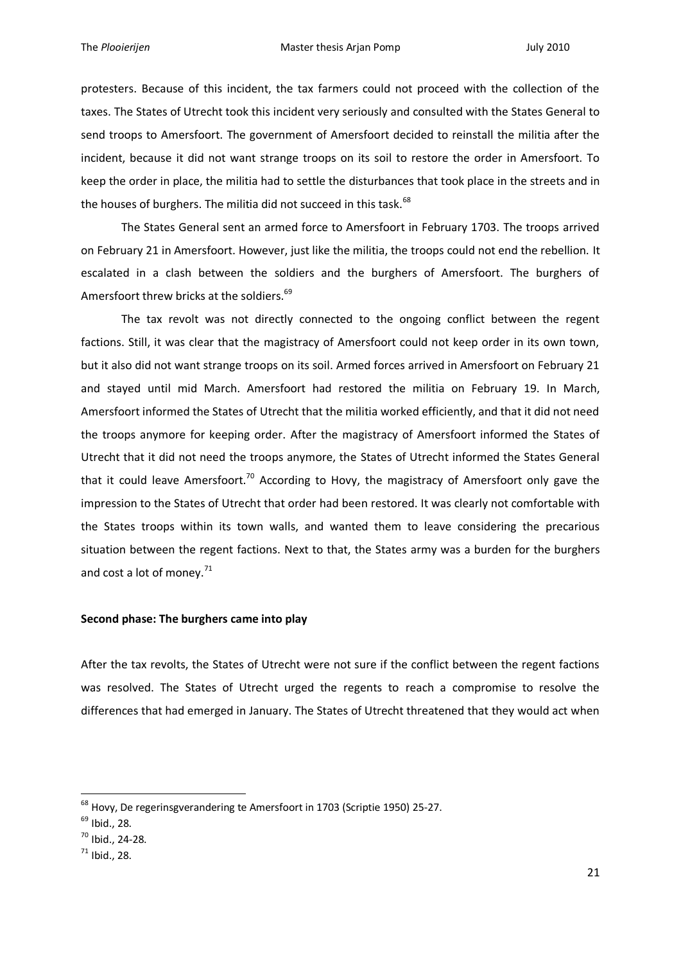protesters. Because of this incident, the tax farmers could not proceed with the collection of the taxes. The States of Utrecht took this incident very seriously and consulted with the States General to send troops to Amersfoort. The government of Amersfoort decided to reinstall the militia after the incident, because it did not want strange troops on its soil to restore the order in Amersfoort. To keep the order in place, the militia had to settle the disturbances that took place in the streets and in the houses of burghers. The militia did not succeed in this task.<sup>68</sup>

The States General sent an armed force to Amersfoort in February 1703. The troops arrived on February 21 in Amersfoort. However, just like the militia, the troops could not end the rebellion. It escalated in a clash between the soldiers and the burghers of Amersfoort. The burghers of Amersfoort threw bricks at the soldiers.<sup>69</sup>

The tax revolt was not directly connected to the ongoing conflict between the regent factions. Still, it was clear that the magistracy of Amersfoort could not keep order in its own town, but it also did not want strange troops on its soil. Armed forces arrived in Amersfoort on February 21 and stayed until mid March. Amersfoort had restored the militia on February 19. In March, Amersfoort informed the States of Utrecht that the militia worked efficiently, and that it did not need the troops anymore for keeping order. After the magistracy of Amersfoort informed the States of Utrecht that it did not need the troops anymore, the States of Utrecht informed the States General that it could leave Amersfoort.<sup>70</sup> According to Hovy, the magistracy of Amersfoort only gave the impression to the States of Utrecht that order had been restored. It was clearly not comfortable with the States troops within its town walls, and wanted them to leave considering the precarious situation between the regent factions. Next to that, the States army was a burden for the burghers and cost a lot of money. $71$ 

#### **Second phase: The burghers came into play**

After the tax revolts, the States of Utrecht were not sure if the conflict between the regent factions was resolved. The States of Utrecht urged the regents to reach a compromise to resolve the differences that had emerged in January. The States of Utrecht threatened that they would act when

 $^{68}$  Hovy, De regerinsgverandering te Amersfoort in 1703 (Scriptie 1950) 25-27.

<sup>69</sup> Ibid., 28.

<sup>70</sup> Ibid., 24-28.

 $71$  Ibid., 28.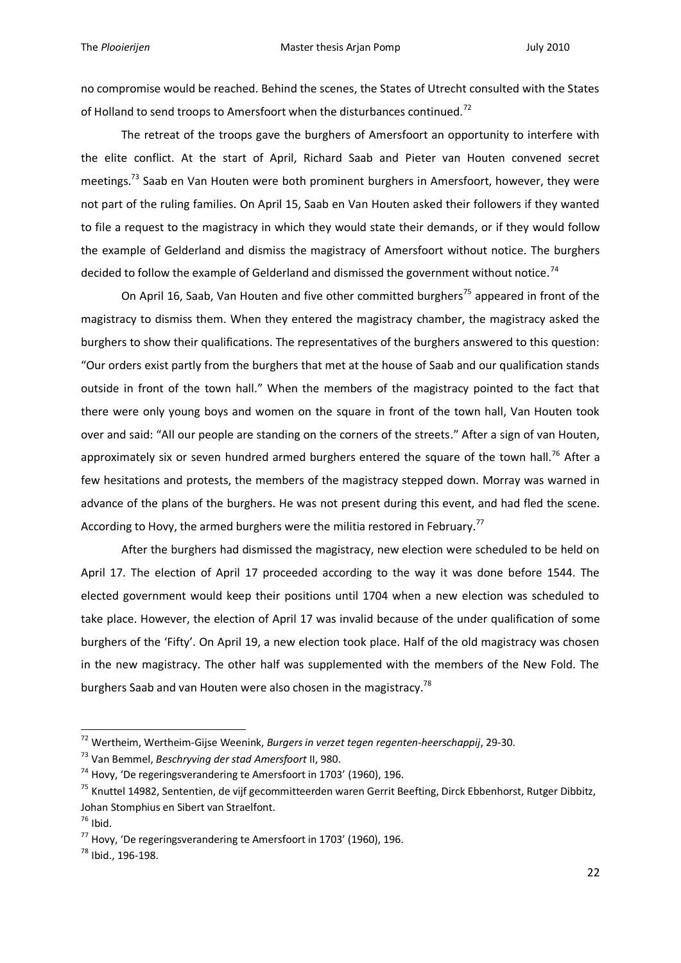no compromise would be reached. Behind the scenes, the States of Utrecht consulted with the States of Holland to send troops to Amersfoort when the disturbances continued.<sup>72</sup>

The retreat of the troops gave the burghers of Amersfoort an opportunity to interfere with the elite conflict. At the start of April, Richard Saab and Pieter van Houten convened secret meetings.<sup>73</sup> Saab en Van Houten were both prominent burghers in Amersfoort, however, they were not part of the ruling families. On April 15, Saab en Van Houten asked their followers if they wanted to file a request to the magistracy in which they would state their demands, or if they would follow the example of Gelderland and dismiss the magistracy of Amersfoort without notice. The burghers decided to follow the example of Gelderland and dismissed the government without notice.<sup>74</sup>

On April 16, Saab, Van Houten and five other committed burghers<sup>75</sup> appeared in front of the magistracy to dismiss them. When they entered the magistracy chamber, the magistracy asked the burghers to show their qualifications. The representatives of the burghers answered to this question: "Our orders exist partly from the burghers that met at the house of Saab and our qualification stands outside in front of the town hall." When the members of the magistracy pointed to the fact that there were only young boys and women on the square in front of the town hall, Van Houten took over and said: "All our people are standing on the corners of the streets." After a sign of van Houten, approximately six or seven hundred armed burghers entered the square of the town hall.<sup>76</sup> After a few hesitations and protests, the members of the magistracy stepped down. Morray was warned in advance of the plans of the burghers. He was not present during this event, and had fled the scene. According to Hovy, the armed burghers were the militia restored in February.<sup>77</sup>

After the burghers had dismissed the magistracy, new election were scheduled to be held on April 17. The election of April 17 proceeded according to the way it was done before 1544. The elected government would keep their positions until 1704 when a new election was scheduled to take place. However, the election of April 17 was invalid because of the under qualification of some burghers of the 'Fifty'. On April 19, a new election took place. Half of the old magistracy was chosen in the new magistracy. The other half was supplemented with the members of the New Fold. The burghers Saab and van Houten were also chosen in the magistracy.<sup>78</sup>

<sup>72</sup> Wertheim, Wertheim-Gijse Weenink, *Burgers in verzet tegen regenten-heerschappij*, 29-30.

<sup>73</sup> Van Bemmel, *Beschryving der stad Amersfoort* II, 980.

 $74$  Hovy, 'De regeringsverandering te Amersfoort in 1703' (1960), 196.

<sup>&</sup>lt;sup>75</sup> Knuttel 14982, Sententien, de vijf gecommitteerden waren Gerrit Beefting, Dirck Ebbenhorst, Rutger Dibbitz, Johan Stomphius en Sibert van Straelfont.

 $76$  Ibid.

 $77$  Hovy, 'De regeringsverandering te Amersfoort in 1703' (1960), 196.

<sup>&</sup>lt;sup>78</sup> Ibid., 196-198.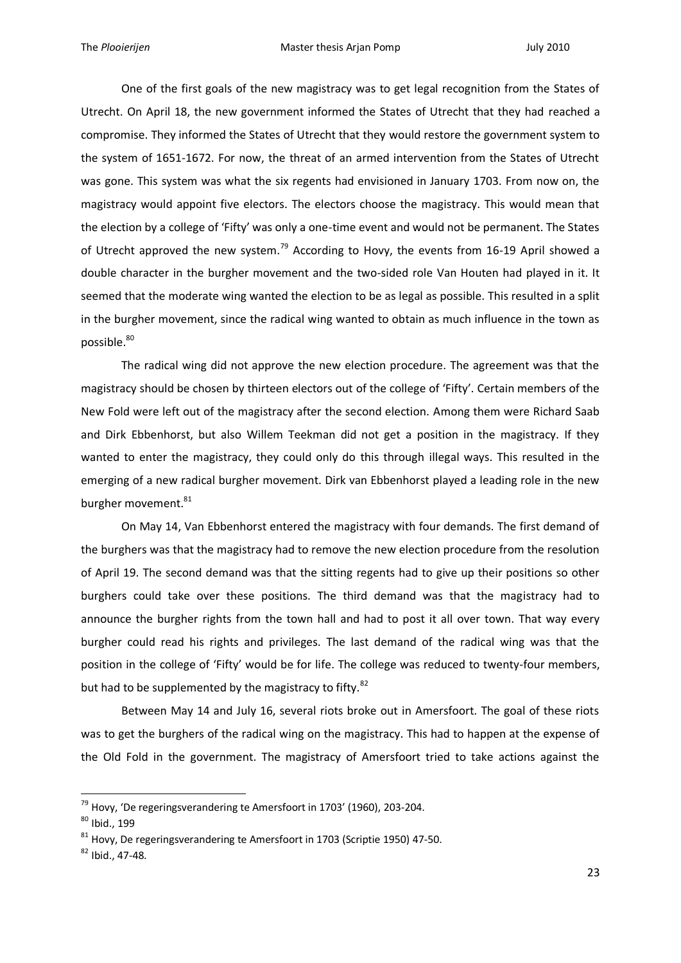One of the first goals of the new magistracy was to get legal recognition from the States of Utrecht. On April 18, the new government informed the States of Utrecht that they had reached a compromise. They informed the States of Utrecht that they would restore the government system to the system of 1651-1672. For now, the threat of an armed intervention from the States of Utrecht was gone. This system was what the six regents had envisioned in January 1703. From now on, the magistracy would appoint five electors. The electors choose the magistracy. This would mean that the election by a college of 'Fifty' was only a one-time event and would not be permanent. The States of Utrecht approved the new system.<sup>79</sup> According to Hovy, the events from 16-19 April showed a double character in the burgher movement and the two-sided role Van Houten had played in it. It seemed that the moderate wing wanted the election to be as legal as possible. This resulted in a split in the burgher movement, since the radical wing wanted to obtain as much influence in the town as possible.<sup>80</sup>

The radical wing did not approve the new election procedure. The agreement was that the magistracy should be chosen by thirteen electors out of the college of 'Fifty'. Certain members of the New Fold were left out of the magistracy after the second election. Among them were Richard Saab and Dirk Ebbenhorst, but also Willem Teekman did not get a position in the magistracy. If they wanted to enter the magistracy, they could only do this through illegal ways. This resulted in the emerging of a new radical burgher movement. Dirk van Ebbenhorst played a leading role in the new burgher movement.<sup>81</sup>

On May 14, Van Ebbenhorst entered the magistracy with four demands. The first demand of the burghers was that the magistracy had to remove the new election procedure from the resolution of April 19. The second demand was that the sitting regents had to give up their positions so other burghers could take over these positions. The third demand was that the magistracy had to announce the burgher rights from the town hall and had to post it all over town. That way every burgher could read his rights and privileges. The last demand of the radical wing was that the position in the college of 'Fifty' would be for life. The college was reduced to twenty-four members, but had to be supplemented by the magistracy to fifty.<sup>82</sup>

Between May 14 and July 16, several riots broke out in Amersfoort. The goal of these riots was to get the burghers of the radical wing on the magistracy. This had to happen at the expense of the Old Fold in the government. The magistracy of Amersfoort tried to take actions against the

 $^{79}$  Hovy, 'De regeringsverandering te Amersfoort in 1703' (1960), 203-204.

<sup>80</sup> Ibid., 199

 $81$  Hovy, De regeringsverandering te Amersfoort in 1703 (Scriptie 1950) 47-50.

 $82$  Ibid., 47-48.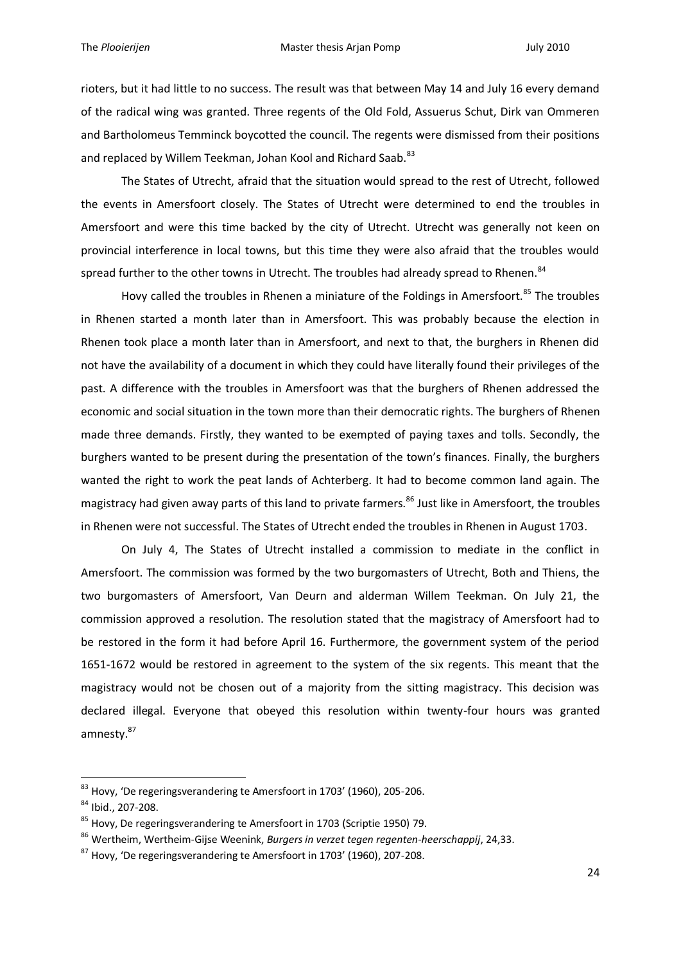rioters, but it had little to no success. The result was that between May 14 and July 16 every demand of the radical wing was granted. Three regents of the Old Fold, Assuerus Schut, Dirk van Ommeren and Bartholomeus Temminck boycotted the council. The regents were dismissed from their positions and replaced by Willem Teekman, Johan Kool and Richard Saab. 83

The States of Utrecht, afraid that the situation would spread to the rest of Utrecht, followed the events in Amersfoort closely. The States of Utrecht were determined to end the troubles in Amersfoort and were this time backed by the city of Utrecht. Utrecht was generally not keen on provincial interference in local towns, but this time they were also afraid that the troubles would spread further to the other towns in Utrecht. The troubles had already spread to Rhenen.<sup>84</sup>

Hovy called the troubles in Rhenen a miniature of the Foldings in Amersfoort.<sup>85</sup> The troubles in Rhenen started a month later than in Amersfoort. This was probably because the election in Rhenen took place a month later than in Amersfoort, and next to that, the burghers in Rhenen did not have the availability of a document in which they could have literally found their privileges of the past. A difference with the troubles in Amersfoort was that the burghers of Rhenen addressed the economic and social situation in the town more than their democratic rights. The burghers of Rhenen made three demands. Firstly, they wanted to be exempted of paying taxes and tolls. Secondly, the burghers wanted to be present during the presentation of the town's finances. Finally, the burghers wanted the right to work the peat lands of Achterberg. It had to become common land again. The magistracy had given away parts of this land to private farmers.<sup>86</sup> Just like in Amersfoort, the troubles in Rhenen were not successful. The States of Utrecht ended the troubles in Rhenen in August 1703.

On July 4, The States of Utrecht installed a commission to mediate in the conflict in Amersfoort. The commission was formed by the two burgomasters of Utrecht, Both and Thiens, the two burgomasters of Amersfoort, Van Deurn and alderman Willem Teekman. On July 21, the commission approved a resolution. The resolution stated that the magistracy of Amersfoort had to be restored in the form it had before April 16. Furthermore, the government system of the period 1651-1672 would be restored in agreement to the system of the six regents. This meant that the magistracy would not be chosen out of a majority from the sitting magistracy. This decision was declared illegal. Everyone that obeyed this resolution within twenty-four hours was granted amnesty.<sup>87</sup>

 $83$  Hovy, 'De regeringsverandering te Amersfoort in 1703' (1960), 205-206.

<sup>84</sup> Ibid., 207-208.

<sup>&</sup>lt;sup>85</sup> Hovy, De regeringsverandering te Amersfoort in 1703 (Scriptie 1950) 79.

<sup>86</sup> Wertheim, Wertheim-Gijse Weenink, *Burgers in verzet tegen regenten-heerschappij*, 24,33.

 $87$  Hovy, 'De regeringsverandering te Amersfoort in 1703' (1960), 207-208.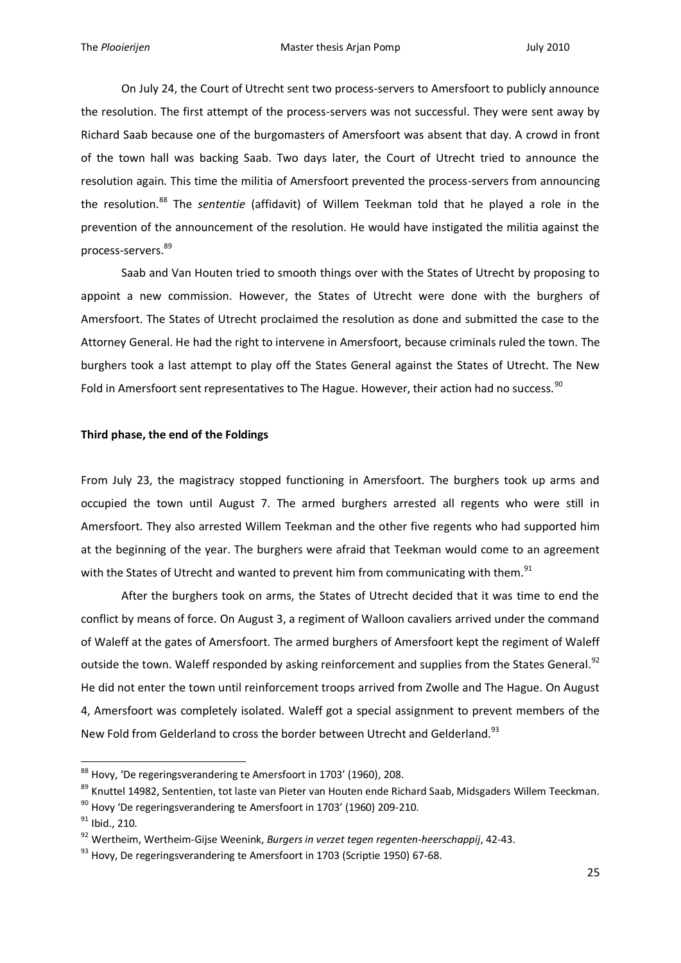On July 24, the Court of Utrecht sent two process-servers to Amersfoort to publicly announce the resolution. The first attempt of the process-servers was not successful. They were sent away by Richard Saab because one of the burgomasters of Amersfoort was absent that day. A crowd in front of the town hall was backing Saab. Two days later, the Court of Utrecht tried to announce the resolution again. This time the militia of Amersfoort prevented the process-servers from announcing the resolution.<sup>88</sup> The *sententie* (affidavit) of Willem Teekman told that he played a role in the prevention of the announcement of the resolution. He would have instigated the militia against the process-servers.<sup>89</sup>

Saab and Van Houten tried to smooth things over with the States of Utrecht by proposing to appoint a new commission. However, the States of Utrecht were done with the burghers of Amersfoort. The States of Utrecht proclaimed the resolution as done and submitted the case to the Attorney General. He had the right to intervene in Amersfoort, because criminals ruled the town. The burghers took a last attempt to play off the States General against the States of Utrecht. The New Fold in Amersfoort sent representatives to The Hague. However, their action had no success.<sup>90</sup>

#### **Third phase, the end of the Foldings**

From July 23, the magistracy stopped functioning in Amersfoort. The burghers took up arms and occupied the town until August 7. The armed burghers arrested all regents who were still in Amersfoort. They also arrested Willem Teekman and the other five regents who had supported him at the beginning of the year. The burghers were afraid that Teekman would come to an agreement with the States of Utrecht and wanted to prevent him from communicating with them.<sup>91</sup>

After the burghers took on arms, the States of Utrecht decided that it was time to end the conflict by means of force. On August 3, a regiment of Walloon cavaliers arrived under the command of Waleff at the gates of Amersfoort. The armed burghers of Amersfoort kept the regiment of Waleff outside the town. Waleff responded by asking reinforcement and supplies from the States General.<sup>92</sup> He did not enter the town until reinforcement troops arrived from Zwolle and The Hague. On August 4, Amersfoort was completely isolated. Waleff got a special assignment to prevent members of the New Fold from Gelderland to cross the border between Utrecht and Gelderland.<sup>93</sup>

 $88$  Hovy, 'De regeringsverandering te Amersfoort in 1703' (1960), 208.

<sup>&</sup>lt;sup>89</sup> Knuttel 14982, Sententien, tot laste van Pieter van Houten ende Richard Saab, Midsgaders Willem Teeckman.

 $90$  Hovy 'De regeringsverandering te Amersfoort in 1703' (1960) 209-210.

 $91$  Ibid., 210.

<sup>92</sup> Wertheim, Wertheim-Gijse Weenink, *Burgers in verzet tegen regenten-heerschappij*, 42-43.

 $93$  Hovy, De regeringsverandering te Amersfoort in 1703 (Scriptie 1950) 67-68.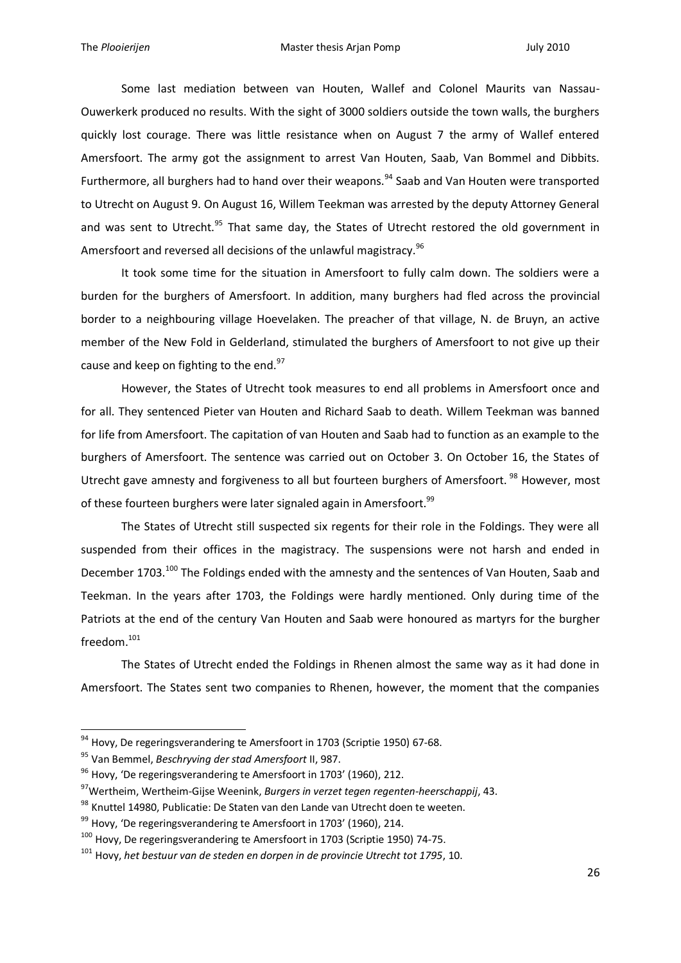Some last mediation between van Houten, Wallef and Colonel Maurits van Nassau-Ouwerkerk produced no results. With the sight of 3000 soldiers outside the town walls, the burghers quickly lost courage. There was little resistance when on August 7 the army of Wallef entered Amersfoort. The army got the assignment to arrest Van Houten, Saab, Van Bommel and Dibbits. Furthermore, all burghers had to hand over their weapons.<sup>94</sup> Saab and Van Houten were transported to Utrecht on August 9. On August 16, Willem Teekman was arrested by the deputy Attorney General and was sent to Utrecht.<sup>95</sup> That same day, the States of Utrecht restored the old government in Amersfoort and reversed all decisions of the unlawful magistracy.<sup>96</sup>

It took some time for the situation in Amersfoort to fully calm down. The soldiers were a burden for the burghers of Amersfoort. In addition, many burghers had fled across the provincial border to a neighbouring village Hoevelaken. The preacher of that village, N. de Bruyn, an active member of the New Fold in Gelderland, stimulated the burghers of Amersfoort to not give up their cause and keep on fighting to the end.<sup>97</sup>

However, the States of Utrecht took measures to end all problems in Amersfoort once and for all. They sentenced Pieter van Houten and Richard Saab to death. Willem Teekman was banned for life from Amersfoort. The capitation of van Houten and Saab had to function as an example to the burghers of Amersfoort. The sentence was carried out on October 3. On October 16, the States of Utrecht gave amnesty and forgiveness to all but fourteen burghers of Amersfoort.<sup>98</sup> However, most of these fourteen burghers were later signaled again in Amersfoort.<sup>99</sup>

The States of Utrecht still suspected six regents for their role in the Foldings. They were all suspended from their offices in the magistracy. The suspensions were not harsh and ended in December 1703.<sup>100</sup> The Foldings ended with the amnesty and the sentences of Van Houten, Saab and Teekman. In the years after 1703, the Foldings were hardly mentioned. Only during time of the Patriots at the end of the century Van Houten and Saab were honoured as martyrs for the burgher freedom.<sup>101</sup>

The States of Utrecht ended the Foldings in Rhenen almost the same way as it had done in Amersfoort. The States sent two companies to Rhenen, however, the moment that the companies

<sup>&</sup>lt;sup>94</sup> Hovy, De regeringsverandering te Amersfoort in 1703 (Scriptie 1950) 67-68.

<sup>95</sup> Van Bemmel, *Beschryving der stad Amersfoort* II, 987.

<sup>&</sup>lt;sup>96</sup> Hovy, 'De regeringsverandering te Amersfoort in 1703' (1960), 212.

<sup>97</sup>Wertheim, Wertheim-Gijse Weenink, *Burgers in verzet tegen regenten-heerschappij*, 43.

<sup>98</sup> Knuttel 14980, Publicatie: De Staten van den Lande van Utrecht doen te weeten.

 $99$  Hovy, 'De regeringsverandering te Amersfoort in 1703' (1960), 214.

<sup>&</sup>lt;sup>100</sup> Hovy, De regeringsverandering te Amersfoort in 1703 (Scriptie 1950) 74-75.

<sup>101</sup> Hovy, *het bestuur van de steden en dorpen in de provincie Utrecht tot 1795*, 10.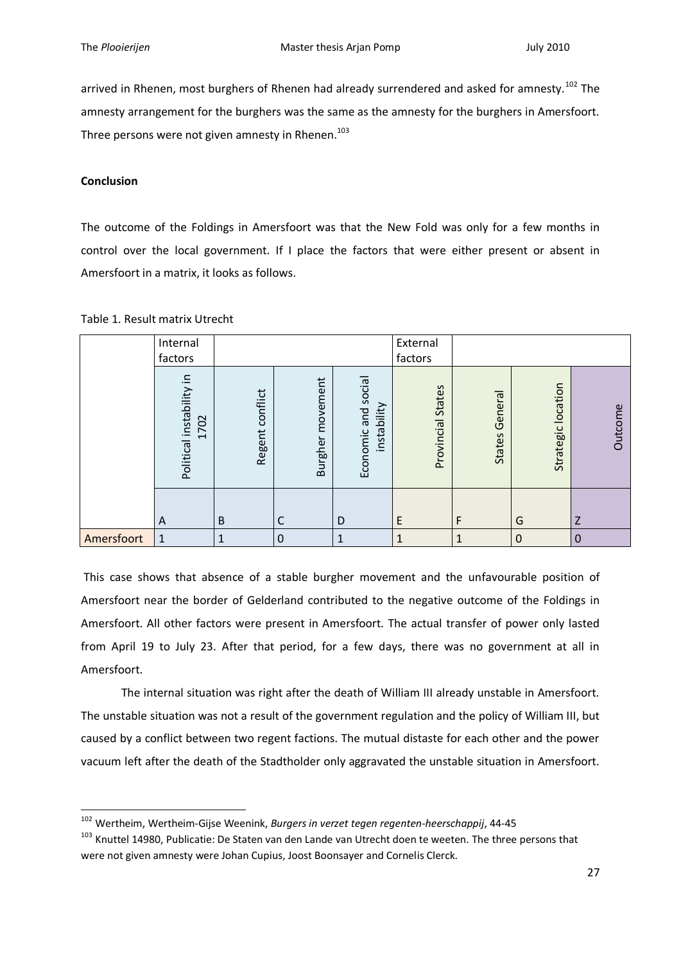arrived in Rhenen, most burghers of Rhenen had already surrendered and asked for amnesty.<sup>102</sup> The amnesty arrangement for the burghers was the same as the amnesty for the burghers in Amersfoort. Three persons were not given amnesty in Rhenen.<sup>103</sup>

### **Conclusion**

1

The outcome of the Foldings in Amersfoort was that the New Fold was only for a few months in control over the local government. If I place the factors that were either present or absent in Amersfoort in a matrix, it looks as follows.

|            | Internal<br>factors                                            |                    |                            |                                       | External<br>factors  |                              |                       |          |
|------------|----------------------------------------------------------------|--------------------|----------------------------|---------------------------------------|----------------------|------------------------------|-----------------------|----------|
|            | 크.<br>Political instability<br>702<br>$\overline{\phantom{0}}$ | conflict<br>Regent | movement<br><b>Burgher</b> | and social<br>instability<br>Economic | States<br>Provincial | <b>ra</b><br>Gener<br>States | location<br>Strategic | Outcome  |
|            | A                                                              | B                  | С                          | D                                     | E                    | F                            | G                     | Z        |
| Amersfoort | 1                                                              | 1                  | $\mathbf 0$                | 1                                     | 1                    | 1                            | $\mathbf 0$           | $\Omega$ |

## Table 1. Result matrix Utrecht

This case shows that absence of a stable burgher movement and the unfavourable position of Amersfoort near the border of Gelderland contributed to the negative outcome of the Foldings in Amersfoort. All other factors were present in Amersfoort. The actual transfer of power only lasted from April 19 to July 23. After that period, for a few days, there was no government at all in Amersfoort.

The internal situation was right after the death of William III already unstable in Amersfoort. The unstable situation was not a result of the government regulation and the policy of William III, but caused by a conflict between two regent factions. The mutual distaste for each other and the power vacuum left after the death of the Stadtholder only aggravated the unstable situation in Amersfoort.

<sup>102</sup> Wertheim, Wertheim-Gijse Weenink, *Burgers in verzet tegen regenten-heerschappij*, 44-45

<sup>&</sup>lt;sup>103</sup> Knuttel 14980, Publicatie: De Staten van den Lande van Utrecht doen te weeten. The three persons that were not given amnesty were Johan Cupius, Joost Boonsayer and Cornelis Clerck.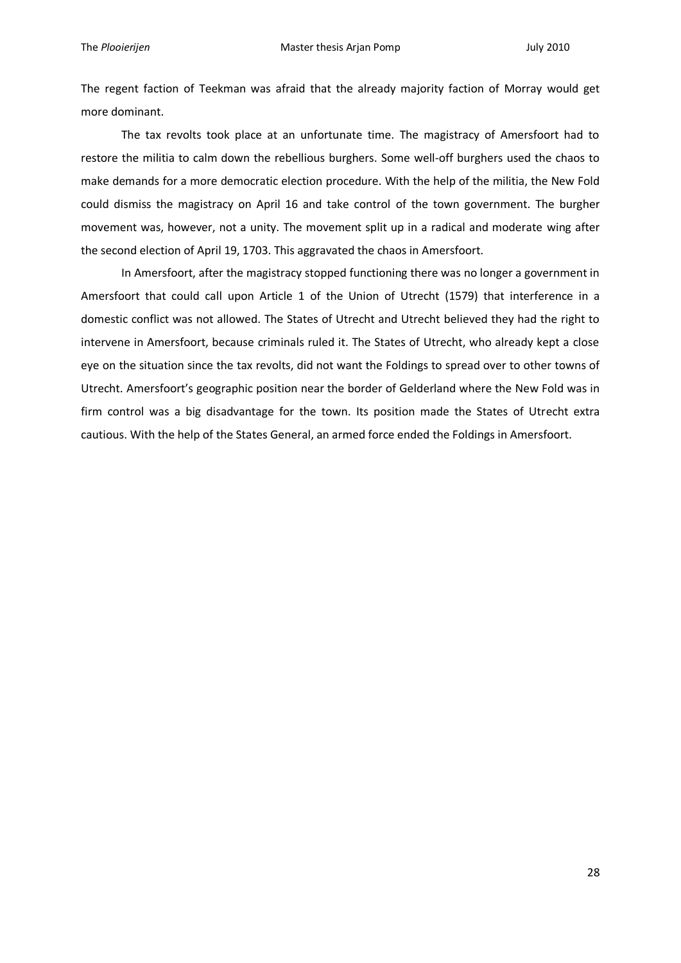The regent faction of Teekman was afraid that the already majority faction of Morray would get more dominant.

The tax revolts took place at an unfortunate time. The magistracy of Amersfoort had to restore the militia to calm down the rebellious burghers. Some well-off burghers used the chaos to make demands for a more democratic election procedure. With the help of the militia, the New Fold could dismiss the magistracy on April 16 and take control of the town government. The burgher movement was, however, not a unity. The movement split up in a radical and moderate wing after the second election of April 19, 1703. This aggravated the chaos in Amersfoort.

In Amersfoort, after the magistracy stopped functioning there was no longer a government in Amersfoort that could call upon Article 1 of the Union of Utrecht (1579) that interference in a domestic conflict was not allowed. The States of Utrecht and Utrecht believed they had the right to intervene in Amersfoort, because criminals ruled it. The States of Utrecht, who already kept a close eye on the situation since the tax revolts, did not want the Foldings to spread over to other towns of Utrecht. Amersfoort's geographic position near the border of Gelderland where the New Fold was in firm control was a big disadvantage for the town. Its position made the States of Utrecht extra cautious. With the help of the States General, an armed force ended the Foldings in Amersfoort.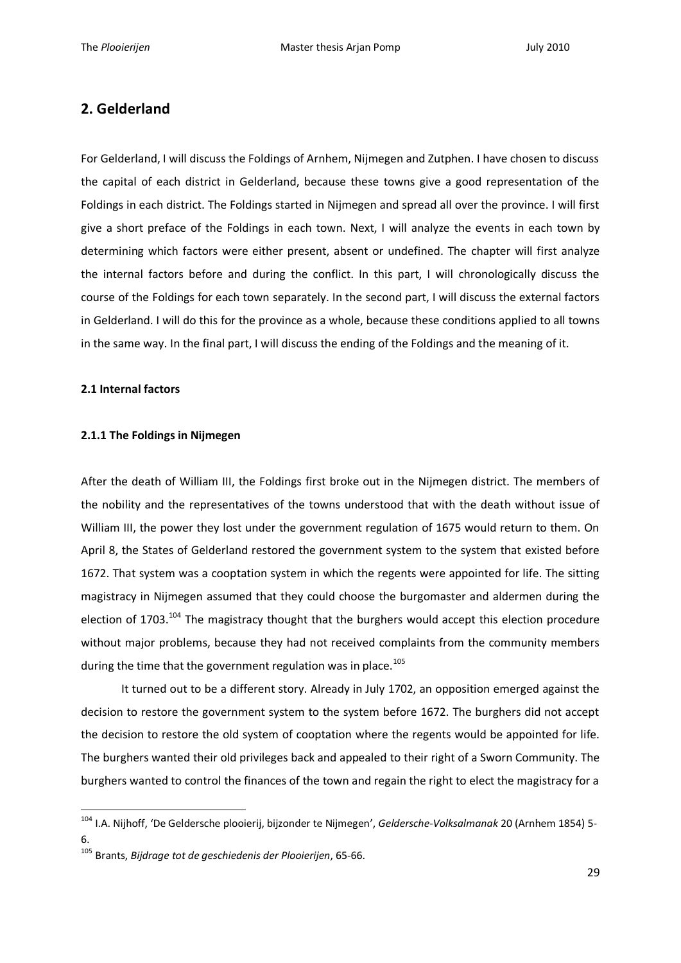# **2. Gelderland**

For Gelderland, I will discuss the Foldings of Arnhem, Nijmegen and Zutphen. I have chosen to discuss the capital of each district in Gelderland, because these towns give a good representation of the Foldings in each district. The Foldings started in Nijmegen and spread all over the province. I will first give a short preface of the Foldings in each town. Next, I will analyze the events in each town by determining which factors were either present, absent or undefined. The chapter will first analyze the internal factors before and during the conflict. In this part, I will chronologically discuss the course of the Foldings for each town separately. In the second part, I will discuss the external factors in Gelderland. I will do this for the province as a whole, because these conditions applied to all towns in the same way. In the final part, I will discuss the ending of the Foldings and the meaning of it.

#### **2.1 Internal factors**

1

#### **2.1.1 The Foldings in Nijmegen**

After the death of William III, the Foldings first broke out in the Nijmegen district. The members of the nobility and the representatives of the towns understood that with the death without issue of William III, the power they lost under the government regulation of 1675 would return to them. On April 8, the States of Gelderland restored the government system to the system that existed before 1672. That system was a cooptation system in which the regents were appointed for life. The sitting magistracy in Nijmegen assumed that they could choose the burgomaster and aldermen during the election of 1703.<sup>104</sup> The magistracy thought that the burghers would accept this election procedure without major problems, because they had not received complaints from the community members during the time that the government regulation was in place. $105$ 

It turned out to be a different story. Already in July 1702, an opposition emerged against the decision to restore the government system to the system before 1672. The burghers did not accept the decision to restore the old system of cooptation where the regents would be appointed for life. The burghers wanted their old privileges back and appealed to their right of a Sworn Community. The burghers wanted to control the finances of the town and regain the right to elect the magistracy for a

<sup>104</sup> I.A. Nijhoff, 'De Geldersche plooierij, bijzonder te Nijmegen', *Geldersche-Volksalmanak* 20 (Arnhem 1854) 5- 6.

<sup>105</sup> Brants, *Bijdrage tot de geschiedenis der Plooierijen*, 65-66.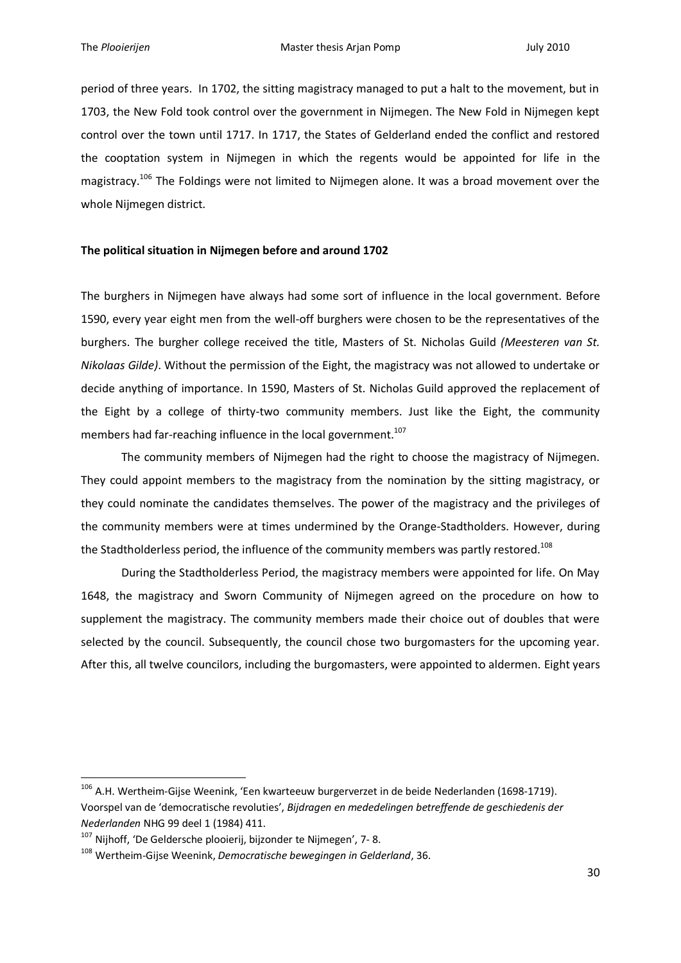period of three years. In 1702, the sitting magistracy managed to put a halt to the movement, but in 1703, the New Fold took control over the government in Nijmegen. The New Fold in Nijmegen kept control over the town until 1717. In 1717, the States of Gelderland ended the conflict and restored the cooptation system in Nijmegen in which the regents would be appointed for life in the magistracy.<sup>106</sup> The Foldings were not limited to Nijmegen alone. It was a broad movement over the whole Nijmegen district.

#### **The political situation in Nijmegen before and around 1702**

The burghers in Nijmegen have always had some sort of influence in the local government. Before 1590, every year eight men from the well-off burghers were chosen to be the representatives of the burghers. The burgher college received the title, Masters of St. Nicholas Guild *(Meesteren van St. Nikolaas Gilde)*. Without the permission of the Eight, the magistracy was not allowed to undertake or decide anything of importance. In 1590, Masters of St. Nicholas Guild approved the replacement of the Eight by a college of thirty-two community members. Just like the Eight, the community members had far-reaching influence in the local government.<sup>107</sup>

The community members of Nijmegen had the right to choose the magistracy of Nijmegen. They could appoint members to the magistracy from the nomination by the sitting magistracy, or they could nominate the candidates themselves. The power of the magistracy and the privileges of the community members were at times undermined by the Orange-Stadtholders. However, during the Stadtholderless period, the influence of the community members was partly restored.<sup>108</sup>

During the Stadtholderless Period, the magistracy members were appointed for life. On May 1648, the magistracy and Sworn Community of Nijmegen agreed on the procedure on how to supplement the magistracy. The community members made their choice out of doubles that were selected by the council. Subsequently, the council chose two burgomasters for the upcoming year. After this, all twelve councilors, including the burgomasters, were appointed to aldermen. Eight years

<sup>&</sup>lt;sup>106</sup> A.H. Wertheim-Gijse Weenink, 'Een kwarteeuw burgerverzet in de beide Nederlanden (1698-1719). Voorspel van de 'democratische revoluties', *Bijdragen en mededelingen betreffende de geschiedenis der Nederlanden* NHG 99 deel 1 (1984) 411.

<sup>&</sup>lt;sup>107</sup> Nijhoff, 'De Geldersche plooierij, bijzonder te Nijmegen', 7-8.

<sup>108</sup> Wertheim-Gijse Weenink, *Democratische bewegingen in Gelderland*, 36.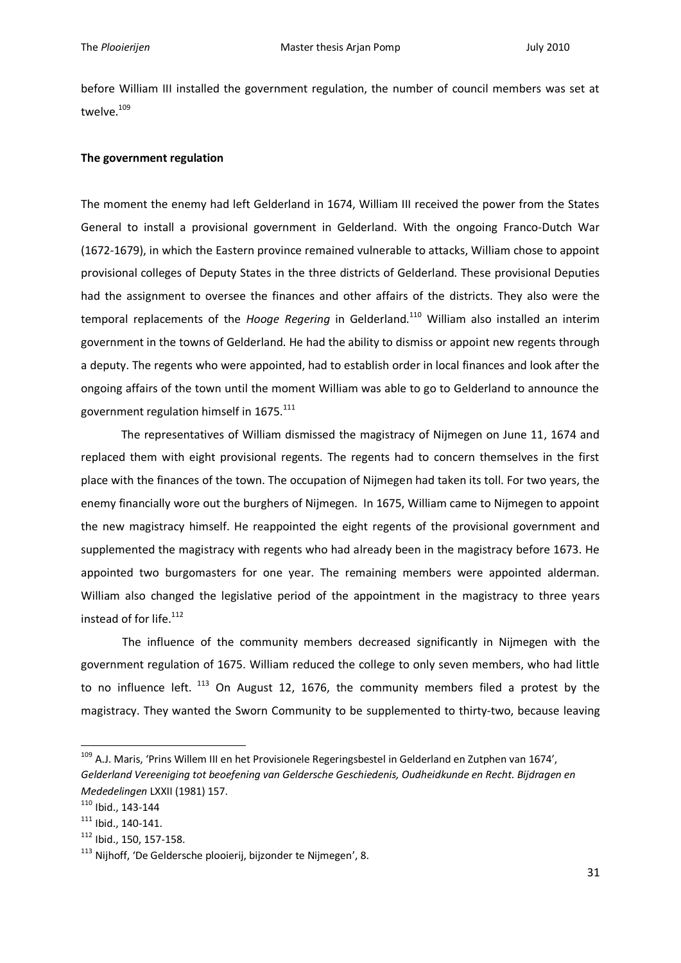before William III installed the government regulation, the number of council members was set at twelve.<sup>109</sup>

#### **The government regulation**

The moment the enemy had left Gelderland in 1674, William III received the power from the States General to install a provisional government in Gelderland. With the ongoing Franco-Dutch War (1672-1679), in which the Eastern province remained vulnerable to attacks, William chose to appoint provisional colleges of Deputy States in the three districts of Gelderland. These provisional Deputies had the assignment to oversee the finances and other affairs of the districts. They also were the temporal replacements of the *Hooge Regering* in Gelderland.<sup>110</sup> William also installed an interim government in the towns of Gelderland. He had the ability to dismiss or appoint new regents through a deputy. The regents who were appointed, had to establish order in local finances and look after the ongoing affairs of the town until the moment William was able to go to Gelderland to announce the government regulation himself in 1675.<sup>111</sup>

The representatives of William dismissed the magistracy of Nijmegen on June 11, 1674 and replaced them with eight provisional regents. The regents had to concern themselves in the first place with the finances of the town. The occupation of Nijmegen had taken its toll. For two years, the enemy financially wore out the burghers of Nijmegen. In 1675, William came to Nijmegen to appoint the new magistracy himself. He reappointed the eight regents of the provisional government and supplemented the magistracy with regents who had already been in the magistracy before 1673. He appointed two burgomasters for one year. The remaining members were appointed alderman. William also changed the legislative period of the appointment in the magistracy to three years instead of for life.<sup>112</sup>

The influence of the community members decreased significantly in Nijmegen with the government regulation of 1675. William reduced the college to only seven members, who had little to no influence left.  $^{113}$  On August 12, 1676, the community members filed a protest by the magistracy. They wanted the Sworn Community to be supplemented to thirty-two, because leaving

<sup>&</sup>lt;sup>109</sup> A.J. Maris, 'Prins Willem III en het Provisionele Regeringsbestel in Gelderland en Zutphen van 1674', *Gelderland Vereeniging tot beoefening van Geldersche Geschiedenis, Oudheidkunde en Recht. Bijdragen en Mededelingen* LXXII (1981) 157.

<sup>110</sup> Ibid., 143-144

<sup>111</sup> Ibid., 140-141.

<sup>112</sup> Ibid., 150, 157-158.

<sup>&</sup>lt;sup>113</sup> Nijhoff, 'De Geldersche plooierij, bijzonder te Nijmegen', 8.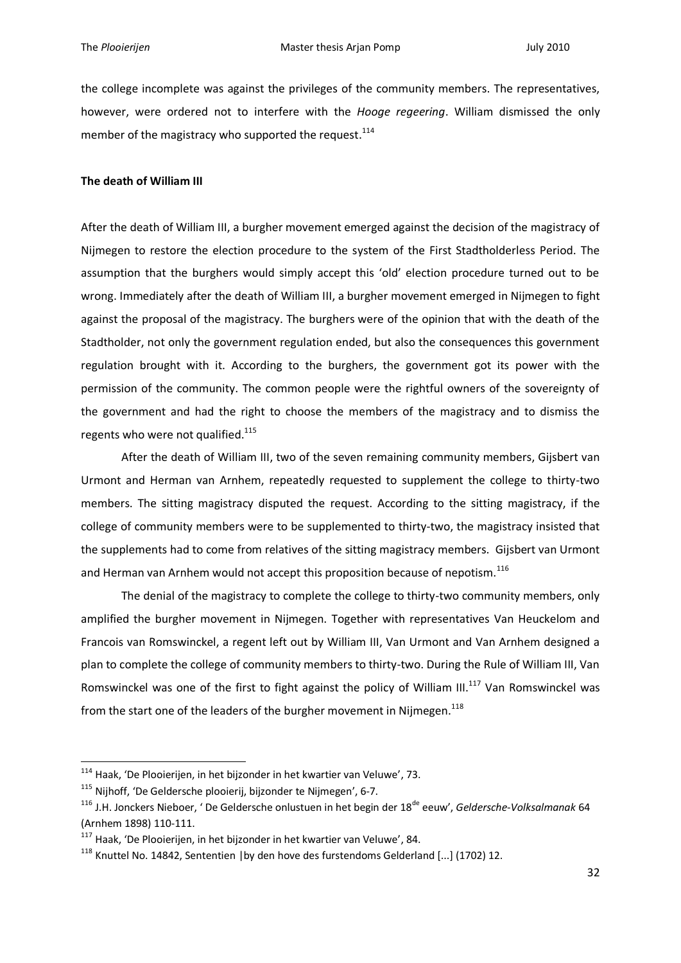the college incomplete was against the privileges of the community members. The representatives, however, were ordered not to interfere with the *Hooge regeering*. William dismissed the only member of the magistracy who supported the request.<sup>114</sup>

#### **The death of William III**

After the death of William III, a burgher movement emerged against the decision of the magistracy of Nijmegen to restore the election procedure to the system of the First Stadtholderless Period. The assumption that the burghers would simply accept this 'old' election procedure turned out to be wrong. Immediately after the death of William III, a burgher movement emerged in Nijmegen to fight against the proposal of the magistracy. The burghers were of the opinion that with the death of the Stadtholder, not only the government regulation ended, but also the consequences this government regulation brought with it. According to the burghers, the government got its power with the permission of the community. The common people were the rightful owners of the sovereignty of the government and had the right to choose the members of the magistracy and to dismiss the regents who were not qualified.<sup>115</sup>

After the death of William III, two of the seven remaining community members, Gijsbert van Urmont and Herman van Arnhem, repeatedly requested to supplement the college to thirty-two members. The sitting magistracy disputed the request. According to the sitting magistracy, if the college of community members were to be supplemented to thirty-two, the magistracy insisted that the supplements had to come from relatives of the sitting magistracy members. Gijsbert van Urmont and Herman van Arnhem would not accept this proposition because of nepotism.<sup>116</sup>

The denial of the magistracy to complete the college to thirty-two community members, only amplified the burgher movement in Nijmegen. Together with representatives Van Heuckelom and Francois van Romswinckel, a regent left out by William III, Van Urmont and Van Arnhem designed a plan to complete the college of community members to thirty-two. During the Rule of William III, Van Romswinckel was one of the first to fight against the policy of William III.<sup>117</sup> Van Romswinckel was from the start one of the leaders of the burgher movement in Nijmegen.<sup>118</sup>

 $114$  Haak, 'De Plooierijen, in het bijzonder in het kwartier van Veluwe', 73.

<sup>115</sup> Nijhoff, 'De Geldersche plooierij, bijzonder te Nijmegen', 6-7.

<sup>&</sup>lt;sup>116</sup> J.H. Jonckers Nieboer, 'De Geldersche onlustuen in het begin der 18<sup>de</sup> eeuw', *Geldersche-Volksalmanak* 64 (Arnhem 1898) 110-111.

 $117$  Haak, 'De Plooierijen, in het bijzonder in het kwartier van Veluwe', 84.

 $118$  Knuttel No. 14842, Sententien | by den hove des furstendoms Gelderland [...] (1702) 12.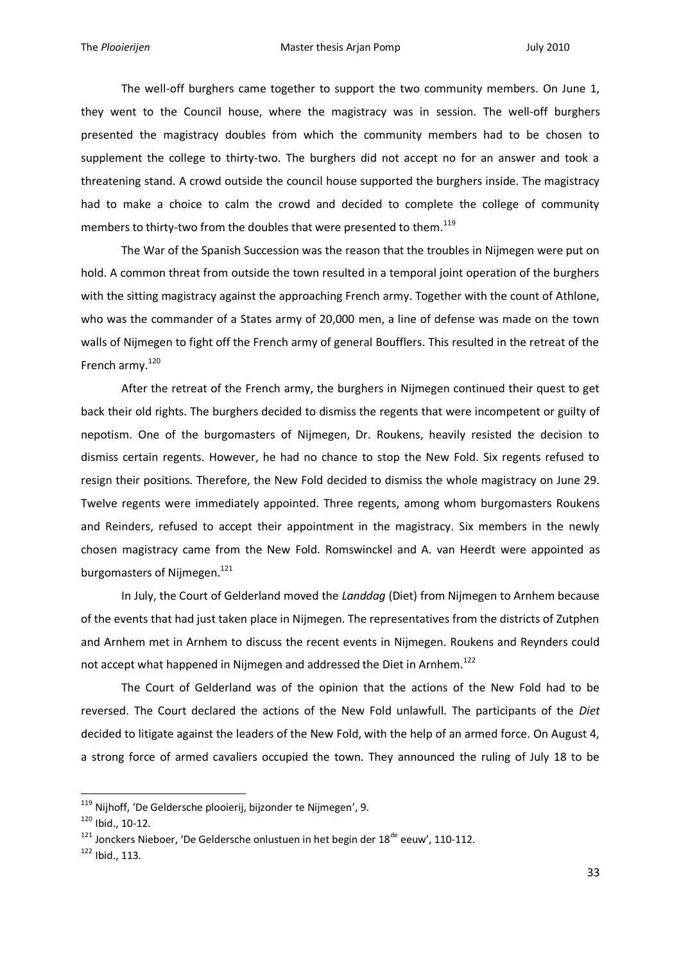The well-off burghers came together to support the two community members. On June 1, they went to the Council house, where the magistracy was in session. The well-off burghers presented the magistracy doubles from which the community members had to be chosen to supplement the college to thirty-two. The burghers did not accept no for an answer and took a threatening stand. A crowd outside the council house supported the burghers inside. The magistracy had to make a choice to calm the crowd and decided to complete the college of community members to thirty-two from the doubles that were presented to them. $^{119}$ 

The War of the Spanish Succession was the reason that the troubles in Nijmegen were put on hold. A common threat from outside the town resulted in a temporal joint operation of the burghers with the sitting magistracy against the approaching French army. Together with the count of Athlone, who was the commander of a States army of 20,000 men, a line of defense was made on the town walls of Nijmegen to fight off the French army of general Boufflers. This resulted in the retreat of the French army.<sup>120</sup>

After the retreat of the French army, the burghers in Nijmegen continued their quest to get back their old rights. The burghers decided to dismiss the regents that were incompetent or guilty of nepotism. One of the burgomasters of Nijmegen, Dr. Roukens, heavily resisted the decision to dismiss certain regents. However, he had no chance to stop the New Fold. Six regents refused to resign their positions. Therefore, the New Fold decided to dismiss the whole magistracy on June 29. Twelve regents were immediately appointed. Three regents, among whom burgomasters Roukens and Reinders, refused to accept their appointment in the magistracy. Six members in the newly chosen magistracy came from the New Fold. Romswinckel and A. van Heerdt were appointed as burgomasters of Nijmegen.<sup>121</sup>

In July, the Court of Gelderland moved the *Landdag* (Diet) from Nijmegen to Arnhem because of the events that had just taken place in Nijmegen. The representatives from the districts of Zutphen and Arnhem met in Arnhem to discuss the recent events in Nijmegen. Roukens and Reynders could not accept what happened in Nijmegen and addressed the Diet in Arnhem.<sup>122</sup>

The Court of Gelderland was of the opinion that the actions of the New Fold had to be reversed. The Court declared the actions of the New Fold unlawfull. The participants of the *Diet* decided to litigate against the leaders of the New Fold, with the help of an armed force. On August 4, a strong force of armed cavaliers occupied the town. They announced the ruling of July 18 to be

<sup>&</sup>lt;sup>119</sup> Nijhoff, 'De Geldersche plooierij, bijzonder te Nijmegen', 9.

 $120$  Ibid., 10-12.

 $121$  Jonckers Nieboer, 'De Geldersche onlustuen in het begin der  $18^{de}$  eeuw', 110-112.

<sup>122</sup> Ibid., 113.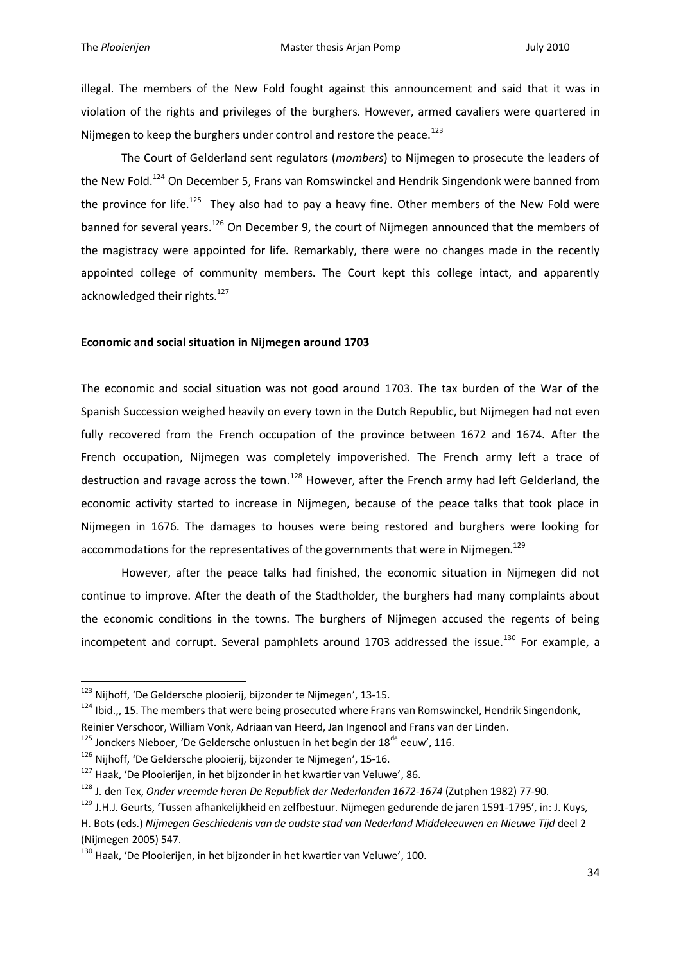illegal. The members of the New Fold fought against this announcement and said that it was in violation of the rights and privileges of the burghers. However, armed cavaliers were quartered in Nijmegen to keep the burghers under control and restore the peace.<sup>123</sup>

The Court of Gelderland sent regulators (*mombers*) to Nijmegen to prosecute the leaders of the New Fold.<sup>124</sup> On December 5, Frans van Romswinckel and Hendrik Singendonk were banned from the province for life.<sup>125</sup> They also had to pay a heavy fine. Other members of the New Fold were banned for several years.<sup>126</sup> On December 9, the court of Nijmegen announced that the members of the magistracy were appointed for life. Remarkably, there were no changes made in the recently appointed college of community members. The Court kept this college intact, and apparently acknowledged their rights.<sup>127</sup>

#### **Economic and social situation in Nijmegen around 1703**

The economic and social situation was not good around 1703. The tax burden of the War of the Spanish Succession weighed heavily on every town in the Dutch Republic, but Nijmegen had not even fully recovered from the French occupation of the province between 1672 and 1674. After the French occupation, Nijmegen was completely impoverished. The French army left a trace of destruction and ravage across the town.<sup>128</sup> However, after the French army had left Gelderland, the economic activity started to increase in Nijmegen, because of the peace talks that took place in Nijmegen in 1676. The damages to houses were being restored and burghers were looking for accommodations for the representatives of the governments that were in Nijmegen.<sup>129</sup>

However, after the peace talks had finished, the economic situation in Nijmegen did not continue to improve. After the death of the Stadtholder, the burghers had many complaints about the economic conditions in the towns. The burghers of Nijmegen accused the regents of being incompetent and corrupt. Several pamphlets around 1703 addressed the issue.<sup>130</sup> For example, a

<sup>123</sup> Nijhoff, 'De Geldersche plooierij, bijzonder te Nijmegen', 13-15.

<sup>&</sup>lt;sup>124</sup> Ibid.,, 15. The members that were being prosecuted where Frans van Romswinckel, Hendrik Singendonk, Reinier Verschoor, William Vonk, Adriaan van Heerd, Jan Ingenool and Frans van der Linden.

 $125$  Jonckers Nieboer, 'De Geldersche onlustuen in het begin der 18<sup>de</sup> eeuw', 116.

<sup>&</sup>lt;sup>126</sup> Nijhoff, 'De Geldersche plooierij, bijzonder te Nijmegen', 15-16.

<sup>&</sup>lt;sup>127</sup> Haak, 'De Plooierijen, in het bijzonder in het kwartier van Veluwe', 86.

<sup>128</sup> J. den Tex, *Onder vreemde heren De Republiek der Nederlanden 1672-1674* (Zutphen 1982) 77-90.

<sup>129</sup> J.H.J. Geurts, 'Tussen afhankelijkheid en zelfbestuur. Nijmegen gedurende de jaren 1591-1795', in: J. Kuys, H. Bots (eds.) *Nijmegen Geschiedenis van de oudste stad van Nederland Middeleeuwen en Nieuwe Tijd* deel 2 (Nijmegen 2005) 547.

<sup>&</sup>lt;sup>130</sup> Haak, 'De Plooierijen, in het bijzonder in het kwartier van Veluwe', 100.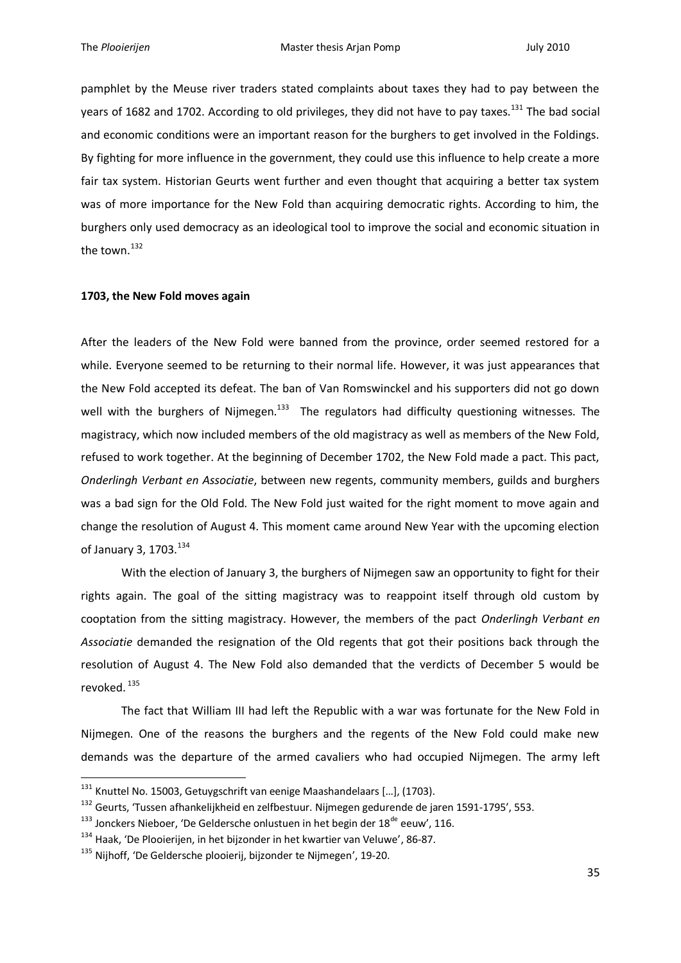pamphlet by the Meuse river traders stated complaints about taxes they had to pay between the years of 1682 and 1702. According to old privileges, they did not have to pay taxes.<sup>131</sup> The bad social and economic conditions were an important reason for the burghers to get involved in the Foldings. By fighting for more influence in the government, they could use this influence to help create a more fair tax system. Historian Geurts went further and even thought that acquiring a better tax system was of more importance for the New Fold than acquiring democratic rights. According to him, the burghers only used democracy as an ideological tool to improve the social and economic situation in the town. $^{132}$ 

#### **1703, the New Fold moves again**

After the leaders of the New Fold were banned from the province, order seemed restored for a while. Everyone seemed to be returning to their normal life. However, it was just appearances that the New Fold accepted its defeat. The ban of Van Romswinckel and his supporters did not go down well with the burghers of Nijmegen.<sup>133</sup> The regulators had difficulty questioning witnesses. The magistracy, which now included members of the old magistracy as well as members of the New Fold, refused to work together. At the beginning of December 1702, the New Fold made a pact. This pact, *Onderlingh Verbant en Associatie*, between new regents, community members, guilds and burghers was a bad sign for the Old Fold. The New Fold just waited for the right moment to move again and change the resolution of August 4. This moment came around New Year with the upcoming election of January 3, 1703.<sup>134</sup>

With the election of January 3, the burghers of Nijmegen saw an opportunity to fight for their rights again. The goal of the sitting magistracy was to reappoint itself through old custom by cooptation from the sitting magistracy. However, the members of the pact *Onderlingh Verbant en Associatie* demanded the resignation of the Old regents that got their positions back through the resolution of August 4. The New Fold also demanded that the verdicts of December 5 would be revoked.<sup>135</sup>

The fact that William III had left the Republic with a war was fortunate for the New Fold in Nijmegen. One of the reasons the burghers and the regents of the New Fold could make new demands was the departure of the armed cavaliers who had occupied Nijmegen. The army left

 $^{131}$  Knuttel No. 15003, Getuygschrift van eenige Maashandelaars [...], (1703).

<sup>&</sup>lt;sup>132</sup> Geurts, 'Tussen afhankelijkheid en zelfbestuur. Nijmegen gedurende de jaren 1591-1795', 553.

 $^{133}$  Jonckers Nieboer, 'De Geldersche onlustuen in het begin der 18<sup>de</sup> eeuw', 116.

<sup>&</sup>lt;sup>134</sup> Haak, 'De Plooierijen, in het bijzonder in het kwartier van Veluwe', 86-87.

<sup>&</sup>lt;sup>135</sup> Nijhoff, 'De Geldersche plooierij, bijzonder te Nijmegen', 19-20.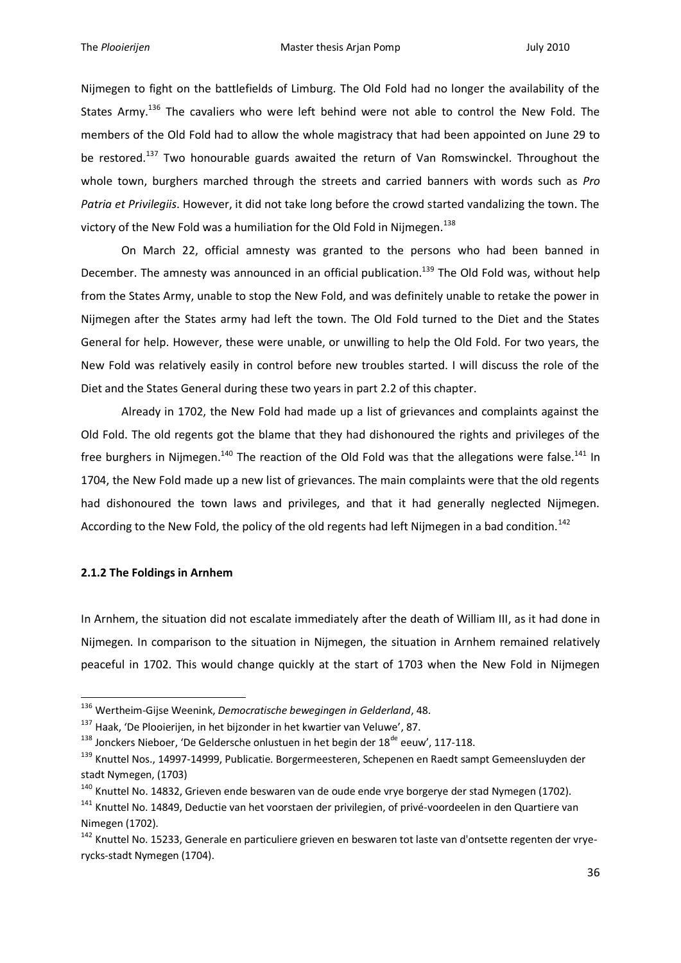Nijmegen to fight on the battlefields of Limburg. The Old Fold had no longer the availability of the States Army.<sup>136</sup> The cavaliers who were left behind were not able to control the New Fold. The members of the Old Fold had to allow the whole magistracy that had been appointed on June 29 to be restored.<sup>137</sup> Two honourable guards awaited the return of Van Romswinckel. Throughout the whole town, burghers marched through the streets and carried banners with words such as *Pro Patria et Privilegiis*. However, it did not take long before the crowd started vandalizing the town. The victory of the New Fold was a humiliation for the Old Fold in Nijmegen.<sup>138</sup>

On March 22, official amnesty was granted to the persons who had been banned in December. The amnesty was announced in an official publication.<sup>139</sup> The Old Fold was, without help from the States Army, unable to stop the New Fold, and was definitely unable to retake the power in Nijmegen after the States army had left the town. The Old Fold turned to the Diet and the States General for help. However, these were unable, or unwilling to help the Old Fold. For two years, the New Fold was relatively easily in control before new troubles started. I will discuss the role of the Diet and the States General during these two years in part 2.2 of this chapter.

Already in 1702, the New Fold had made up a list of grievances and complaints against the Old Fold. The old regents got the blame that they had dishonoured the rights and privileges of the free burghers in Nijmegen.<sup>140</sup> The reaction of the Old Fold was that the allegations were false.<sup>141</sup> In 1704, the New Fold made up a new list of grievances. The main complaints were that the old regents had dishonoured the town laws and privileges, and that it had generally neglected Nijmegen. According to the New Fold, the policy of the old regents had left Nijmegen in a bad condition.<sup>142</sup>

#### **2.1.2 The Foldings in Arnhem**

1

In Arnhem, the situation did not escalate immediately after the death of William III, as it had done in Nijmegen. In comparison to the situation in Nijmegen, the situation in Arnhem remained relatively peaceful in 1702. This would change quickly at the start of 1703 when the New Fold in Nijmegen

<sup>136</sup> Wertheim-Gijse Weenink, *Democratische bewegingen in Gelderland*, 48.

<sup>&</sup>lt;sup>137</sup> Haak, 'De Plooierijen, in het bijzonder in het kwartier van Veluwe', 87.

 $138$  Jonckers Nieboer, 'De Geldersche onlustuen in het begin der  $18^{de}$  eeuw', 117-118.

<sup>&</sup>lt;sup>139</sup> Knuttel Nos., 14997-14999, Publicatie. Borgermeesteren, Schepenen en Raedt sampt Gemeensluyden der stadt Nymegen, (1703)

 $140$  Knuttel No. 14832, Grieven ende beswaren van de oude ende vrye borgerye der stad Nymegen (1702).

<sup>&</sup>lt;sup>141</sup> Knuttel No. 14849, Deductie van het voorstaen der privilegien, of privé-voordeelen in den Quartiere van Nimegen (1702).

<sup>&</sup>lt;sup>142</sup> Knuttel No. 15233, Generale en particuliere grieven en beswaren tot laste van d'ontsette regenten der vryerycks-stadt Nymegen (1704).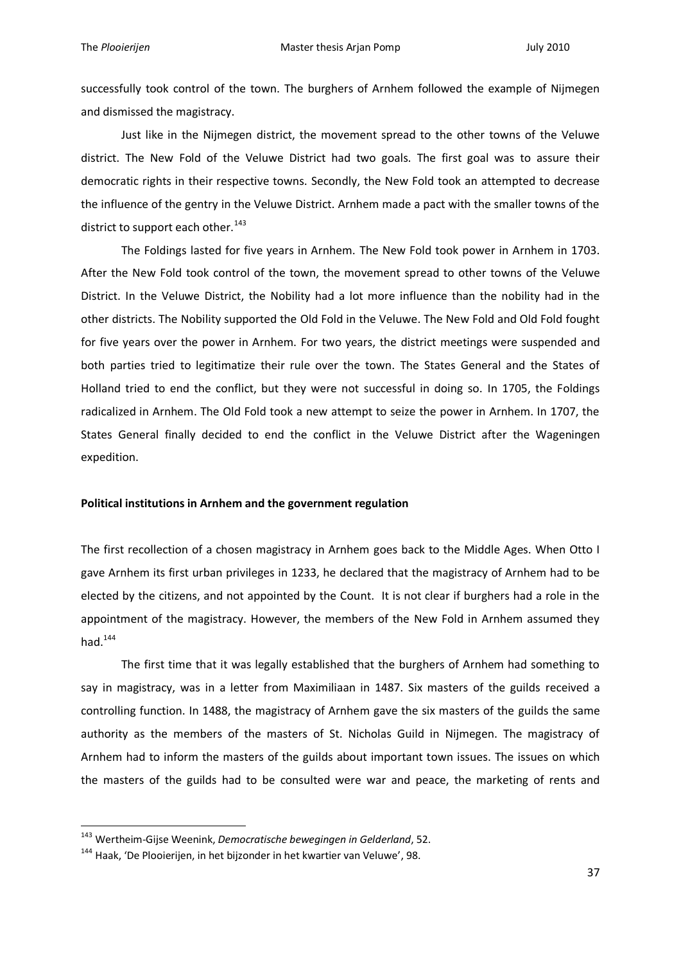successfully took control of the town. The burghers of Arnhem followed the example of Nijmegen and dismissed the magistracy.

Just like in the Nijmegen district, the movement spread to the other towns of the Veluwe district. The New Fold of the Veluwe District had two goals. The first goal was to assure their democratic rights in their respective towns. Secondly, the New Fold took an attempted to decrease the influence of the gentry in the Veluwe District. Arnhem made a pact with the smaller towns of the district to support each other.<sup>143</sup>

The Foldings lasted for five years in Arnhem. The New Fold took power in Arnhem in 1703. After the New Fold took control of the town, the movement spread to other towns of the Veluwe District. In the Veluwe District, the Nobility had a lot more influence than the nobility had in the other districts. The Nobility supported the Old Fold in the Veluwe. The New Fold and Old Fold fought for five years over the power in Arnhem. For two years, the district meetings were suspended and both parties tried to legitimatize their rule over the town. The States General and the States of Holland tried to end the conflict, but they were not successful in doing so. In 1705, the Foldings radicalized in Arnhem. The Old Fold took a new attempt to seize the power in Arnhem. In 1707, the States General finally decided to end the conflict in the Veluwe District after the Wageningen expedition.

### **Political institutions in Arnhem and the government regulation**

The first recollection of a chosen magistracy in Arnhem goes back to the Middle Ages. When Otto I gave Arnhem its first urban privileges in 1233, he declared that the magistracy of Arnhem had to be elected by the citizens, and not appointed by the Count. It is not clear if burghers had a role in the appointment of the magistracy. However, the members of the New Fold in Arnhem assumed they had. $144$ 

The first time that it was legally established that the burghers of Arnhem had something to say in magistracy, was in a letter from Maximiliaan in 1487. Six masters of the guilds received a controlling function. In 1488, the magistracy of Arnhem gave the six masters of the guilds the same authority as the members of the masters of St. Nicholas Guild in Nijmegen. The magistracy of Arnhem had to inform the masters of the guilds about important town issues. The issues on which the masters of the guilds had to be consulted were war and peace, the marketing of rents and

<sup>143</sup> Wertheim-Gijse Weenink, *Democratische bewegingen in Gelderland*, 52.

<sup>144</sup> Haak, 'De Plooierijen, in het bijzonder in het kwartier van Veluwe', 98.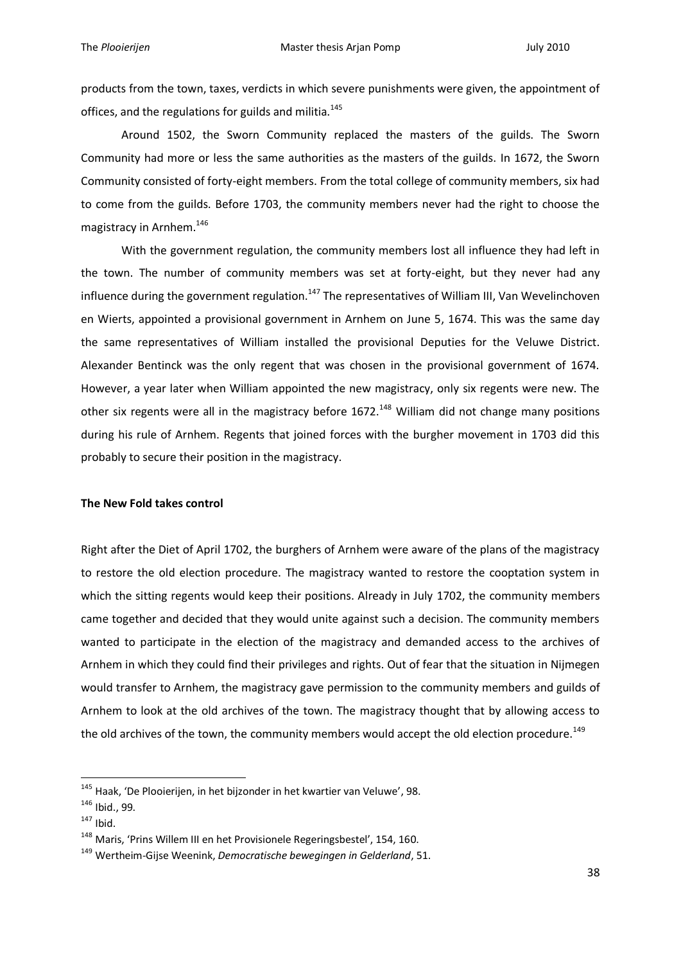products from the town, taxes, verdicts in which severe punishments were given, the appointment of offices, and the regulations for guilds and militia.<sup>145</sup>

Around 1502, the Sworn Community replaced the masters of the guilds. The Sworn Community had more or less the same authorities as the masters of the guilds. In 1672, the Sworn Community consisted of forty-eight members. From the total college of community members, six had to come from the guilds. Before 1703, the community members never had the right to choose the magistracy in Arnhem.<sup>146</sup>

With the government regulation, the community members lost all influence they had left in the town. The number of community members was set at forty-eight, but they never had any influence during the government regulation.<sup>147</sup> The representatives of William III, Van Wevelinchoven en Wierts, appointed a provisional government in Arnhem on June 5, 1674. This was the same day the same representatives of William installed the provisional Deputies for the Veluwe District. Alexander Bentinck was the only regent that was chosen in the provisional government of 1674. However, a year later when William appointed the new magistracy, only six regents were new. The other six regents were all in the magistracy before 1672.<sup>148</sup> William did not change many positions during his rule of Arnhem. Regents that joined forces with the burgher movement in 1703 did this probably to secure their position in the magistracy.

### **The New Fold takes control**

Right after the Diet of April 1702, the burghers of Arnhem were aware of the plans of the magistracy to restore the old election procedure. The magistracy wanted to restore the cooptation system in which the sitting regents would keep their positions. Already in July 1702, the community members came together and decided that they would unite against such a decision. The community members wanted to participate in the election of the magistracy and demanded access to the archives of Arnhem in which they could find their privileges and rights. Out of fear that the situation in Nijmegen would transfer to Arnhem, the magistracy gave permission to the community members and guilds of Arnhem to look at the old archives of the town. The magistracy thought that by allowing access to the old archives of the town, the community members would accept the old election procedure.<sup>149</sup>

<sup>&</sup>lt;sup>145</sup> Haak, 'De Plooierijen, in het bijzonder in het kwartier van Veluwe', 98.

<sup>146</sup> Ibid., 99.

 $147$  Ibid.

<sup>&</sup>lt;sup>148</sup> Maris, 'Prins Willem III en het Provisionele Regeringsbestel', 154, 160.

<sup>149</sup> Wertheim-Gijse Weenink, *Democratische bewegingen in Gelderland*, 51.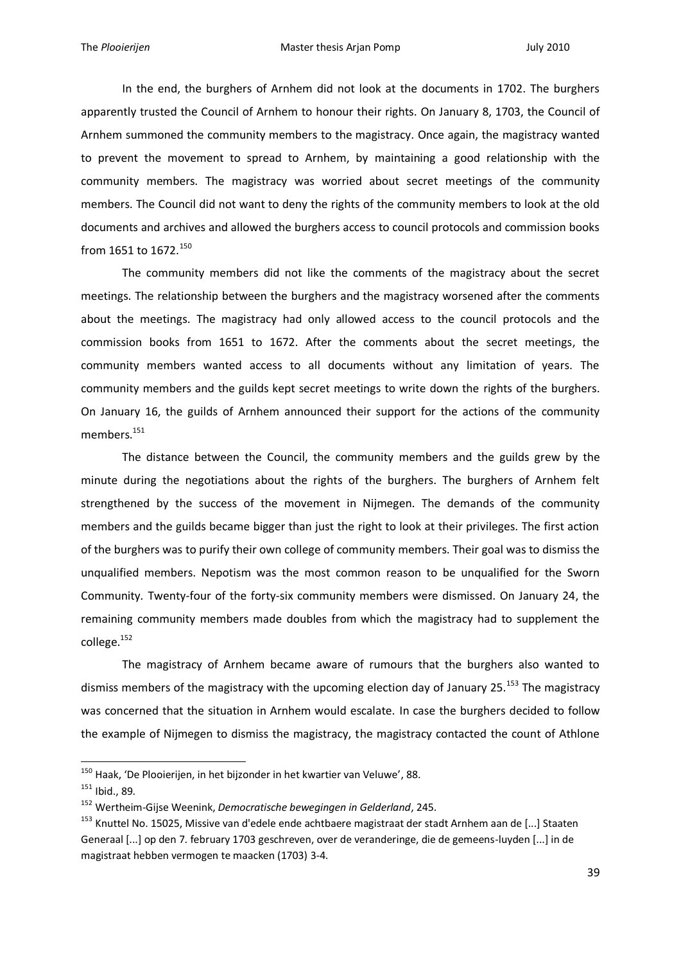In the end, the burghers of Arnhem did not look at the documents in 1702. The burghers apparently trusted the Council of Arnhem to honour their rights. On January 8, 1703, the Council of Arnhem summoned the community members to the magistracy. Once again, the magistracy wanted to prevent the movement to spread to Arnhem, by maintaining a good relationship with the community members. The magistracy was worried about secret meetings of the community members. The Council did not want to deny the rights of the community members to look at the old documents and archives and allowed the burghers access to council protocols and commission books from 1651 to 1672.<sup>150</sup>

The community members did not like the comments of the magistracy about the secret meetings. The relationship between the burghers and the magistracy worsened after the comments about the meetings. The magistracy had only allowed access to the council protocols and the commission books from 1651 to 1672. After the comments about the secret meetings, the community members wanted access to all documents without any limitation of years. The community members and the guilds kept secret meetings to write down the rights of the burghers. On January 16, the guilds of Arnhem announced their support for the actions of the community members.<sup>151</sup>

The distance between the Council, the community members and the guilds grew by the minute during the negotiations about the rights of the burghers. The burghers of Arnhem felt strengthened by the success of the movement in Nijmegen. The demands of the community members and the guilds became bigger than just the right to look at their privileges. The first action of the burghers was to purify their own college of community members. Their goal was to dismiss the unqualified members. Nepotism was the most common reason to be unqualified for the Sworn Community*.* Twenty-four of the forty-six community members were dismissed. On January 24, the remaining community members made doubles from which the magistracy had to supplement the college.<sup>152</sup>

The magistracy of Arnhem became aware of rumours that the burghers also wanted to dismiss members of the magistracy with the upcoming election day of January 25.<sup>153</sup> The magistracy was concerned that the situation in Arnhem would escalate. In case the burghers decided to follow the example of Nijmegen to dismiss the magistracy, the magistracy contacted the count of Athlone

 $150$  Haak, 'De Plooierijen, in het bijzonder in het kwartier van Veluwe', 88.

<sup>151</sup> Ibid., 89.

<sup>152</sup> Wertheim-Gijse Weenink, *Democratische bewegingen in Gelderland*, 245.

<sup>&</sup>lt;sup>153</sup> Knuttel No. 15025, Missive van d'edele ende achtbaere magistraat der stadt Arnhem aan de [...] Staaten Generaal [...] op den 7. february 1703 geschreven, over de veranderinge, die de gemeens-luyden [...] in de magistraat hebben vermogen te maacken (1703) 3-4.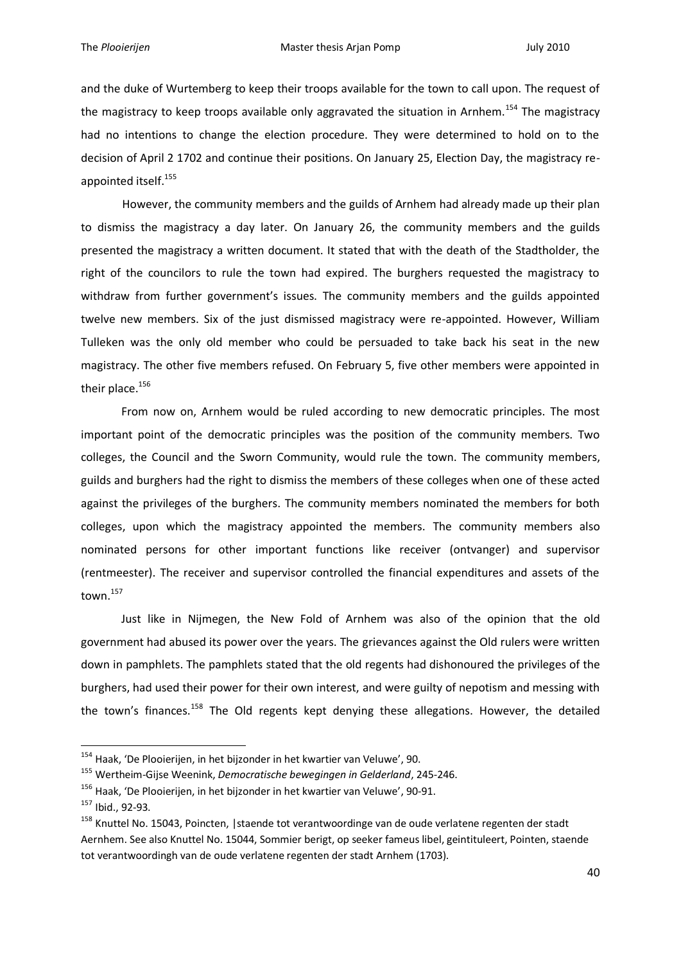and the duke of Wurtemberg to keep their troops available for the town to call upon. The request of the magistracy to keep troops available only aggravated the situation in Arnhem.<sup>154</sup> The magistracy had no intentions to change the election procedure. They were determined to hold on to the decision of April 2 1702 and continue their positions. On January 25, Election Day, the magistracy reappointed itself.<sup>155</sup>

However, the community members and the guilds of Arnhem had already made up their plan to dismiss the magistracy a day later. On January 26, the community members and the guilds presented the magistracy a written document. It stated that with the death of the Stadtholder, the right of the councilors to rule the town had expired. The burghers requested the magistracy to withdraw from further government's issues. The community members and the guilds appointed twelve new members. Six of the just dismissed magistracy were re-appointed. However, William Tulleken was the only old member who could be persuaded to take back his seat in the new magistracy. The other five members refused. On February 5, five other members were appointed in their place.<sup>156</sup>

From now on, Arnhem would be ruled according to new democratic principles. The most important point of the democratic principles was the position of the community members. Two colleges, the Council and the Sworn Community, would rule the town. The community members, guilds and burghers had the right to dismiss the members of these colleges when one of these acted against the privileges of the burghers. The community members nominated the members for both colleges, upon which the magistracy appointed the members. The community members also nominated persons for other important functions like receiver (ontvanger) and supervisor (rentmeester). The receiver and supervisor controlled the financial expenditures and assets of the town.<sup>157</sup>

Just like in Nijmegen, the New Fold of Arnhem was also of the opinion that the old government had abused its power over the years. The grievances against the Old rulers were written down in pamphlets. The pamphlets stated that the old regents had dishonoured the privileges of the burghers, had used their power for their own interest, and were guilty of nepotism and messing with the town's finances.<sup>158</sup> The Old regents kept denying these allegations. However, the detailed

<sup>&</sup>lt;sup>154</sup> Haak, 'De Plooierijen, in het bijzonder in het kwartier van Veluwe', 90.

<sup>155</sup> Wertheim-Gijse Weenink, *Democratische bewegingen in Gelderland*, 245-246.

<sup>156</sup> Haak, 'De Plooierijen, in het bijzonder in het kwartier van Veluwe', 90-91.

<sup>157</sup> Ibid., 92-93.

<sup>&</sup>lt;sup>158</sup> Knuttel No. 15043, Poincten, | staende tot verantwoordinge van de oude verlatene regenten der stadt Aernhem. See also Knuttel No. 15044, Sommier berigt, op seeker fameus libel, geintituleert, Pointen, staende tot verantwoordingh van de oude verlatene regenten der stadt Arnhem (1703).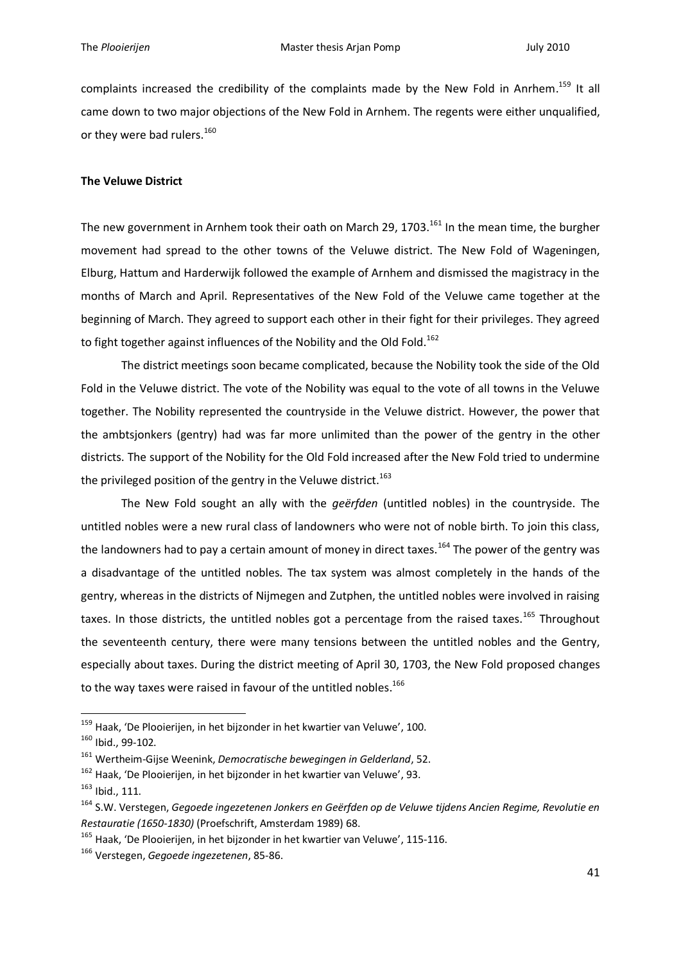complaints increased the credibility of the complaints made by the New Fold in Anrhem.<sup>159</sup> It all came down to two major objections of the New Fold in Arnhem. The regents were either unqualified, or they were bad rulers.<sup>160</sup>

# **The Veluwe District**

The new government in Arnhem took their oath on March 29, 1703.<sup>161</sup> In the mean time, the burgher movement had spread to the other towns of the Veluwe district. The New Fold of Wageningen, Elburg, Hattum and Harderwijk followed the example of Arnhem and dismissed the magistracy in the months of March and April. Representatives of the New Fold of the Veluwe came together at the beginning of March. They agreed to support each other in their fight for their privileges. They agreed to fight together against influences of the Nobility and the Old Fold.<sup>162</sup>

The district meetings soon became complicated, because the Nobility took the side of the Old Fold in the Veluwe district. The vote of the Nobility was equal to the vote of all towns in the Veluwe together. The Nobility represented the countryside in the Veluwe district. However, the power that the ambtsjonkers (gentry) had was far more unlimited than the power of the gentry in the other districts. The support of the Nobility for the Old Fold increased after the New Fold tried to undermine the privileged position of the gentry in the Veluwe district.<sup>163</sup>

The New Fold sought an ally with the *geërfden* (untitled nobles) in the countryside. The untitled nobles were a new rural class of landowners who were not of noble birth. To join this class, the landowners had to pay a certain amount of money in direct taxes.<sup>164</sup> The power of the gentry was a disadvantage of the untitled nobles. The tax system was almost completely in the hands of the gentry, whereas in the districts of Nijmegen and Zutphen, the untitled nobles were involved in raising taxes. In those districts, the untitled nobles got a percentage from the raised taxes.<sup>165</sup> Throughout the seventeenth century, there were many tensions between the untitled nobles and the Gentry, especially about taxes. During the district meeting of April 30, 1703, the New Fold proposed changes to the way taxes were raised in favour of the untitled nobles.<sup>166</sup>

<sup>&</sup>lt;sup>159</sup> Haak, 'De Plooierijen, in het bijzonder in het kwartier van Veluwe', 100.

<sup>160</sup> Ibid., 99-102.

<sup>161</sup> Wertheim-Gijse Weenink, *Democratische bewegingen in Gelderland*, 52.

<sup>&</sup>lt;sup>162</sup> Haak, 'De Plooierijen, in het bijzonder in het kwartier van Veluwe', 93.

<sup>163</sup> Ibid., 111.

<sup>164</sup> S.W. Verstegen, *Gegoede ingezetenen Jonkers en Geërfden op de Veluwe tijdens Ancien Regime, Revolutie en Restauratie (1650-1830)* (Proefschrift, Amsterdam 1989) 68.

<sup>&</sup>lt;sup>165</sup> Haak, 'De Plooierijen, in het bijzonder in het kwartier van Veluwe', 115-116.

<sup>166</sup> Verstegen, *Gegoede ingezetenen*, 85-86.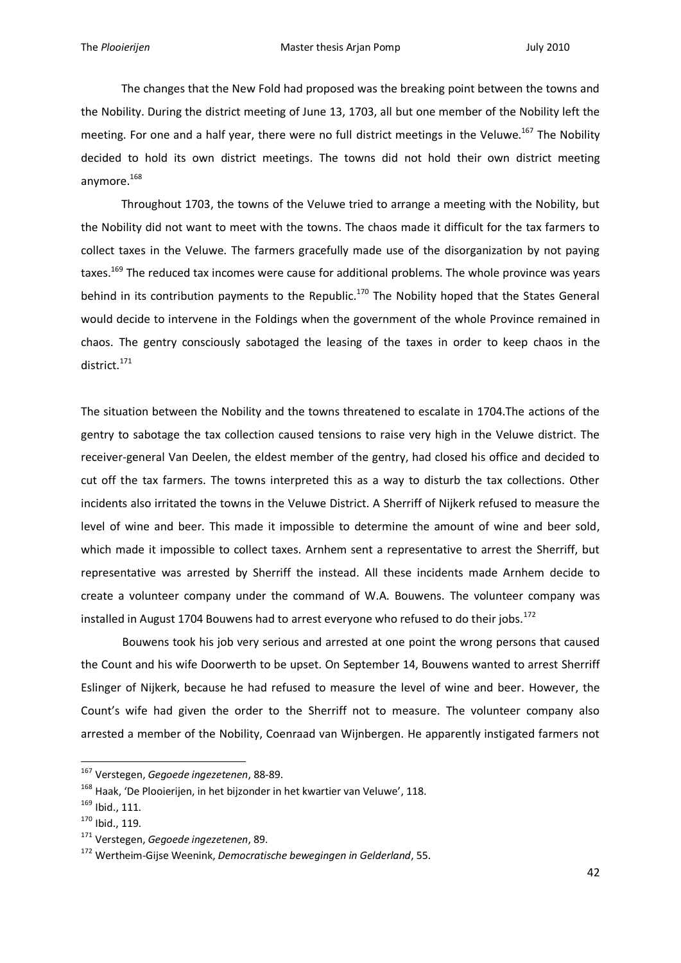The changes that the New Fold had proposed was the breaking point between the towns and the Nobility. During the district meeting of June 13, 1703, all but one member of the Nobility left the meeting. For one and a half year, there were no full district meetings in the Veluwe.<sup>167</sup> The Nobility decided to hold its own district meetings. The towns did not hold their own district meeting anymore.<sup>168</sup>

Throughout 1703, the towns of the Veluwe tried to arrange a meeting with the Nobility, but the Nobility did not want to meet with the towns. The chaos made it difficult for the tax farmers to collect taxes in the Veluwe. The farmers gracefully made use of the disorganization by not paying taxes.<sup>169</sup> The reduced tax incomes were cause for additional problems. The whole province was years behind in its contribution payments to the Republic.<sup>170</sup> The Nobility hoped that the States General would decide to intervene in the Foldings when the government of the whole Province remained in chaos. The gentry consciously sabotaged the leasing of the taxes in order to keep chaos in the district. 171

The situation between the Nobility and the towns threatened to escalate in 1704.The actions of the gentry to sabotage the tax collection caused tensions to raise very high in the Veluwe district. The receiver-general Van Deelen, the eldest member of the gentry, had closed his office and decided to cut off the tax farmers. The towns interpreted this as a way to disturb the tax collections. Other incidents also irritated the towns in the Veluwe District. A Sherriff of Nijkerk refused to measure the level of wine and beer. This made it impossible to determine the amount of wine and beer sold, which made it impossible to collect taxes. Arnhem sent a representative to arrest the Sherriff, but representative was arrested by Sherriff the instead. All these incidents made Arnhem decide to create a volunteer company under the command of W.A. Bouwens. The volunteer company was installed in August 1704 Bouwens had to arrest everyone who refused to do their jobs.<sup>172</sup>

Bouwens took his job very serious and arrested at one point the wrong persons that caused the Count and his wife Doorwerth to be upset. On September 14, Bouwens wanted to arrest Sherriff Eslinger of Nijkerk, because he had refused to measure the level of wine and beer. However, the Count's wife had given the order to the Sherriff not to measure. The volunteer company also arrested a member of the Nobility, Coenraad van Wijnbergen. He apparently instigated farmers not

<sup>167</sup> Verstegen, *Gegoede ingezetenen*, 88-89.

<sup>&</sup>lt;sup>168</sup> Haak, 'De Plooierijen, in het bijzonder in het kwartier van Veluwe', 118.

<sup>169</sup> Ibid., 111.

 $170$  Ibid., 119.

<sup>171</sup> Verstegen, *Gegoede ingezetenen*, 89.

<sup>172</sup> Wertheim-Gijse Weenink, *Democratische bewegingen in Gelderland*, 55.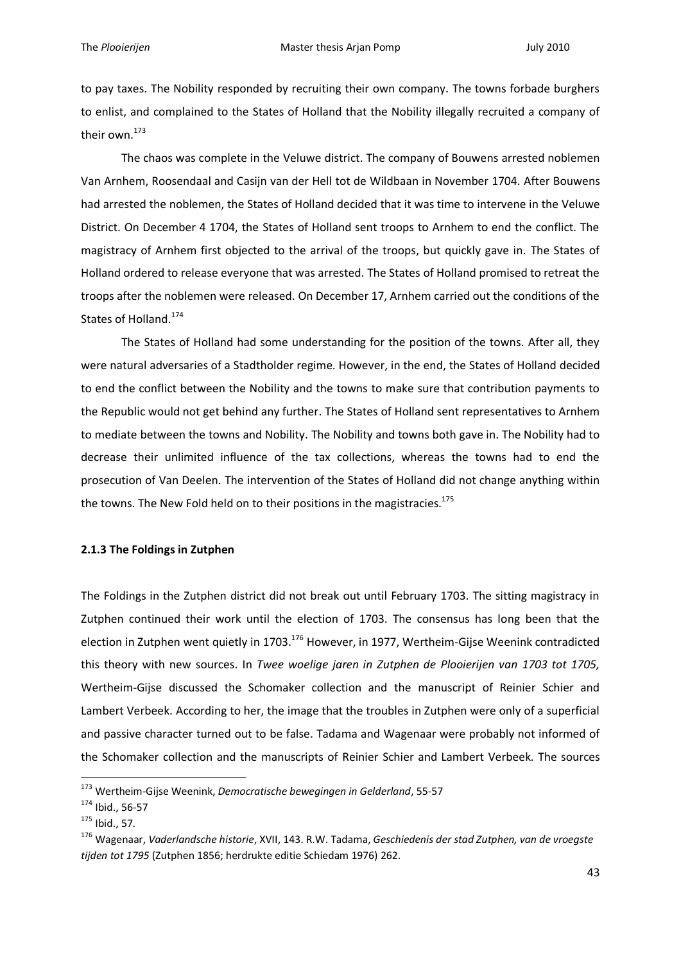to pay taxes. The Nobility responded by recruiting their own company. The towns forbade burghers to enlist, and complained to the States of Holland that the Nobility illegally recruited a company of their own.<sup>173</sup>

The chaos was complete in the Veluwe district. The company of Bouwens arrested noblemen Van Arnhem, Roosendaal and Casijn van der Hell tot de Wildbaan in November 1704. After Bouwens had arrested the noblemen, the States of Holland decided that it was time to intervene in the Veluwe District. On December 4 1704, the States of Holland sent troops to Arnhem to end the conflict. The magistracy of Arnhem first objected to the arrival of the troops, but quickly gave in. The States of Holland ordered to release everyone that was arrested. The States of Holland promised to retreat the troops after the noblemen were released. On December 17, Arnhem carried out the conditions of the States of Holland.<sup>174</sup>

The States of Holland had some understanding for the position of the towns. After all, they were natural adversaries of a Stadtholder regime. However, in the end, the States of Holland decided to end the conflict between the Nobility and the towns to make sure that contribution payments to the Republic would not get behind any further. The States of Holland sent representatives to Arnhem to mediate between the towns and Nobility. The Nobility and towns both gave in. The Nobility had to decrease their unlimited influence of the tax collections, whereas the towns had to end the prosecution of Van Deelen. The intervention of the States of Holland did not change anything within the towns. The New Fold held on to their positions in the magistracies.<sup>175</sup>

# **2.1.3 The Foldings in Zutphen**

The Foldings in the Zutphen district did not break out until February 1703. The sitting magistracy in Zutphen continued their work until the election of 1703. The consensus has long been that the election in Zutphen went quietly in 1703.<sup>176</sup> However, in 1977, Wertheim-Gijse Weenink contradicted this theory with new sources. In *Twee woelige jaren in Zutphen de Plooierijen van 1703 tot 1705,*  Wertheim-Gijse discussed the Schomaker collection and the manuscript of Reinier Schier and Lambert Verbeek. According to her, the image that the troubles in Zutphen were only of a superficial and passive character turned out to be false. Tadama and Wagenaar were probably not informed of the Schomaker collection and the manuscripts of Reinier Schier and Lambert Verbeek. The sources

<sup>173</sup> Wertheim-Gijse Weenink, *Democratische bewegingen in Gelderland*, 55-57

<sup>174</sup> Ibid., 56-57

<sup>175</sup> Ibid., 57.

<sup>176</sup> Wagenaar, *Vaderlandsche historie*, XVII, 143. R.W. Tadama, *Geschiedenis der stad Zutphen, van de vroegste tijden tot 1795* (Zutphen 1856; herdrukte editie Schiedam 1976) 262.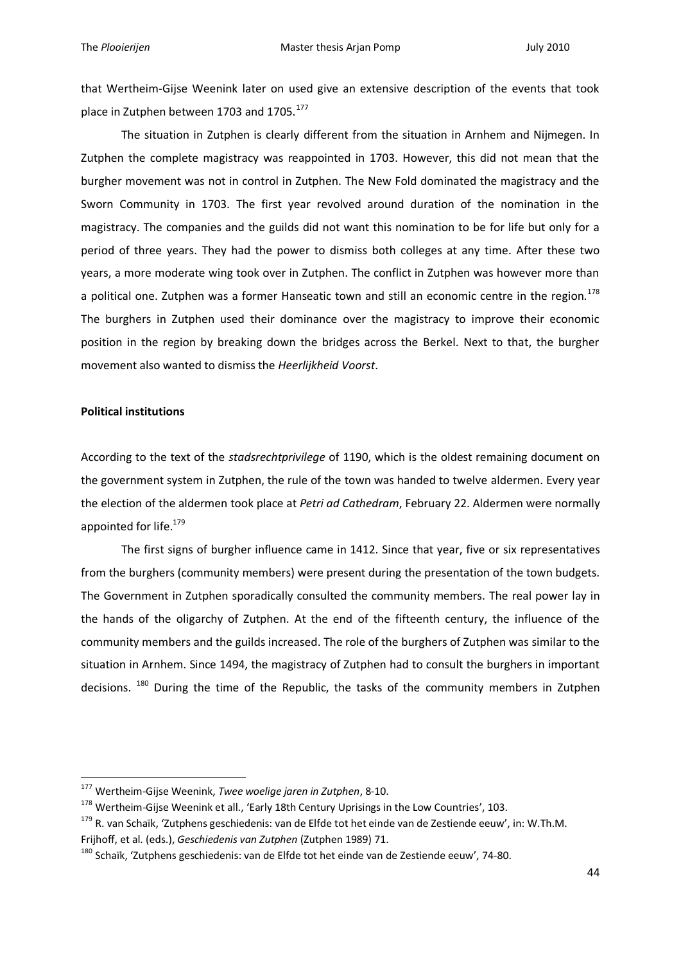that Wertheim-Gijse Weenink later on used give an extensive description of the events that took place in Zutphen between 1703 and 1705.<sup>177</sup>

The situation in Zutphen is clearly different from the situation in Arnhem and Nijmegen. In Zutphen the complete magistracy was reappointed in 1703. However, this did not mean that the burgher movement was not in control in Zutphen. The New Fold dominated the magistracy and the Sworn Community in 1703. The first year revolved around duration of the nomination in the magistracy. The companies and the guilds did not want this nomination to be for life but only for a period of three years. They had the power to dismiss both colleges at any time. After these two years, a more moderate wing took over in Zutphen. The conflict in Zutphen was however more than a political one. Zutphen was a former Hanseatic town and still an economic centre in the region.<sup>178</sup> The burghers in Zutphen used their dominance over the magistracy to improve their economic position in the region by breaking down the bridges across the Berkel. Next to that, the burgher movement also wanted to dismiss the *Heerlijkheid Voorst*.

## **Political institutions**

1

According to the text of the *stadsrechtprivilege* of 1190, which is the oldest remaining document on the government system in Zutphen, the rule of the town was handed to twelve aldermen. Every year the election of the aldermen took place at *Petri ad Cathedram*, February 22. Aldermen were normally appointed for life.<sup>179</sup>

The first signs of burgher influence came in 1412. Since that year, five or six representatives from the burghers (community members) were present during the presentation of the town budgets. The Government in Zutphen sporadically consulted the community members. The real power lay in the hands of the oligarchy of Zutphen. At the end of the fifteenth century, the influence of the community members and the guilds increased. The role of the burghers of Zutphen was similar to the situation in Arnhem. Since 1494, the magistracy of Zutphen had to consult the burghers in important decisions. <sup>180</sup> During the time of the Republic, the tasks of the community members in Zutphen

<sup>177</sup> Wertheim-Gijse Weenink, *Twee woelige jaren in Zutphen*, 8-10.

<sup>&</sup>lt;sup>178</sup> Wertheim-Gijse Weenink et all., 'Early 18th Century Uprisings in the Low Countries', 103.

<sup>&</sup>lt;sup>179</sup> R. van Schaïk, 'Zutphens geschiedenis: van de Elfde tot het einde van de Zestiende eeuw', in: W.Th.M. Frijhoff, et al. (eds.), *Geschiedenis van Zutphen* (Zutphen 1989) 71.

<sup>&</sup>lt;sup>180</sup> Schaïk, 'Zutphens geschiedenis: van de Elfde tot het einde van de Zestiende eeuw', 74-80.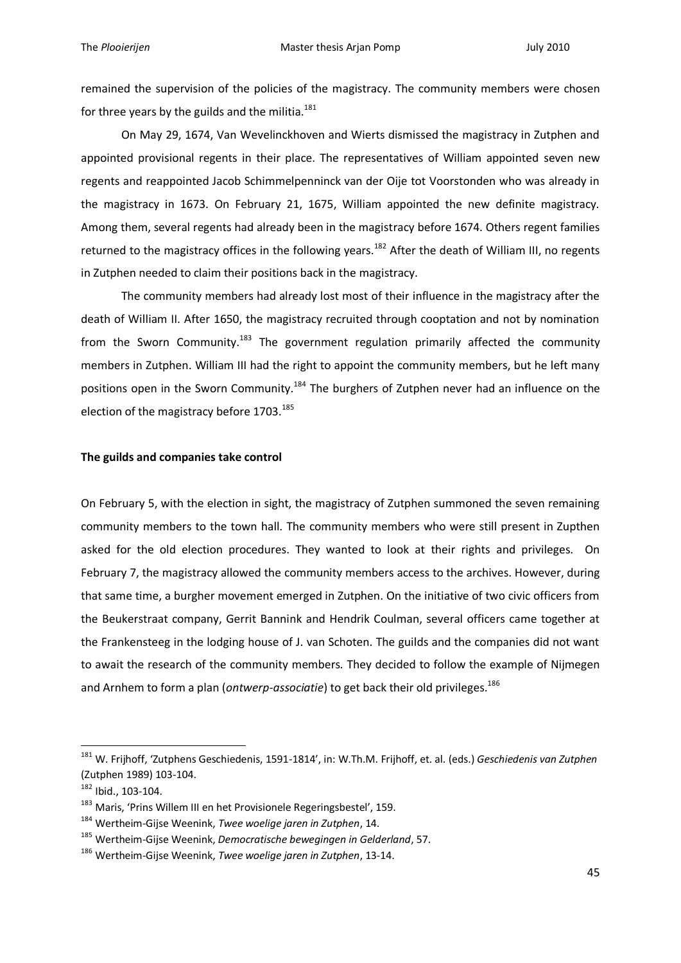remained the supervision of the policies of the magistracy. The community members were chosen for three years by the guilds and the militia. $181$ 

On May 29, 1674, Van Wevelinckhoven and Wierts dismissed the magistracy in Zutphen and appointed provisional regents in their place. The representatives of William appointed seven new regents and reappointed Jacob Schimmelpenninck van der Oije tot Voorstonden who was already in the magistracy in 1673. On February 21, 1675, William appointed the new definite magistracy. Among them, several regents had already been in the magistracy before 1674. Others regent families returned to the magistracy offices in the following years.<sup>182</sup> After the death of William III, no regents in Zutphen needed to claim their positions back in the magistracy.

The community members had already lost most of their influence in the magistracy after the death of William II. After 1650, the magistracy recruited through cooptation and not by nomination from the Sworn Community.<sup>183</sup> The government regulation primarily affected the community members in Zutphen. William III had the right to appoint the community members, but he left many positions open in the Sworn Community.<sup>184</sup> The burghers of Zutphen never had an influence on the election of the magistracy before 1703.<sup>185</sup>

## **The guilds and companies take control**

On February 5, with the election in sight, the magistracy of Zutphen summoned the seven remaining community members to the town hall. The community members who were still present in Zupthen asked for the old election procedures. They wanted to look at their rights and privileges. On February 7, the magistracy allowed the community members access to the archives. However, during that same time, a burgher movement emerged in Zutphen. On the initiative of two civic officers from the Beukerstraat company, Gerrit Bannink and Hendrik Coulman, several officers came together at the Frankensteeg in the lodging house of J. van Schoten. The guilds and the companies did not want to await the research of the community members*.* They decided to follow the example of Nijmegen and Arnhem to form a plan (*ontwerp-associatie*) to get back their old privileges.<sup>186</sup>

<sup>181</sup> W. Frijhoff, 'Zutphens Geschiedenis, 1591-1814', in: W.Th.M. Frijhoff, et. al. (eds.) *Geschiedenis van Zutphen* (Zutphen 1989) 103-104.

<sup>182</sup> Ibid., 103-104.

<sup>183</sup> Maris, 'Prins Willem III en het Provisionele Regeringsbestel', 159.

<sup>184</sup> Wertheim-Gijse Weenink, *Twee woelige jaren in Zutphen*, 14.

<sup>185</sup> Wertheim-Gijse Weenink, *Democratische bewegingen in Gelderland*, 57.

<sup>186</sup> Wertheim-Gijse Weenink, *Twee woelige jaren in Zutphen*, 13-14.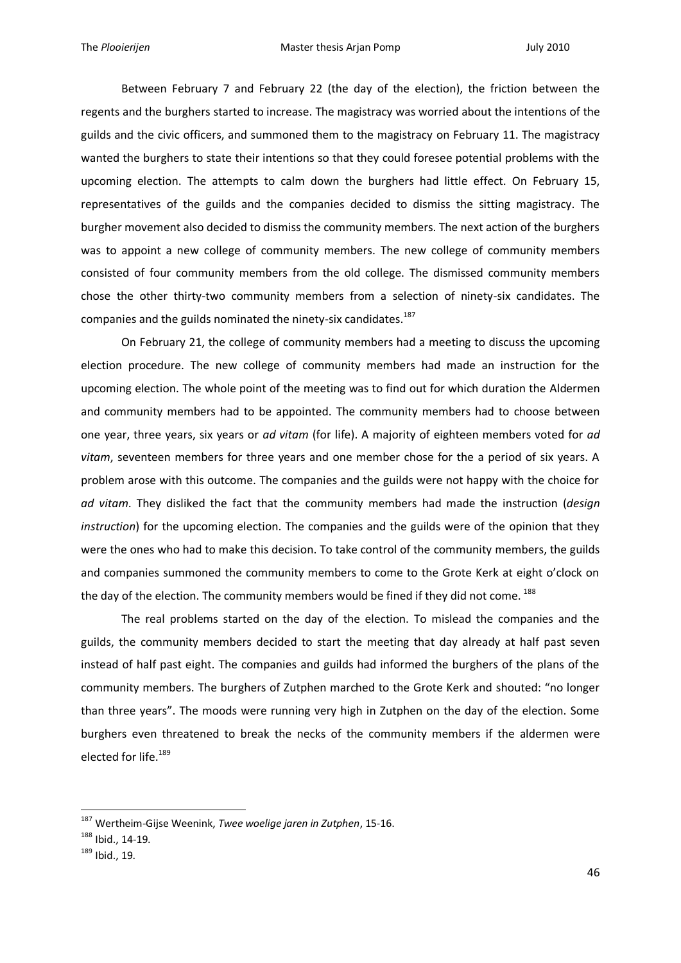Between February 7 and February 22 (the day of the election), the friction between the regents and the burghers started to increase. The magistracy was worried about the intentions of the guilds and the civic officers, and summoned them to the magistracy on February 11. The magistracy wanted the burghers to state their intentions so that they could foresee potential problems with the upcoming election. The attempts to calm down the burghers had little effect. On February 15, representatives of the guilds and the companies decided to dismiss the sitting magistracy. The burgher movement also decided to dismiss the community members. The next action of the burghers was to appoint a new college of community members. The new college of community members consisted of four community members from the old college. The dismissed community members chose the other thirty-two community members from a selection of ninety-six candidates. The companies and the guilds nominated the ninety-six candidates.<sup>187</sup>

On February 21, the college of community members had a meeting to discuss the upcoming election procedure. The new college of community members had made an instruction for the upcoming election. The whole point of the meeting was to find out for which duration the Aldermen and community members had to be appointed. The community members had to choose between one year, three years, six years or *ad vitam* (for life). A majority of eighteen members voted for *ad vitam*, seventeen members for three years and one member chose for the a period of six years. A problem arose with this outcome. The companies and the guilds were not happy with the choice for *ad vitam*. They disliked the fact that the community members had made the instruction (*design instruction*) for the upcoming election. The companies and the guilds were of the opinion that they were the ones who had to make this decision. To take control of the community members, the guilds and companies summoned the community members to come to the Grote Kerk at eight o'clock on the day of the election. The community members would be fined if they did not come. <sup>188</sup>

The real problems started on the day of the election. To mislead the companies and the guilds, the community members decided to start the meeting that day already at half past seven instead of half past eight. The companies and guilds had informed the burghers of the plans of the community members. The burghers of Zutphen marched to the Grote Kerk and shouted: "no longer than three years". The moods were running very high in Zutphen on the day of the election. Some burghers even threatened to break the necks of the community members if the aldermen were elected for life.<sup>189</sup>

<sup>187</sup> Wertheim-Gijse Weenink, *Twee woelige jaren in Zutphen*, 15-16.

<sup>188</sup> Ibid., 14-19.

<sup>189</sup> Ibid., 19.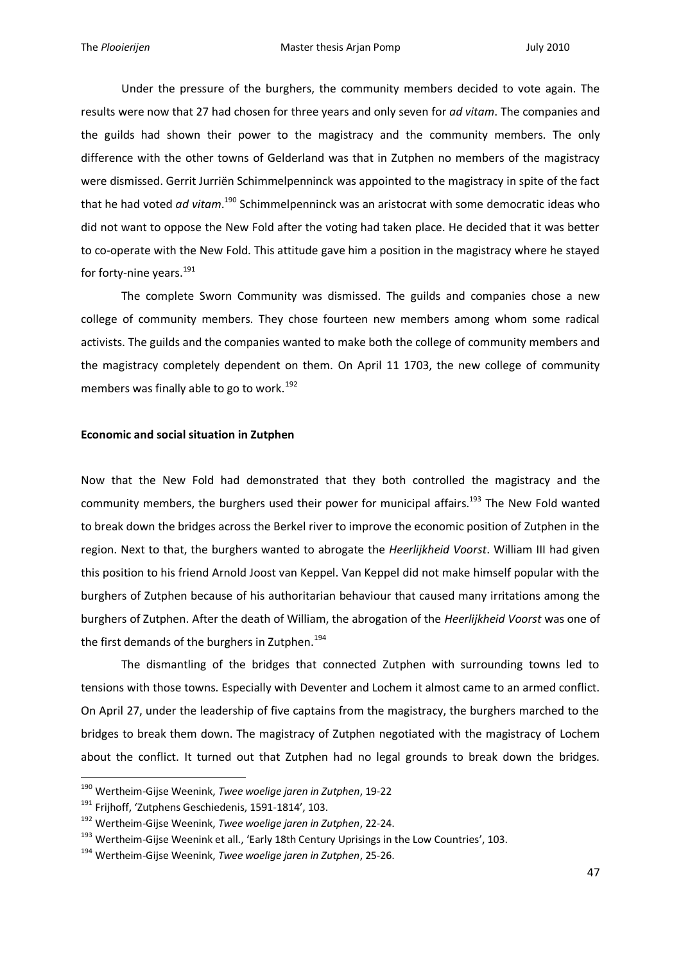Under the pressure of the burghers, the community members decided to vote again. The results were now that 27 had chosen for three years and only seven for *ad vitam*. The companies and the guilds had shown their power to the magistracy and the community members. The only difference with the other towns of Gelderland was that in Zutphen no members of the magistracy were dismissed. Gerrit Jurriën Schimmelpenninck was appointed to the magistracy in spite of the fact that he had voted *ad vitam*. <sup>190</sup> Schimmelpenninck was an aristocrat with some democratic ideas who did not want to oppose the New Fold after the voting had taken place. He decided that it was better to co-operate with the New Fold. This attitude gave him a position in the magistracy where he stayed for forty-nine years. $191$ 

The complete Sworn Community was dismissed. The guilds and companies chose a new college of community members. They chose fourteen new members among whom some radical activists. The guilds and the companies wanted to make both the college of community members and the magistracy completely dependent on them. On April 11 1703, the new college of community members was finally able to go to work.<sup>192</sup>

## **Economic and social situation in Zutphen**

Now that the New Fold had demonstrated that they both controlled the magistracy and the community members, the burghers used their power for municipal affairs.<sup>193</sup> The New Fold wanted to break down the bridges across the Berkel river to improve the economic position of Zutphen in the region. Next to that, the burghers wanted to abrogate the *Heerlijkheid Voorst*. William III had given this position to his friend Arnold Joost van Keppel. Van Keppel did not make himself popular with the burghers of Zutphen because of his authoritarian behaviour that caused many irritations among the burghers of Zutphen. After the death of William, the abrogation of the *Heerlijkheid Voorst* was one of the first demands of the burghers in Zutphen.<sup>194</sup>

The dismantling of the bridges that connected Zutphen with surrounding towns led to tensions with those towns. Especially with Deventer and Lochem it almost came to an armed conflict. On April 27, under the leadership of five captains from the magistracy, the burghers marched to the bridges to break them down. The magistracy of Zutphen negotiated with the magistracy of Lochem about the conflict. It turned out that Zutphen had no legal grounds to break down the bridges.

<sup>190</sup> Wertheim-Gijse Weenink, *Twee woelige jaren in Zutphen*, 19-22

<sup>&</sup>lt;sup>191</sup> Frijhoff, 'Zutphens Geschiedenis, 1591-1814', 103.

<sup>192</sup> Wertheim-Gijse Weenink, *Twee woelige jaren in Zutphen*, 22-24.

<sup>&</sup>lt;sup>193</sup> Wertheim-Gijse Weenink et all., 'Early 18th Century Uprisings in the Low Countries', 103.

<sup>194</sup> Wertheim-Gijse Weenink, *Twee woelige jaren in Zutphen*, 25-26.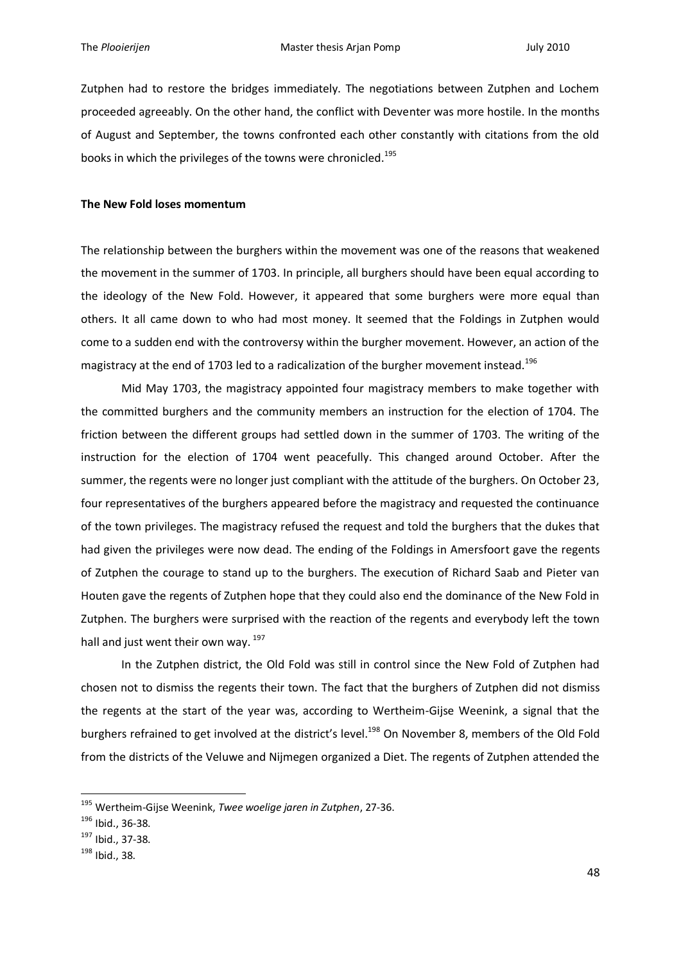Zutphen had to restore the bridges immediately. The negotiations between Zutphen and Lochem proceeded agreeably. On the other hand, the conflict with Deventer was more hostile. In the months of August and September, the towns confronted each other constantly with citations from the old books in which the privileges of the towns were chronicled.<sup>195</sup>

#### **The New Fold loses momentum**

The relationship between the burghers within the movement was one of the reasons that weakened the movement in the summer of 1703. In principle, all burghers should have been equal according to the ideology of the New Fold. However, it appeared that some burghers were more equal than others. It all came down to who had most money. It seemed that the Foldings in Zutphen would come to a sudden end with the controversy within the burgher movement. However, an action of the magistracy at the end of 1703 led to a radicalization of the burgher movement instead.<sup>196</sup>

Mid May 1703, the magistracy appointed four magistracy members to make together with the committed burghers and the community members an instruction for the election of 1704. The friction between the different groups had settled down in the summer of 1703. The writing of the instruction for the election of 1704 went peacefully. This changed around October. After the summer, the regents were no longer just compliant with the attitude of the burghers. On October 23, four representatives of the burghers appeared before the magistracy and requested the continuance of the town privileges. The magistracy refused the request and told the burghers that the dukes that had given the privileges were now dead. The ending of the Foldings in Amersfoort gave the regents of Zutphen the courage to stand up to the burghers. The execution of Richard Saab and Pieter van Houten gave the regents of Zutphen hope that they could also end the dominance of the New Fold in Zutphen. The burghers were surprised with the reaction of the regents and everybody left the town hall and just went their own way. <sup>197</sup>

In the Zutphen district, the Old Fold was still in control since the New Fold of Zutphen had chosen not to dismiss the regents their town. The fact that the burghers of Zutphen did not dismiss the regents at the start of the year was, according to Wertheim-Gijse Weenink, a signal that the burghers refrained to get involved at the district's level.<sup>198</sup> On November 8, members of the Old Fold from the districts of the Veluwe and Nijmegen organized a Diet. The regents of Zutphen attended the

<sup>195</sup> Wertheim-Gijse Weenink, *Twee woelige jaren in Zutphen*, 27-36.

<sup>196</sup> Ibid., 36-38.

<sup>197</sup> Ibid., 37-38.

<sup>198</sup> Ibid., 38.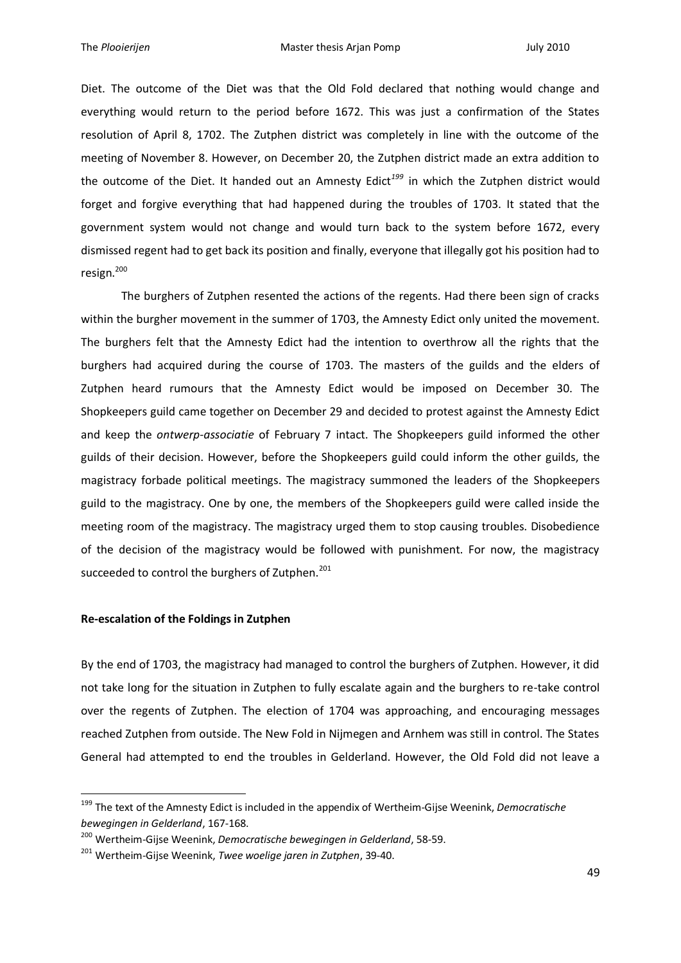Diet. The outcome of the Diet was that the Old Fold declared that nothing would change and everything would return to the period before 1672. This was just a confirmation of the States resolution of April 8, 1702. The Zutphen district was completely in line with the outcome of the meeting of November 8. However, on December 20, the Zutphen district made an extra addition to the outcome of the Diet. It handed out an Amnesty Edict*<sup>199</sup>* in which the Zutphen district would forget and forgive everything that had happened during the troubles of 1703. It stated that the government system would not change and would turn back to the system before 1672, every dismissed regent had to get back its position and finally, everyone that illegally got his position had to resign.<sup>200</sup>

The burghers of Zutphen resented the actions of the regents. Had there been sign of cracks within the burgher movement in the summer of 1703, the Amnesty Edict only united the movement. The burghers felt that the Amnesty Edict had the intention to overthrow all the rights that the burghers had acquired during the course of 1703. The masters of the guilds and the elders of Zutphen heard rumours that the Amnesty Edict would be imposed on December 30. The Shopkeepers guild came together on December 29 and decided to protest against the Amnesty Edict and keep the *ontwerp-associatie* of February 7 intact. The Shopkeepers guild informed the other guilds of their decision. However, before the Shopkeepers guild could inform the other guilds, the magistracy forbade political meetings. The magistracy summoned the leaders of the Shopkeepers guild to the magistracy. One by one, the members of the Shopkeepers guild were called inside the meeting room of the magistracy. The magistracy urged them to stop causing troubles. Disobedience of the decision of the magistracy would be followed with punishment. For now, the magistracy succeeded to control the burghers of Zutphen.<sup>201</sup>

# **Re-escalation of the Foldings in Zutphen**

1

By the end of 1703, the magistracy had managed to control the burghers of Zutphen. However, it did not take long for the situation in Zutphen to fully escalate again and the burghers to re-take control over the regents of Zutphen. The election of 1704 was approaching, and encouraging messages reached Zutphen from outside. The New Fold in Nijmegen and Arnhem was still in control. The States General had attempted to end the troubles in Gelderland. However, the Old Fold did not leave a

<sup>199</sup> The text of the Amnesty Edict is included in the appendix of Wertheim-Gijse Weenink, *Democratische bewegingen in Gelderland*, 167-168.

<sup>200</sup> Wertheim-Gijse Weenink, *Democratische bewegingen in Gelderland*, 58-59.

<sup>201</sup> Wertheim-Gijse Weenink, *Twee woelige jaren in Zutphen*, 39-40.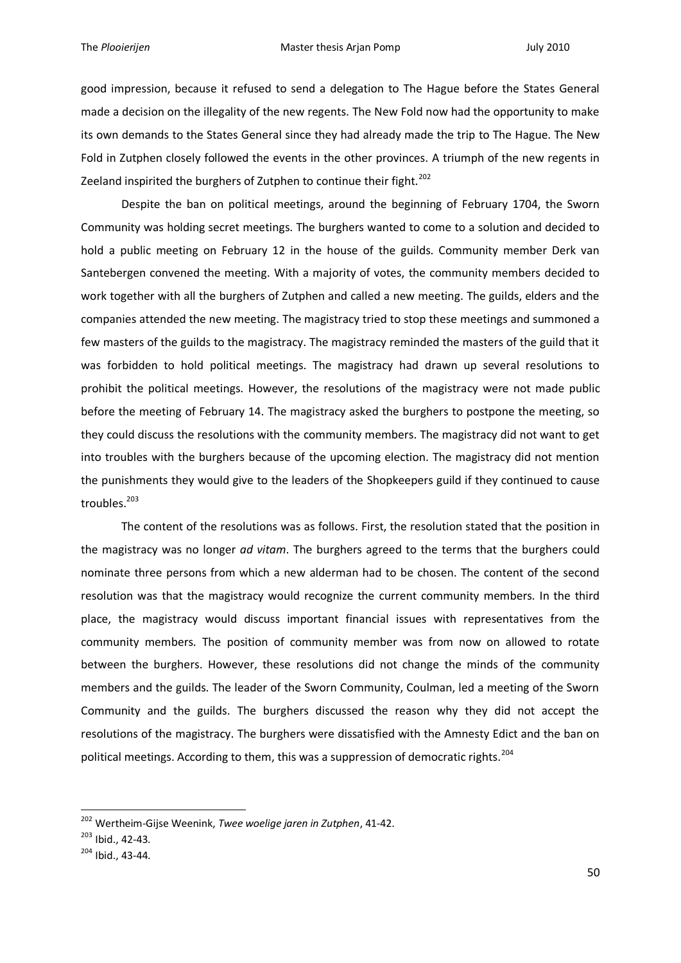good impression, because it refused to send a delegation to The Hague before the States General made a decision on the illegality of the new regents. The New Fold now had the opportunity to make its own demands to the States General since they had already made the trip to The Hague. The New Fold in Zutphen closely followed the events in the other provinces. A triumph of the new regents in Zeeland inspirited the burghers of Zutphen to continue their fight.<sup>202</sup>

Despite the ban on political meetings, around the beginning of February 1704, the Sworn Community was holding secret meetings. The burghers wanted to come to a solution and decided to hold a public meeting on February 12 in the house of the guilds. Community member Derk van Santebergen convened the meeting. With a majority of votes, the community members decided to work together with all the burghers of Zutphen and called a new meeting. The guilds, elders and the companies attended the new meeting. The magistracy tried to stop these meetings and summoned a few masters of the guilds to the magistracy. The magistracy reminded the masters of the guild that it was forbidden to hold political meetings. The magistracy had drawn up several resolutions to prohibit the political meetings. However, the resolutions of the magistracy were not made public before the meeting of February 14. The magistracy asked the burghers to postpone the meeting, so they could discuss the resolutions with the community members. The magistracy did not want to get into troubles with the burghers because of the upcoming election. The magistracy did not mention the punishments they would give to the leaders of the Shopkeepers guild if they continued to cause troubles.<sup>203</sup>

The content of the resolutions was as follows. First, the resolution stated that the position in the magistracy was no longer *ad vitam*. The burghers agreed to the terms that the burghers could nominate three persons from which a new alderman had to be chosen. The content of the second resolution was that the magistracy would recognize the current community members. In the third place, the magistracy would discuss important financial issues with representatives from the community members. The position of community member was from now on allowed to rotate between the burghers. However, these resolutions did not change the minds of the community members and the guilds. The leader of the Sworn Community, Coulman, led a meeting of the Sworn Community and the guilds. The burghers discussed the reason why they did not accept the resolutions of the magistracy. The burghers were dissatisfied with the Amnesty Edict and the ban on political meetings. According to them, this was a suppression of democratic rights.<sup>204</sup>

<sup>202</sup> Wertheim-Gijse Weenink, *Twee woelige jaren in Zutphen*, 41-42.

<sup>203</sup> Ibid., 42-43.

<sup>204</sup> Ibid., 43-44.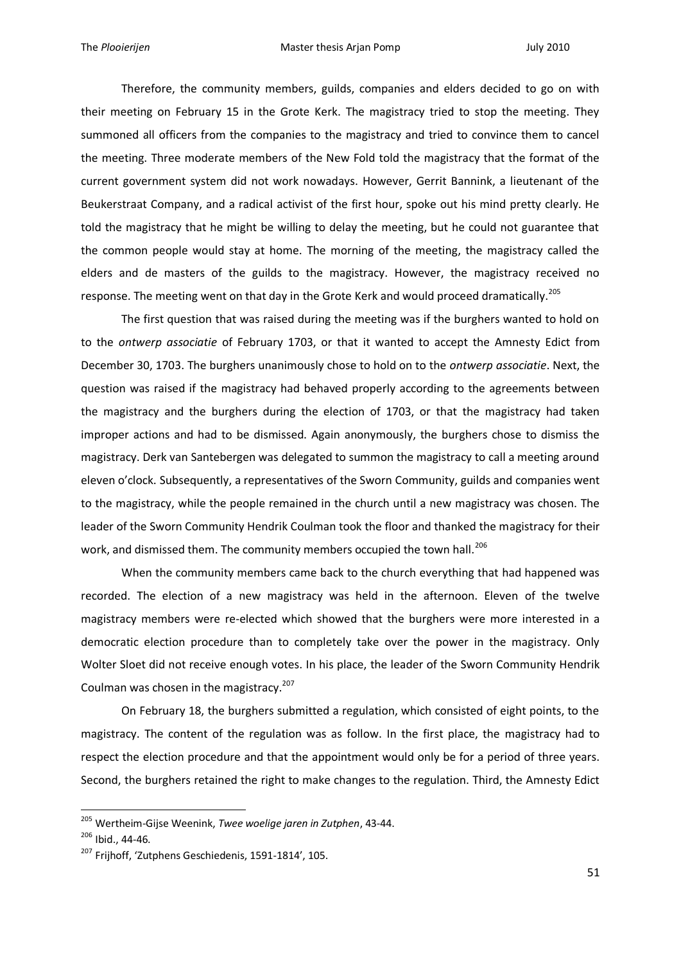Therefore, the community members, guilds, companies and elders decided to go on with their meeting on February 15 in the Grote Kerk. The magistracy tried to stop the meeting. They summoned all officers from the companies to the magistracy and tried to convince them to cancel the meeting. Three moderate members of the New Fold told the magistracy that the format of the current government system did not work nowadays. However, Gerrit Bannink, a lieutenant of the Beukerstraat Company, and a radical activist of the first hour, spoke out his mind pretty clearly. He told the magistracy that he might be willing to delay the meeting, but he could not guarantee that the common people would stay at home. The morning of the meeting, the magistracy called the elders and de masters of the guilds to the magistracy. However, the magistracy received no response. The meeting went on that day in the Grote Kerk and would proceed dramatically.<sup>205</sup>

The first question that was raised during the meeting was if the burghers wanted to hold on to the *ontwerp associatie* of February 1703, or that it wanted to accept the Amnesty Edict from December 30, 1703. The burghers unanimously chose to hold on to the *ontwerp associatie*. Next, the question was raised if the magistracy had behaved properly according to the agreements between the magistracy and the burghers during the election of 1703, or that the magistracy had taken improper actions and had to be dismissed. Again anonymously, the burghers chose to dismiss the magistracy. Derk van Santebergen was delegated to summon the magistracy to call a meeting around eleven o'clock. Subsequently, a representatives of the Sworn Community, guilds and companies went to the magistracy, while the people remained in the church until a new magistracy was chosen. The leader of the Sworn Community Hendrik Coulman took the floor and thanked the magistracy for their work, and dismissed them. The community members occupied the town hall.<sup>206</sup>

When the community members came back to the church everything that had happened was recorded. The election of a new magistracy was held in the afternoon. Eleven of the twelve magistracy members were re-elected which showed that the burghers were more interested in a democratic election procedure than to completely take over the power in the magistracy. Only Wolter Sloet did not receive enough votes. In his place, the leader of the Sworn Community Hendrik Coulman was chosen in the magistracy.<sup>207</sup>

On February 18, the burghers submitted a regulation, which consisted of eight points, to the magistracy. The content of the regulation was as follow. In the first place, the magistracy had to respect the election procedure and that the appointment would only be for a period of three years. Second, the burghers retained the right to make changes to the regulation. Third, the Amnesty Edict

<sup>205</sup> Wertheim-Gijse Weenink, *Twee woelige jaren in Zutphen*, 43-44.

<sup>206</sup> Ibid., 44-46.

<sup>&</sup>lt;sup>207</sup> Friihoff, 'Zutphens Geschiedenis, 1591-1814', 105.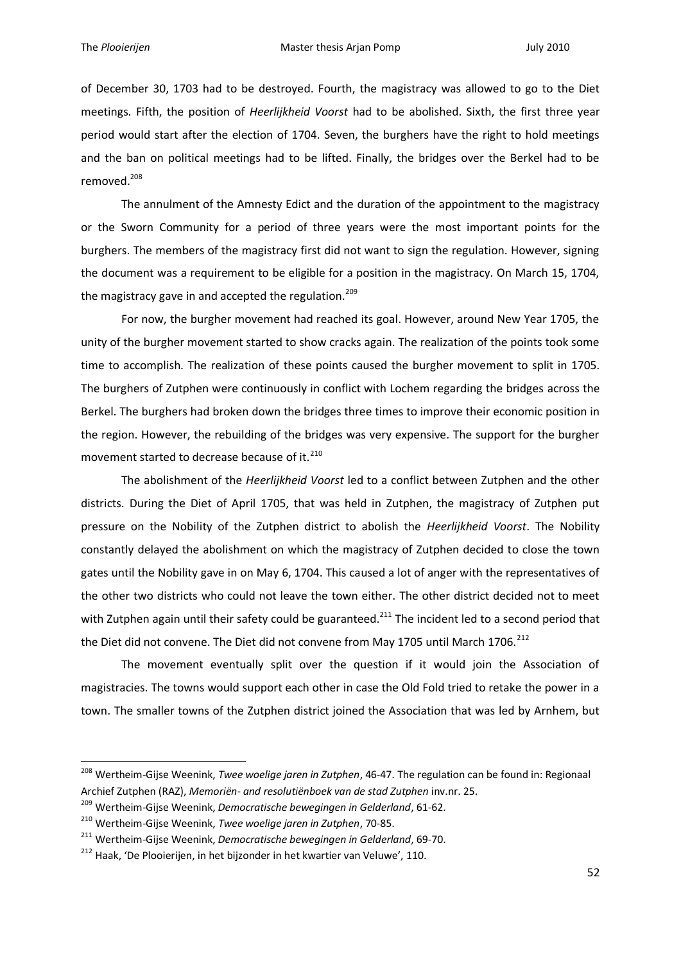of December 30, 1703 had to be destroyed. Fourth, the magistracy was allowed to go to the Diet meetings. Fifth, the position of *Heerlijkheid Voorst* had to be abolished. Sixth, the first three year period would start after the election of 1704. Seven, the burghers have the right to hold meetings and the ban on political meetings had to be lifted. Finally, the bridges over the Berkel had to be removed.<sup>208</sup>

The annulment of the Amnesty Edict and the duration of the appointment to the magistracy or the Sworn Community for a period of three years were the most important points for the burghers. The members of the magistracy first did not want to sign the regulation. However, signing the document was a requirement to be eligible for a position in the magistracy. On March 15, 1704, the magistracy gave in and accepted the regulation.<sup>209</sup>

For now, the burgher movement had reached its goal. However, around New Year 1705, the unity of the burgher movement started to show cracks again. The realization of the points took some time to accomplish. The realization of these points caused the burgher movement to split in 1705. The burghers of Zutphen were continuously in conflict with Lochem regarding the bridges across the Berkel. The burghers had broken down the bridges three times to improve their economic position in the region. However, the rebuilding of the bridges was very expensive. The support for the burgher movement started to decrease because of it.<sup>210</sup>

The abolishment of the *Heerlijkheid Voorst* led to a conflict between Zutphen and the other districts. During the Diet of April 1705, that was held in Zutphen, the magistracy of Zutphen put pressure on the Nobility of the Zutphen district to abolish the *Heerlijkheid Voorst*. The Nobility constantly delayed the abolishment on which the magistracy of Zutphen decided to close the town gates until the Nobility gave in on May 6, 1704. This caused a lot of anger with the representatives of the other two districts who could not leave the town either. The other district decided not to meet with Zutphen again until their safety could be guaranteed.<sup>211</sup> The incident led to a second period that the Diet did not convene. The Diet did not convene from May 1705 until March 1706.<sup>212</sup>

The movement eventually split over the question if it would join the Association of magistracies. The towns would support each other in case the Old Fold tried to retake the power in a town. The smaller towns of the Zutphen district joined the Association that was led by Arnhem, but

<sup>208</sup> Wertheim-Gijse Weenink, *Twee woelige jaren in Zutphen*, 46-47. The regulation can be found in: Regionaal Archief Zutphen (RAZ), *Memoriën- and resolutiënboek van de stad Zutphen* inv.nr. 25.

<sup>209</sup> Wertheim-Gijse Weenink, *Democratische bewegingen in Gelderland*, 61-62.

<sup>210</sup> Wertheim-Gijse Weenink, *Twee woelige jaren in Zutphen*, 70-85.

<sup>211</sup> Wertheim-Gijse Weenink, *Democratische bewegingen in Gelderland*, 69-70.

<sup>&</sup>lt;sup>212</sup> Haak, 'De Plooierijen, in het bijzonder in het kwartier van Veluwe', 110.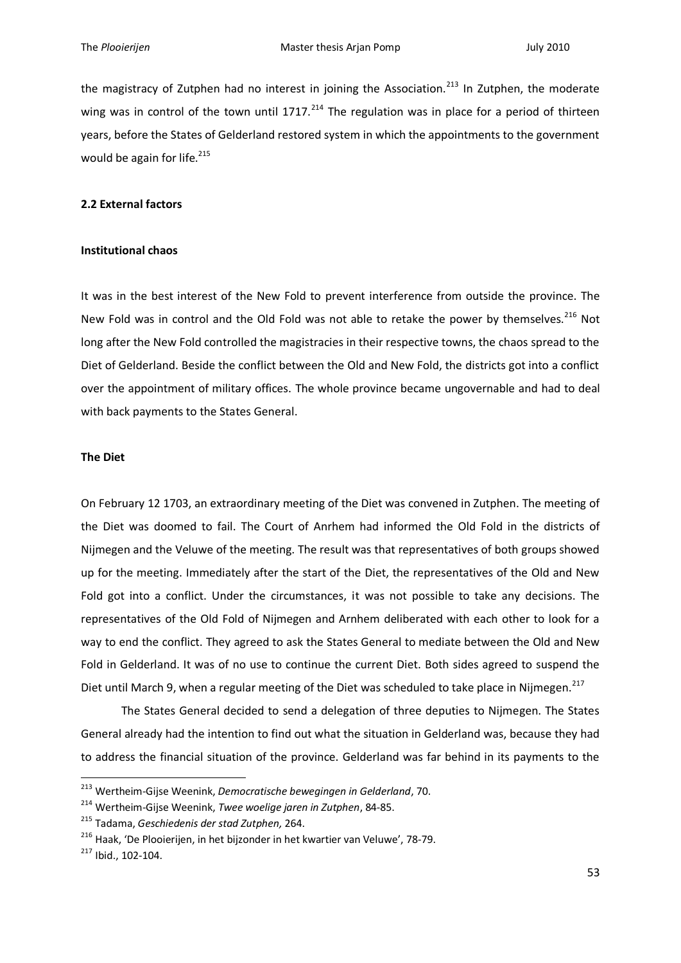the magistracy of Zutphen had no interest in joining the Association.<sup>213</sup> In Zutphen, the moderate wing was in control of the town until  $1717<sup>214</sup>$  The regulation was in place for a period of thirteen years, before the States of Gelderland restored system in which the appointments to the government would be again for life. $215$ 

### **2.2 External factors**

### **Institutional chaos**

It was in the best interest of the New Fold to prevent interference from outside the province. The New Fold was in control and the Old Fold was not able to retake the power by themselves. $^{216}$  Not long after the New Fold controlled the magistracies in their respective towns, the chaos spread to the Diet of Gelderland. Beside the conflict between the Old and New Fold, the districts got into a conflict over the appointment of military offices. The whole province became ungovernable and had to deal with back payments to the States General.

## **The Diet**

On February 12 1703, an extraordinary meeting of the Diet was convened in Zutphen. The meeting of the Diet was doomed to fail. The Court of Anrhem had informed the Old Fold in the districts of Nijmegen and the Veluwe of the meeting. The result was that representatives of both groups showed up for the meeting. Immediately after the start of the Diet, the representatives of the Old and New Fold got into a conflict. Under the circumstances, it was not possible to take any decisions. The representatives of the Old Fold of Nijmegen and Arnhem deliberated with each other to look for a way to end the conflict. They agreed to ask the States General to mediate between the Old and New Fold in Gelderland. It was of no use to continue the current Diet. Both sides agreed to suspend the Diet until March 9, when a regular meeting of the Diet was scheduled to take place in Nijmegen.<sup>217</sup>

The States General decided to send a delegation of three deputies to Nijmegen. The States General already had the intention to find out what the situation in Gelderland was, because they had to address the financial situation of the province. Gelderland was far behind in its payments to the

<sup>213</sup> Wertheim-Gijse Weenink, *Democratische bewegingen in Gelderland*, 70.

<sup>214</sup> Wertheim-Gijse Weenink, *Twee woelige jaren in Zutphen*, 84-85.

<sup>215</sup> Tadama, *Geschiedenis der stad Zutphen,* 264.

<sup>&</sup>lt;sup>216</sup> Haak, 'De Plooierijen, in het bijzonder in het kwartier van Veluwe', 78-79.

<sup>217</sup> Ibid., 102-104.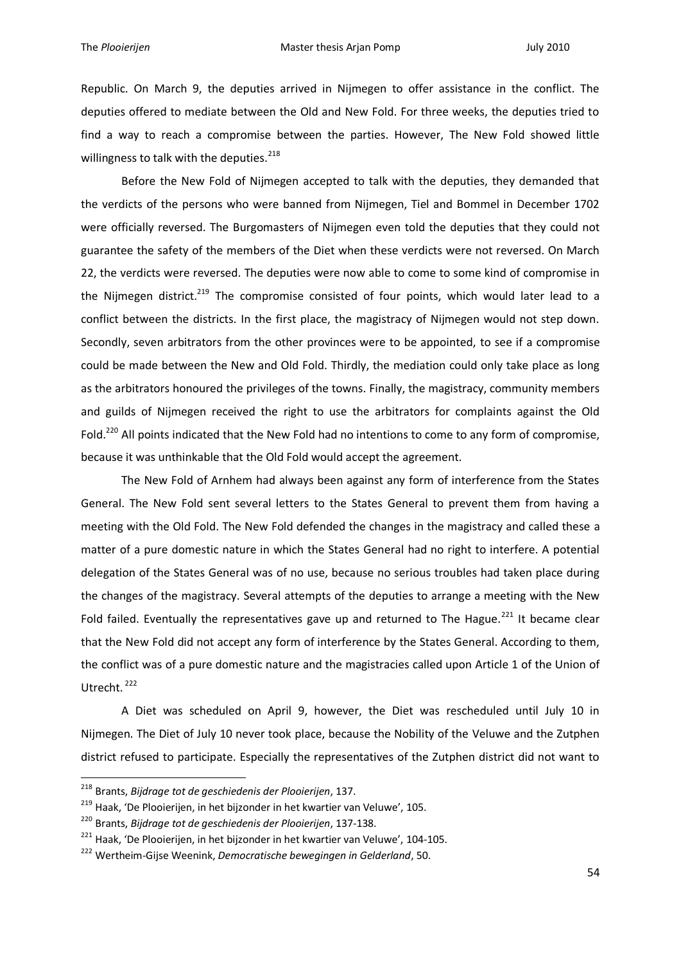Republic. On March 9, the deputies arrived in Nijmegen to offer assistance in the conflict. The deputies offered to mediate between the Old and New Fold. For three weeks, the deputies tried to find a way to reach a compromise between the parties. However, The New Fold showed little willingness to talk with the deputies.<sup>218</sup>

Before the New Fold of Nijmegen accepted to talk with the deputies, they demanded that the verdicts of the persons who were banned from Nijmegen, Tiel and Bommel in December 1702 were officially reversed. The Burgomasters of Nijmegen even told the deputies that they could not guarantee the safety of the members of the Diet when these verdicts were not reversed. On March 22, the verdicts were reversed. The deputies were now able to come to some kind of compromise in the Nijmegen district.<sup>219</sup> The compromise consisted of four points, which would later lead to a conflict between the districts. In the first place, the magistracy of Nijmegen would not step down. Secondly, seven arbitrators from the other provinces were to be appointed, to see if a compromise could be made between the New and Old Fold. Thirdly, the mediation could only take place as long as the arbitrators honoured the privileges of the towns. Finally, the magistracy, community members and guilds of Nijmegen received the right to use the arbitrators for complaints against the Old Fold.<sup>220</sup> All points indicated that the New Fold had no intentions to come to any form of compromise, because it was unthinkable that the Old Fold would accept the agreement.

The New Fold of Arnhem had always been against any form of interference from the States General. The New Fold sent several letters to the States General to prevent them from having a meeting with the Old Fold. The New Fold defended the changes in the magistracy and called these a matter of a pure domestic nature in which the States General had no right to interfere. A potential delegation of the States General was of no use, because no serious troubles had taken place during the changes of the magistracy. Several attempts of the deputies to arrange a meeting with the New Fold failed. Eventually the representatives gave up and returned to The Hague.<sup>221</sup> It became clear that the New Fold did not accept any form of interference by the States General. According to them, the conflict was of a pure domestic nature and the magistracies called upon Article 1 of the Union of Utrecht.<sup>222</sup>

A Diet was scheduled on April 9, however, the Diet was rescheduled until July 10 in Nijmegen. The Diet of July 10 never took place, because the Nobility of the Veluwe and the Zutphen district refused to participate. Especially the representatives of the Zutphen district did not want to

<sup>218</sup> Brants, *Bijdrage tot de geschiedenis der Plooierijen*, 137.

<sup>&</sup>lt;sup>219</sup> Haak, 'De Plooierijen, in het bijzonder in het kwartier van Veluwe', 105.

<sup>220</sup> Brants, *Bijdrage tot de geschiedenis der Plooierijen*, 137-138.

<sup>&</sup>lt;sup>221</sup> Haak, 'De Plooierijen, in het bijzonder in het kwartier van Veluwe', 104-105.

<sup>222</sup> Wertheim-Gijse Weenink, *Democratische bewegingen in Gelderland*, 50.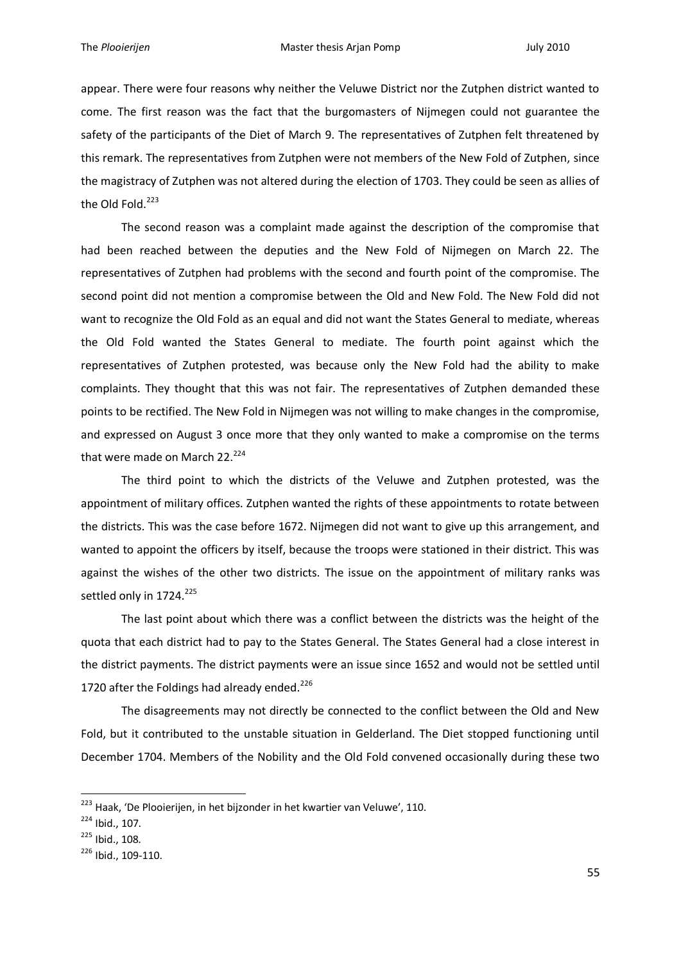appear. There were four reasons why neither the Veluwe District nor the Zutphen district wanted to come. The first reason was the fact that the burgomasters of Nijmegen could not guarantee the safety of the participants of the Diet of March 9. The representatives of Zutphen felt threatened by this remark. The representatives from Zutphen were not members of the New Fold of Zutphen, since the magistracy of Zutphen was not altered during the election of 1703. They could be seen as allies of the Old Fold.<sup>223</sup>

The second reason was a complaint made against the description of the compromise that had been reached between the deputies and the New Fold of Nijmegen on March 22. The representatives of Zutphen had problems with the second and fourth point of the compromise. The second point did not mention a compromise between the Old and New Fold. The New Fold did not want to recognize the Old Fold as an equal and did not want the States General to mediate, whereas the Old Fold wanted the States General to mediate. The fourth point against which the representatives of Zutphen protested, was because only the New Fold had the ability to make complaints. They thought that this was not fair. The representatives of Zutphen demanded these points to be rectified. The New Fold in Nijmegen was not willing to make changes in the compromise, and expressed on August 3 once more that they only wanted to make a compromise on the terms that were made on March 22. $224$ 

The third point to which the districts of the Veluwe and Zutphen protested, was the appointment of military offices. Zutphen wanted the rights of these appointments to rotate between the districts. This was the case before 1672. Nijmegen did not want to give up this arrangement, and wanted to appoint the officers by itself, because the troops were stationed in their district. This was against the wishes of the other two districts. The issue on the appointment of military ranks was settled only in 1724.<sup>225</sup>

The last point about which there was a conflict between the districts was the height of the quota that each district had to pay to the States General. The States General had a close interest in the district payments. The district payments were an issue since 1652 and would not be settled until 1720 after the Foldings had already ended. $^{226}$ 

The disagreements may not directly be connected to the conflict between the Old and New Fold, but it contributed to the unstable situation in Gelderland. The Diet stopped functioning until December 1704. Members of the Nobility and the Old Fold convened occasionally during these two

<sup>&</sup>lt;sup>223</sup> Haak, 'De Plooierijen, in het bijzonder in het kwartier van Veluwe', 110.

<sup>224</sup> Ibid., 107.

<sup>225</sup> Ibid., 108.

<sup>226</sup> Ibid., 109-110.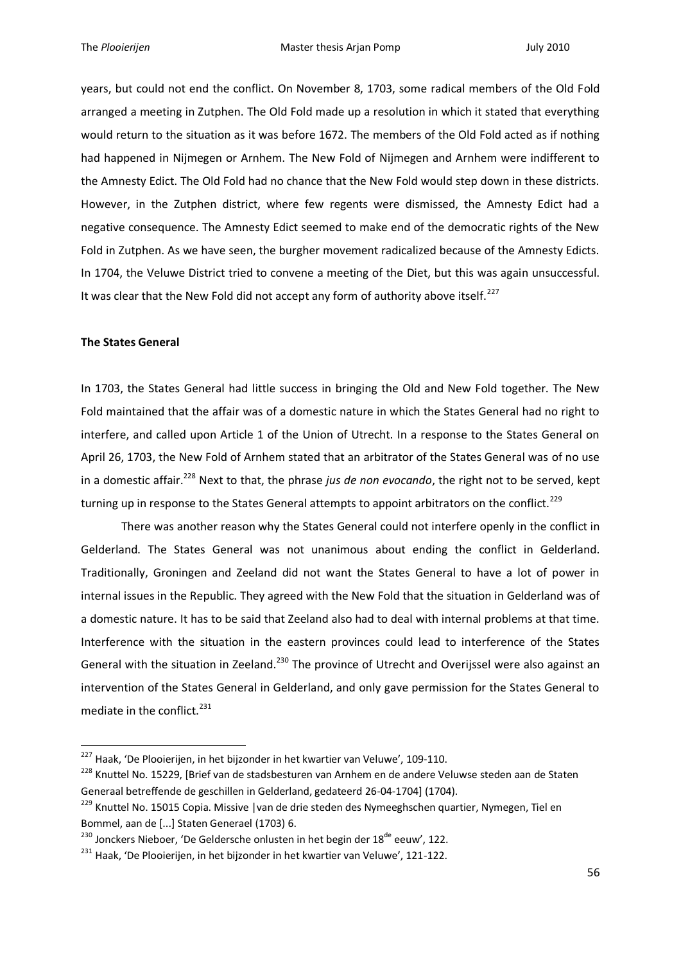years, but could not end the conflict. On November 8, 1703, some radical members of the Old Fold arranged a meeting in Zutphen. The Old Fold made up a resolution in which it stated that everything would return to the situation as it was before 1672. The members of the Old Fold acted as if nothing had happened in Nijmegen or Arnhem. The New Fold of Nijmegen and Arnhem were indifferent to the Amnesty Edict. The Old Fold had no chance that the New Fold would step down in these districts. However, in the Zutphen district, where few regents were dismissed, the Amnesty Edict had a negative consequence. The Amnesty Edict seemed to make end of the democratic rights of the New Fold in Zutphen. As we have seen, the burgher movement radicalized because of the Amnesty Edicts. In 1704, the Veluwe District tried to convene a meeting of the Diet, but this was again unsuccessful. It was clear that the New Fold did not accept any form of authority above itself.<sup>227</sup>

## **The States General**

1

In 1703, the States General had little success in bringing the Old and New Fold together. The New Fold maintained that the affair was of a domestic nature in which the States General had no right to interfere, and called upon Article 1 of the Union of Utrecht. In a response to the States General on April 26, 1703, the New Fold of Arnhem stated that an arbitrator of the States General was of no use in a domestic affair.<sup>228</sup> Next to that, the phrase *jus de non evocando*, the right not to be served, kept turning up in response to the States General attempts to appoint arbitrators on the conflict.<sup>229</sup>

There was another reason why the States General could not interfere openly in the conflict in Gelderland. The States General was not unanimous about ending the conflict in Gelderland. Traditionally, Groningen and Zeeland did not want the States General to have a lot of power in internal issues in the Republic. They agreed with the New Fold that the situation in Gelderland was of a domestic nature. It has to be said that Zeeland also had to deal with internal problems at that time. Interference with the situation in the eastern provinces could lead to interference of the States General with the situation in Zeeland.<sup>230</sup> The province of Utrecht and Overijssel were also against an intervention of the States General in Gelderland, and only gave permission for the States General to mediate in the conflict.<sup>231</sup>

 $^{227}$  Haak, 'De Plooierijen, in het bijzonder in het kwartier van Veluwe', 109-110.

<sup>&</sup>lt;sup>228</sup> Knuttel No. 15229, [Brief van de stadsbesturen van Arnhem en de andere Veluwse steden aan de Staten Generaal betreffende de geschillen in Gelderland, gedateerd 26-04-1704] (1704).

<sup>&</sup>lt;sup>229</sup> Knuttel No. 15015 Copia. Missive | van de drie steden des Nymeeghschen quartier, Nymegen, Tiel en Bommel, aan de [...] Staten Generael (1703) 6.

<sup>&</sup>lt;sup>230</sup> Jonckers Nieboer, 'De Geldersche onlusten in het begin der 18<sup>de</sup> eeuw', 122.

<sup>&</sup>lt;sup>231</sup> Haak, 'De Plooierijen, in het bijzonder in het kwartier van Veluwe', 121-122.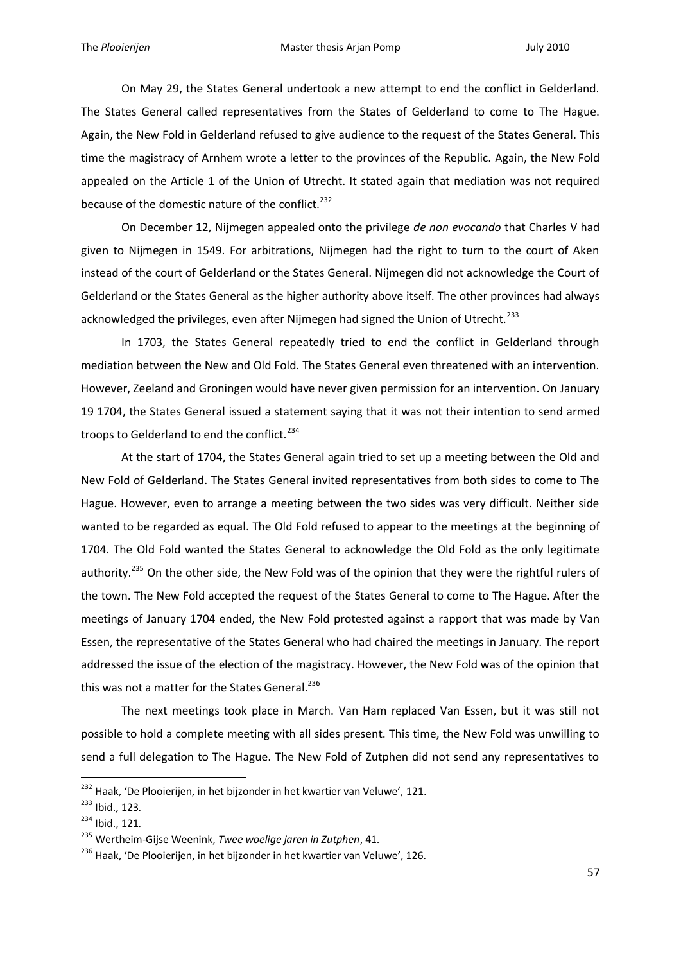On May 29, the States General undertook a new attempt to end the conflict in Gelderland. The States General called representatives from the States of Gelderland to come to The Hague. Again, the New Fold in Gelderland refused to give audience to the request of the States General. This time the magistracy of Arnhem wrote a letter to the provinces of the Republic. Again, the New Fold appealed on the Article 1 of the Union of Utrecht. It stated again that mediation was not required because of the domestic nature of the conflict.<sup>232</sup>

On December 12, Nijmegen appealed onto the privilege *de non evocando* that Charles V had given to Nijmegen in 1549. For arbitrations, Nijmegen had the right to turn to the court of Aken instead of the court of Gelderland or the States General. Nijmegen did not acknowledge the Court of Gelderland or the States General as the higher authority above itself. The other provinces had always acknowledged the privileges, even after Nijmegen had signed the Union of Utrecht.<sup>233</sup>

In 1703, the States General repeatedly tried to end the conflict in Gelderland through mediation between the New and Old Fold. The States General even threatened with an intervention. However, Zeeland and Groningen would have never given permission for an intervention. On January 19 1704, the States General issued a statement saying that it was not their intention to send armed troops to Gelderland to end the conflict.<sup>234</sup>

At the start of 1704, the States General again tried to set up a meeting between the Old and New Fold of Gelderland. The States General invited representatives from both sides to come to The Hague. However, even to arrange a meeting between the two sides was very difficult. Neither side wanted to be regarded as equal. The Old Fold refused to appear to the meetings at the beginning of 1704. The Old Fold wanted the States General to acknowledge the Old Fold as the only legitimate authority.<sup>235</sup> On the other side, the New Fold was of the opinion that they were the rightful rulers of the town. The New Fold accepted the request of the States General to come to The Hague. After the meetings of January 1704 ended, the New Fold protested against a rapport that was made by Van Essen, the representative of the States General who had chaired the meetings in January. The report addressed the issue of the election of the magistracy. However, the New Fold was of the opinion that this was not a matter for the States General.<sup>236</sup>

The next meetings took place in March. Van Ham replaced Van Essen, but it was still not possible to hold a complete meeting with all sides present. This time, the New Fold was unwilling to send a full delegation to The Hague. The New Fold of Zutphen did not send any representatives to

<sup>&</sup>lt;sup>232</sup> Haak, 'De Plooierijen, in het bijzonder in het kwartier van Veluwe', 121.

<sup>233</sup> Ibid., 123.

<sup>234</sup> Ibid., 121.

<sup>235</sup> Wertheim-Gijse Weenink, *Twee woelige jaren in Zutphen*, 41.

<sup>&</sup>lt;sup>236</sup> Haak, 'De Plooierijen, in het bijzonder in het kwartier van Veluwe', 126.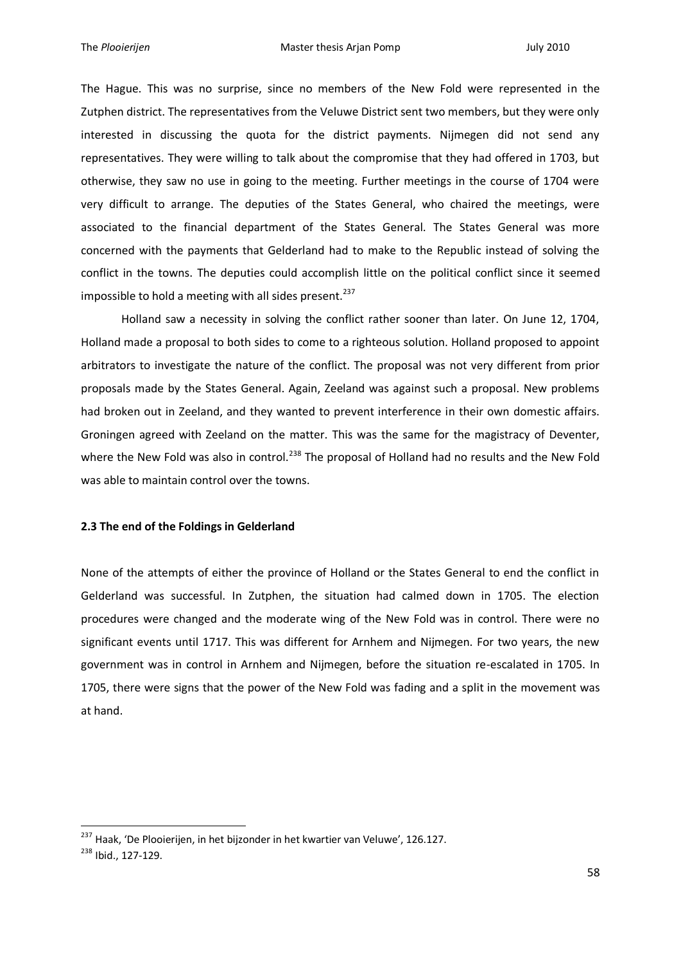The Hague. This was no surprise, since no members of the New Fold were represented in the Zutphen district. The representatives from the Veluwe District sent two members, but they were only interested in discussing the quota for the district payments. Nijmegen did not send any representatives. They were willing to talk about the compromise that they had offered in 1703, but otherwise, they saw no use in going to the meeting. Further meetings in the course of 1704 were very difficult to arrange. The deputies of the States General, who chaired the meetings, were associated to the financial department of the States General. The States General was more concerned with the payments that Gelderland had to make to the Republic instead of solving the conflict in the towns. The deputies could accomplish little on the political conflict since it seemed impossible to hold a meeting with all sides present.<sup>237</sup>

Holland saw a necessity in solving the conflict rather sooner than later. On June 12, 1704, Holland made a proposal to both sides to come to a righteous solution. Holland proposed to appoint arbitrators to investigate the nature of the conflict. The proposal was not very different from prior proposals made by the States General. Again, Zeeland was against such a proposal. New problems had broken out in Zeeland, and they wanted to prevent interference in their own domestic affairs. Groningen agreed with Zeeland on the matter. This was the same for the magistracy of Deventer, where the New Fold was also in control.<sup>238</sup> The proposal of Holland had no results and the New Fold was able to maintain control over the towns.

# **2.3 The end of the Foldings in Gelderland**

None of the attempts of either the province of Holland or the States General to end the conflict in Gelderland was successful. In Zutphen, the situation had calmed down in 1705. The election procedures were changed and the moderate wing of the New Fold was in control. There were no significant events until 1717. This was different for Arnhem and Nijmegen. For two years, the new government was in control in Arnhem and Nijmegen, before the situation re-escalated in 1705. In 1705, there were signs that the power of the New Fold was fading and a split in the movement was at hand.

<sup>&</sup>lt;sup>237</sup> Haak, 'De Plooierijen, in het bijzonder in het kwartier van Veluwe', 126.127.

<sup>238</sup> Ibid., 127-129.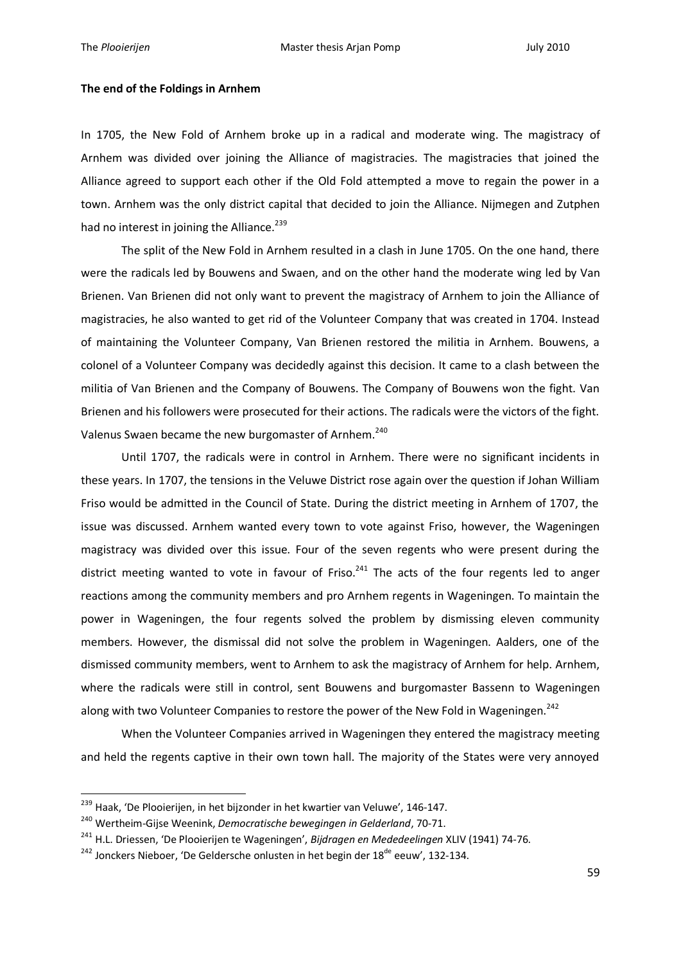1

#### **The end of the Foldings in Arnhem**

In 1705, the New Fold of Arnhem broke up in a radical and moderate wing. The magistracy of Arnhem was divided over joining the Alliance of magistracies. The magistracies that joined the Alliance agreed to support each other if the Old Fold attempted a move to regain the power in a town. Arnhem was the only district capital that decided to join the Alliance. Nijmegen and Zutphen had no interest in joining the Alliance.<sup>239</sup>

The split of the New Fold in Arnhem resulted in a clash in June 1705. On the one hand, there were the radicals led by Bouwens and Swaen, and on the other hand the moderate wing led by Van Brienen. Van Brienen did not only want to prevent the magistracy of Arnhem to join the Alliance of magistracies, he also wanted to get rid of the Volunteer Company that was created in 1704. Instead of maintaining the Volunteer Company, Van Brienen restored the militia in Arnhem. Bouwens, a colonel of a Volunteer Company was decidedly against this decision. It came to a clash between the militia of Van Brienen and the Company of Bouwens. The Company of Bouwens won the fight. Van Brienen and his followers were prosecuted for their actions. The radicals were the victors of the fight. Valenus Swaen became the new burgomaster of Arnhem.<sup>240</sup>

Until 1707, the radicals were in control in Arnhem. There were no significant incidents in these years. In 1707, the tensions in the Veluwe District rose again over the question if Johan William Friso would be admitted in the Council of State. During the district meeting in Arnhem of 1707, the issue was discussed. Arnhem wanted every town to vote against Friso, however, the Wageningen magistracy was divided over this issue. Four of the seven regents who were present during the district meeting wanted to vote in favour of Friso.<sup>241</sup> The acts of the four regents led to anger reactions among the community members and pro Arnhem regents in Wageningen. To maintain the power in Wageningen, the four regents solved the problem by dismissing eleven community members. However, the dismissal did not solve the problem in Wageningen. Aalders, one of the dismissed community members, went to Arnhem to ask the magistracy of Arnhem for help. Arnhem, where the radicals were still in control, sent Bouwens and burgomaster Bassenn to Wageningen along with two Volunteer Companies to restore the power of the New Fold in Wageningen.<sup>242</sup>

When the Volunteer Companies arrived in Wageningen they entered the magistracy meeting and held the regents captive in their own town hall. The majority of the States were very annoyed

<sup>&</sup>lt;sup>239</sup> Haak, 'De Plooierijen, in het bijzonder in het kwartier van Veluwe', 146-147.

<sup>240</sup> Wertheim-Gijse Weenink, *Democratische bewegingen in Gelderland*, 70-71.

<sup>241</sup> H.L. Driessen, 'De Plooierijen te Wageningen', *Bijdragen en Mededeelingen* XLIV (1941) 74-76.

 $242$  Jonckers Nieboer, 'De Geldersche onlusten in het begin der 18<sup>de</sup> eeuw', 132-134.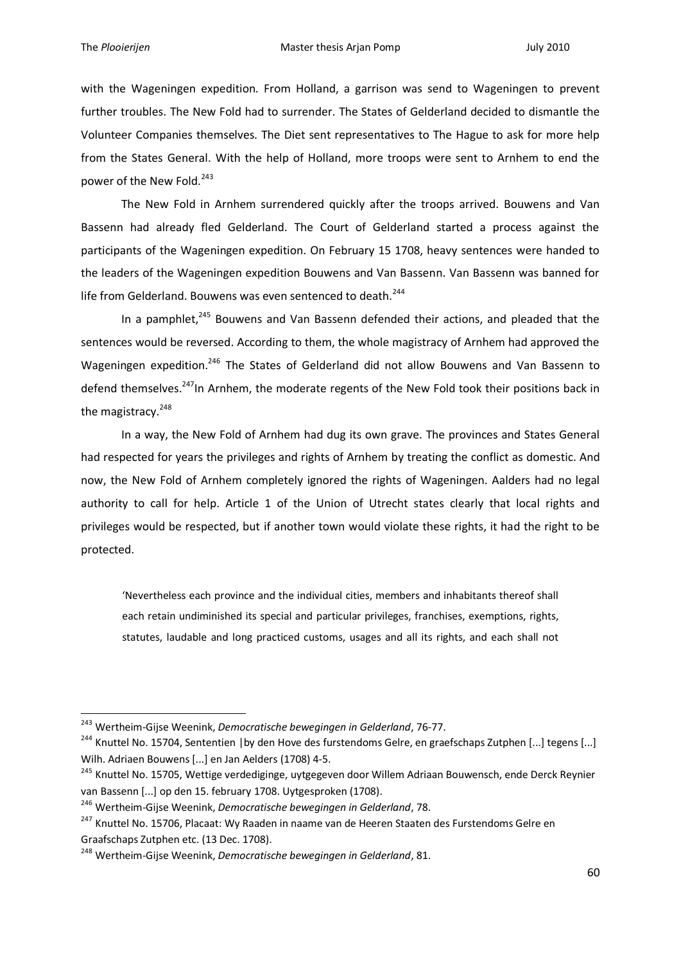1

with the Wageningen expedition. From Holland, a garrison was send to Wageningen to prevent further troubles. The New Fold had to surrender. The States of Gelderland decided to dismantle the Volunteer Companies themselves. The Diet sent representatives to The Hague to ask for more help from the States General. With the help of Holland, more troops were sent to Arnhem to end the power of the New Fold.<sup>243</sup>

The New Fold in Arnhem surrendered quickly after the troops arrived. Bouwens and Van Bassenn had already fled Gelderland. The Court of Gelderland started a process against the participants of the Wageningen expedition. On February 15 1708, heavy sentences were handed to the leaders of the Wageningen expedition Bouwens and Van Bassenn. Van Bassenn was banned for life from Gelderland. Bouwens was even sentenced to death.<sup>244</sup>

In a pamphlet,<sup>245</sup> Bouwens and Van Bassenn defended their actions, and pleaded that the sentences would be reversed. According to them, the whole magistracy of Arnhem had approved the Wageningen expedition.<sup>246</sup> The States of Gelderland did not allow Bouwens and Van Bassenn to defend themselves.<sup>247</sup>In Arnhem, the moderate regents of the New Fold took their positions back in the magistracy.<sup>248</sup>

In a way, the New Fold of Arnhem had dug its own grave. The provinces and States General had respected for years the privileges and rights of Arnhem by treating the conflict as domestic. And now, the New Fold of Arnhem completely ignored the rights of Wageningen. Aalders had no legal authority to call for help. Article 1 of the Union of Utrecht states clearly that local rights and privileges would be respected, but if another town would violate these rights, it had the right to be protected.

'Nevertheless each province and the individual cities, members and inhabitants thereof shall each retain undiminished its special and particular privileges, franchises, exemptions, rights, statutes, laudable and long practiced customs, usages and all its rights, and each shall not

<sup>243</sup> Wertheim-Gijse Weenink, *Democratische bewegingen in Gelderland*, 76-77.

<sup>&</sup>lt;sup>244</sup> Knuttel No. 15704, Sententien | by den Hove des furstendoms Gelre, en graefschaps Zutphen [...] tegens [...] Wilh. Adriaen Bouwens [...] en Jan Aelders (1708) 4-5.

<sup>&</sup>lt;sup>245</sup> Knuttel No. 15705, Wettige verdediginge, uytgegeven door Willem Adriaan Bouwensch, ende Derck Reynier van Bassenn [...] op den 15. february 1708. Uytgesproken (1708).

<sup>246</sup> Wertheim-Gijse Weenink, *Democratische bewegingen in Gelderland*, 78.

<sup>&</sup>lt;sup>247</sup> Knuttel No. 15706, Placaat: Wy Raaden in naame van de Heeren Staaten des Furstendoms Gelre en Graafschaps Zutphen etc. (13 Dec. 1708).

<sup>248</sup> Wertheim-Gijse Weenink, *Democratische bewegingen in Gelderland*, 81.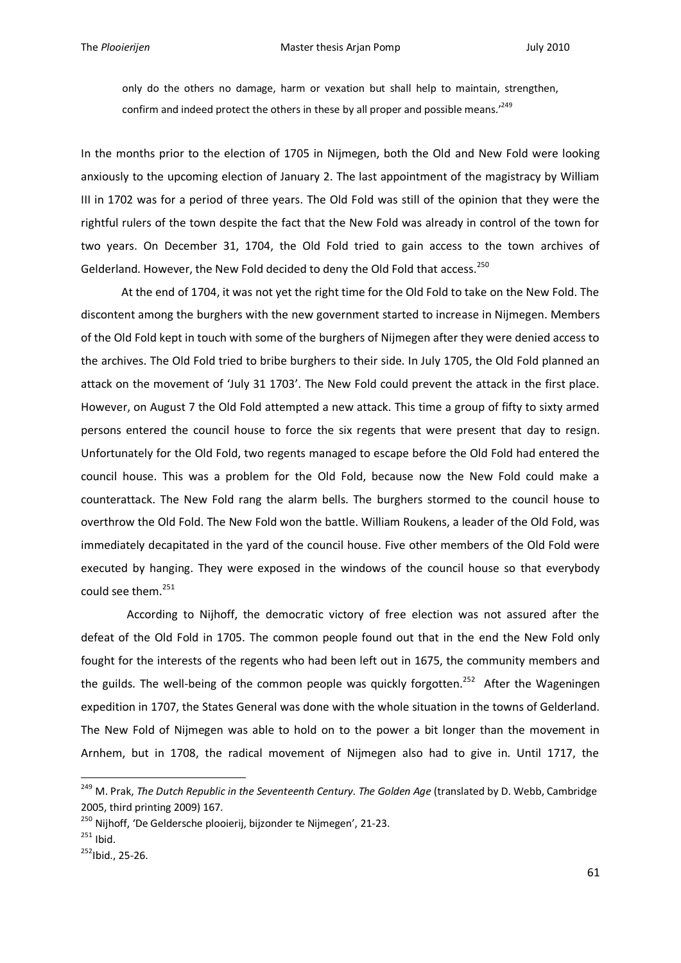only do the others no damage, harm or vexation but shall help to maintain, strengthen, confirm and indeed protect the others in these by all proper and possible means.<sup>'249</sup>

In the months prior to the election of 1705 in Nijmegen, both the Old and New Fold were looking anxiously to the upcoming election of January 2. The last appointment of the magistracy by William III in 1702 was for a period of three years. The Old Fold was still of the opinion that they were the rightful rulers of the town despite the fact that the New Fold was already in control of the town for two years. On December 31, 1704, the Old Fold tried to gain access to the town archives of Gelderland. However, the New Fold decided to deny the Old Fold that access.<sup>250</sup>

At the end of 1704, it was not yet the right time for the Old Fold to take on the New Fold. The discontent among the burghers with the new government started to increase in Nijmegen. Members of the Old Fold kept in touch with some of the burghers of Nijmegen after they were denied access to the archives. The Old Fold tried to bribe burghers to their side. In July 1705, the Old Fold planned an attack on the movement of 'July 31 1703'. The New Fold could prevent the attack in the first place. However, on August 7 the Old Fold attempted a new attack. This time a group of fifty to sixty armed persons entered the council house to force the six regents that were present that day to resign. Unfortunately for the Old Fold, two regents managed to escape before the Old Fold had entered the council house. This was a problem for the Old Fold, because now the New Fold could make a counterattack. The New Fold rang the alarm bells. The burghers stormed to the council house to overthrow the Old Fold. The New Fold won the battle. William Roukens, a leader of the Old Fold, was immediately decapitated in the yard of the council house. Five other members of the Old Fold were executed by hanging. They were exposed in the windows of the council house so that everybody could see them.<sup>251</sup>

 According to Nijhoff, the democratic victory of free election was not assured after the defeat of the Old Fold in 1705. The common people found out that in the end the New Fold only fought for the interests of the regents who had been left out in 1675, the community members and the guilds. The well-being of the common people was quickly forgotten.<sup>252</sup> After the Wageningen expedition in 1707, the States General was done with the whole situation in the towns of Gelderland. The New Fold of Nijmegen was able to hold on to the power a bit longer than the movement in Arnhem, but in 1708, the radical movement of Nijmegen also had to give in. Until 1717, the

<sup>249</sup> M. Prak, *The Dutch Republic in the Seventeenth Century*. *The Golden Age* (translated by D. Webb, Cambridge 2005, third printing 2009) 167.

<sup>&</sup>lt;sup>250</sup> Nijhoff, 'De Geldersche plooierij, bijzonder te Nijmegen', 21-23.

 $251$  Ibid.

 $252$ Ibid., 25-26.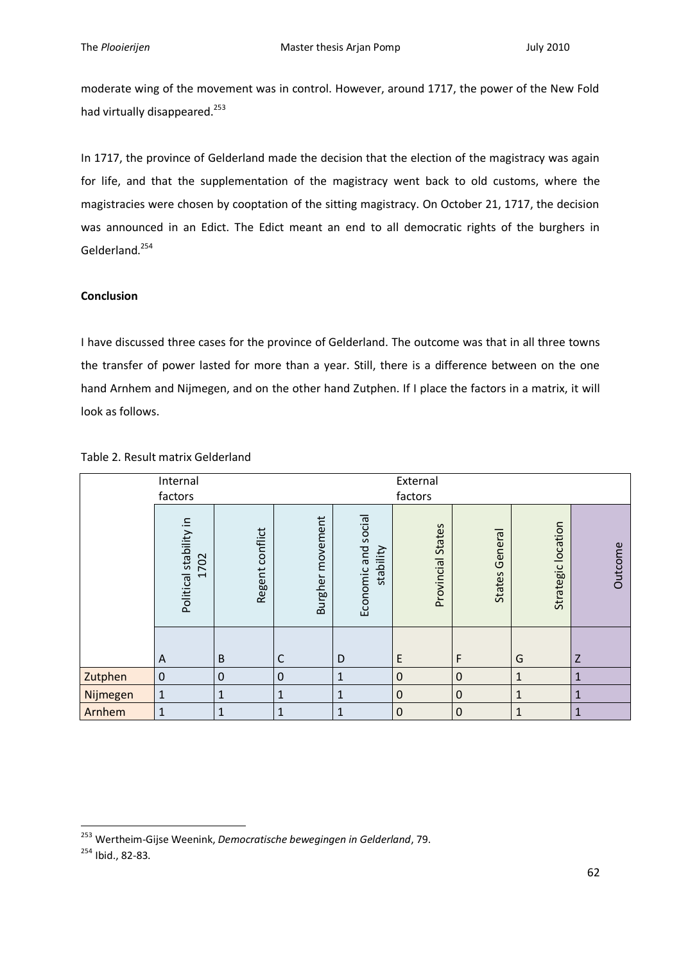moderate wing of the movement was in control. However, around 1717, the power of the New Fold had virtually disappeared.<sup>253</sup>

In 1717, the province of Gelderland made the decision that the election of the magistracy was again for life, and that the supplementation of the magistracy went back to old customs, where the magistracies were chosen by cooptation of the sitting magistracy. On October 21, 1717, the decision was announced in an Edict. The Edict meant an end to all democratic rights of the burghers in Gelderland.<sup>254</sup>

# **Conclusion**

I have discussed three cases for the province of Gelderland. The outcome was that in all three towns the transfer of power lasted for more than a year. Still, there is a difference between on the one hand Arnhem and Nijmegen, and on the other hand Zutphen. If I place the factors in a matrix, it will look as follows.

|          | Internal<br>factors            |                  |                            |                                  | External<br>factors  |                   |                    |              |
|----------|--------------------------------|------------------|----------------------------|----------------------------------|----------------------|-------------------|--------------------|--------------|
|          | Political stability in<br>1702 | Regent conflict  | movement<br><b>Burgher</b> | Economic and social<br>stability | States<br>Provincial | General<br>States | Strategic location | Outcome      |
|          | A                              | $\sf B$          | C                          | D                                | E                    | F                 | G                  | Z            |
| Zutphen  | $\boldsymbol{0}$               | $\boldsymbol{0}$ | $\mathbf 0$                | $\mathbf{1}$                     | $\mathbf 0$          | $\mathbf 0$       | $\mathbf{1}$       | $\mathbf{1}$ |
| Nijmegen | $\mathbf{1}$                   | 1                | 1                          | $\mathbf{1}$                     | $\boldsymbol{0}$     | $\mathbf 0$       | $\mathbf{1}$       | $\mathbf 1$  |
| Arnhem   | 1                              | 1                | $\mathbf{1}$               | $\mathbf{1}$                     | $\boldsymbol{0}$     | $\mathbf 0$       | $\mathbf 1$        | $\mathbf 1$  |

# Table 2. Result matrix Gelderland

<sup>253</sup> Wertheim-Gijse Weenink, *Democratische bewegingen in Gelderland*, 79.

<sup>254</sup> Ibid., 82-83.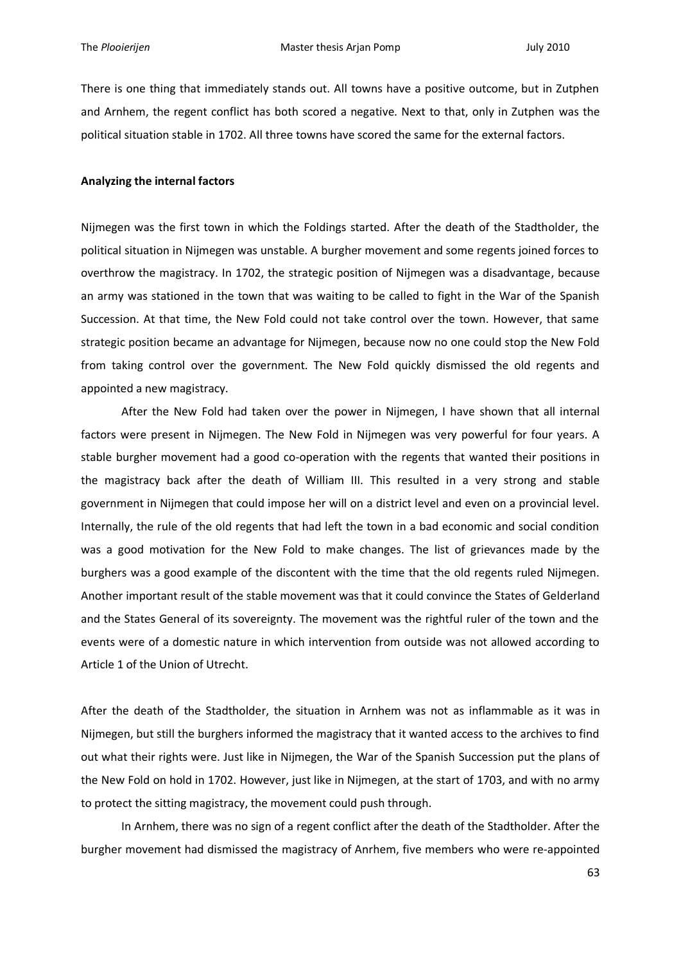There is one thing that immediately stands out. All towns have a positive outcome, but in Zutphen and Arnhem, the regent conflict has both scored a negative. Next to that, only in Zutphen was the political situation stable in 1702. All three towns have scored the same for the external factors.

## **Analyzing the internal factors**

Nijmegen was the first town in which the Foldings started. After the death of the Stadtholder, the political situation in Nijmegen was unstable. A burgher movement and some regents joined forces to overthrow the magistracy. In 1702, the strategic position of Nijmegen was a disadvantage, because an army was stationed in the town that was waiting to be called to fight in the War of the Spanish Succession. At that time, the New Fold could not take control over the town. However, that same strategic position became an advantage for Nijmegen, because now no one could stop the New Fold from taking control over the government. The New Fold quickly dismissed the old regents and appointed a new magistracy.

After the New Fold had taken over the power in Nijmegen, I have shown that all internal factors were present in Nijmegen. The New Fold in Nijmegen was very powerful for four years. A stable burgher movement had a good co-operation with the regents that wanted their positions in the magistracy back after the death of William III. This resulted in a very strong and stable government in Nijmegen that could impose her will on a district level and even on a provincial level. Internally, the rule of the old regents that had left the town in a bad economic and social condition was a good motivation for the New Fold to make changes. The list of grievances made by the burghers was a good example of the discontent with the time that the old regents ruled Nijmegen. Another important result of the stable movement was that it could convince the States of Gelderland and the States General of its sovereignty. The movement was the rightful ruler of the town and the events were of a domestic nature in which intervention from outside was not allowed according to Article 1 of the Union of Utrecht.

After the death of the Stadtholder, the situation in Arnhem was not as inflammable as it was in Nijmegen, but still the burghers informed the magistracy that it wanted access to the archives to find out what their rights were. Just like in Nijmegen, the War of the Spanish Succession put the plans of the New Fold on hold in 1702. However, just like in Nijmegen, at the start of 1703, and with no army to protect the sitting magistracy, the movement could push through.

In Arnhem, there was no sign of a regent conflict after the death of the Stadtholder. After the burgher movement had dismissed the magistracy of Anrhem, five members who were re-appointed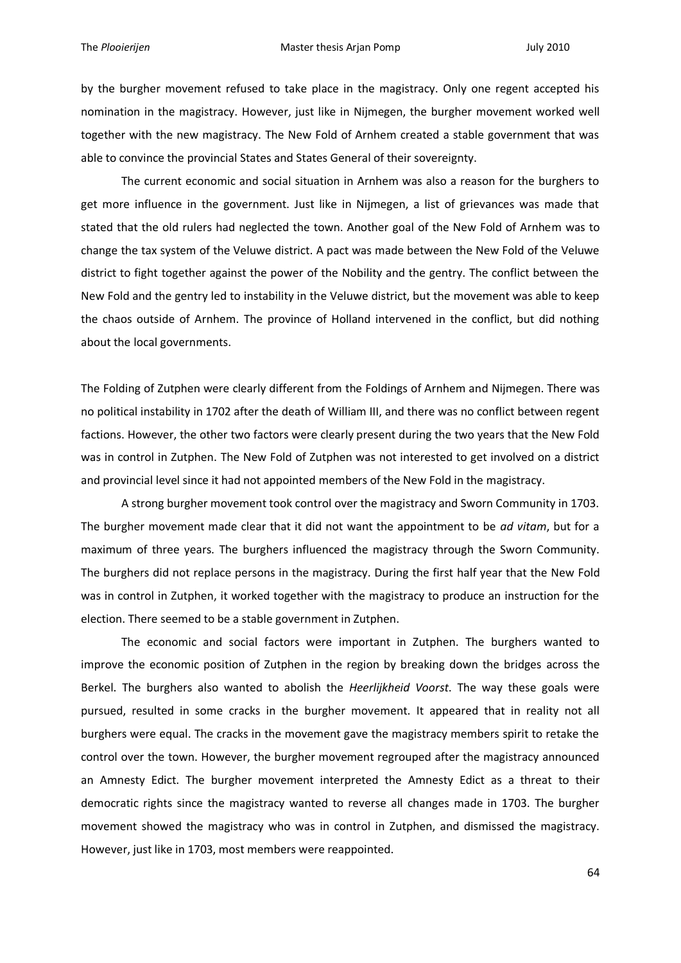by the burgher movement refused to take place in the magistracy. Only one regent accepted his nomination in the magistracy. However, just like in Nijmegen, the burgher movement worked well together with the new magistracy. The New Fold of Arnhem created a stable government that was able to convince the provincial States and States General of their sovereignty.

The current economic and social situation in Arnhem was also a reason for the burghers to get more influence in the government. Just like in Nijmegen, a list of grievances was made that stated that the old rulers had neglected the town. Another goal of the New Fold of Arnhem was to change the tax system of the Veluwe district. A pact was made between the New Fold of the Veluwe district to fight together against the power of the Nobility and the gentry. The conflict between the New Fold and the gentry led to instability in the Veluwe district, but the movement was able to keep the chaos outside of Arnhem. The province of Holland intervened in the conflict, but did nothing about the local governments.

The Folding of Zutphen were clearly different from the Foldings of Arnhem and Nijmegen. There was no political instability in 1702 after the death of William III, and there was no conflict between regent factions. However, the other two factors were clearly present during the two years that the New Fold was in control in Zutphen. The New Fold of Zutphen was not interested to get involved on a district and provincial level since it had not appointed members of the New Fold in the magistracy.

A strong burgher movement took control over the magistracy and Sworn Community in 1703. The burgher movement made clear that it did not want the appointment to be *ad vitam*, but for a maximum of three years. The burghers influenced the magistracy through the Sworn Community. The burghers did not replace persons in the magistracy. During the first half year that the New Fold was in control in Zutphen, it worked together with the magistracy to produce an instruction for the election. There seemed to be a stable government in Zutphen.

The economic and social factors were important in Zutphen. The burghers wanted to improve the economic position of Zutphen in the region by breaking down the bridges across the Berkel. The burghers also wanted to abolish the *Heerlijkheid Voorst*. The way these goals were pursued, resulted in some cracks in the burgher movement. It appeared that in reality not all burghers were equal. The cracks in the movement gave the magistracy members spirit to retake the control over the town. However, the burgher movement regrouped after the magistracy announced an Amnesty Edict. The burgher movement interpreted the Amnesty Edict as a threat to their democratic rights since the magistracy wanted to reverse all changes made in 1703. The burgher movement showed the magistracy who was in control in Zutphen, and dismissed the magistracy. However, just like in 1703, most members were reappointed.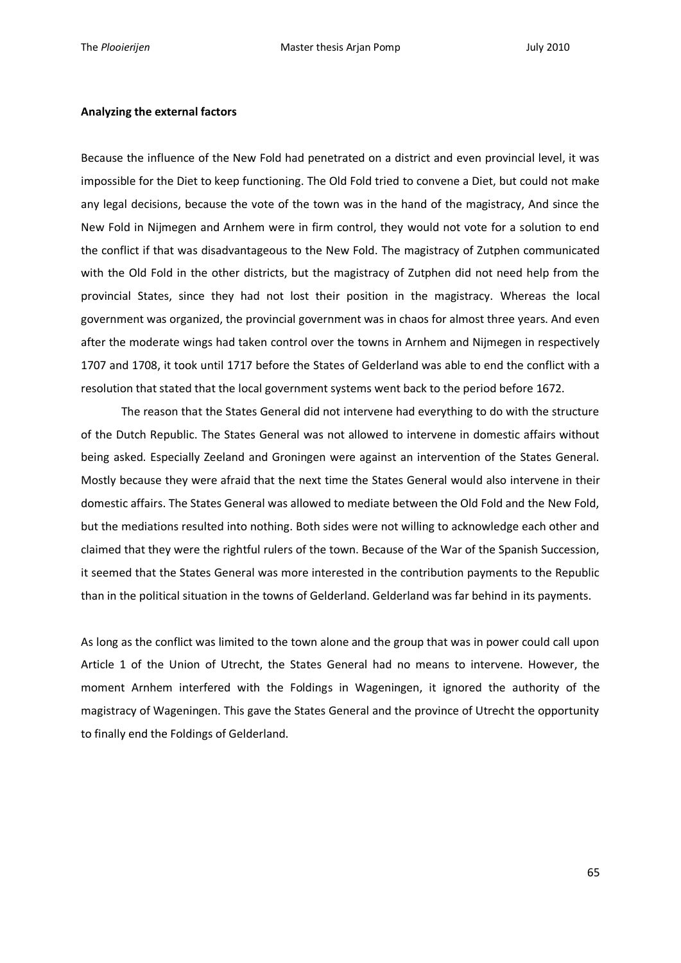#### **Analyzing the external factors**

Because the influence of the New Fold had penetrated on a district and even provincial level, it was impossible for the Diet to keep functioning. The Old Fold tried to convene a Diet, but could not make any legal decisions, because the vote of the town was in the hand of the magistracy, And since the New Fold in Nijmegen and Arnhem were in firm control, they would not vote for a solution to end the conflict if that was disadvantageous to the New Fold. The magistracy of Zutphen communicated with the Old Fold in the other districts, but the magistracy of Zutphen did not need help from the provincial States, since they had not lost their position in the magistracy. Whereas the local government was organized, the provincial government was in chaos for almost three years. And even after the moderate wings had taken control over the towns in Arnhem and Nijmegen in respectively 1707 and 1708, it took until 1717 before the States of Gelderland was able to end the conflict with a resolution that stated that the local government systems went back to the period before 1672.

The reason that the States General did not intervene had everything to do with the structure of the Dutch Republic. The States General was not allowed to intervene in domestic affairs without being asked. Especially Zeeland and Groningen were against an intervention of the States General. Mostly because they were afraid that the next time the States General would also intervene in their domestic affairs. The States General was allowed to mediate between the Old Fold and the New Fold, but the mediations resulted into nothing. Both sides were not willing to acknowledge each other and claimed that they were the rightful rulers of the town. Because of the War of the Spanish Succession, it seemed that the States General was more interested in the contribution payments to the Republic than in the political situation in the towns of Gelderland. Gelderland was far behind in its payments.

As long as the conflict was limited to the town alone and the group that was in power could call upon Article 1 of the Union of Utrecht, the States General had no means to intervene. However, the moment Arnhem interfered with the Foldings in Wageningen, it ignored the authority of the magistracy of Wageningen. This gave the States General and the province of Utrecht the opportunity to finally end the Foldings of Gelderland.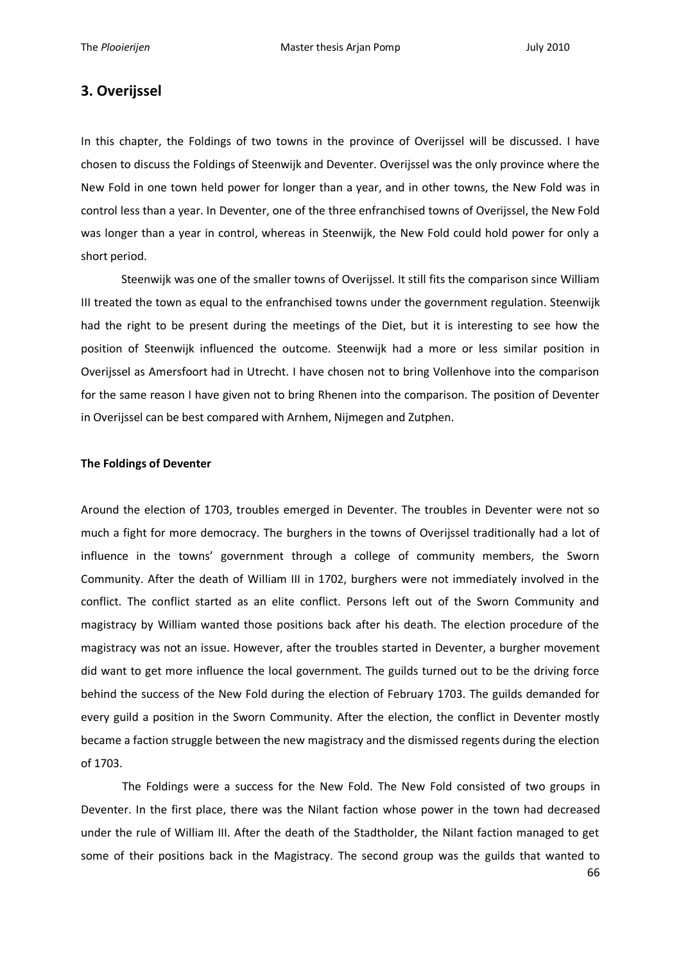# **3. Overijssel**

In this chapter, the Foldings of two towns in the province of Overijssel will be discussed. I have chosen to discuss the Foldings of Steenwijk and Deventer. Overijssel was the only province where the New Fold in one town held power for longer than a year, and in other towns, the New Fold was in control less than a year. In Deventer, one of the three enfranchised towns of Overijssel, the New Fold was longer than a year in control, whereas in Steenwijk, the New Fold could hold power for only a short period.

Steenwijk was one of the smaller towns of Overijssel. It still fits the comparison since William III treated the town as equal to the enfranchised towns under the government regulation. Steenwijk had the right to be present during the meetings of the Diet, but it is interesting to see how the position of Steenwijk influenced the outcome. Steenwijk had a more or less similar position in Overijssel as Amersfoort had in Utrecht. I have chosen not to bring Vollenhove into the comparison for the same reason I have given not to bring Rhenen into the comparison. The position of Deventer in Overijssel can be best compared with Arnhem, Nijmegen and Zutphen.

## **The Foldings of Deventer**

Around the election of 1703, troubles emerged in Deventer. The troubles in Deventer were not so much a fight for more democracy. The burghers in the towns of Overijssel traditionally had a lot of influence in the towns' government through a college of community members, the Sworn Community. After the death of William III in 1702, burghers were not immediately involved in the conflict. The conflict started as an elite conflict. Persons left out of the Sworn Community and magistracy by William wanted those positions back after his death. The election procedure of the magistracy was not an issue. However, after the troubles started in Deventer, a burgher movement did want to get more influence the local government. The guilds turned out to be the driving force behind the success of the New Fold during the election of February 1703. The guilds demanded for every guild a position in the Sworn Community. After the election, the conflict in Deventer mostly became a faction struggle between the new magistracy and the dismissed regents during the election of 1703.

The Foldings were a success for the New Fold. The New Fold consisted of two groups in Deventer. In the first place, there was the Nilant faction whose power in the town had decreased under the rule of William III. After the death of the Stadtholder, the Nilant faction managed to get some of their positions back in the Magistracy. The second group was the guilds that wanted to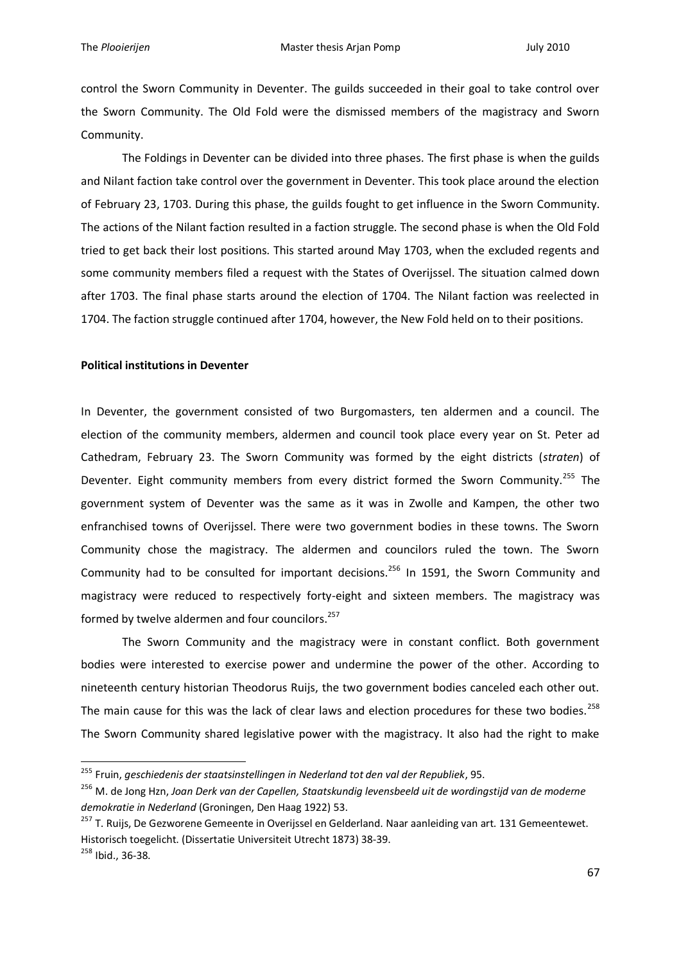control the Sworn Community in Deventer. The guilds succeeded in their goal to take control over the Sworn Community. The Old Fold were the dismissed members of the magistracy and Sworn Community.

The Foldings in Deventer can be divided into three phases. The first phase is when the guilds and Nilant faction take control over the government in Deventer. This took place around the election of February 23, 1703. During this phase, the guilds fought to get influence in the Sworn Community. The actions of the Nilant faction resulted in a faction struggle. The second phase is when the Old Fold tried to get back their lost positions. This started around May 1703, when the excluded regents and some community members filed a request with the States of Overijssel. The situation calmed down after 1703. The final phase starts around the election of 1704. The Nilant faction was reelected in 1704. The faction struggle continued after 1704, however, the New Fold held on to their positions.

### **Political institutions in Deventer**

1

In Deventer, the government consisted of two Burgomasters, ten aldermen and a council. The election of the community members, aldermen and council took place every year on St. Peter ad Cathedram, February 23. The Sworn Community was formed by the eight districts (*straten*) of Deventer. Eight community members from every district formed the Sworn Community.<sup>255</sup> The government system of Deventer was the same as it was in Zwolle and Kampen, the other two enfranchised towns of Overijssel. There were two government bodies in these towns. The Sworn Community chose the magistracy. The aldermen and councilors ruled the town. The Sworn Community had to be consulted for important decisions.<sup>256</sup> In 1591, the Sworn Community and magistracy were reduced to respectively forty-eight and sixteen members. The magistracy was formed by twelve aldermen and four councilors.<sup>257</sup>

The Sworn Community and the magistracy were in constant conflict. Both government bodies were interested to exercise power and undermine the power of the other. According to nineteenth century historian Theodorus Ruijs, the two government bodies canceled each other out. The main cause for this was the lack of clear laws and election procedures for these two bodies.<sup>258</sup> The Sworn Community shared legislative power with the magistracy. It also had the right to make

<sup>255</sup> Fruin, *geschiedenis der staatsinstellingen in Nederland tot den val der Republiek*, 95.

<sup>256</sup> M. de Jong Hzn, *Joan Derk van der Capellen, Staatskundig levensbeeld uit de wordingstijd van de moderne demokratie in Nederland* (Groningen, Den Haag 1922) 53.

<sup>&</sup>lt;sup>257</sup> T. Ruijs, De Gezworene Gemeente in Overijssel en Gelderland. Naar aanleiding van art. 131 Gemeentewet. Historisch toegelicht. (Dissertatie Universiteit Utrecht 1873) 38-39. <sup>258</sup> Ibid., 36-38.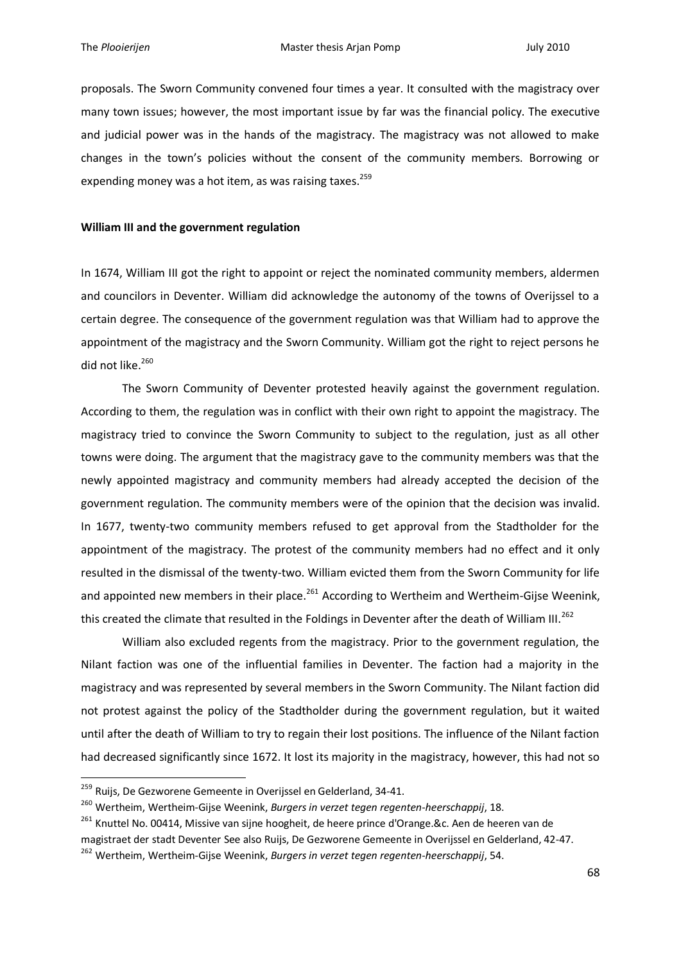proposals. The Sworn Community convened four times a year. It consulted with the magistracy over many town issues; however, the most important issue by far was the financial policy. The executive and judicial power was in the hands of the magistracy. The magistracy was not allowed to make changes in the town's policies without the consent of the community members. Borrowing or expending money was a hot item, as was raising taxes.<sup>259</sup>

#### **William III and the government regulation**

In 1674, William III got the right to appoint or reject the nominated community members, aldermen and councilors in Deventer. William did acknowledge the autonomy of the towns of Overijssel to a certain degree. The consequence of the government regulation was that William had to approve the appointment of the magistracy and the Sworn Community. William got the right to reject persons he did not like.<sup>260</sup>

The Sworn Community of Deventer protested heavily against the government regulation. According to them, the regulation was in conflict with their own right to appoint the magistracy. The magistracy tried to convince the Sworn Community to subject to the regulation, just as all other towns were doing. The argument that the magistracy gave to the community members was that the newly appointed magistracy and community members had already accepted the decision of the government regulation. The community members were of the opinion that the decision was invalid. In 1677, twenty-two community members refused to get approval from the Stadtholder for the appointment of the magistracy. The protest of the community members had no effect and it only resulted in the dismissal of the twenty-two. William evicted them from the Sworn Community for life and appointed new members in their place.<sup>261</sup> According to Wertheim and Wertheim-Gijse Weenink, this created the climate that resulted in the Foldings in Deventer after the death of William III.<sup>262</sup>

William also excluded regents from the magistracy. Prior to the government regulation, the Nilant faction was one of the influential families in Deventer. The faction had a majority in the magistracy and was represented by several members in the Sworn Community. The Nilant faction did not protest against the policy of the Stadtholder during the government regulation, but it waited until after the death of William to try to regain their lost positions. The influence of the Nilant faction had decreased significantly since 1672. It lost its majority in the magistracy, however, this had not so

<sup>&</sup>lt;sup>259</sup> Ruijs, De Gezworene Gemeente in Overijssel en Gelderland, 34-41.

<sup>260</sup> Wertheim, Wertheim-Gijse Weenink, *Burgers in verzet tegen regenten-heerschappij*, 18.

<sup>&</sup>lt;sup>261</sup> Knuttel No. 00414, Missive van sijne hoogheit, de heere prince d'Orange.&c. Aen de heeren van de magistraet der stadt Deventer See also Ruijs, De Gezworene Gemeente in Overijssel en Gelderland, 42-47.

<sup>262</sup> Wertheim, Wertheim-Gijse Weenink, *Burgers in verzet tegen regenten-heerschappij*, 54.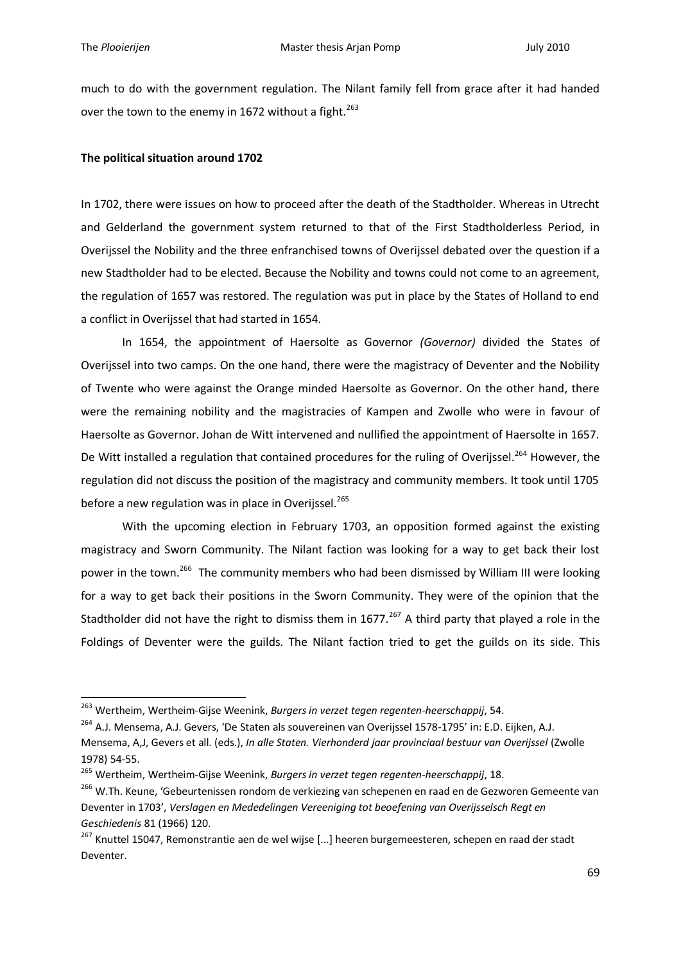1

much to do with the government regulation. The Nilant family fell from grace after it had handed over the town to the enemy in 1672 without a fight.<sup>263</sup>

## **The political situation around 1702**

In 1702, there were issues on how to proceed after the death of the Stadtholder. Whereas in Utrecht and Gelderland the government system returned to that of the First Stadtholderless Period, in Overijssel the Nobility and the three enfranchised towns of Overijssel debated over the question if a new Stadtholder had to be elected. Because the Nobility and towns could not come to an agreement, the regulation of 1657 was restored. The regulation was put in place by the States of Holland to end a conflict in Overijssel that had started in 1654.

In 1654, the appointment of Haersolte as Governor *(Governor)* divided the States of Overijssel into two camps. On the one hand, there were the magistracy of Deventer and the Nobility of Twente who were against the Orange minded Haersolte as Governor. On the other hand, there were the remaining nobility and the magistracies of Kampen and Zwolle who were in favour of Haersolte as Governor. Johan de Witt intervened and nullified the appointment of Haersolte in 1657. De Witt installed a regulation that contained procedures for the ruling of Overijssel.<sup>264</sup> However, the regulation did not discuss the position of the magistracy and community members. It took until 1705 before a new regulation was in place in Overijssel.<sup>265</sup>

With the upcoming election in February 1703, an opposition formed against the existing magistracy and Sworn Community. The Nilant faction was looking for a way to get back their lost power in the town.<sup>266</sup> The community members who had been dismissed by William III were looking for a way to get back their positions in the Sworn Community. They were of the opinion that the Stadtholder did not have the right to dismiss them in 1677.<sup>267</sup> A third party that played a role in the Foldings of Deventer were the guilds. The Nilant faction tried to get the guilds on its side. This

<sup>263</sup> Wertheim, Wertheim-Gijse Weenink, *Burgers in verzet tegen regenten-heerschappij*, 54.

<sup>&</sup>lt;sup>264</sup> A.J. Mensema, A.J. Gevers, 'De Staten als souvereinen van Overijssel 1578-1795' in: E.D. Eijken, A.J.

Mensema, A,J, Gevers et all. (eds.), *In alle Staten. Vierhonderd jaar provinciaal bestuur van Overijssel* (Zwolle 1978) 54-55.

<sup>265</sup> Wertheim, Wertheim-Gijse Weenink, *Burgers in verzet tegen regenten-heerschappij*, 18.

<sup>&</sup>lt;sup>266</sup> W.Th. Keune, 'Gebeurtenissen rondom de verkiezing van schepenen en raad en de Gezworen Gemeente van Deventer in 1703', *Verslagen en Mededelingen Vereeniging tot beoefening van Overijsselsch Regt en Geschiedenis* 81 (1966) 120.

<sup>&</sup>lt;sup>267</sup> Knuttel 15047, Remonstrantie aen de wel wijse [...] heeren burgemeesteren, schepen en raad der stadt Deventer.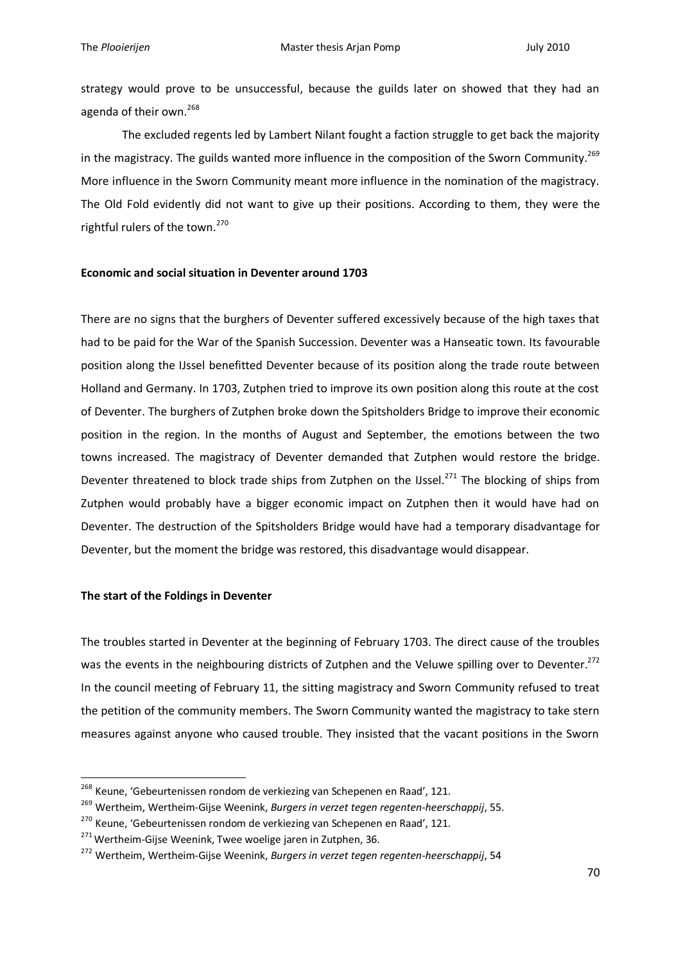strategy would prove to be unsuccessful, because the guilds later on showed that they had an agenda of their own.<sup>268</sup>

The excluded regents led by Lambert Nilant fought a faction struggle to get back the majority in the magistracy. The guilds wanted more influence in the composition of the Sworn Community.<sup>269</sup> More influence in the Sworn Community meant more influence in the nomination of the magistracy. The Old Fold evidently did not want to give up their positions. According to them, they were the rightful rulers of the town.<sup>270</sup>

# **Economic and social situation in Deventer around 1703**

There are no signs that the burghers of Deventer suffered excessively because of the high taxes that had to be paid for the War of the Spanish Succession. Deventer was a Hanseatic town. Its favourable position along the IJssel benefitted Deventer because of its position along the trade route between Holland and Germany. In 1703, Zutphen tried to improve its own position along this route at the cost of Deventer. The burghers of Zutphen broke down the Spitsholders Bridge to improve their economic position in the region. In the months of August and September, the emotions between the two towns increased. The magistracy of Deventer demanded that Zutphen would restore the bridge. Deventer threatened to block trade ships from Zutphen on the IJssel.<sup>271</sup> The blocking of ships from Zutphen would probably have a bigger economic impact on Zutphen then it would have had on Deventer. The destruction of the Spitsholders Bridge would have had a temporary disadvantage for Deventer, but the moment the bridge was restored, this disadvantage would disappear.

# **The start of the Foldings in Deventer**

1

The troubles started in Deventer at the beginning of February 1703. The direct cause of the troubles was the events in the neighbouring districts of Zutphen and the Veluwe spilling over to Deventer.<sup>272</sup> In the council meeting of February 11, the sitting magistracy and Sworn Community refused to treat the petition of the community members. The Sworn Community wanted the magistracy to take stern measures against anyone who caused trouble. They insisted that the vacant positions in the Sworn

<sup>&</sup>lt;sup>268</sup> Keune, 'Gebeurtenissen rondom de verkiezing van Schepenen en Raad', 121.

<sup>269</sup> Wertheim, Wertheim-Gijse Weenink, *Burgers in verzet tegen regenten-heerschappij*, 55.

<sup>&</sup>lt;sup>270</sup> Keune, 'Gebeurtenissen rondom de verkiezing van Schepenen en Raad', 121.

<sup>&</sup>lt;sup>271</sup> Wertheim-Gijse Weenink, Twee woelige jaren in Zutphen, 36.

<sup>272</sup> Wertheim, Wertheim-Gijse Weenink, *Burgers in verzet tegen regenten-heerschappij*, 54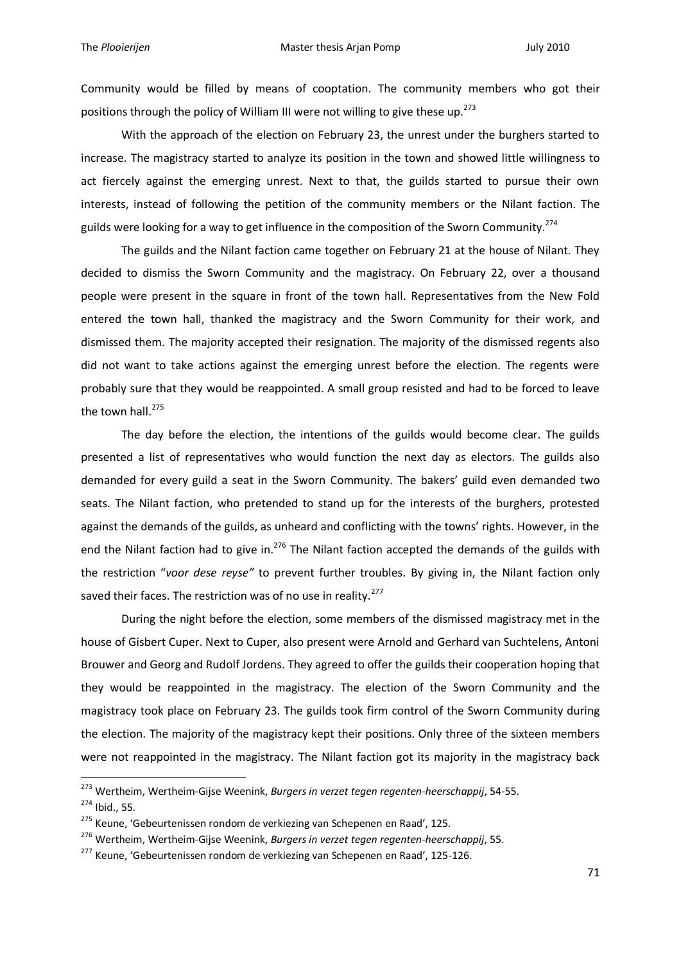Community would be filled by means of cooptation. The community members who got their positions through the policy of William III were not willing to give these up.<sup>273</sup>

With the approach of the election on February 23, the unrest under the burghers started to increase. The magistracy started to analyze its position in the town and showed little willingness to act fiercely against the emerging unrest. Next to that, the guilds started to pursue their own interests, instead of following the petition of the community members or the Nilant faction. The guilds were looking for a way to get influence in the composition of the Sworn Community.<sup>274</sup>

The guilds and the Nilant faction came together on February 21 at the house of Nilant. They decided to dismiss the Sworn Community and the magistracy. On February 22, over a thousand people were present in the square in front of the town hall. Representatives from the New Fold entered the town hall, thanked the magistracy and the Sworn Community for their work, and dismissed them. The majority accepted their resignation. The majority of the dismissed regents also did not want to take actions against the emerging unrest before the election. The regents were probably sure that they would be reappointed. A small group resisted and had to be forced to leave the town hall.<sup>275</sup>

The day before the election, the intentions of the guilds would become clear. The guilds presented a list of representatives who would function the next day as electors. The guilds also demanded for every guild a seat in the Sworn Community. The bakers' guild even demanded two seats. The Nilant faction, who pretended to stand up for the interests of the burghers, protested against the demands of the guilds, as unheard and conflicting with the towns' rights. However, in the end the Nilant faction had to give in.<sup>276</sup> The Nilant faction accepted the demands of the guilds with the restriction "*voor dese reyse"* to prevent further troubles. By giving in, the Nilant faction only saved their faces. The restriction was of no use in reality.<sup>277</sup>

During the night before the election, some members of the dismissed magistracy met in the house of Gisbert Cuper. Next to Cuper, also present were Arnold and Gerhard van Suchtelens, Antoni Brouwer and Georg and Rudolf Jordens. They agreed to offer the guilds their cooperation hoping that they would be reappointed in the magistracy. The election of the Sworn Community and the magistracy took place on February 23. The guilds took firm control of the Sworn Community during the election. The majority of the magistracy kept their positions. Only three of the sixteen members were not reappointed in the magistracy. The Nilant faction got its majority in the magistracy back

<sup>273</sup> Wertheim, Wertheim-Gijse Weenink, *Burgers in verzet tegen regenten-heerschappij*, 54-55.

<sup>274</sup> Ibid., 55.

<sup>&</sup>lt;sup>275</sup> Keune, 'Gebeurtenissen rondom de verkiezing van Schepenen en Raad', 125.

<sup>276</sup> Wertheim, Wertheim-Gijse Weenink, *Burgers in verzet tegen regenten-heerschappij*, 55.

<sup>&</sup>lt;sup>277</sup> Keune, 'Gebeurtenissen rondom de verkiezing van Schepenen en Raad', 125-126.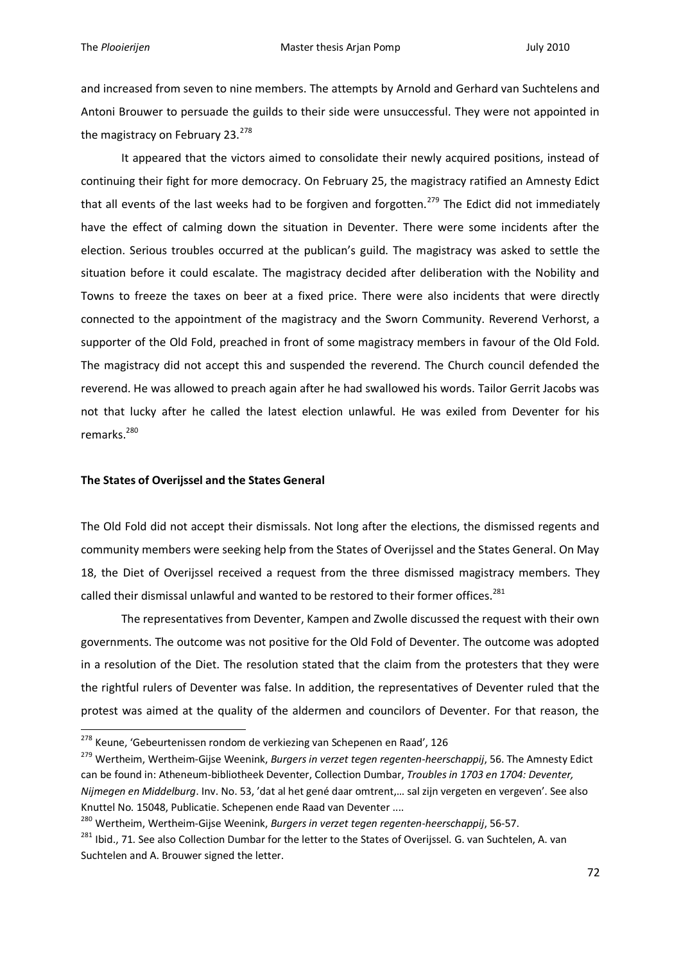1

and increased from seven to nine members. The attempts by Arnold and Gerhard van Suchtelens and Antoni Brouwer to persuade the guilds to their side were unsuccessful. They were not appointed in the magistracy on February 23.<sup>278</sup>

It appeared that the victors aimed to consolidate their newly acquired positions, instead of continuing their fight for more democracy. On February 25, the magistracy ratified an Amnesty Edict that all events of the last weeks had to be forgiven and forgotten.<sup>279</sup> The Edict did not immediately have the effect of calming down the situation in Deventer. There were some incidents after the election. Serious troubles occurred at the publican's guild. The magistracy was asked to settle the situation before it could escalate. The magistracy decided after deliberation with the Nobility and Towns to freeze the taxes on beer at a fixed price. There were also incidents that were directly connected to the appointment of the magistracy and the Sworn Community. Reverend Verhorst, a supporter of the Old Fold, preached in front of some magistracy members in favour of the Old Fold. The magistracy did not accept this and suspended the reverend. The Church council defended the reverend. He was allowed to preach again after he had swallowed his words. Tailor Gerrit Jacobs was not that lucky after he called the latest election unlawful. He was exiled from Deventer for his remarks.<sup>280</sup>

## **The States of Overijssel and the States General**

The Old Fold did not accept their dismissals. Not long after the elections, the dismissed regents and community members were seeking help from the States of Overijssel and the States General. On May 18, the Diet of Overijssel received a request from the three dismissed magistracy members. They called their dismissal unlawful and wanted to be restored to their former offices.<sup>281</sup>

The representatives from Deventer, Kampen and Zwolle discussed the request with their own governments. The outcome was not positive for the Old Fold of Deventer. The outcome was adopted in a resolution of the Diet. The resolution stated that the claim from the protesters that they were the rightful rulers of Deventer was false. In addition, the representatives of Deventer ruled that the protest was aimed at the quality of the aldermen and councilors of Deventer. For that reason, the

<sup>&</sup>lt;sup>278</sup> Keune, 'Gebeurtenissen rondom de verkiezing van Schepenen en Raad', 126

<sup>279</sup> Wertheim, Wertheim-Gijse Weenink, *Burgers in verzet tegen regenten-heerschappij*, 56. The Amnesty Edict can be found in: Atheneum-bibliotheek Deventer, Collection Dumbar, *Troubles in 1703 en 1704: Deventer, Nijmegen en Middelburg*. Inv. No. 53, 'dat al het gené daar omtrent,… sal zijn vergeten en vergeven'. See also Knuttel No. 15048, Publicatie. Schepenen ende Raad van Deventer ....

<sup>280</sup> Wertheim, Wertheim-Gijse Weenink, *Burgers in verzet tegen regenten-heerschappij*, 56-57.

<sup>&</sup>lt;sup>281</sup> Ibid., 71. See also Collection Dumbar for the letter to the States of Overijssel. G. van Suchtelen, A. van Suchtelen and A. Brouwer signed the letter.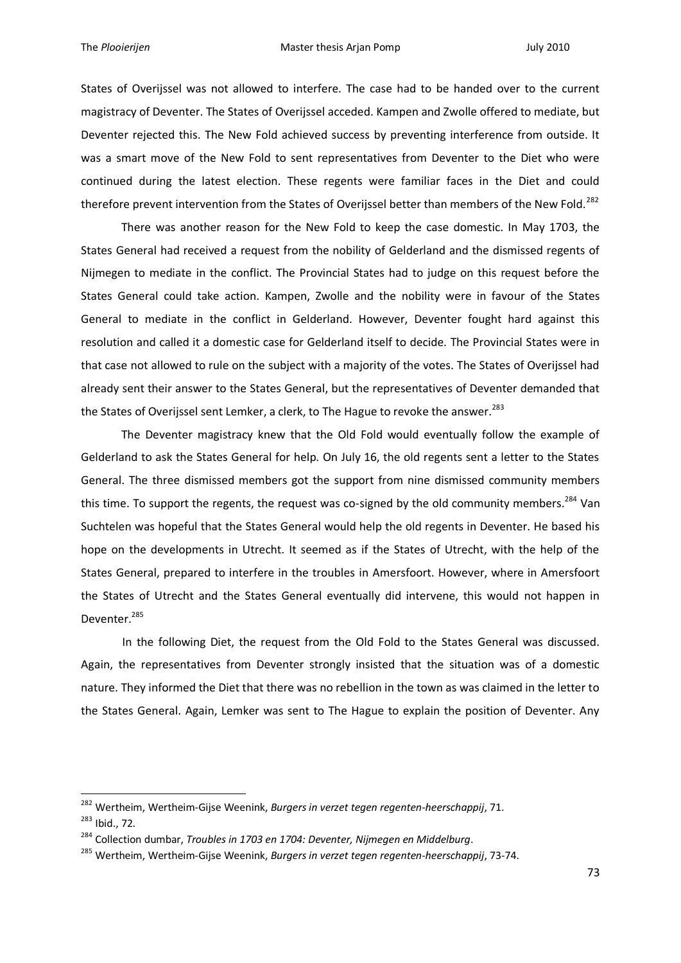States of Overijssel was not allowed to interfere. The case had to be handed over to the current magistracy of Deventer. The States of Overijssel acceded. Kampen and Zwolle offered to mediate, but Deventer rejected this. The New Fold achieved success by preventing interference from outside. It was a smart move of the New Fold to sent representatives from Deventer to the Diet who were continued during the latest election. These regents were familiar faces in the Diet and could therefore prevent intervention from the States of Overijssel better than members of the New Fold.<sup>282</sup>

There was another reason for the New Fold to keep the case domestic. In May 1703, the States General had received a request from the nobility of Gelderland and the dismissed regents of Nijmegen to mediate in the conflict. The Provincial States had to judge on this request before the States General could take action. Kampen, Zwolle and the nobility were in favour of the States General to mediate in the conflict in Gelderland. However, Deventer fought hard against this resolution and called it a domestic case for Gelderland itself to decide. The Provincial States were in that case not allowed to rule on the subject with a majority of the votes. The States of Overijssel had already sent their answer to the States General, but the representatives of Deventer demanded that the States of Overijssel sent Lemker, a clerk, to The Hague to revoke the answer.<sup>283</sup>

The Deventer magistracy knew that the Old Fold would eventually follow the example of Gelderland to ask the States General for help. On July 16, the old regents sent a letter to the States General. The three dismissed members got the support from nine dismissed community members this time. To support the regents, the request was co-signed by the old community members.<sup>284</sup> Van Suchtelen was hopeful that the States General would help the old regents in Deventer. He based his hope on the developments in Utrecht. It seemed as if the States of Utrecht, with the help of the States General, prepared to interfere in the troubles in Amersfoort. However, where in Amersfoort the States of Utrecht and the States General eventually did intervene, this would not happen in Deventer.<sup>285</sup>

In the following Diet, the request from the Old Fold to the States General was discussed. Again, the representatives from Deventer strongly insisted that the situation was of a domestic nature. They informed the Diet that there was no rebellion in the town as was claimed in the letter to the States General. Again, Lemker was sent to The Hague to explain the position of Deventer. Any

<sup>282</sup> Wertheim, Wertheim-Gijse Weenink, *Burgers in verzet tegen regenten-heerschappij*, 71.

<sup>283</sup> Ibid., 72.

<sup>284</sup> Collection dumbar, *Troubles in 1703 en 1704: Deventer, Nijmegen en Middelburg*.

<sup>285</sup> Wertheim, Wertheim-Gijse Weenink, *Burgers in verzet tegen regenten-heerschappij*, 73-74.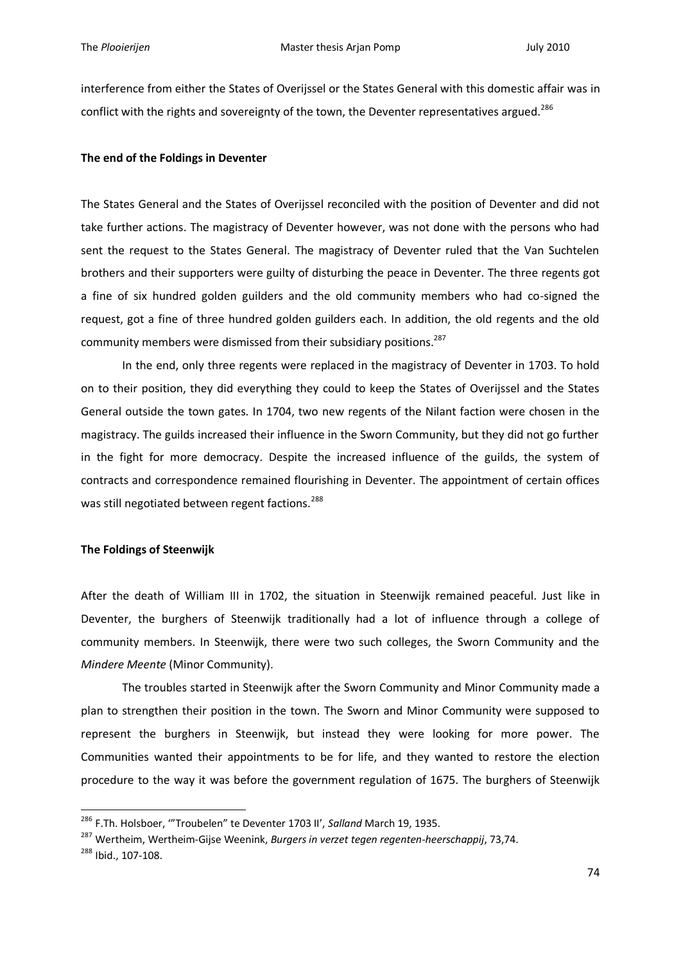interference from either the States of Overijssel or the States General with this domestic affair was in conflict with the rights and sovereignty of the town, the Deventer representatives argued.<sup>286</sup>

# **The end of the Foldings in Deventer**

The States General and the States of Overijssel reconciled with the position of Deventer and did not take further actions. The magistracy of Deventer however, was not done with the persons who had sent the request to the States General. The magistracy of Deventer ruled that the Van Suchtelen brothers and their supporters were guilty of disturbing the peace in Deventer. The three regents got a fine of six hundred golden guilders and the old community members who had co-signed the request, got a fine of three hundred golden guilders each. In addition, the old regents and the old community members were dismissed from their subsidiary positions.<sup>287</sup>

In the end, only three regents were replaced in the magistracy of Deventer in 1703. To hold on to their position, they did everything they could to keep the States of Overijssel and the States General outside the town gates. In 1704, two new regents of the Nilant faction were chosen in the magistracy. The guilds increased their influence in the Sworn Community, but they did not go further in the fight for more democracy. Despite the increased influence of the guilds, the system of contracts and correspondence remained flourishing in Deventer. The appointment of certain offices was still negotiated between regent factions.<sup>288</sup>

# **The Foldings of Steenwijk**

After the death of William III in 1702, the situation in Steenwijk remained peaceful. Just like in Deventer, the burghers of Steenwijk traditionally had a lot of influence through a college of community members. In Steenwijk, there were two such colleges, the Sworn Community and the *Mindere Meente* (Minor Community).

The troubles started in Steenwijk after the Sworn Community and Minor Community made a plan to strengthen their position in the town. The Sworn and Minor Community were supposed to represent the burghers in Steenwijk, but instead they were looking for more power. The Communities wanted their appointments to be for life, and they wanted to restore the election procedure to the way it was before the government regulation of 1675. The burghers of Steenwijk

<sup>286</sup> F.Th. Holsboer, '"Troubelen" te Deventer 1703 II', *Salland* March 19, 1935.

<sup>287</sup> Wertheim, Wertheim-Gijse Weenink, *Burgers in verzet tegen regenten-heerschappij*, 73,74.

<sup>288</sup> Ibid., 107-108.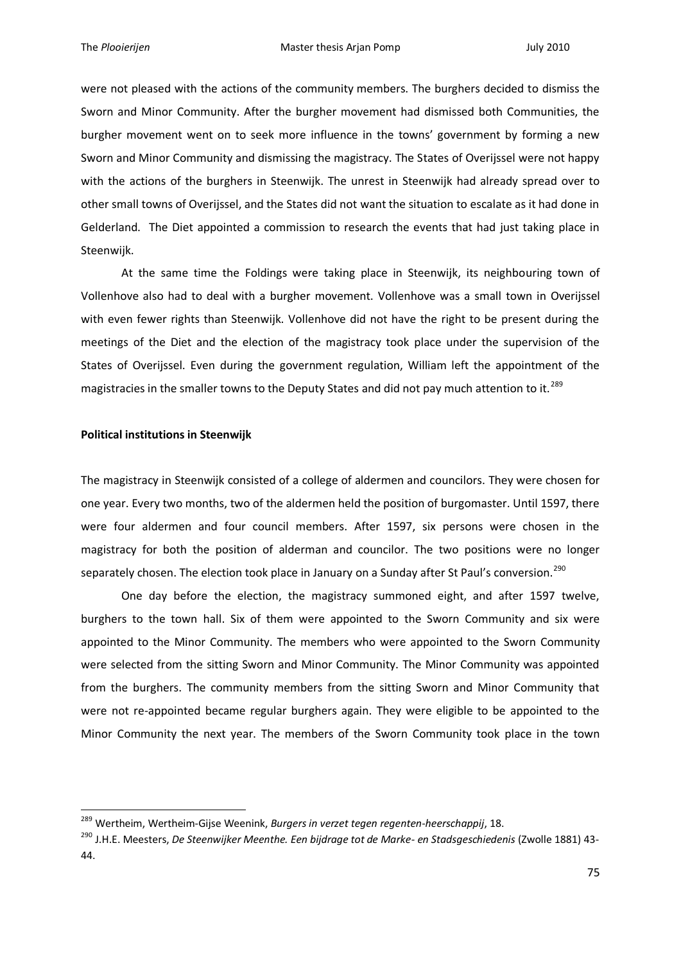were not pleased with the actions of the community members. The burghers decided to dismiss the Sworn and Minor Community. After the burgher movement had dismissed both Communities, the burgher movement went on to seek more influence in the towns' government by forming a new Sworn and Minor Community and dismissing the magistracy. The States of Overijssel were not happy with the actions of the burghers in Steenwijk. The unrest in Steenwijk had already spread over to other small towns of Overijssel, and the States did not want the situation to escalate as it had done in Gelderland. The Diet appointed a commission to research the events that had just taking place in Steenwijk.

At the same time the Foldings were taking place in Steenwijk, its neighbouring town of Vollenhove also had to deal with a burgher movement. Vollenhove was a small town in Overijssel with even fewer rights than Steenwijk. Vollenhove did not have the right to be present during the meetings of the Diet and the election of the magistracy took place under the supervision of the States of Overijssel. Even during the government regulation, William left the appointment of the magistracies in the smaller towns to the Deputy States and did not pay much attention to it.<sup>289</sup>

### **Political institutions in Steenwijk**

1

The magistracy in Steenwijk consisted of a college of aldermen and councilors. They were chosen for one year. Every two months, two of the aldermen held the position of burgomaster. Until 1597, there were four aldermen and four council members. After 1597, six persons were chosen in the magistracy for both the position of alderman and councilor. The two positions were no longer separately chosen. The election took place in January on a Sunday after St Paul's conversion.<sup>290</sup>

One day before the election, the magistracy summoned eight, and after 1597 twelve, burghers to the town hall. Six of them were appointed to the Sworn Community and six were appointed to the Minor Community. The members who were appointed to the Sworn Community were selected from the sitting Sworn and Minor Community. The Minor Community was appointed from the burghers. The community members from the sitting Sworn and Minor Community that were not re-appointed became regular burghers again. They were eligible to be appointed to the Minor Community the next year. The members of the Sworn Community took place in the town

<sup>289</sup> Wertheim, Wertheim-Gijse Weenink, *Burgers in verzet tegen regenten-heerschappij*, 18.

<sup>290</sup> J.H.E. Meesters, *De Steenwijker Meenthe. Een bijdrage tot de Marke- en Stadsgeschiedenis* (Zwolle 1881) 43- 44.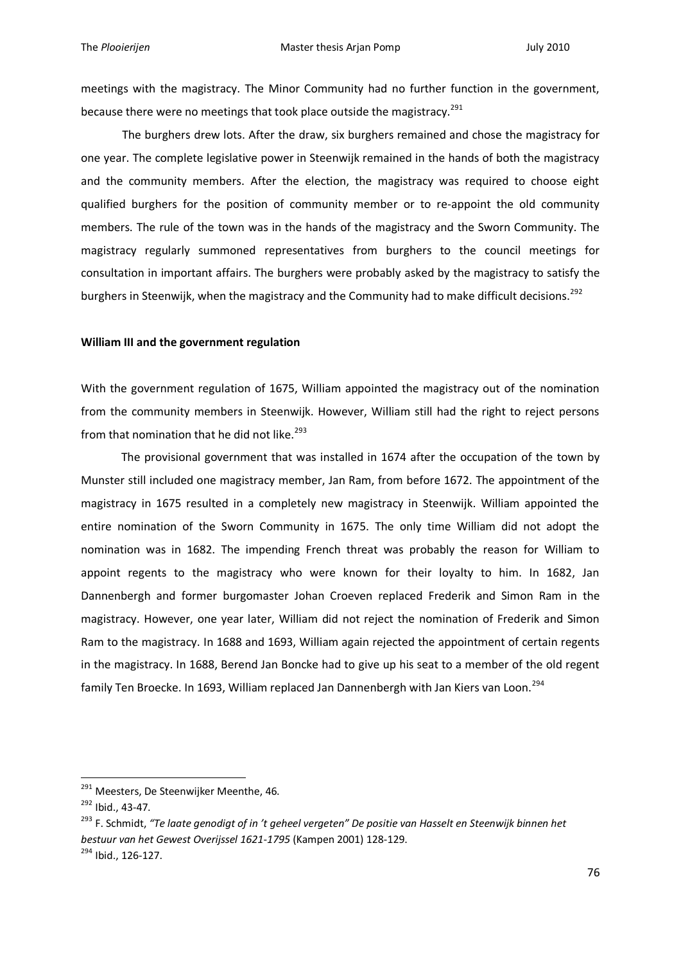meetings with the magistracy. The Minor Community had no further function in the government, because there were no meetings that took place outside the magistracy.<sup>291</sup>

The burghers drew lots. After the draw, six burghers remained and chose the magistracy for one year. The complete legislative power in Steenwijk remained in the hands of both the magistracy and the community members. After the election, the magistracy was required to choose eight qualified burghers for the position of community member or to re-appoint the old community members. The rule of the town was in the hands of the magistracy and the Sworn Community. The magistracy regularly summoned representatives from burghers to the council meetings for consultation in important affairs. The burghers were probably asked by the magistracy to satisfy the burghers in Steenwijk, when the magistracy and the Community had to make difficult decisions.<sup>292</sup>

### **William III and the government regulation**

With the government regulation of 1675, William appointed the magistracy out of the nomination from the community members in Steenwijk. However, William still had the right to reject persons from that nomination that he did not like.<sup>293</sup>

The provisional government that was installed in 1674 after the occupation of the town by Munster still included one magistracy member, Jan Ram, from before 1672. The appointment of the magistracy in 1675 resulted in a completely new magistracy in Steenwijk. William appointed the entire nomination of the Sworn Community in 1675. The only time William did not adopt the nomination was in 1682. The impending French threat was probably the reason for William to appoint regents to the magistracy who were known for their loyalty to him. In 1682, Jan Dannenbergh and former burgomaster Johan Croeven replaced Frederik and Simon Ram in the magistracy. However, one year later, William did not reject the nomination of Frederik and Simon Ram to the magistracy. In 1688 and 1693, William again rejected the appointment of certain regents in the magistracy. In 1688, Berend Jan Boncke had to give up his seat to a member of the old regent family Ten Broecke. In 1693, William replaced Jan Dannenbergh with Jan Kiers van Loon.<sup>294</sup>

<sup>&</sup>lt;sup>291</sup> Meesters, De Steenwijker Meenthe, 46.

<sup>292</sup> Ibid., 43-47.

<sup>293</sup> F. Schmidt, *"Te laate genodigt of in 't geheel vergeten" De positie van Hasselt en Steenwijk binnen het bestuur van het Gewest Overijssel 1621-1795* (Kampen 2001) 128-129. <sup>294</sup> Ibid., 126-127.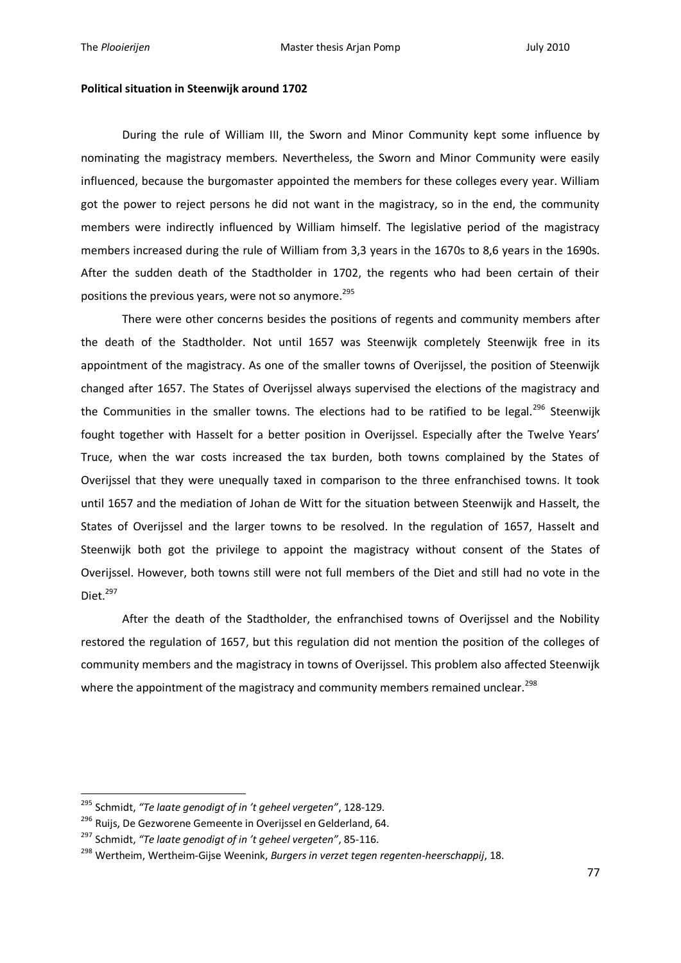#### **Political situation in Steenwijk around 1702**

During the rule of William III, the Sworn and Minor Community kept some influence by nominating the magistracy members. Nevertheless, the Sworn and Minor Community were easily influenced, because the burgomaster appointed the members for these colleges every year. William got the power to reject persons he did not want in the magistracy, so in the end, the community members were indirectly influenced by William himself. The legislative period of the magistracy members increased during the rule of William from 3,3 years in the 1670s to 8,6 years in the 1690s. After the sudden death of the Stadtholder in 1702, the regents who had been certain of their positions the previous vears, were not so anymore.<sup>295</sup>

There were other concerns besides the positions of regents and community members after the death of the Stadtholder. Not until 1657 was Steenwijk completely Steenwijk free in its appointment of the magistracy. As one of the smaller towns of Overijssel, the position of Steenwijk changed after 1657. The States of Overijssel always supervised the elections of the magistracy and the Communities in the smaller towns. The elections had to be ratified to be legal.<sup>296</sup> Steenwijk fought together with Hasselt for a better position in Overijssel. Especially after the Twelve Years' Truce, when the war costs increased the tax burden, both towns complained by the States of Overijssel that they were unequally taxed in comparison to the three enfranchised towns. It took until 1657 and the mediation of Johan de Witt for the situation between Steenwijk and Hasselt, the States of Overijssel and the larger towns to be resolved. In the regulation of 1657, Hasselt and Steenwijk both got the privilege to appoint the magistracy without consent of the States of Overijssel. However, both towns still were not full members of the Diet and still had no vote in the Diet.<sup>297</sup>

After the death of the Stadtholder, the enfranchised towns of Overijssel and the Nobility restored the regulation of 1657, but this regulation did not mention the position of the colleges of community members and the magistracy in towns of Overijssel. This problem also affected Steenwijk where the appointment of the magistracy and community members remained unclear.<sup>298</sup>

<sup>295</sup> Schmidt, *"Te laate genodigt of in 't geheel vergeten"*, 128-129.

<sup>&</sup>lt;sup>296</sup> Ruijs, De Gezworene Gemeente in Overijssel en Gelderland, 64.

<sup>297</sup> Schmidt, *"Te laate genodigt of in 't geheel vergeten"*, 85-116.

<sup>298</sup> Wertheim, Wertheim-Gijse Weenink, *Burgers in verzet tegen regenten-heerschappij*, 18.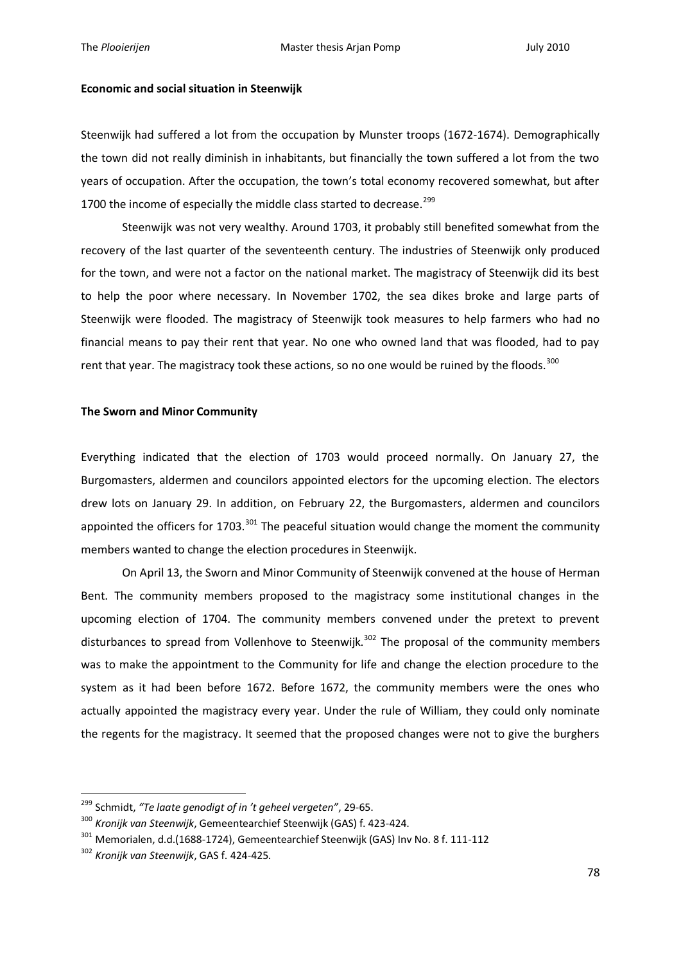### **Economic and social situation in Steenwijk**

Steenwijk had suffered a lot from the occupation by Munster troops (1672-1674). Demographically the town did not really diminish in inhabitants, but financially the town suffered a lot from the two years of occupation. After the occupation, the town's total economy recovered somewhat, but after 1700 the income of especially the middle class started to decrease.<sup>299</sup>

Steenwijk was not very wealthy. Around 1703, it probably still benefited somewhat from the recovery of the last quarter of the seventeenth century. The industries of Steenwijk only produced for the town, and were not a factor on the national market. The magistracy of Steenwijk did its best to help the poor where necessary. In November 1702, the sea dikes broke and large parts of Steenwijk were flooded. The magistracy of Steenwijk took measures to help farmers who had no financial means to pay their rent that year. No one who owned land that was flooded, had to pay rent that year. The magistracy took these actions, so no one would be ruined by the floods.<sup>300</sup>

### **The Sworn and Minor Community**

Everything indicated that the election of 1703 would proceed normally. On January 27, the Burgomasters, aldermen and councilors appointed electors for the upcoming election. The electors drew lots on January 29. In addition, on February 22, the Burgomasters, aldermen and councilors appointed the officers for 1703.<sup>301</sup> The peaceful situation would change the moment the community members wanted to change the election procedures in Steenwijk.

On April 13, the Sworn and Minor Community of Steenwijk convened at the house of Herman Bent. The community members proposed to the magistracy some institutional changes in the upcoming election of 1704. The community members convened under the pretext to prevent disturbances to spread from Vollenhove to Steenwijk.<sup>302</sup> The proposal of the community members was to make the appointment to the Community for life and change the election procedure to the system as it had been before 1672. Before 1672, the community members were the ones who actually appointed the magistracy every year. Under the rule of William, they could only nominate the regents for the magistracy. It seemed that the proposed changes were not to give the burghers

<sup>299</sup> Schmidt, *"Te laate genodigt of in 't geheel vergeten"*, 29-65.

<sup>300</sup> *Kronijk van Steenwijk*, Gemeentearchief Steenwijk (GAS) f. 423-424.

<sup>301</sup> Memorialen, d.d.(1688-1724), Gemeentearchief Steenwijk (GAS) Inv No. 8 f. 111-112

<sup>302</sup> *Kronijk van Steenwijk*, GAS f. 424-425.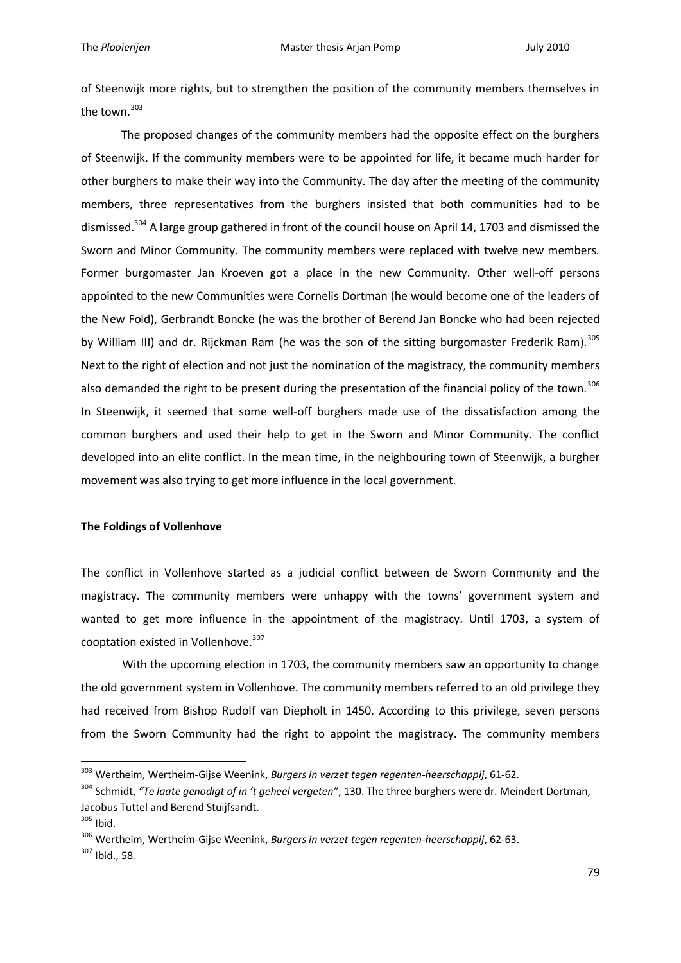of Steenwijk more rights, but to strengthen the position of the community members themselves in the town. 303

The proposed changes of the community members had the opposite effect on the burghers of Steenwijk. If the community members were to be appointed for life, it became much harder for other burghers to make their way into the Community. The day after the meeting of the community members, three representatives from the burghers insisted that both communities had to be dismissed.<sup>304</sup> A large group gathered in front of the council house on April 14, 1703 and dismissed the Sworn and Minor Community. The community members were replaced with twelve new members. Former burgomaster Jan Kroeven got a place in the new Community. Other well-off persons appointed to the new Communities were Cornelis Dortman (he would become one of the leaders of the New Fold), Gerbrandt Boncke (he was the brother of Berend Jan Boncke who had been rejected by William III) and dr. Rijckman Ram (he was the son of the sitting burgomaster Frederik Ram).<sup>305</sup> Next to the right of election and not just the nomination of the magistracy, the community members also demanded the right to be present during the presentation of the financial policy of the town.<sup>306</sup> In Steenwijk, it seemed that some well-off burghers made use of the dissatisfaction among the common burghers and used their help to get in the Sworn and Minor Community. The conflict developed into an elite conflict. In the mean time, in the neighbouring town of Steenwijk, a burgher movement was also trying to get more influence in the local government.

# **The Foldings of Vollenhove**

The conflict in Vollenhove started as a judicial conflict between de Sworn Community and the magistracy. The community members were unhappy with the towns' government system and wanted to get more influence in the appointment of the magistracy. Until 1703, a system of cooptation existed in Vollenhove.<sup>307</sup>

With the upcoming election in 1703, the community members saw an opportunity to change the old government system in Vollenhove. The community members referred to an old privilege they had received from Bishop Rudolf van Diepholt in 1450. According to this privilege, seven persons from the Sworn Community had the right to appoint the magistracy. The community members

<sup>303</sup> Wertheim, Wertheim-Gijse Weenink, *Burgers in verzet tegen regenten-heerschappij*, 61-62.

<sup>304</sup> Schmidt, *"Te laate genodigt of in 't geheel vergeten"*, 130. The three burghers were dr. Meindert Dortman, Jacobus Tuttel and Berend Stuijfsandt.

<sup>305</sup> Ibid.

<sup>306</sup> Wertheim, Wertheim-Gijse Weenink, *Burgers in verzet tegen regenten-heerschappij*, 62-63.

<sup>307</sup> Ibid., 58.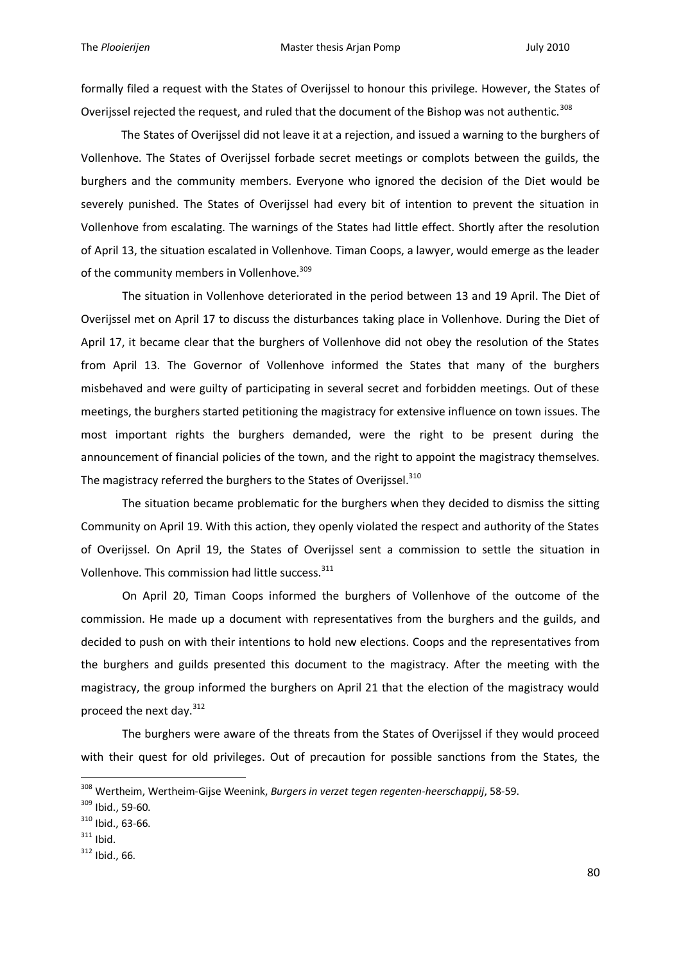formally filed a request with the States of Overijssel to honour this privilege. However, the States of Overijssel rejected the request, and ruled that the document of the Bishop was not authentic.<sup>308</sup>

The States of Overijssel did not leave it at a rejection, and issued a warning to the burghers of Vollenhove. The States of Overijssel forbade secret meetings or complots between the guilds, the burghers and the community members. Everyone who ignored the decision of the Diet would be severely punished. The States of Overijssel had every bit of intention to prevent the situation in Vollenhove from escalating. The warnings of the States had little effect. Shortly after the resolution of April 13, the situation escalated in Vollenhove. Timan Coops, a lawyer, would emerge as the leader of the community members in Vollenhove.<sup>309</sup>

The situation in Vollenhove deteriorated in the period between 13 and 19 April. The Diet of Overijssel met on April 17 to discuss the disturbances taking place in Vollenhove. During the Diet of April 17, it became clear that the burghers of Vollenhove did not obey the resolution of the States from April 13. The Governor of Vollenhove informed the States that many of the burghers misbehaved and were guilty of participating in several secret and forbidden meetings. Out of these meetings, the burghers started petitioning the magistracy for extensive influence on town issues. The most important rights the burghers demanded, were the right to be present during the announcement of financial policies of the town, and the right to appoint the magistracy themselves. The magistracy referred the burghers to the States of Overijssel. 310

The situation became problematic for the burghers when they decided to dismiss the sitting Community on April 19. With this action, they openly violated the respect and authority of the States of Overijssel. On April 19, the States of Overijssel sent a commission to settle the situation in Vollenhove. This commission had little success.<sup>311</sup>

On April 20, Timan Coops informed the burghers of Vollenhove of the outcome of the commission. He made up a document with representatives from the burghers and the guilds, and decided to push on with their intentions to hold new elections. Coops and the representatives from the burghers and guilds presented this document to the magistracy. After the meeting with the magistracy, the group informed the burghers on April 21 that the election of the magistracy would proceed the next day.<sup>312</sup>

The burghers were aware of the threats from the States of Overijssel if they would proceed with their quest for old privileges. Out of precaution for possible sanctions from the States, the

<sup>308</sup> Wertheim, Wertheim-Gijse Weenink, *Burgers in verzet tegen regenten-heerschappij*, 58-59.

<sup>309</sup> Ibid., 59-60.

<sup>310</sup> Ibid., 63-66.

 $311$  Ibid.

<sup>312</sup> Ibid., 66.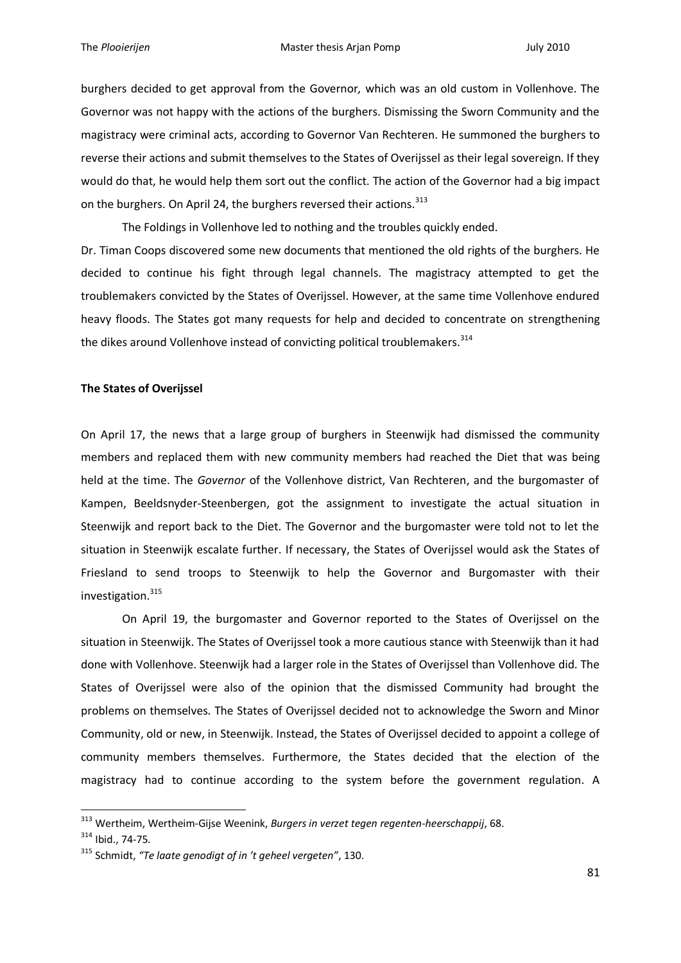burghers decided to get approval from the Governor*,* which was an old custom in Vollenhove. The Governor was not happy with the actions of the burghers. Dismissing the Sworn Community and the magistracy were criminal acts, according to Governor Van Rechteren. He summoned the burghers to reverse their actions and submit themselves to the States of Overijssel as their legal sovereign. If they would do that, he would help them sort out the conflict. The action of the Governor had a big impact on the burghers. On April 24, the burghers reversed their actions.<sup>313</sup>

The Foldings in Vollenhove led to nothing and the troubles quickly ended.

Dr. Timan Coops discovered some new documents that mentioned the old rights of the burghers. He decided to continue his fight through legal channels. The magistracy attempted to get the troublemakers convicted by the States of Overijssel. However, at the same time Vollenhove endured heavy floods. The States got many requests for help and decided to concentrate on strengthening the dikes around Vollenhove instead of convicting political troublemakers.<sup>314</sup>

# **The States of Overijssel**

On April 17, the news that a large group of burghers in Steenwijk had dismissed the community members and replaced them with new community members had reached the Diet that was being held at the time. The *Governor* of the Vollenhove district, Van Rechteren, and the burgomaster of Kampen, Beeldsnyder-Steenbergen, got the assignment to investigate the actual situation in Steenwijk and report back to the Diet. The Governor and the burgomaster were told not to let the situation in Steenwijk escalate further. If necessary, the States of Overijssel would ask the States of Friesland to send troops to Steenwijk to help the Governor and Burgomaster with their investigation.<sup>315</sup>

On April 19, the burgomaster and Governor reported to the States of Overijssel on the situation in Steenwijk. The States of Overijssel took a more cautious stance with Steenwijk than it had done with Vollenhove. Steenwijk had a larger role in the States of Overijssel than Vollenhove did. The States of Overijssel were also of the opinion that the dismissed Community had brought the problems on themselves. The States of Overijssel decided not to acknowledge the Sworn and Minor Community, old or new, in Steenwijk. Instead, the States of Overijssel decided to appoint a college of community members themselves. Furthermore, the States decided that the election of the magistracy had to continue according to the system before the government regulation. A

<sup>313</sup> Wertheim, Wertheim-Gijse Weenink, *Burgers in verzet tegen regenten-heerschappij*, 68.

<sup>314</sup> Ibid., 74-75.

<sup>315</sup> Schmidt, *"Te laate genodigt of in 't geheel vergeten"*, 130.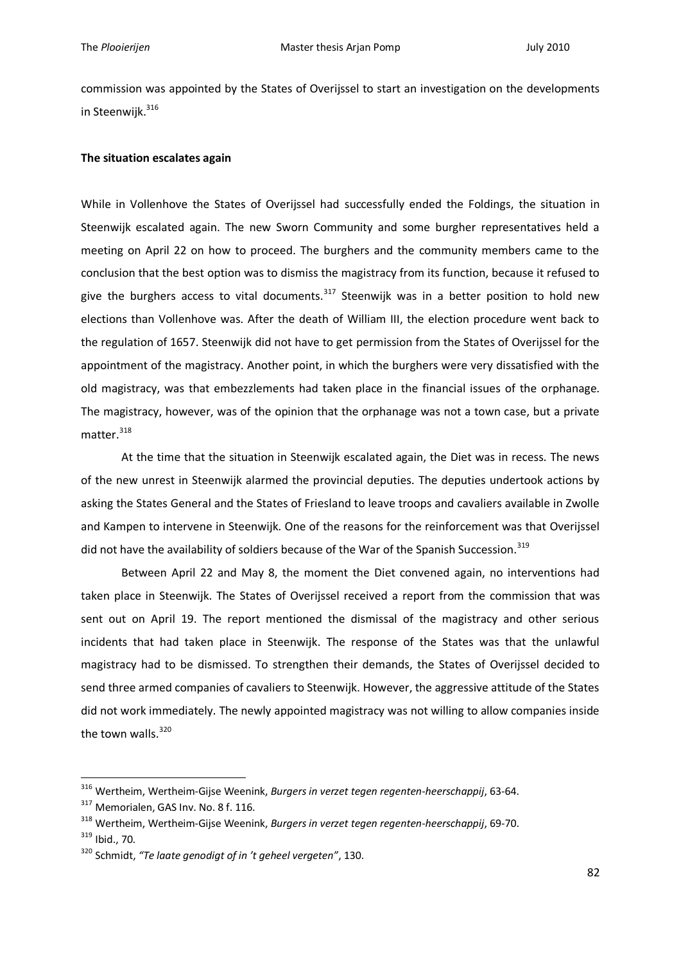commission was appointed by the States of Overijssel to start an investigation on the developments in Steenwijk.<sup>316</sup>

# **The situation escalates again**

While in Vollenhove the States of Overijssel had successfully ended the Foldings, the situation in Steenwijk escalated again. The new Sworn Community and some burgher representatives held a meeting on April 22 on how to proceed. The burghers and the community members came to the conclusion that the best option was to dismiss the magistracy from its function, because it refused to give the burghers access to vital documents.<sup>317</sup> Steenwijk was in a better position to hold new elections than Vollenhove was. After the death of William III, the election procedure went back to the regulation of 1657. Steenwijk did not have to get permission from the States of Overijssel for the appointment of the magistracy. Another point, in which the burghers were very dissatisfied with the old magistracy, was that embezzlements had taken place in the financial issues of the orphanage. The magistracy, however, was of the opinion that the orphanage was not a town case, but a private matter $318$ 

At the time that the situation in Steenwijk escalated again, the Diet was in recess. The news of the new unrest in Steenwijk alarmed the provincial deputies. The deputies undertook actions by asking the States General and the States of Friesland to leave troops and cavaliers available in Zwolle and Kampen to intervene in Steenwijk. One of the reasons for the reinforcement was that Overijssel did not have the availability of soldiers because of the War of the Spanish Succession.<sup>319</sup>

Between April 22 and May 8, the moment the Diet convened again, no interventions had taken place in Steenwijk. The States of Overijssel received a report from the commission that was sent out on April 19. The report mentioned the dismissal of the magistracy and other serious incidents that had taken place in Steenwijk. The response of the States was that the unlawful magistracy had to be dismissed. To strengthen their demands, the States of Overijssel decided to send three armed companies of cavaliers to Steenwijk. However, the aggressive attitude of the States did not work immediately. The newly appointed magistracy was not willing to allow companies inside the town walls.<sup>320</sup>

<sup>316</sup> Wertheim, Wertheim-Gijse Weenink, *Burgers in verzet tegen regenten-heerschappij*, 63-64.

<sup>&</sup>lt;sup>317</sup> Memorialen, GAS Inv. No. 8 f. 116.

<sup>318</sup> Wertheim, Wertheim-Gijse Weenink, *Burgers in verzet tegen regenten-heerschappij*, 69-70.

<sup>319</sup> Ibid., 70.

<sup>320</sup> Schmidt, *"Te laate genodigt of in 't geheel vergeten"*, 130.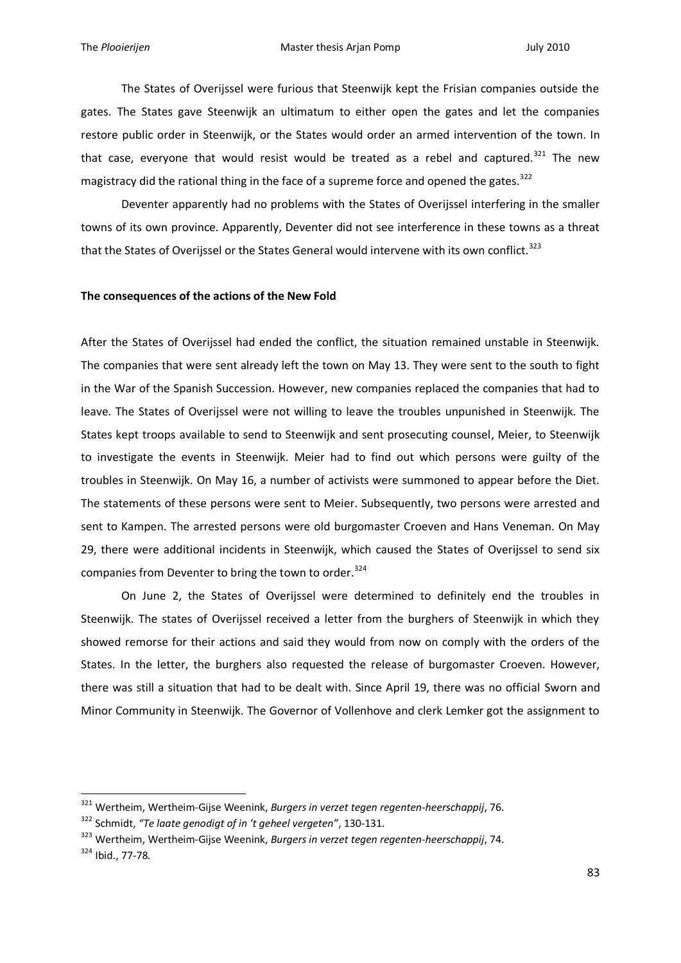The States of Overijssel were furious that Steenwijk kept the Frisian companies outside the gates. The States gave Steenwijk an ultimatum to either open the gates and let the companies restore public order in Steenwijk, or the States would order an armed intervention of the town. In that case, everyone that would resist would be treated as a rebel and captured.<sup>321</sup> The new magistracy did the rational thing in the face of a supreme force and opened the gates.<sup>322</sup>

Deventer apparently had no problems with the States of Overijssel interfering in the smaller towns of its own province. Apparently, Deventer did not see interference in these towns as a threat that the States of Overijssel or the States General would intervene with its own conflict.<sup>323</sup>

### **The consequences of the actions of the New Fold**

After the States of Overijssel had ended the conflict, the situation remained unstable in Steenwijk. The companies that were sent already left the town on May 13. They were sent to the south to fight in the War of the Spanish Succession. However, new companies replaced the companies that had to leave. The States of Overijssel were not willing to leave the troubles unpunished in Steenwijk. The States kept troops available to send to Steenwijk and sent prosecuting counsel, Meier, to Steenwijk to investigate the events in Steenwijk. Meier had to find out which persons were guilty of the troubles in Steenwijk. On May 16, a number of activists were summoned to appear before the Diet. The statements of these persons were sent to Meier. Subsequently, two persons were arrested and sent to Kampen. The arrested persons were old burgomaster Croeven and Hans Veneman. On May 29, there were additional incidents in Steenwijk, which caused the States of Overijssel to send six companies from Deventer to bring the town to order. $324$ 

On June 2, the States of Overijssel were determined to definitely end the troubles in Steenwijk. The states of Overijssel received a letter from the burghers of Steenwijk in which they showed remorse for their actions and said they would from now on comply with the orders of the States. In the letter, the burghers also requested the release of burgomaster Croeven. However, there was still a situation that had to be dealt with. Since April 19, there was no official Sworn and Minor Community in Steenwijk. The Governor of Vollenhove and clerk Lemker got the assignment to

<sup>321</sup> Wertheim, Wertheim-Gijse Weenink, *Burgers in verzet tegen regenten-heerschappij*, 76.

<sup>322</sup> Schmidt, *"Te laate genodigt of in 't geheel vergeten"*, 130-131.

<sup>323</sup> Wertheim, Wertheim-Gijse Weenink, *Burgers in verzet tegen regenten-heerschappij*, 74.

<sup>324</sup> Ibid., 77-78.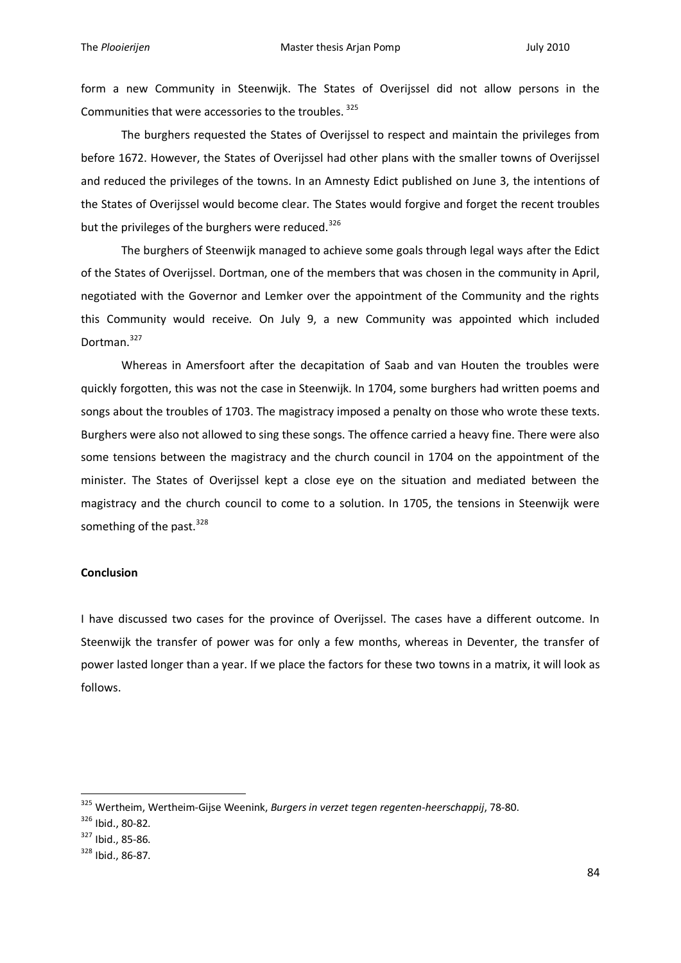form a new Community in Steenwijk. The States of Overijssel did not allow persons in the Communities that were accessories to the troubles. <sup>325</sup>

The burghers requested the States of Overijssel to respect and maintain the privileges from before 1672. However, the States of Overijssel had other plans with the smaller towns of Overijssel and reduced the privileges of the towns. In an Amnesty Edict published on June 3, the intentions of the States of Overijssel would become clear. The States would forgive and forget the recent troubles but the privileges of the burghers were reduced.<sup>326</sup>

The burghers of Steenwijk managed to achieve some goals through legal ways after the Edict of the States of Overijssel. Dortman, one of the members that was chosen in the community in April, negotiated with the Governor and Lemker over the appointment of the Community and the rights this Community would receive. On July 9, a new Community was appointed which included Dortman.<sup>327</sup>

Whereas in Amersfoort after the decapitation of Saab and van Houten the troubles were quickly forgotten, this was not the case in Steenwijk. In 1704, some burghers had written poems and songs about the troubles of 1703. The magistracy imposed a penalty on those who wrote these texts. Burghers were also not allowed to sing these songs. The offence carried a heavy fine. There were also some tensions between the magistracy and the church council in 1704 on the appointment of the minister. The States of Overijssel kept a close eye on the situation and mediated between the magistracy and the church council to come to a solution. In 1705, the tensions in Steenwijk were something of the past.  $328$ 

# **Conclusion**

I have discussed two cases for the province of Overijssel. The cases have a different outcome. In Steenwijk the transfer of power was for only a few months, whereas in Deventer, the transfer of power lasted longer than a year. If we place the factors for these two towns in a matrix, it will look as follows.

<sup>325</sup> Wertheim, Wertheim-Gijse Weenink, *Burgers in verzet tegen regenten-heerschappij*, 78-80.

<sup>326</sup> Ibid., 80-82.

<sup>327</sup> Ibid., 85-86.

<sup>328</sup> Ibid., 86-87.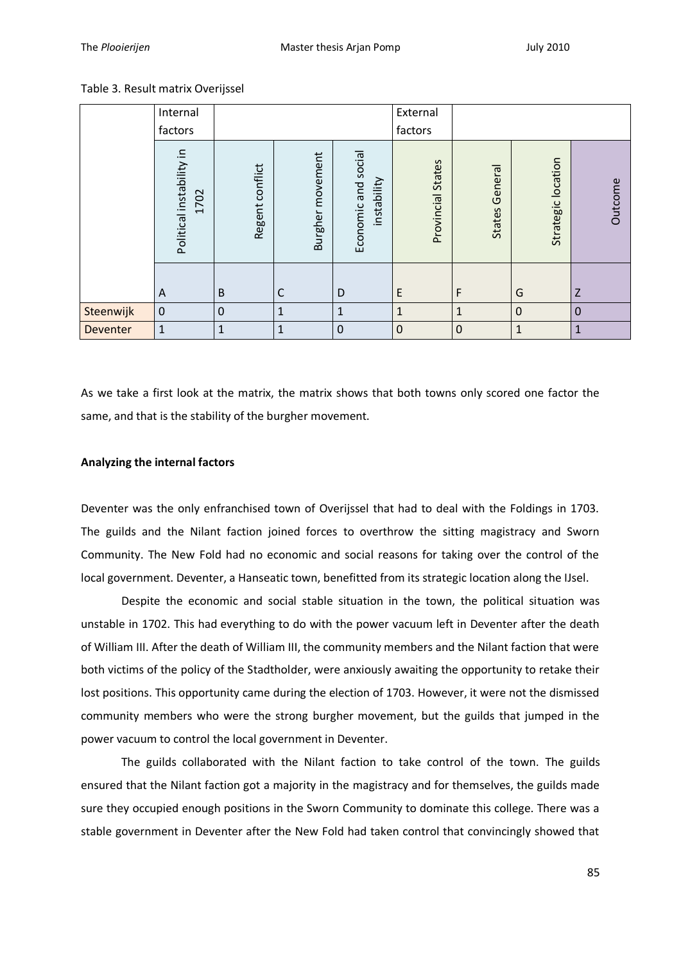# Table 3. Result matrix Overijssel

|           | Internal                         |                 |                  |                                    | External             |                   |                    |              |
|-----------|----------------------------------|-----------------|------------------|------------------------------------|----------------------|-------------------|--------------------|--------------|
|           | factors                          |                 |                  |                                    | factors              |                   |                    |              |
|           | Political instability in<br>1702 | Regent conflict | Burgher movement | Economic and social<br>instability | States<br>Provincial | General<br>States | Strategic location | Outcome      |
|           | A                                | B               | $\mathsf{C}$     | D                                  | E                    | F                 | G                  | Z            |
| Steenwijk | $\pmb{0}$                        | $\mathbf 0$     | $\mathbf{1}$     | $\mathbf{1}$                       | $\mathbf{1}$         | $\mathbf{1}$      | $\mathbf 0$        | $\mathbf 0$  |
| Deventer  | 1                                | $\mathbf{1}$    | $\mathbf{1}$     | $\mathbf 0$                        | $\mathbf 0$          | $\mathbf 0$       | $\mathbf{1}$       | $\mathbf{1}$ |

As we take a first look at the matrix, the matrix shows that both towns only scored one factor the same, and that is the stability of the burgher movement.

# **Analyzing the internal factors**

Deventer was the only enfranchised town of Overijssel that had to deal with the Foldings in 1703. The guilds and the Nilant faction joined forces to overthrow the sitting magistracy and Sworn Community. The New Fold had no economic and social reasons for taking over the control of the local government. Deventer, a Hanseatic town, benefitted from its strategic location along the IJsel.

Despite the economic and social stable situation in the town, the political situation was unstable in 1702. This had everything to do with the power vacuum left in Deventer after the death of William III. After the death of William III, the community members and the Nilant faction that were both victims of the policy of the Stadtholder, were anxiously awaiting the opportunity to retake their lost positions. This opportunity came during the election of 1703. However, it were not the dismissed community members who were the strong burgher movement, but the guilds that jumped in the power vacuum to control the local government in Deventer.

The guilds collaborated with the Nilant faction to take control of the town. The guilds ensured that the Nilant faction got a majority in the magistracy and for themselves, the guilds made sure they occupied enough positions in the Sworn Community to dominate this college. There was a stable government in Deventer after the New Fold had taken control that convincingly showed that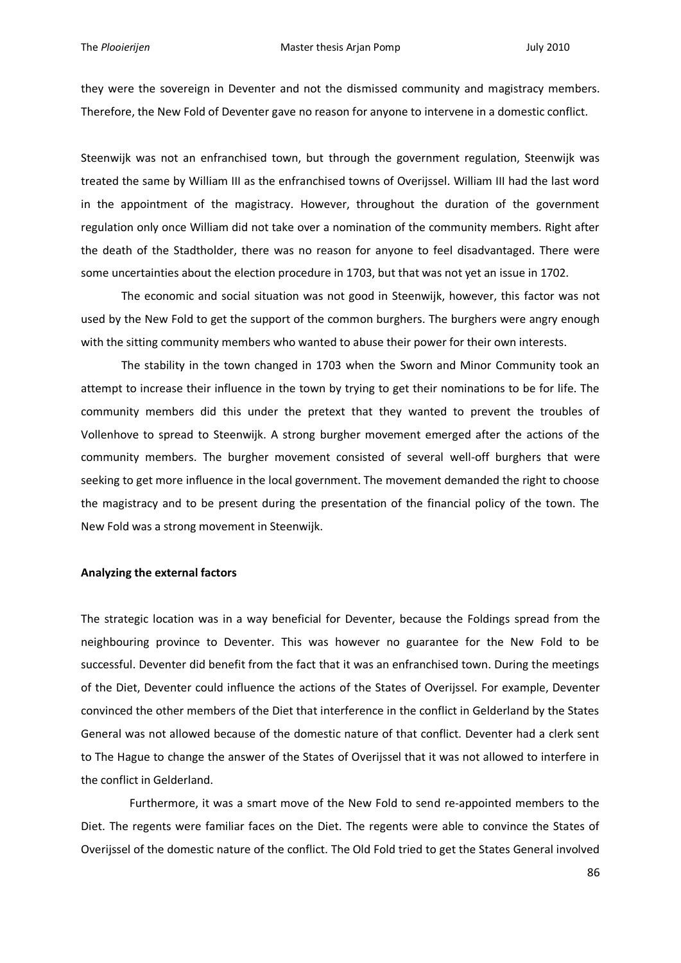they were the sovereign in Deventer and not the dismissed community and magistracy members. Therefore, the New Fold of Deventer gave no reason for anyone to intervene in a domestic conflict.

Steenwijk was not an enfranchised town, but through the government regulation, Steenwijk was treated the same by William III as the enfranchised towns of Overijssel. William III had the last word in the appointment of the magistracy. However, throughout the duration of the government regulation only once William did not take over a nomination of the community members. Right after the death of the Stadtholder, there was no reason for anyone to feel disadvantaged. There were some uncertainties about the election procedure in 1703, but that was not yet an issue in 1702.

The economic and social situation was not good in Steenwijk, however, this factor was not used by the New Fold to get the support of the common burghers. The burghers were angry enough with the sitting community members who wanted to abuse their power for their own interests.

The stability in the town changed in 1703 when the Sworn and Minor Community took an attempt to increase their influence in the town by trying to get their nominations to be for life. The community members did this under the pretext that they wanted to prevent the troubles of Vollenhove to spread to Steenwijk. A strong burgher movement emerged after the actions of the community members. The burgher movement consisted of several well-off burghers that were seeking to get more influence in the local government. The movement demanded the right to choose the magistracy and to be present during the presentation of the financial policy of the town. The New Fold was a strong movement in Steenwijk.

### **Analyzing the external factors**

The strategic location was in a way beneficial for Deventer, because the Foldings spread from the neighbouring province to Deventer. This was however no guarantee for the New Fold to be successful. Deventer did benefit from the fact that it was an enfranchised town. During the meetings of the Diet, Deventer could influence the actions of the States of Overijssel. For example, Deventer convinced the other members of the Diet that interference in the conflict in Gelderland by the States General was not allowed because of the domestic nature of that conflict. Deventer had a clerk sent to The Hague to change the answer of the States of Overijssel that it was not allowed to interfere in the conflict in Gelderland.

 Furthermore, it was a smart move of the New Fold to send re-appointed members to the Diet. The regents were familiar faces on the Diet. The regents were able to convince the States of Overijssel of the domestic nature of the conflict. The Old Fold tried to get the States General involved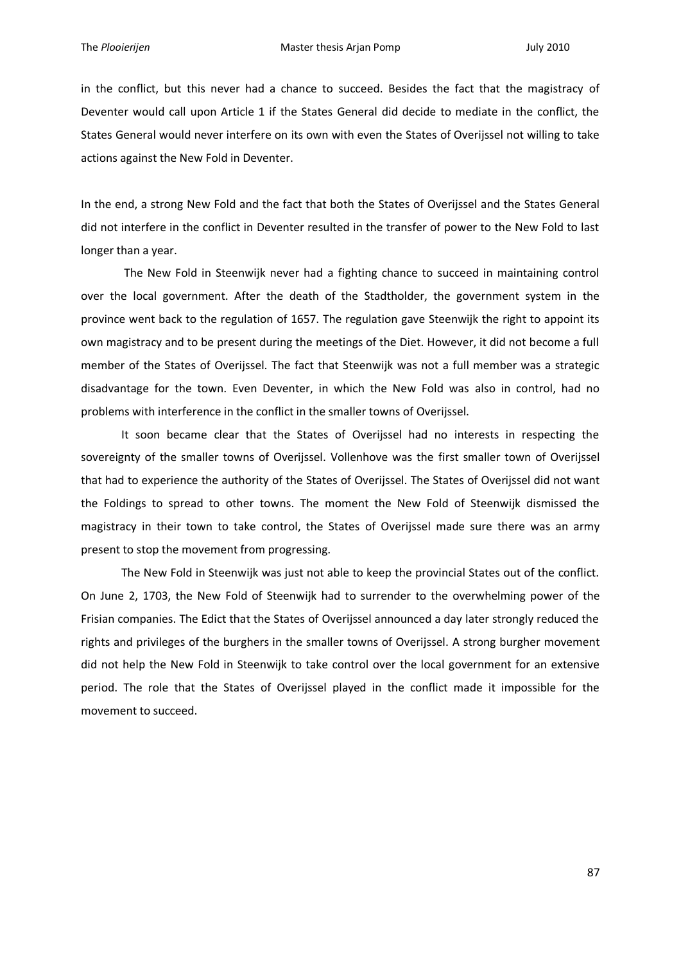in the conflict, but this never had a chance to succeed. Besides the fact that the magistracy of Deventer would call upon Article 1 if the States General did decide to mediate in the conflict, the States General would never interfere on its own with even the States of Overijssel not willing to take actions against the New Fold in Deventer.

In the end, a strong New Fold and the fact that both the States of Overijssel and the States General did not interfere in the conflict in Deventer resulted in the transfer of power to the New Fold to last longer than a year.

The New Fold in Steenwijk never had a fighting chance to succeed in maintaining control over the local government. After the death of the Stadtholder, the government system in the province went back to the regulation of 1657. The regulation gave Steenwijk the right to appoint its own magistracy and to be present during the meetings of the Diet. However, it did not become a full member of the States of Overijssel. The fact that Steenwijk was not a full member was a strategic disadvantage for the town. Even Deventer, in which the New Fold was also in control, had no problems with interference in the conflict in the smaller towns of Overijssel.

It soon became clear that the States of Overijssel had no interests in respecting the sovereignty of the smaller towns of Overijssel. Vollenhove was the first smaller town of Overijssel that had to experience the authority of the States of Overijssel. The States of Overijssel did not want the Foldings to spread to other towns. The moment the New Fold of Steenwijk dismissed the magistracy in their town to take control, the States of Overijssel made sure there was an army present to stop the movement from progressing.

The New Fold in Steenwijk was just not able to keep the provincial States out of the conflict. On June 2, 1703, the New Fold of Steenwijk had to surrender to the overwhelming power of the Frisian companies. The Edict that the States of Overijssel announced a day later strongly reduced the rights and privileges of the burghers in the smaller towns of Overijssel. A strong burgher movement did not help the New Fold in Steenwijk to take control over the local government for an extensive period. The role that the States of Overijssel played in the conflict made it impossible for the movement to succeed.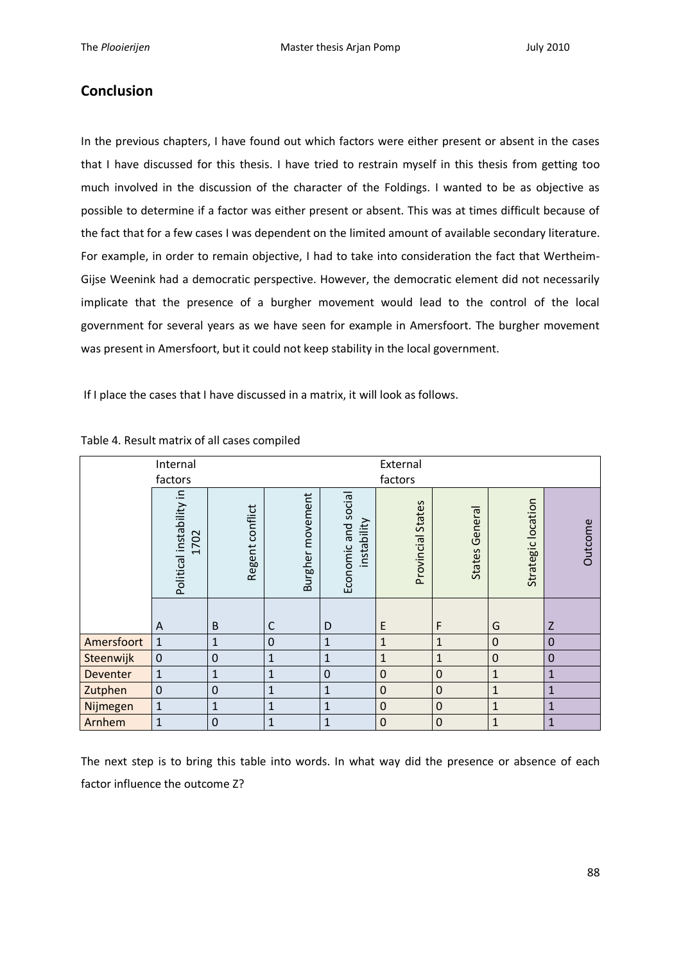# **Conclusion**

In the previous chapters, I have found out which factors were either present or absent in the cases that I have discussed for this thesis. I have tried to restrain myself in this thesis from getting too much involved in the discussion of the character of the Foldings. I wanted to be as objective as possible to determine if a factor was either present or absent. This was at times difficult because of the fact that for a few cases I was dependent on the limited amount of available secondary literature. For example, in order to remain objective, I had to take into consideration the fact that Wertheim-Gijse Weenink had a democratic perspective. However, the democratic element did not necessarily implicate that the presence of a burgher movement would lead to the control of the local government for several years as we have seen for example in Amersfoort. The burgher movement was present in Amersfoort, but it could not keep stability in the local government.

If I place the cases that I have discussed in a matrix, it will look as follows.

|            | Internal                         | External        |                  |                                   |                             |                          |                       |              |  |
|------------|----------------------------------|-----------------|------------------|-----------------------------------|-----------------------------|--------------------------|-----------------------|--------------|--|
| factors    |                                  |                 | factors          |                                   |                             |                          |                       |              |  |
|            | Political instability in<br>1702 | Regent conflict | Burgher movement | Economic and social<br>nstability | <b>States</b><br>Provincial | General<br><b>States</b> | location<br>Strategic | Outcome      |  |
|            | A                                | $\sf B$         | C                | D                                 | E                           | F                        | G                     | Z            |  |
| Amersfoort | $\mathbf{1}$                     | $\mathbf{1}$    | $\mathbf 0$      | $\overline{1}$                    | $\mathbf{1}$                | $\mathbf{1}$             | $\mathbf 0$           | $\mathbf 0$  |  |
| Steenwijk  | $\mathbf 0$                      | $\mathbf 0$     | $\mathbf{1}$     | $\mathbf{1}$                      | $\mathbf{1}$                | $\mathbf{1}$             | $\pmb{0}$             | $\mathbf 0$  |  |
| Deventer   | $\mathbf{1}$                     | $\mathbf{1}$    | $\mathbf{1}$     | $\mathbf 0$                       | $\mathbf 0$                 | $\mathbf 0$              | $\mathbf{1}$          | $\mathbf{1}$ |  |
| Zutphen    | $\boldsymbol{0}$                 | $\mathbf 0$     | $\mathbf{1}$     | $\mathbf{1}$                      | $\mathbf 0$                 | $\mathbf 0$              | $\mathbf{1}$          | $\mathbf{1}$ |  |
| Nijmegen   | $\mathbf{1}$                     | $\mathbf{1}$    | $\mathbf{1}$     | $\mathbf{1}$                      | $\mathbf 0$                 | $\Omega$                 | $\mathbf{1}$          | $\mathbf{1}$ |  |
| Arnhem     | $\mathbf{1}$                     | $\mathbf 0$     | $\mathbf{1}$     | $\mathbf{1}$                      | $\mathbf 0$                 | $\mathbf 0$              | $\mathbf 1$           | $\mathbf{1}$ |  |

### Table 4. Result matrix of all cases compiled

The next step is to bring this table into words. In what way did the presence or absence of each factor influence the outcome Z?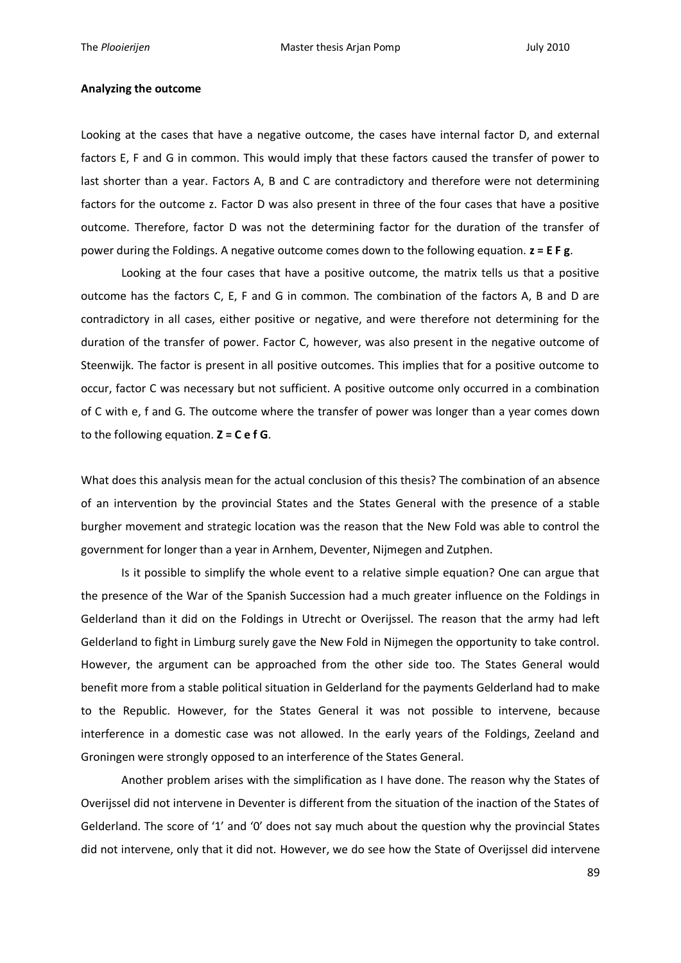#### **Analyzing the outcome**

Looking at the cases that have a negative outcome, the cases have internal factor D, and external factors E, F and G in common. This would imply that these factors caused the transfer of power to last shorter than a year. Factors A, B and C are contradictory and therefore were not determining factors for the outcome z. Factor D was also present in three of the four cases that have a positive outcome. Therefore, factor D was not the determining factor for the duration of the transfer of power during the Foldings. A negative outcome comes down to the following equation. **z = E F g**.

Looking at the four cases that have a positive outcome, the matrix tells us that a positive outcome has the factors C, E, F and G in common. The combination of the factors A, B and D are contradictory in all cases, either positive or negative, and were therefore not determining for the duration of the transfer of power. Factor C, however, was also present in the negative outcome of Steenwijk. The factor is present in all positive outcomes. This implies that for a positive outcome to occur, factor C was necessary but not sufficient. A positive outcome only occurred in a combination of C with e, f and G. The outcome where the transfer of power was longer than a year comes down to the following equation. **Z = C e f G**.

What does this analysis mean for the actual conclusion of this thesis? The combination of an absence of an intervention by the provincial States and the States General with the presence of a stable burgher movement and strategic location was the reason that the New Fold was able to control the government for longer than a year in Arnhem, Deventer, Nijmegen and Zutphen.

Is it possible to simplify the whole event to a relative simple equation? One can argue that the presence of the War of the Spanish Succession had a much greater influence on the Foldings in Gelderland than it did on the Foldings in Utrecht or Overijssel. The reason that the army had left Gelderland to fight in Limburg surely gave the New Fold in Nijmegen the opportunity to take control. However, the argument can be approached from the other side too. The States General would benefit more from a stable political situation in Gelderland for the payments Gelderland had to make to the Republic. However, for the States General it was not possible to intervene, because interference in a domestic case was not allowed. In the early years of the Foldings, Zeeland and Groningen were strongly opposed to an interference of the States General.

Another problem arises with the simplification as I have done. The reason why the States of Overijssel did not intervene in Deventer is different from the situation of the inaction of the States of Gelderland. The score of '1' and '0' does not say much about the question why the provincial States did not intervene, only that it did not. However, we do see how the State of Overijssel did intervene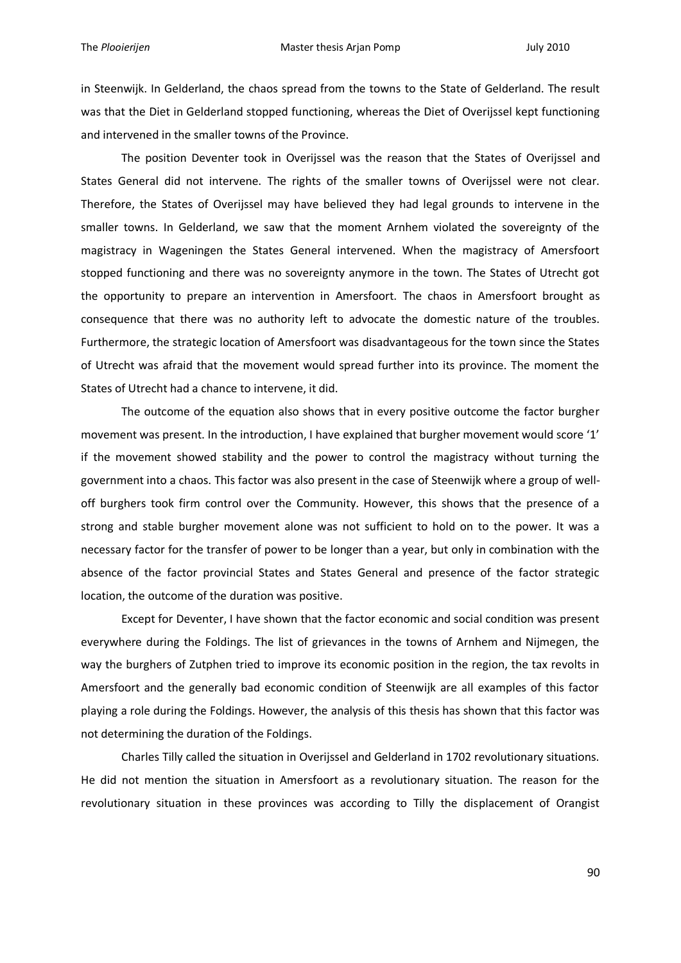in Steenwijk. In Gelderland, the chaos spread from the towns to the State of Gelderland. The result was that the Diet in Gelderland stopped functioning, whereas the Diet of Overijssel kept functioning and intervened in the smaller towns of the Province.

The position Deventer took in Overijssel was the reason that the States of Overijssel and States General did not intervene. The rights of the smaller towns of Overijssel were not clear. Therefore, the States of Overijssel may have believed they had legal grounds to intervene in the smaller towns. In Gelderland, we saw that the moment Arnhem violated the sovereignty of the magistracy in Wageningen the States General intervened. When the magistracy of Amersfoort stopped functioning and there was no sovereignty anymore in the town. The States of Utrecht got the opportunity to prepare an intervention in Amersfoort. The chaos in Amersfoort brought as consequence that there was no authority left to advocate the domestic nature of the troubles. Furthermore, the strategic location of Amersfoort was disadvantageous for the town since the States of Utrecht was afraid that the movement would spread further into its province. The moment the States of Utrecht had a chance to intervene, it did.

The outcome of the equation also shows that in every positive outcome the factor burgher movement was present. In the introduction, I have explained that burgher movement would score '1' if the movement showed stability and the power to control the magistracy without turning the government into a chaos. This factor was also present in the case of Steenwijk where a group of welloff burghers took firm control over the Community. However, this shows that the presence of a strong and stable burgher movement alone was not sufficient to hold on to the power. It was a necessary factor for the transfer of power to be longer than a year, but only in combination with the absence of the factor provincial States and States General and presence of the factor strategic location, the outcome of the duration was positive.

Except for Deventer, I have shown that the factor economic and social condition was present everywhere during the Foldings. The list of grievances in the towns of Arnhem and Nijmegen, the way the burghers of Zutphen tried to improve its economic position in the region, the tax revolts in Amersfoort and the generally bad economic condition of Steenwijk are all examples of this factor playing a role during the Foldings. However, the analysis of this thesis has shown that this factor was not determining the duration of the Foldings.

Charles Tilly called the situation in Overijssel and Gelderland in 1702 revolutionary situations. He did not mention the situation in Amersfoort as a revolutionary situation. The reason for the revolutionary situation in these provinces was according to Tilly the displacement of Orangist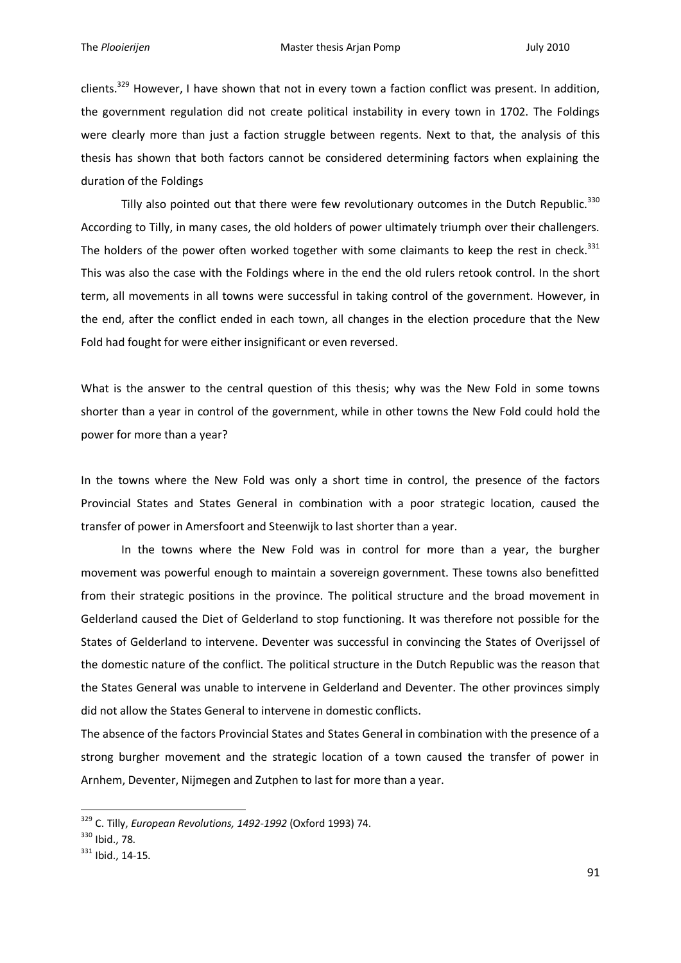clients.<sup>329</sup> However, I have shown that not in every town a faction conflict was present. In addition, the government regulation did not create political instability in every town in 1702. The Foldings were clearly more than just a faction struggle between regents. Next to that, the analysis of this thesis has shown that both factors cannot be considered determining factors when explaining the duration of the Foldings

Tilly also pointed out that there were few revolutionary outcomes in the Dutch Republic.<sup>330</sup> According to Tilly, in many cases, the old holders of power ultimately triumph over their challengers. The holders of the power often worked together with some claimants to keep the rest in check.<sup>331</sup> This was also the case with the Foldings where in the end the old rulers retook control. In the short term, all movements in all towns were successful in taking control of the government. However, in the end, after the conflict ended in each town, all changes in the election procedure that the New Fold had fought for were either insignificant or even reversed.

What is the answer to the central question of this thesis; why was the New Fold in some towns shorter than a year in control of the government, while in other towns the New Fold could hold the power for more than a year?

In the towns where the New Fold was only a short time in control, the presence of the factors Provincial States and States General in combination with a poor strategic location, caused the transfer of power in Amersfoort and Steenwijk to last shorter than a year.

In the towns where the New Fold was in control for more than a year, the burgher movement was powerful enough to maintain a sovereign government. These towns also benefitted from their strategic positions in the province. The political structure and the broad movement in Gelderland caused the Diet of Gelderland to stop functioning. It was therefore not possible for the States of Gelderland to intervene. Deventer was successful in convincing the States of Overijssel of the domestic nature of the conflict. The political structure in the Dutch Republic was the reason that the States General was unable to intervene in Gelderland and Deventer. The other provinces simply did not allow the States General to intervene in domestic conflicts.

The absence of the factors Provincial States and States General in combination with the presence of a strong burgher movement and the strategic location of a town caused the transfer of power in Arnhem, Deventer, Nijmegen and Zutphen to last for more than a year.

<sup>329</sup> C. Tilly, *European Revolutions, 1492-1992* (Oxford 1993) 74.

<sup>330</sup> Ibid., 78.

<sup>331</sup> Ibid., 14-15.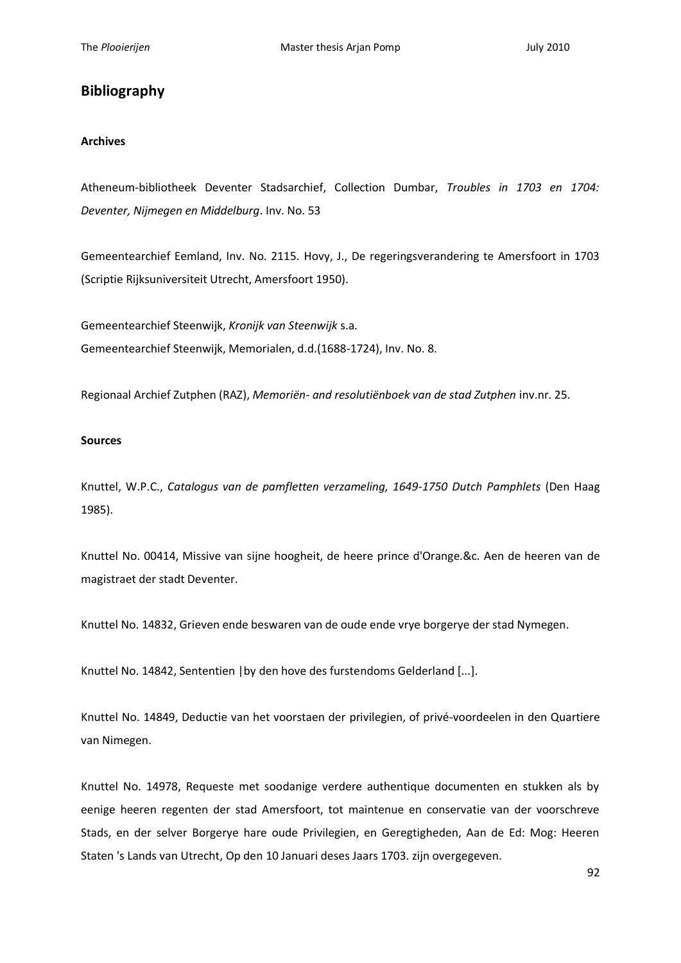# **Bibliography**

# **Archives**

Atheneum-bibliotheek Deventer Stadsarchief, Collection Dumbar, *Troubles in 1703 en 1704: Deventer, Nijmegen en Middelburg*. Inv. No. 53

Gemeentearchief Eemland, Inv. No. 2115. Hovy, J., De regeringsverandering te Amersfoort in 1703 (Scriptie Rijksuniversiteit Utrecht, Amersfoort 1950).

Gemeentearchief Steenwijk, *Kronijk van Steenwijk* s.a. Gemeentearchief Steenwijk, Memorialen, d.d.(1688-1724), Inv. No. 8.

Regionaal Archief Zutphen (RAZ), *Memoriën- and resolutiënboek van de stad Zutphen* inv.nr. 25.

### **Sources**

Knuttel, W.P.C., *Catalogus van de pamfletten verzameling, 1649-1750 Dutch Pamphlets* (Den Haag 1985).

Knuttel No. 00414, Missive van sijne hoogheit, de heere prince d'Orange.&c. Aen de heeren van de magistraet der stadt Deventer.

Knuttel No. 14832, Grieven ende beswaren van de oude ende vrye borgerye der stad Nymegen.

Knuttel No. 14842, Sententien |by den hove des furstendoms Gelderland [...].

Knuttel No. 14849, Deductie van het voorstaen der privilegien, of privé-voordeelen in den Quartiere van Nimegen.

Knuttel No. 14978, Requeste met soodanige verdere authentique documenten en stukken als by eenige heeren regenten der stad Amersfoort, tot maintenue en conservatie van der voorschreve Stads, en der selver Borgerye hare oude Privilegien, en Geregtigheden, Aan de Ed: Mog: Heeren Staten 's Lands van Utrecht, Op den 10 Januari deses Jaars 1703. zijn overgegeven.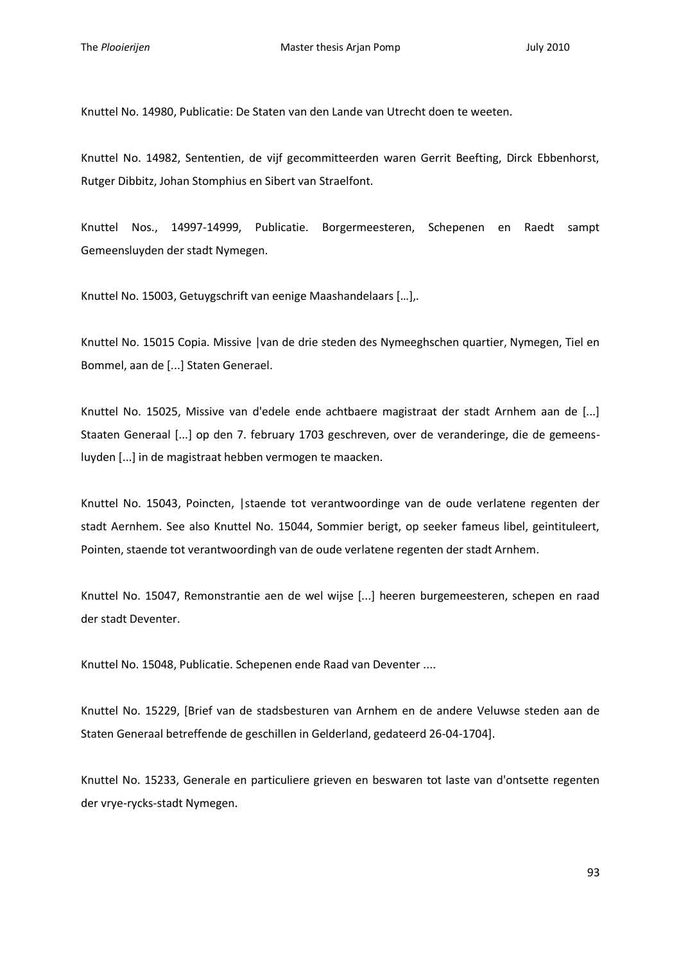Knuttel No. 14980, Publicatie: De Staten van den Lande van Utrecht doen te weeten.

Knuttel No. 14982, Sententien, de vijf gecommitteerden waren Gerrit Beefting, Dirck Ebbenhorst, Rutger Dibbitz, Johan Stomphius en Sibert van Straelfont.

Knuttel Nos., 14997-14999, Publicatie. Borgermeesteren, Schepenen en Raedt sampt Gemeensluyden der stadt Nymegen.

Knuttel No. 15003, Getuygschrift van eenige Maashandelaars [...].

Knuttel No. 15015 Copia. Missive |van de drie steden des Nymeeghschen quartier, Nymegen, Tiel en Bommel, aan de [...] Staten Generael.

Knuttel No. 15025, Missive van d'edele ende achtbaere magistraat der stadt Arnhem aan de [...] Staaten Generaal [...] op den 7. february 1703 geschreven, over de veranderinge, die de gemeensluyden [...] in de magistraat hebben vermogen te maacken.

Knuttel No. 15043, Poincten, |staende tot verantwoordinge van de oude verlatene regenten der stadt Aernhem. See also Knuttel No. 15044, Sommier berigt, op seeker fameus libel, geintituleert, Pointen, staende tot verantwoordingh van de oude verlatene regenten der stadt Arnhem.

Knuttel No. 15047, Remonstrantie aen de wel wijse [...] heeren burgemeesteren, schepen en raad der stadt Deventer.

Knuttel No. 15048, Publicatie. Schepenen ende Raad van Deventer ....

Knuttel No. 15229, [Brief van de stadsbesturen van Arnhem en de andere Veluwse steden aan de Staten Generaal betreffende de geschillen in Gelderland, gedateerd 26-04-1704].

Knuttel No. 15233, Generale en particuliere grieven en beswaren tot laste van d'ontsette regenten der vrye-rycks-stadt Nymegen.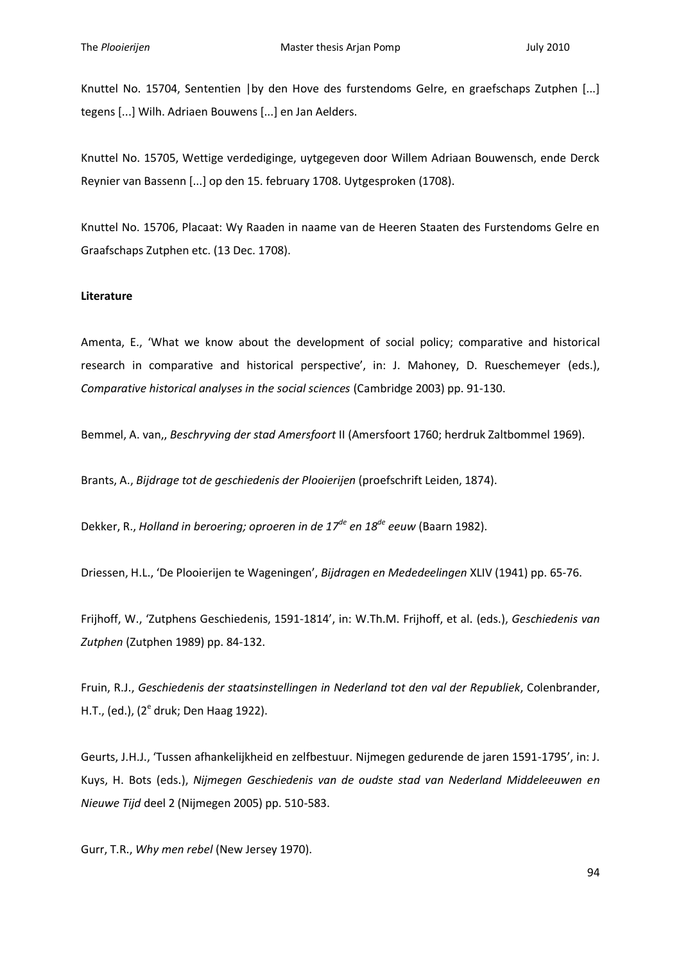Knuttel No. 15704, Sententien |by den Hove des furstendoms Gelre, en graefschaps Zutphen [...] tegens [...] Wilh. Adriaen Bouwens [...] en Jan Aelders.

Knuttel No. 15705, Wettige verdediginge, uytgegeven door Willem Adriaan Bouwensch, ende Derck Reynier van Bassenn [...] op den 15. february 1708. Uytgesproken (1708).

Knuttel No. 15706, Placaat: Wy Raaden in naame van de Heeren Staaten des Furstendoms Gelre en Graafschaps Zutphen etc. (13 Dec. 1708).

### **Literature**

Amenta, E., 'What we know about the development of social policy; comparative and historical research in comparative and historical perspective', in: J. Mahoney, D. Rueschemeyer (eds.), *Comparative historical analyses in the social sciences* (Cambridge 2003) pp. 91-130.

Bemmel, A. van,, *Beschryving der stad Amersfoort* II (Amersfoort 1760; herdruk Zaltbommel 1969).

Brants, A., *Bijdrage tot de geschiedenis der Plooierijen* (proefschrift Leiden, 1874).

Dekker, R., *Holland in beroering; oproeren in de 17de en 18de eeuw* (Baarn 1982).

Driessen, H.L., 'De Plooierijen te Wageningen', *Bijdragen en Mededeelingen* XLIV (1941) pp. 65-76.

Frijhoff, W., 'Zutphens Geschiedenis, 1591-1814', in: W.Th.M. Frijhoff, et al. (eds.), *Geschiedenis van Zutphen* (Zutphen 1989) pp. 84-132.

Fruin, R.J., *Geschiedenis der staatsinstellingen in Nederland tot den val der Republiek*, Colenbrander, H.T., (ed.), (2<sup>e</sup> druk; Den Haag 1922).

Geurts, J.H.J., 'Tussen afhankelijkheid en zelfbestuur. Nijmegen gedurende de jaren 1591-1795', in: J. Kuys, H. Bots (eds.), *Nijmegen Geschiedenis van de oudste stad van Nederland Middeleeuwen en Nieuwe Tijd* deel 2 (Nijmegen 2005) pp. 510-583.

Gurr, T.R., *Why men rebel* (New Jersey 1970).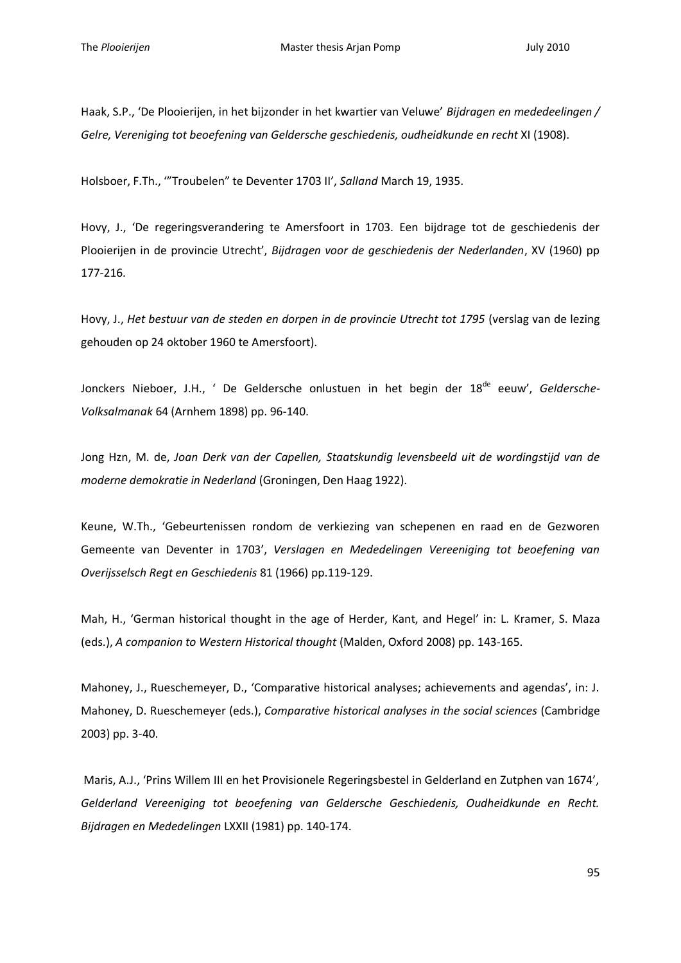Haak, S.P., 'De Plooierijen, in het bijzonder in het kwartier van Veluwe' *Bijdragen en mededeelingen / Gelre, Vereniging tot beoefening van Geldersche geschiedenis, oudheidkunde en recht* XI (1908).

Holsboer, F.Th., '"Troubelen" te Deventer 1703 II', *Salland* March 19, 1935.

Hovy, J., 'De regeringsverandering te Amersfoort in 1703. Een bijdrage tot de geschiedenis der Plooierijen in de provincie Utrecht', *Bijdragen voor de geschiedenis der Nederlanden*, XV (1960) pp 177-216.

Hovy, J., *Het bestuur van de steden en dorpen in de provincie Utrecht tot 1795* (verslag van de lezing gehouden op 24 oktober 1960 te Amersfoort).

Jonckers Nieboer, J.H., 'De Geldersche onlustuen in het begin der 18<sup>de</sup> eeuw', Geldersche-*Volksalmanak* 64 (Arnhem 1898) pp. 96-140.

Jong Hzn, M. de, *Joan Derk van der Capellen, Staatskundig levensbeeld uit de wordingstijd van de moderne demokratie in Nederland* (Groningen, Den Haag 1922).

Keune, W.Th., 'Gebeurtenissen rondom de verkiezing van schepenen en raad en de Gezworen Gemeente van Deventer in 1703', *Verslagen en Mededelingen Vereeniging tot beoefening van Overijsselsch Regt en Geschiedenis* 81 (1966) pp.119-129.

Mah, H., 'German historical thought in the age of Herder, Kant, and Hegel' in: L. Kramer, S. Maza (eds.), *A companion to Western Historical thought* (Malden, Oxford 2008) pp. 143-165.

Mahoney, J., Rueschemeyer, D., 'Comparative historical analyses; achievements and agendas', in: J. Mahoney, D. Rueschemeyer (eds.), *Comparative historical analyses in the social sciences* (Cambridge 2003) pp. 3-40.

Maris, A.J., 'Prins Willem III en het Provisionele Regeringsbestel in Gelderland en Zutphen van 1674', *Gelderland Vereeniging tot beoefening van Geldersche Geschiedenis, Oudheidkunde en Recht. Bijdragen en Mededelingen* LXXII (1981) pp. 140-174.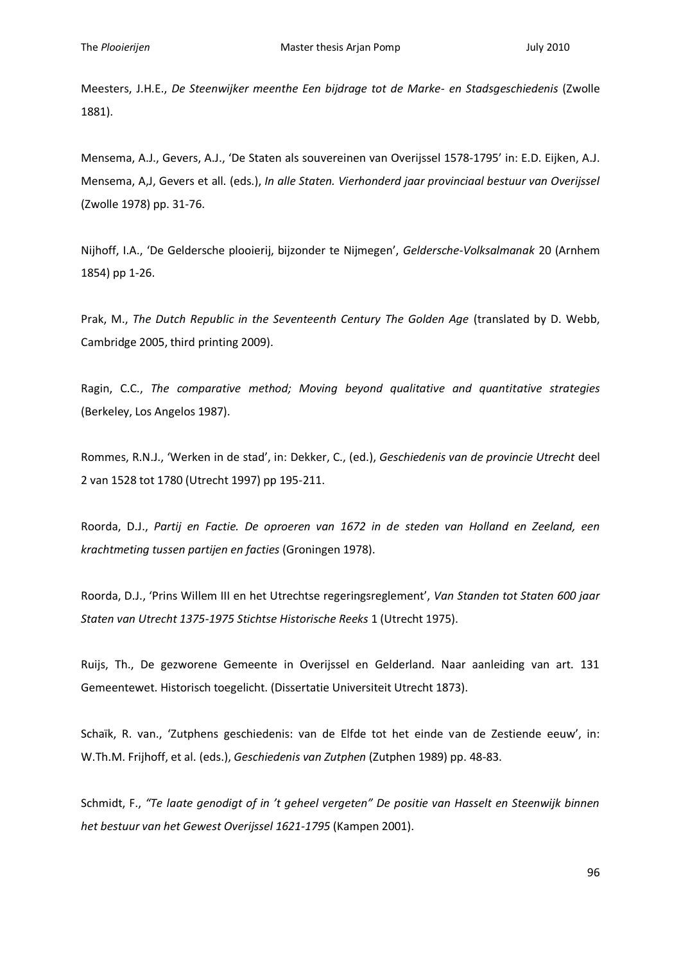Meesters, J.H.E., *De Steenwijker meenthe Een bijdrage tot de Marke- en Stadsgeschiedenis* (Zwolle 1881).

Mensema, A.J., Gevers, A.J., 'De Staten als souvereinen van Overijssel 1578-1795' in: E.D. Eijken, A.J. Mensema, A,J, Gevers et all. (eds.), *In alle Staten. Vierhonderd jaar provinciaal bestuur van Overijssel* (Zwolle 1978) pp. 31-76.

Nijhoff, I.A., 'De Geldersche plooierij, bijzonder te Nijmegen', *Geldersche-Volksalmanak* 20 (Arnhem 1854) pp 1-26.

Prak, M., *The Dutch Republic in the Seventeenth Century The Golden Age* (translated by D. Webb, Cambridge 2005, third printing 2009).

Ragin, C.C., *The comparative method; Moving beyond qualitative and quantitative strategies* (Berkeley, Los Angelos 1987).

Rommes, R.N.J., 'Werken in de stad', in: Dekker, C., (ed.), *Geschiedenis van de provincie Utrecht* deel 2 van 1528 tot 1780 (Utrecht 1997) pp 195-211.

Roorda, D.J., *Partij en Factie. De oproeren van 1672 in de steden van Holland en Zeeland, een krachtmeting tussen partijen en facties* (Groningen 1978).

Roorda, D.J., 'Prins Willem III en het Utrechtse regeringsreglement', *Van Standen tot Staten 600 jaar Staten van Utrecht 1375-1975 Stichtse Historische Reeks* 1 (Utrecht 1975).

Ruijs, Th., De gezworene Gemeente in Overijssel en Gelderland. Naar aanleiding van art. 131 Gemeentewet. Historisch toegelicht. (Dissertatie Universiteit Utrecht 1873).

Schaïk, R. van., 'Zutphens geschiedenis: van de Elfde tot het einde van de Zestiende eeuw', in: W.Th.M. Frijhoff, et al. (eds.), *Geschiedenis van Zutphen* (Zutphen 1989) pp. 48-83.

Schmidt, F., *"Te laate genodigt of in 't geheel vergeten" De positie van Hasselt en Steenwijk binnen het bestuur van het Gewest Overijssel 1621-1795* (Kampen 2001).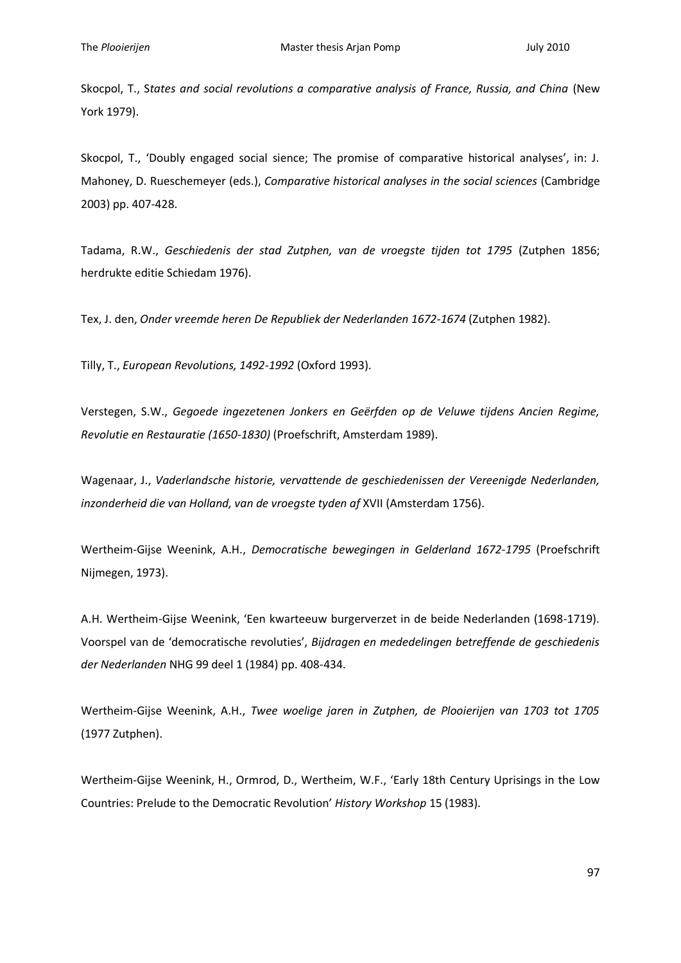Skocpol, T., S*tates and social revolutions a comparative analysis of France, Russia, and China* (New York 1979).

Skocpol, T., 'Doubly engaged social sience; The promise of comparative historical analyses', in: J. Mahoney, D. Rueschemeyer (eds.), *Comparative historical analyses in the social sciences* (Cambridge 2003) pp. 407-428.

Tadama, R.W., *Geschiedenis der stad Zutphen, van de vroegste tijden tot 1795* (Zutphen 1856; herdrukte editie Schiedam 1976).

Tex, J. den, *Onder vreemde heren De Republiek der Nederlanden 1672-1674* (Zutphen 1982).

Tilly, T., *European Revolutions, 1492-1992* (Oxford 1993).

Verstegen, S.W., *Gegoede ingezetenen Jonkers en Geërfden op de Veluwe tijdens Ancien Regime, Revolutie en Restauratie (1650-1830)* (Proefschrift, Amsterdam 1989).

Wagenaar, J., *Vaderlandsche historie, vervattende de geschiedenissen der Vereenigde Nederlanden, inzonderheid die van Holland, van de vroegste tyden af* XVII (Amsterdam 1756).

Wertheim-Gijse Weenink, A.H., *Democratische bewegingen in Gelderland 1672-1795* (Proefschrift Nijmegen, 1973).

A.H. Wertheim-Gijse Weenink, 'Een kwarteeuw burgerverzet in de beide Nederlanden (1698-1719). Voorspel van de 'democratische revoluties', *Bijdragen en mededelingen betreffende de geschiedenis der Nederlanden* NHG 99 deel 1 (1984) pp. 408-434.

Wertheim-Gijse Weenink, A.H., *Twee woelige jaren in Zutphen, de Plooierijen van 1703 tot 1705* (1977 Zutphen).

Wertheim-Gijse Weenink, H., Ormrod, D., Wertheim, W.F., 'Early 18th Century Uprisings in the Low Countries: Prelude to the Democratic Revolution' *History Workshop* 15 (1983).